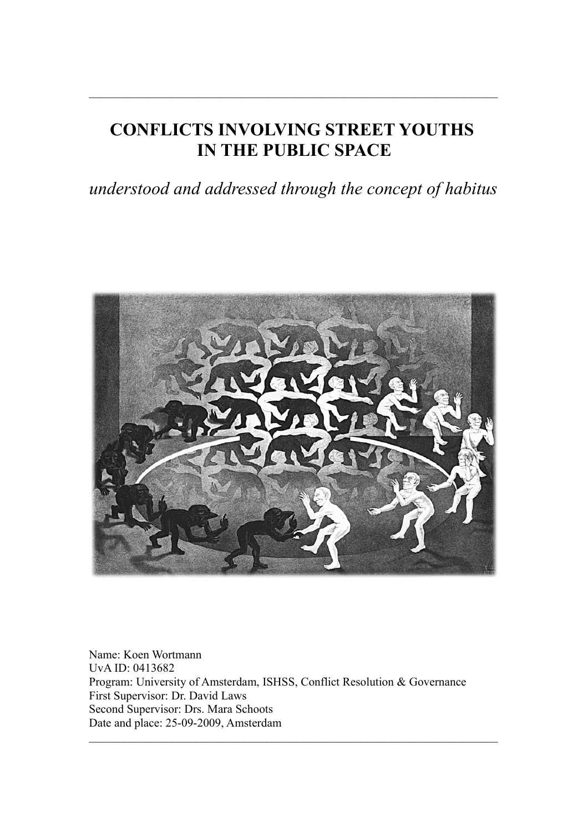# **CONFLICTS INVOLVING STREET YOUTHS IN THE PUBLIC SPACE**

 $\mathcal{L}_\text{max} = \frac{1}{2} \sum_{i=1}^n \mathcal{L}_\text{max}(\mathbf{z}_i - \mathbf{z}_i)$ 

*understood and addressed through the concept of habitus*



Name: Koen Wortmann UvA ID: 0413682 Program: University of Amsterdam, ISHSS, Conflict Resolution & Governance First Supervisor: Dr. David Laws Second Supervisor: Drs. Mara Schoots Date and place: 25-09-2009, Amsterdam

 $\mathcal{L}_\text{max} = \frac{1}{2} \sum_{i=1}^n \mathcal{L}_\text{max}(\mathbf{z}_i - \mathbf{z}_i)$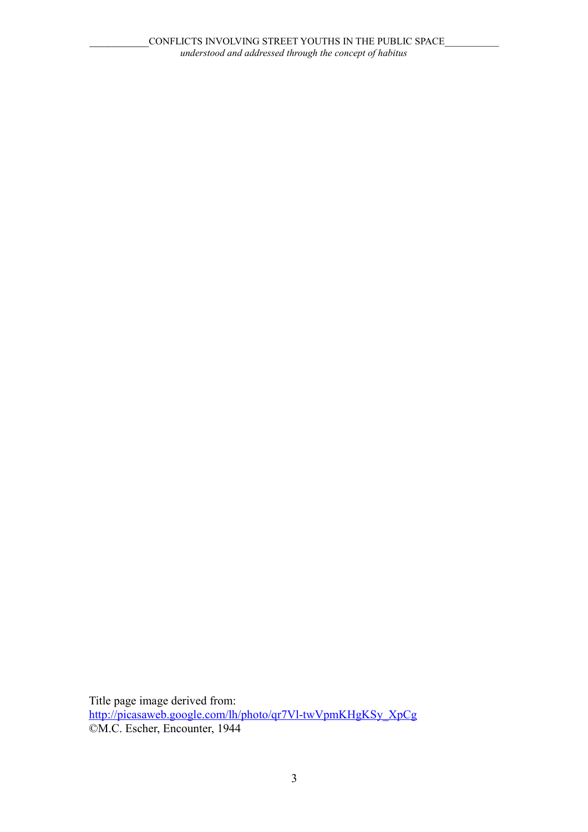Title page image derived from: [http://picasaweb.google.com/lh/photo/qr7Vl-twVpmKHgKSy\\_XpCg](http://picasaweb.google.com/lh/photo/qr7Vl-twVpmKHgKSy_XpCg) ©M.C. Escher, Encounter, 1944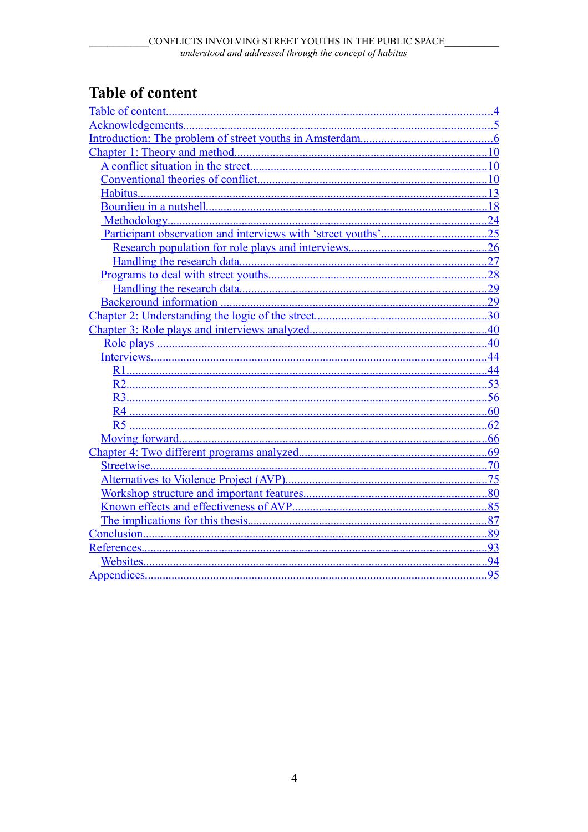# <span id="page-3-0"></span>**Table of content**

|                | 10  |
|----------------|-----|
|                | .13 |
|                |     |
|                |     |
|                |     |
|                |     |
|                | 27  |
|                | .28 |
|                | .29 |
|                | 29  |
|                |     |
|                |     |
|                | 40  |
|                | 44  |
|                |     |
|                |     |
|                |     |
|                | 60  |
| R <sub>5</sub> | 62  |
|                | 66  |
|                | .69 |
|                |     |
|                |     |
|                | 80  |
|                | 85  |
|                |     |
|                | 89  |
|                |     |
|                |     |
|                | 95  |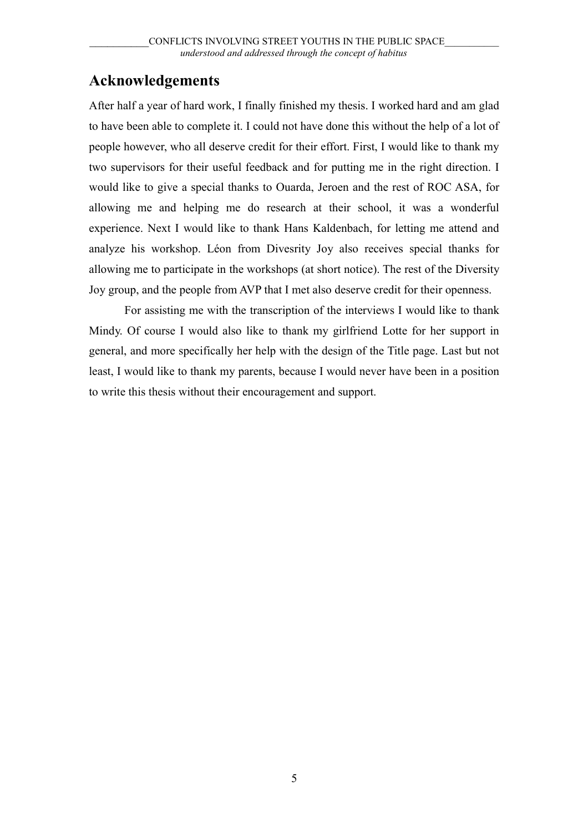# <span id="page-4-0"></span>**Acknowledgements**

After half a year of hard work, I finally finished my thesis. I worked hard and am glad to have been able to complete it. I could not have done this without the help of a lot of people however, who all deserve credit for their effort. First, I would like to thank my two supervisors for their useful feedback and for putting me in the right direction. I would like to give a special thanks to Ouarda, Jeroen and the rest of ROC ASA, for allowing me and helping me do research at their school, it was a wonderful experience. Next I would like to thank Hans Kaldenbach, for letting me attend and analyze his workshop. Léon from Divesrity Joy also receives special thanks for allowing me to participate in the workshops (at short notice). The rest of the Diversity Joy group, and the people from AVP that I met also deserve credit for their openness.

For assisting me with the transcription of the interviews I would like to thank Mindy. Of course I would also like to thank my girlfriend Lotte for her support in general, and more specifically her help with the design of the Title page. Last but not least, I would like to thank my parents, because I would never have been in a position to write this thesis without their encouragement and support.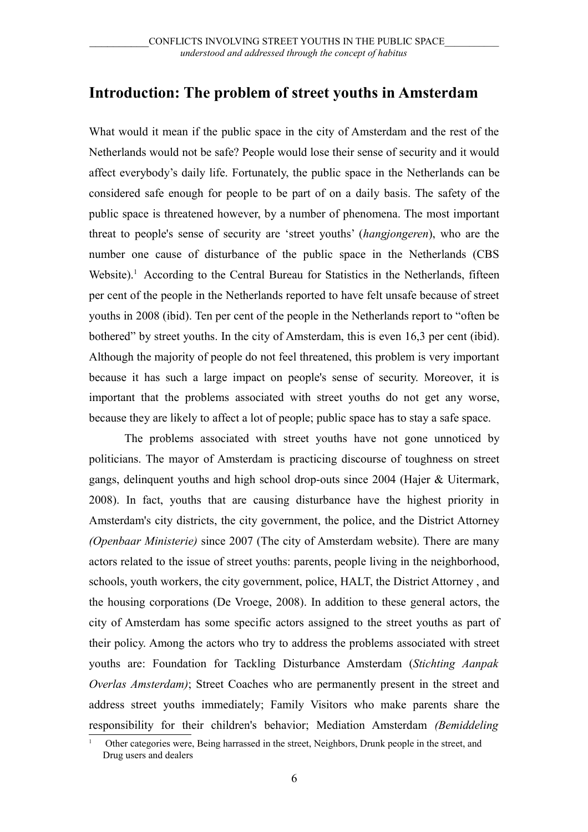## <span id="page-5-0"></span>**Introduction: The problem of street youths in Amsterdam**

What would it mean if the public space in the city of Amsterdam and the rest of the Netherlands would not be safe? People would lose their sense of security and it would affect everybody's daily life. Fortunately, the public space in the Netherlands can be considered safe enough for people to be part of on a daily basis. The safety of the public space is threatened however, by a number of phenomena. The most important threat to people's sense of security are 'street youths' (*hangjongeren*), who are the number one cause of disturbance of the public space in the Netherlands (CBS Website).<sup>[1](#page-5-1)</sup> According to the Central Bureau for Statistics in the Netherlands, fifteen per cent of the people in the Netherlands reported to have felt unsafe because of street youths in 2008 (ibid). Ten per cent of the people in the Netherlands report to "often be bothered" by street youths. In the city of Amsterdam, this is even 16,3 per cent (ibid). Although the majority of people do not feel threatened, this problem is very important because it has such a large impact on people's sense of security. Moreover, it is important that the problems associated with street youths do not get any worse, because they are likely to affect a lot of people; public space has to stay a safe space.

The problems associated with street youths have not gone unnoticed by politicians. The mayor of Amsterdam is practicing discourse of toughness on street gangs, delinquent youths and high school drop-outs since 2004 (Hajer & Uitermark, 2008). In fact, youths that are causing disturbance have the highest priority in Amsterdam's city districts, the city government, the police, and the District Attorney *(Openbaar Ministerie)* since 2007 (The city of Amsterdam website). There are many actors related to the issue of street youths: parents, people living in the neighborhood, schools, youth workers, the city government, police, HALT, the District Attorney , and the housing corporations (De Vroege, 2008). In addition to these general actors, the city of Amsterdam has some specific actors assigned to the street youths as part of their policy. Among the actors who try to address the problems associated with street youths are: Foundation for Tackling Disturbance Amsterdam (*Stichting Aanpak Overlas Amsterdam)*; Street Coaches who are permanently present in the street and address street youths immediately; Family Visitors who make parents share the responsibility for their children's behavior; Mediation Amsterdam *(Bemiddeling*

<span id="page-5-1"></span>Other categories were, Being harrassed in the street, Neighbors, Drunk people in the street, and Drug users and dealers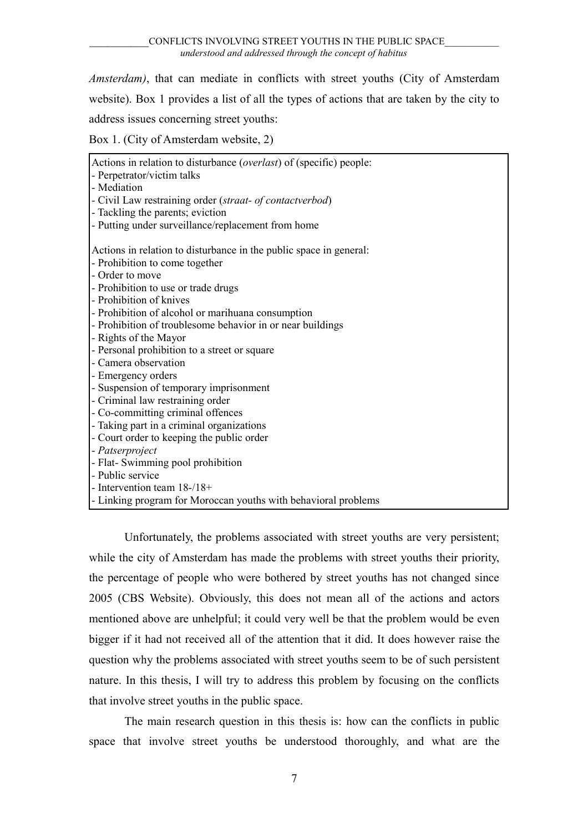*Amsterdam)*, that can mediate in conflicts with street youths (City of Amsterdam website). Box 1 provides a list of all the types of actions that are taken by the city to address issues concerning street youths:

Box 1. (City of Amsterdam website, 2)

| Actions in relation to disturbance ( <i>overlast</i> ) of (specific) people: |
|------------------------------------------------------------------------------|
| - Perpetrator/victim talks                                                   |
| - Mediation                                                                  |
| - Civil Law restraining order (straat- of contactverbod)                     |
| - Tackling the parents; eviction                                             |
| - Putting under surveillance/replacement from home                           |
|                                                                              |
| Actions in relation to disturbance in the public space in general:           |
| - Prohibition to come together                                               |
| - Order to move                                                              |
| - Prohibition to use or trade drugs                                          |
| - Prohibition of knives                                                      |
| - Prohibition of alcohol or marihuana consumption                            |
| - Prohibition of troublesome behavior in or near buildings                   |
| - Rights of the Mayor                                                        |
| - Personal prohibition to a street or square                                 |
| - Camera observation                                                         |
| - Emergency orders                                                           |
| - Suspension of temporary imprisonment                                       |
| - Criminal law restraining order                                             |
| - Co-committing criminal offences                                            |
| - Taking part in a criminal organizations                                    |
| - Court order to keeping the public order                                    |
| - Patserproject                                                              |
| - Flat- Swimming pool prohibition                                            |
| - Public service                                                             |
| - Intervention team $18-18+$                                                 |
| - Linking program for Moroccan youths with behavioral problems               |
|                                                                              |

Unfortunately, the problems associated with street youths are very persistent; while the city of Amsterdam has made the problems with street youths their priority, the percentage of people who were bothered by street youths has not changed since 2005 (CBS Website). Obviously, this does not mean all of the actions and actors mentioned above are unhelpful; it could very well be that the problem would be even bigger if it had not received all of the attention that it did. It does however raise the question why the problems associated with street youths seem to be of such persistent nature. In this thesis, I will try to address this problem by focusing on the conflicts that involve street youths in the public space.

The main research question in this thesis is: how can the conflicts in public space that involve street youths be understood thoroughly, and what are the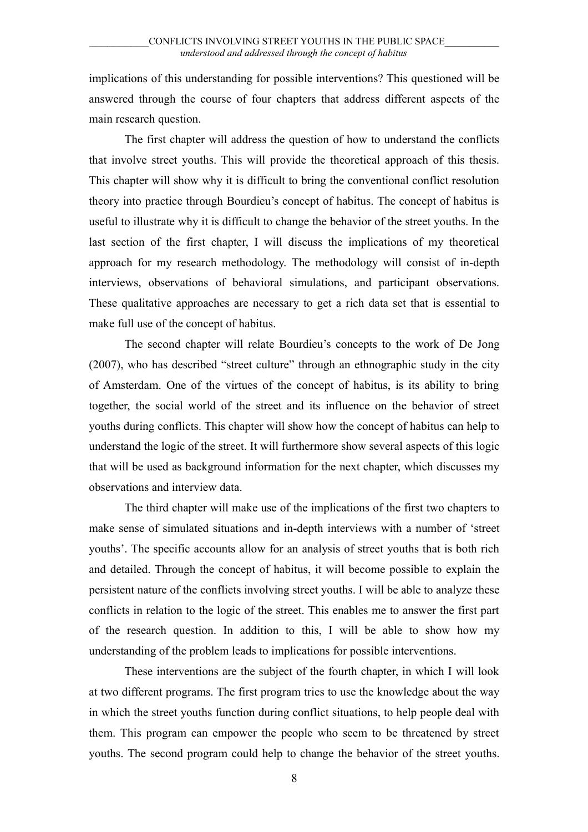implications of this understanding for possible interventions? This questioned will be answered through the course of four chapters that address different aspects of the main research question.

The first chapter will address the question of how to understand the conflicts that involve street youths. This will provide the theoretical approach of this thesis. This chapter will show why it is difficult to bring the conventional conflict resolution theory into practice through Bourdieu's concept of habitus. The concept of habitus is useful to illustrate why it is difficult to change the behavior of the street youths. In the last section of the first chapter, I will discuss the implications of my theoretical approach for my research methodology. The methodology will consist of in-depth interviews, observations of behavioral simulations, and participant observations. These qualitative approaches are necessary to get a rich data set that is essential to make full use of the concept of habitus.

The second chapter will relate Bourdieu's concepts to the work of De Jong (2007), who has described "street culture" through an ethnographic study in the city of Amsterdam. One of the virtues of the concept of habitus, is its ability to bring together, the social world of the street and its influence on the behavior of street youths during conflicts. This chapter will show how the concept of habitus can help to understand the logic of the street. It will furthermore show several aspects of this logic that will be used as background information for the next chapter, which discusses my observations and interview data.

The third chapter will make use of the implications of the first two chapters to make sense of simulated situations and in-depth interviews with a number of 'street youths'. The specific accounts allow for an analysis of street youths that is both rich and detailed. Through the concept of habitus, it will become possible to explain the persistent nature of the conflicts involving street youths. I will be able to analyze these conflicts in relation to the logic of the street. This enables me to answer the first part of the research question. In addition to this, I will be able to show how my understanding of the problem leads to implications for possible interventions.

These interventions are the subject of the fourth chapter, in which I will look at two different programs. The first program tries to use the knowledge about the way in which the street youths function during conflict situations, to help people deal with them. This program can empower the people who seem to be threatened by street youths. The second program could help to change the behavior of the street youths.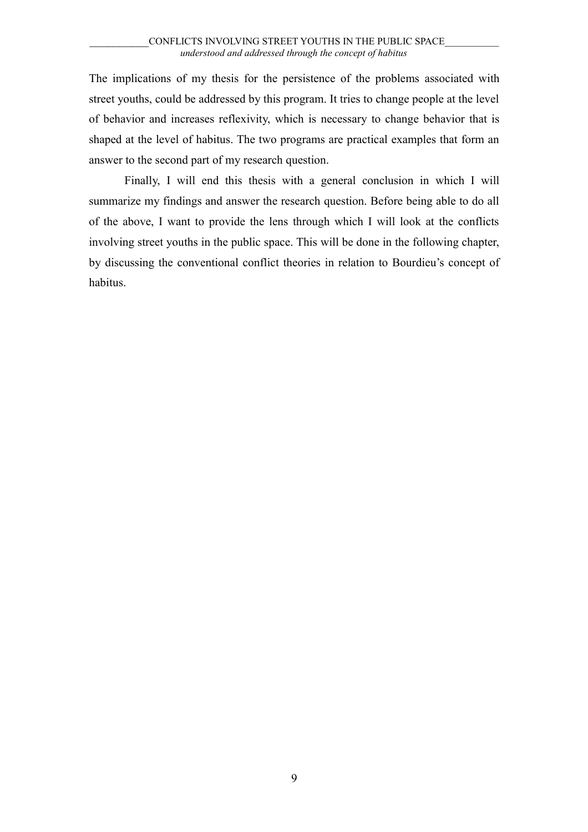The implications of my thesis for the persistence of the problems associated with street youths, could be addressed by this program. It tries to change people at the level of behavior and increases reflexivity, which is necessary to change behavior that is shaped at the level of habitus. The two programs are practical examples that form an answer to the second part of my research question.

Finally, I will end this thesis with a general conclusion in which I will summarize my findings and answer the research question. Before being able to do all of the above, I want to provide the lens through which I will look at the conflicts involving street youths in the public space. This will be done in the following chapter, by discussing the conventional conflict theories in relation to Bourdieu's concept of habitus.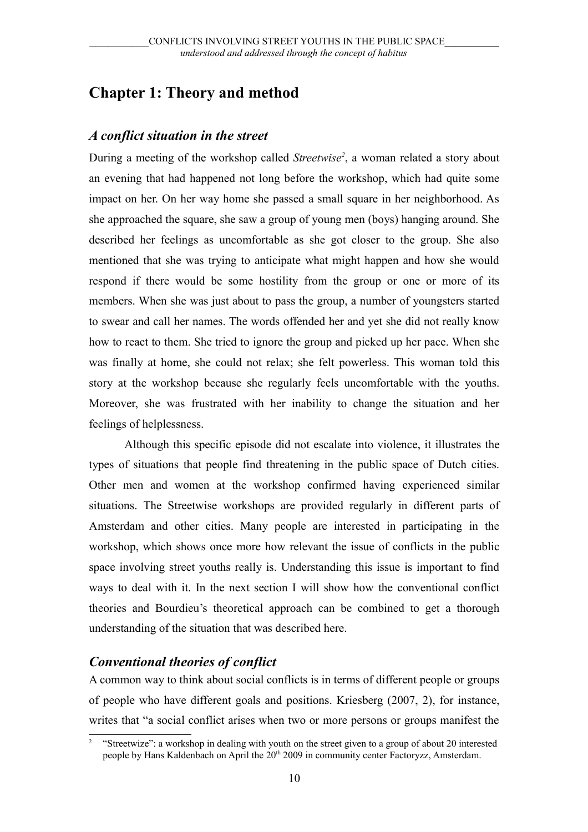# <span id="page-9-2"></span>**Chapter 1: Theory and method**

### <span id="page-9-1"></span>*A conflict situation in the street*

During a meeting of the workshop called *Streetwise[2](#page-9-3)* , a woman related a story about an evening that had happened not long before the workshop, which had quite some impact on her. On her way home she passed a small square in her neighborhood. As she approached the square, she saw a group of young men (boys) hanging around. She described her feelings as uncomfortable as she got closer to the group. She also mentioned that she was trying to anticipate what might happen and how she would respond if there would be some hostility from the group or one or more of its members. When she was just about to pass the group, a number of youngsters started to swear and call her names. The words offended her and yet she did not really know how to react to them. She tried to ignore the group and picked up her pace. When she was finally at home, she could not relax; she felt powerless. This woman told this story at the workshop because she regularly feels uncomfortable with the youths. Moreover, she was frustrated with her inability to change the situation and her feelings of helplessness.

Although this specific episode did not escalate into violence, it illustrates the types of situations that people find threatening in the public space of Dutch cities. Other men and women at the workshop confirmed having experienced similar situations. The Streetwise workshops are provided regularly in different parts of Amsterdam and other cities. Many people are interested in participating in the workshop, which shows once more how relevant the issue of conflicts in the public space involving street youths really is. Understanding this issue is important to find ways to deal with it. In the next section I will show how the conventional conflict theories and Bourdieu's theoretical approach can be combined to get a thorough understanding of the situation that was described here.

### <span id="page-9-0"></span>*Conventional theories of conflict*

A common way to think about social conflicts is in terms of different people or groups of people who have different goals and positions. Kriesberg (2007, 2), for instance, writes that "a social conflict arises when two or more persons or groups manifest the

<span id="page-9-3"></span><sup>&</sup>lt;sup>2</sup> "Streetwize": a workshop in dealing with youth on the street given to a group of about 20 interested people by Hans Kaldenbach on April the 20<sup>th</sup> 2009 in community center Factoryzz, Amsterdam.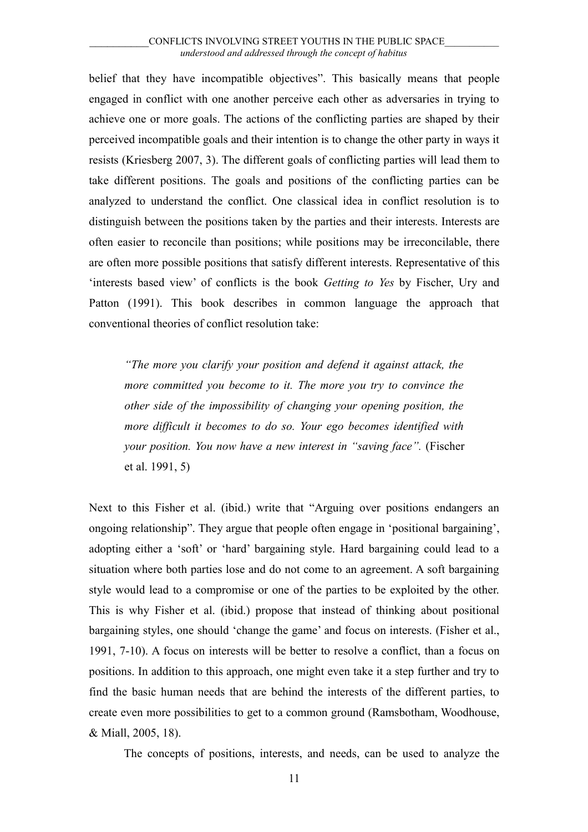belief that they have incompatible objectives". This basically means that people engaged in conflict with one another perceive each other as adversaries in trying to achieve one or more goals. The actions of the conflicting parties are shaped by their perceived incompatible goals and their intention is to change the other party in ways it resists (Kriesberg 2007, 3). The different goals of conflicting parties will lead them to take different positions. The goals and positions of the conflicting parties can be analyzed to understand the conflict. One classical idea in conflict resolution is to distinguish between the positions taken by the parties and their interests. Interests are often easier to reconcile than positions; while positions may be irreconcilable, there are often more possible positions that satisfy different interests. Representative of this 'interests based view' of conflicts is the book *Getting to Yes* by Fischer, Ury and Patton (1991). This book describes in common language the approach that conventional theories of conflict resolution take:

*"The more you clarify your position and defend it against attack, the more committed you become to it. The more you try to convince the other side of the impossibility of changing your opening position, the more difficult it becomes to do so. Your ego becomes identified with your position. You now have a new interest in "saving face".* (Fischer et al. 1991, 5)

Next to this Fisher et al. (ibid.) write that "Arguing over positions endangers an ongoing relationship". They argue that people often engage in 'positional bargaining', adopting either a 'soft' or 'hard' bargaining style. Hard bargaining could lead to a situation where both parties lose and do not come to an agreement. A soft bargaining style would lead to a compromise or one of the parties to be exploited by the other. This is why Fisher et al. (ibid.) propose that instead of thinking about positional bargaining styles, one should 'change the game' and focus on interests. (Fisher et al., 1991, 7-10). A focus on interests will be better to resolve a conflict, than a focus on positions. In addition to this approach, one might even take it a step further and try to find the basic human needs that are behind the interests of the different parties, to create even more possibilities to get to a common ground (Ramsbotham, Woodhouse, & Miall, 2005, 18).

The concepts of positions, interests, and needs, can be used to analyze the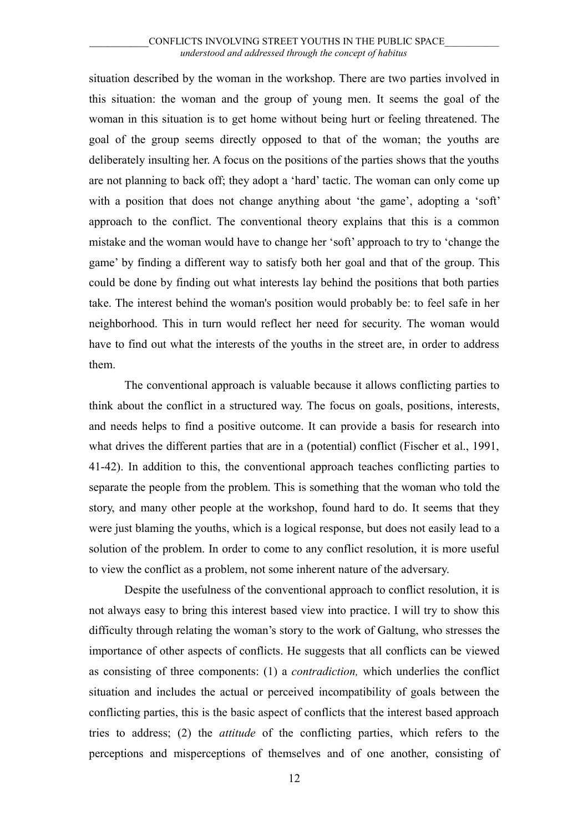situation described by the woman in the workshop. There are two parties involved in this situation: the woman and the group of young men. It seems the goal of the woman in this situation is to get home without being hurt or feeling threatened. The goal of the group seems directly opposed to that of the woman; the youths are deliberately insulting her. A focus on the positions of the parties shows that the youths are not planning to back off; they adopt a 'hard' tactic. The woman can only come up with a position that does not change anything about 'the game', adopting a 'soft' approach to the conflict. The conventional theory explains that this is a common mistake and the woman would have to change her 'soft' approach to try to 'change the game' by finding a different way to satisfy both her goal and that of the group. This could be done by finding out what interests lay behind the positions that both parties take. The interest behind the woman's position would probably be: to feel safe in her neighborhood. This in turn would reflect her need for security. The woman would have to find out what the interests of the youths in the street are, in order to address them.

The conventional approach is valuable because it allows conflicting parties to think about the conflict in a structured way. The focus on goals, positions, interests, and needs helps to find a positive outcome. It can provide a basis for research into what drives the different parties that are in a (potential) conflict (Fischer et al., 1991, 41-42). In addition to this, the conventional approach teaches conflicting parties to separate the people from the problem. This is something that the woman who told the story, and many other people at the workshop, found hard to do. It seems that they were just blaming the youths, which is a logical response, but does not easily lead to a solution of the problem. In order to come to any conflict resolution, it is more useful to view the conflict as a problem, not some inherent nature of the adversary.

Despite the usefulness of the conventional approach to conflict resolution, it is not always easy to bring this interest based view into practice. I will try to show this difficulty through relating the woman's story to the work of Galtung, who stresses the importance of other aspects of conflicts. He suggests that all conflicts can be viewed as consisting of three components: (1) a *contradiction,* which underlies the conflict situation and includes the actual or perceived incompatibility of goals between the conflicting parties, this is the basic aspect of conflicts that the interest based approach tries to address; (2) the *attitude* of the conflicting parties, which refers to the perceptions and misperceptions of themselves and of one another, consisting of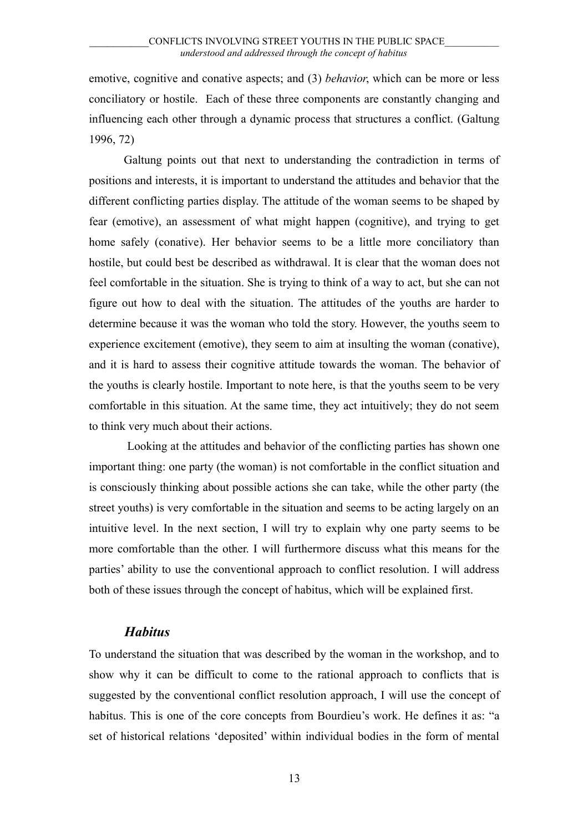emotive, cognitive and conative aspects; and (3) *behavior*, which can be more or less conciliatory or hostile. Each of these three components are constantly changing and influencing each other through a dynamic process that structures a conflict. (Galtung 1996, 72)

Galtung points out that next to understanding the contradiction in terms of positions and interests, it is important to understand the attitudes and behavior that the different conflicting parties display. The attitude of the woman seems to be shaped by fear (emotive), an assessment of what might happen (cognitive), and trying to get home safely (conative). Her behavior seems to be a little more conciliatory than hostile, but could best be described as withdrawal. It is clear that the woman does not feel comfortable in the situation. She is trying to think of a way to act, but she can not figure out how to deal with the situation. The attitudes of the youths are harder to determine because it was the woman who told the story. However, the youths seem to experience excitement (emotive), they seem to aim at insulting the woman (conative), and it is hard to assess their cognitive attitude towards the woman. The behavior of the youths is clearly hostile. Important to note here, is that the youths seem to be very comfortable in this situation. At the same time, they act intuitively; they do not seem to think very much about their actions.

 Looking at the attitudes and behavior of the conflicting parties has shown one important thing: one party (the woman) is not comfortable in the conflict situation and is consciously thinking about possible actions she can take, while the other party (the street youths) is very comfortable in the situation and seems to be acting largely on an intuitive level. In the next section, I will try to explain why one party seems to be more comfortable than the other. I will furthermore discuss what this means for the parties' ability to use the conventional approach to conflict resolution. I will address both of these issues through the concept of habitus, which will be explained first.

#### <span id="page-12-0"></span>*Habitus*

To understand the situation that was described by the woman in the workshop, and to show why it can be difficult to come to the rational approach to conflicts that is suggested by the conventional conflict resolution approach, I will use the concept of habitus. This is one of the core concepts from Bourdieu's work. He defines it as: "a set of historical relations 'deposited' within individual bodies in the form of mental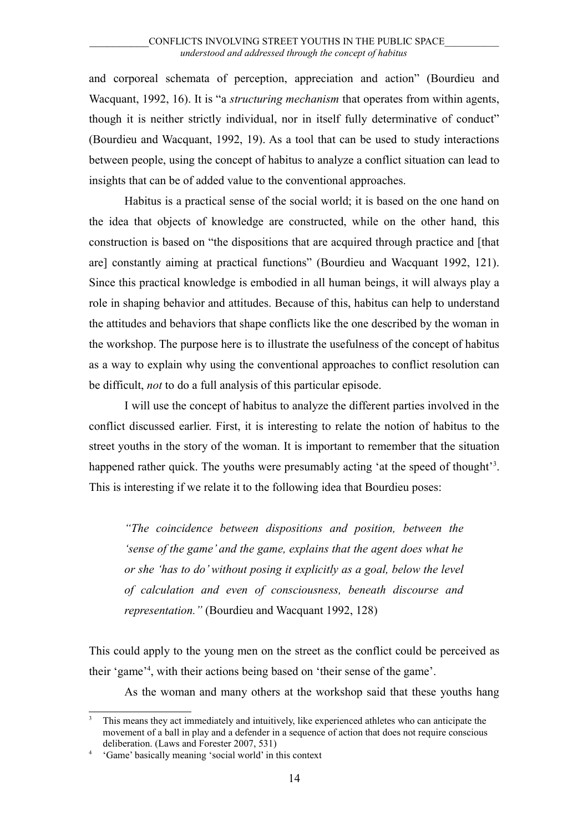and corporeal schemata of perception, appreciation and action" (Bourdieu and Wacquant, 1992, 16). It is "a *structuring mechanism* that operates from within agents, though it is neither strictly individual, nor in itself fully determinative of conduct" (Bourdieu and Wacquant, 1992, 19). As a tool that can be used to study interactions between people, using the concept of habitus to analyze a conflict situation can lead to insights that can be of added value to the conventional approaches.

Habitus is a practical sense of the social world; it is based on the one hand on the idea that objects of knowledge are constructed, while on the other hand, this construction is based on "the dispositions that are acquired through practice and [that are] constantly aiming at practical functions" (Bourdieu and Wacquant 1992, 121). Since this practical knowledge is embodied in all human beings, it will always play a role in shaping behavior and attitudes. Because of this, habitus can help to understand the attitudes and behaviors that shape conflicts like the one described by the woman in the workshop. The purpose here is to illustrate the usefulness of the concept of habitus as a way to explain why using the conventional approaches to conflict resolution can be difficult, *not* to do a full analysis of this particular episode.

I will use the concept of habitus to analyze the different parties involved in the conflict discussed earlier. First, it is interesting to relate the notion of habitus to the street youths in the story of the woman. It is important to remember that the situation happened rather quick. The youths were presumably acting 'at the speed of thought'<sup>[3](#page-13-0)</sup>. This is interesting if we relate it to the following idea that Bourdieu poses:

*"The coincidence between dispositions and position, between the 'sense of the game' and the game, explains that the agent does what he or she 'has to do' without posing it explicitly as a goal, below the level of calculation and even of consciousness, beneath discourse and representation."* (Bourdieu and Wacquant 1992, 128)

This could apply to the young men on the street as the conflict could be perceived as their 'game'[4](#page-13-1) , with their actions being based on 'their sense of the game'.

As the woman and many others at the workshop said that these youths hang

<span id="page-13-0"></span><sup>3</sup> This means they act immediately and intuitively, like experienced athletes who can anticipate the movement of a ball in play and a defender in a sequence of action that does not require conscious deliberation. (Laws and Forester 2007, 531)

<span id="page-13-1"></span><sup>4</sup> 'Game' basically meaning 'social world' in this context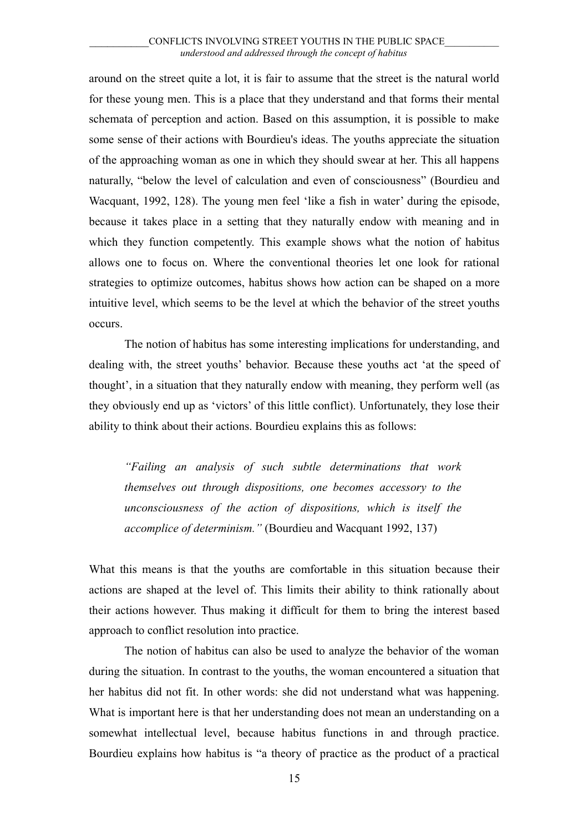around on the street quite a lot, it is fair to assume that the street is the natural world for these young men. This is a place that they understand and that forms their mental schemata of perception and action. Based on this assumption, it is possible to make some sense of their actions with Bourdieu's ideas. The youths appreciate the situation of the approaching woman as one in which they should swear at her. This all happens naturally, "below the level of calculation and even of consciousness" (Bourdieu and Wacquant, 1992, 128). The young men feel 'like a fish in water' during the episode, because it takes place in a setting that they naturally endow with meaning and in which they function competently. This example shows what the notion of habitus allows one to focus on. Where the conventional theories let one look for rational strategies to optimize outcomes, habitus shows how action can be shaped on a more intuitive level, which seems to be the level at which the behavior of the street youths occurs.

The notion of habitus has some interesting implications for understanding, and dealing with, the street youths' behavior. Because these youths act 'at the speed of thought', in a situation that they naturally endow with meaning, they perform well (as they obviously end up as 'victors' of this little conflict). Unfortunately, they lose their ability to think about their actions. Bourdieu explains this as follows:

*"Failing an analysis of such subtle determinations that work themselves out through dispositions, one becomes accessory to the unconsciousness of the action of dispositions, which is itself the accomplice of determinism."* (Bourdieu and Wacquant 1992, 137)

What this means is that the youths are comfortable in this situation because their actions are shaped at the level of. This limits their ability to think rationally about their actions however. Thus making it difficult for them to bring the interest based approach to conflict resolution into practice.

The notion of habitus can also be used to analyze the behavior of the woman during the situation. In contrast to the youths, the woman encountered a situation that her habitus did not fit. In other words: she did not understand what was happening. What is important here is that her understanding does not mean an understanding on a somewhat intellectual level, because habitus functions in and through practice. Bourdieu explains how habitus is "a theory of practice as the product of a practical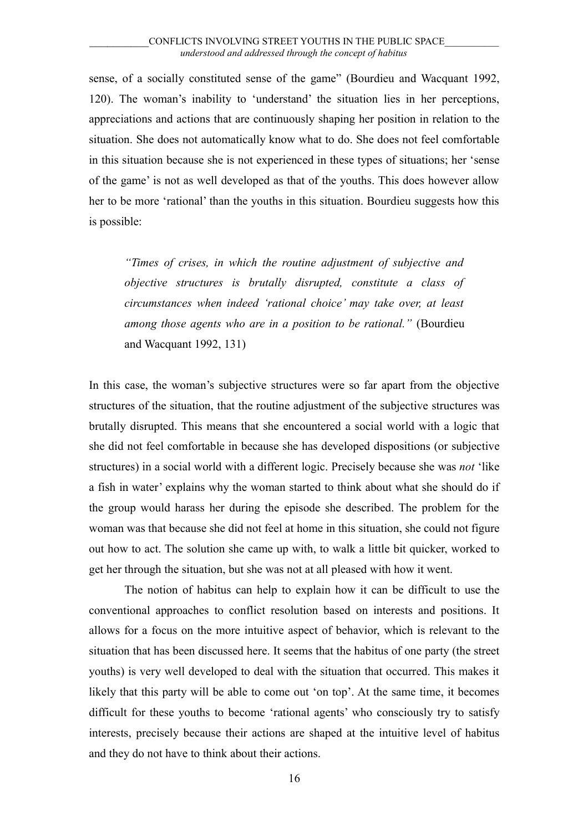sense, of a socially constituted sense of the game" (Bourdieu and Wacquant 1992, 120). The woman's inability to 'understand' the situation lies in her perceptions, appreciations and actions that are continuously shaping her position in relation to the situation. She does not automatically know what to do. She does not feel comfortable in this situation because she is not experienced in these types of situations; her 'sense of the game' is not as well developed as that of the youths. This does however allow her to be more 'rational' than the youths in this situation. Bourdieu suggests how this is possible:

*"Times of crises, in which the routine adjustment of subjective and objective structures is brutally disrupted, constitute a class of circumstances when indeed 'rational choice' may take over, at least among those agents who are in a position to be rational."* (Bourdieu and Wacquant 1992, 131)

In this case, the woman's subjective structures were so far apart from the objective structures of the situation, that the routine adjustment of the subjective structures was brutally disrupted. This means that she encountered a social world with a logic that she did not feel comfortable in because she has developed dispositions (or subjective structures) in a social world with a different logic. Precisely because she was *not* 'like a fish in water' explains why the woman started to think about what she should do if the group would harass her during the episode she described. The problem for the woman was that because she did not feel at home in this situation, she could not figure out how to act. The solution she came up with, to walk a little bit quicker, worked to get her through the situation, but she was not at all pleased with how it went.

The notion of habitus can help to explain how it can be difficult to use the conventional approaches to conflict resolution based on interests and positions. It allows for a focus on the more intuitive aspect of behavior, which is relevant to the situation that has been discussed here. It seems that the habitus of one party (the street youths) is very well developed to deal with the situation that occurred. This makes it likely that this party will be able to come out 'on top'. At the same time, it becomes difficult for these youths to become 'rational agents' who consciously try to satisfy interests, precisely because their actions are shaped at the intuitive level of habitus and they do not have to think about their actions.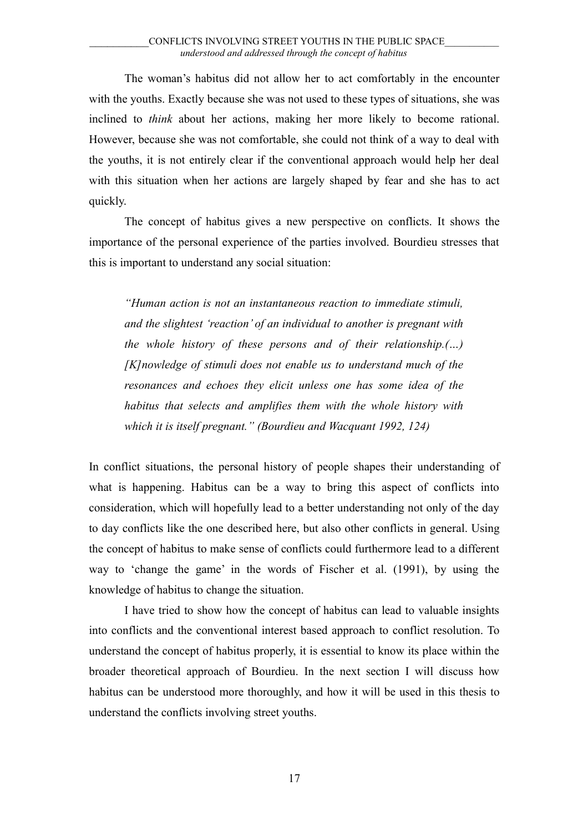The woman's habitus did not allow her to act comfortably in the encounter with the youths. Exactly because she was not used to these types of situations, she was inclined to *think* about her actions, making her more likely to become rational. However, because she was not comfortable, she could not think of a way to deal with the youths, it is not entirely clear if the conventional approach would help her deal with this situation when her actions are largely shaped by fear and she has to act quickly.

The concept of habitus gives a new perspective on conflicts. It shows the importance of the personal experience of the parties involved. Bourdieu stresses that this is important to understand any social situation:

*"Human action is not an instantaneous reaction to immediate stimuli, and the slightest 'reaction' of an individual to another is pregnant with the whole history of these persons and of their relationship.(…) [K]nowledge of stimuli does not enable us to understand much of the resonances and echoes they elicit unless one has some idea of the habitus that selects and amplifies them with the whole history with which it is itself pregnant." (Bourdieu and Wacquant 1992, 124)*

In conflict situations, the personal history of people shapes their understanding of what is happening. Habitus can be a way to bring this aspect of conflicts into consideration, which will hopefully lead to a better understanding not only of the day to day conflicts like the one described here, but also other conflicts in general. Using the concept of habitus to make sense of conflicts could furthermore lead to a different way to 'change the game' in the words of Fischer et al. (1991), by using the knowledge of habitus to change the situation.

I have tried to show how the concept of habitus can lead to valuable insights into conflicts and the conventional interest based approach to conflict resolution. To understand the concept of habitus properly, it is essential to know its place within the broader theoretical approach of Bourdieu. In the next section I will discuss how habitus can be understood more thoroughly, and how it will be used in this thesis to understand the conflicts involving street youths.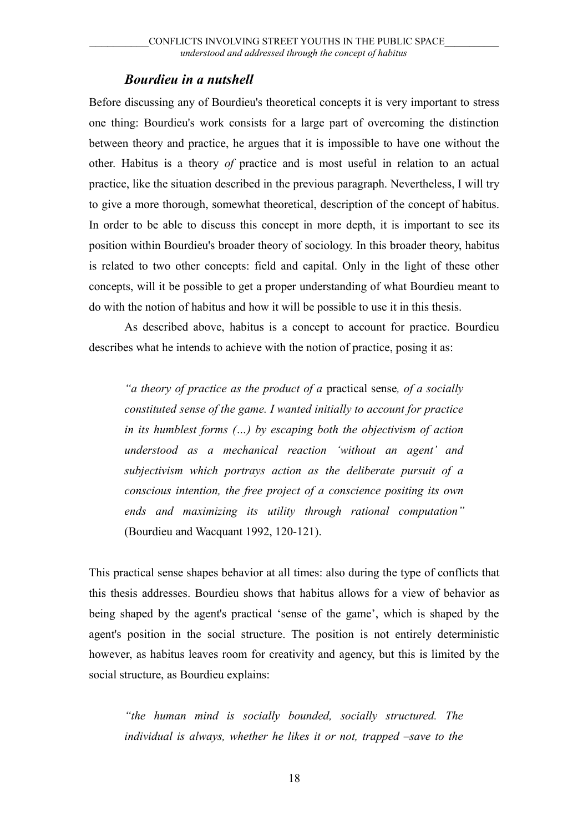### <span id="page-17-0"></span>*Bourdieu in a nutshell*

Before discussing any of Bourdieu's theoretical concepts it is very important to stress one thing: Bourdieu's work consists for a large part of overcoming the distinction between theory and practice, he argues that it is impossible to have one without the other. Habitus is a theory *of* practice and is most useful in relation to an actual practice, like the situation described in the previous paragraph. Nevertheless, I will try to give a more thorough, somewhat theoretical, description of the concept of habitus. In order to be able to discuss this concept in more depth, it is important to see its position within Bourdieu's broader theory of sociology. In this broader theory, habitus is related to two other concepts: field and capital. Only in the light of these other concepts, will it be possible to get a proper understanding of what Bourdieu meant to do with the notion of habitus and how it will be possible to use it in this thesis.

As described above, habitus is a concept to account for practice. Bourdieu describes what he intends to achieve with the notion of practice, posing it as:

*"a theory of practice as the product of a* practical sense*, of a socially constituted sense of the game. I wanted initially to account for practice in its humblest forms (…) by escaping both the objectivism of action understood as a mechanical reaction 'without an agent' and subjectivism which portrays action as the deliberate pursuit of a conscious intention, the free project of a conscience positing its own ends and maximizing its utility through rational computation"* (Bourdieu and Wacquant 1992, 120-121).

This practical sense shapes behavior at all times: also during the type of conflicts that this thesis addresses. Bourdieu shows that habitus allows for a view of behavior as being shaped by the agent's practical 'sense of the game', which is shaped by the agent's position in the social structure. The position is not entirely deterministic however, as habitus leaves room for creativity and agency, but this is limited by the social structure, as Bourdieu explains:

*"the human mind is socially bounded, socially structured. The individual is always, whether he likes it or not, trapped –save to the*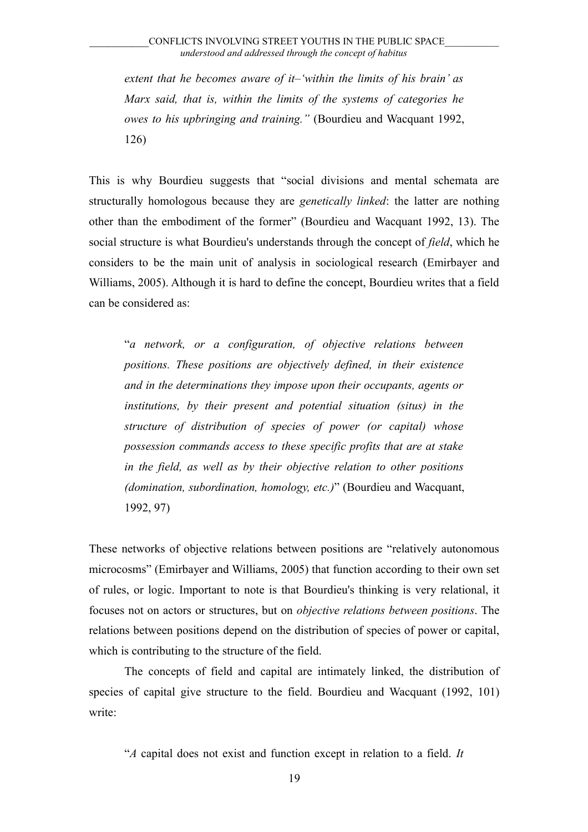*extent that he becomes aware of it–'within the limits of his brain' as Marx said, that is, within the limits of the systems of categories he owes to his upbringing and training."* (Bourdieu and Wacquant 1992, 126)

This is why Bourdieu suggests that "social divisions and mental schemata are structurally homologous because they are *genetically linked*: the latter are nothing other than the embodiment of the former" (Bourdieu and Wacquant 1992, 13). The social structure is what Bourdieu's understands through the concept of *field*, which he considers to be the main unit of analysis in sociological research (Emirbayer and Williams, 2005). Although it is hard to define the concept, Bourdieu writes that a field can be considered as:

"*a network, or a configuration, of objective relations between positions. These positions are objectively defined, in their existence and in the determinations they impose upon their occupants, agents or institutions, by their present and potential situation (situs) in the structure of distribution of species of power (or capital) whose possession commands access to these specific profits that are at stake in the field, as well as by their objective relation to other positions (domination, subordination, homology, etc.)*" (Bourdieu and Wacquant, 1992, 97)

These networks of objective relations between positions are "relatively autonomous microcosms" (Emirbayer and Williams, 2005) that function according to their own set of rules, or logic. Important to note is that Bourdieu's thinking is very relational, it focuses not on actors or structures, but on *objective relations between positions*. The relations between positions depend on the distribution of species of power or capital, which is contributing to the structure of the field.

The concepts of field and capital are intimately linked, the distribution of species of capital give structure to the field. Bourdieu and Wacquant (1992, 101) write:

"*A* capital does not exist and function except in relation to a field. *It*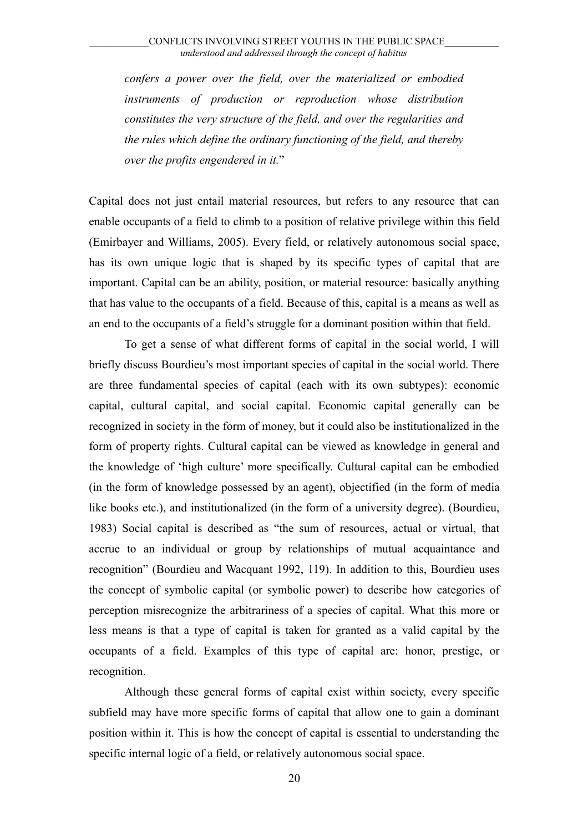*confers a power over the field, over the materialized or embodied instruments of production or reproduction whose distribution constitutes the very structure of the field, and over the regularities and the rules which define the ordinary functioning of the field, and thereby over the profits engendered in it.*"

Capital does not just entail material resources, but refers to any resource that can enable occupants of a field to climb to a position of relative privilege within this field (Emirbayer and Williams, 2005). Every field, or relatively autonomous social space, has its own unique logic that is shaped by its specific types of capital that are important. Capital can be an ability, position, or material resource: basically anything that has value to the occupants of a field. Because of this, capital is a means as well as an end to the occupants of a field's struggle for a dominant position within that field.

To get a sense of what different forms of capital in the social world, I will briefly discuss Bourdieu's most important species of capital in the social world. There are three fundamental species of capital (each with its own subtypes): economic capital, cultural capital, and social capital. Economic capital generally can be recognized in society in the form of money, but it could also be institutionalized in the form of property rights. Cultural capital can be viewed as knowledge in general and the knowledge of 'high culture' more specifically. Cultural capital can be embodied (in the form of knowledge possessed by an agent), objectified (in the form of media like books etc.), and institutionalized (in the form of a university degree). (Bourdieu, 1983) Social capital is described as "the sum of resources, actual or virtual, that accrue to an individual or group by relationships of mutual acquaintance and recognition" (Bourdieu and Wacquant 1992, 119). In addition to this, Bourdieu uses the concept of symbolic capital (or symbolic power) to describe how categories of perception misrecognize the arbitrariness of a species of capital. What this more or less means is that a type of capital is taken for granted as a valid capital by the occupants of a field. Examples of this type of capital are: honor, prestige, or recognition.

Although these general forms of capital exist within society, every specific subfield may have more specific forms of capital that allow one to gain a dominant position within it. This is how the concept of capital is essential to understanding the specific internal logic of a field, or relatively autonomous social space.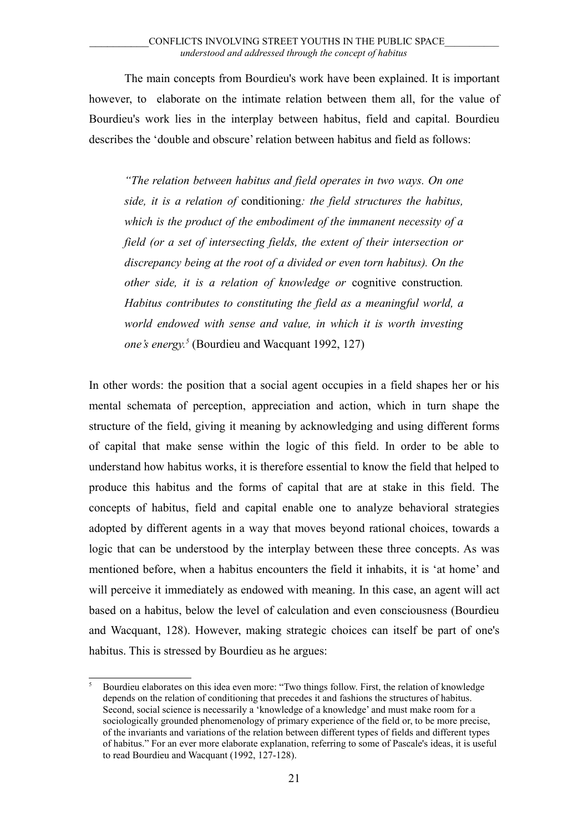The main concepts from Bourdieu's work have been explained. It is important however, to elaborate on the intimate relation between them all, for the value of Bourdieu's work lies in the interplay between habitus, field and capital. Bourdieu describes the 'double and obscure' relation between habitus and field as follows:

*"The relation between habitus and field operates in two ways. On one side, it is a relation of* conditioning*: the field structures the habitus, which is the product of the embodiment of the immanent necessity of a field (or a set of intersecting fields, the extent of their intersection or discrepancy being at the root of a divided or even torn habitus). On the other side, it is a relation of knowledge or* cognitive construction*. Habitus contributes to constituting the field as a meaningful world, a world endowed with sense and value, in which it is worth investing one's energy.[5](#page-20-0)* (Bourdieu and Wacquant 1992, 127)

In other words: the position that a social agent occupies in a field shapes her or his mental schemata of perception, appreciation and action, which in turn shape the structure of the field, giving it meaning by acknowledging and using different forms of capital that make sense within the logic of this field. In order to be able to understand how habitus works, it is therefore essential to know the field that helped to produce this habitus and the forms of capital that are at stake in this field. The concepts of habitus, field and capital enable one to analyze behavioral strategies adopted by different agents in a way that moves beyond rational choices, towards a logic that can be understood by the interplay between these three concepts. As was mentioned before, when a habitus encounters the field it inhabits, it is 'at home' and will perceive it immediately as endowed with meaning. In this case, an agent will act based on a habitus, below the level of calculation and even consciousness (Bourdieu and Wacquant, 128). However, making strategic choices can itself be part of one's habitus. This is stressed by Bourdieu as he argues:

<span id="page-20-0"></span><sup>5</sup> Bourdieu elaborates on this idea even more: "Two things follow. First, the relation of knowledge depends on the relation of conditioning that precedes it and fashions the structures of habitus. Second, social science is necessarily a 'knowledge of a knowledge' and must make room for a sociologically grounded phenomenology of primary experience of the field or, to be more precise, of the invariants and variations of the relation between different types of fields and different types of habitus." For an ever more elaborate explanation, referring to some of Pascale's ideas, it is useful to read Bourdieu and Wacquant (1992, 127-128).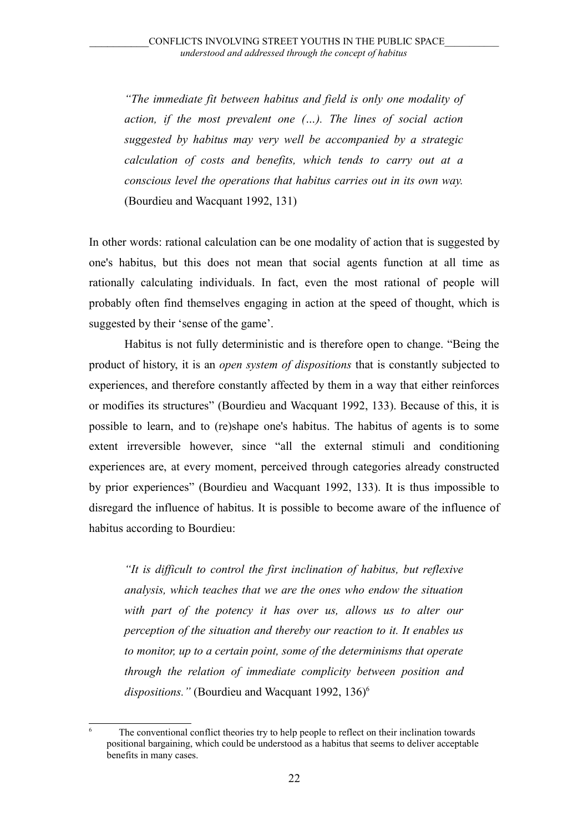*"The immediate fit between habitus and field is only one modality of action, if the most prevalent one (…). The lines of social action suggested by habitus may very well be accompanied by a strategic calculation of costs and benefits, which tends to carry out at a conscious level the operations that habitus carries out in its own way.* (Bourdieu and Wacquant 1992, 131)

In other words: rational calculation can be one modality of action that is suggested by one's habitus, but this does not mean that social agents function at all time as rationally calculating individuals. In fact, even the most rational of people will probably often find themselves engaging in action at the speed of thought, which is suggested by their 'sense of the game'.

Habitus is not fully deterministic and is therefore open to change. "Being the product of history, it is an *open system of dispositions* that is constantly subjected to experiences, and therefore constantly affected by them in a way that either reinforces or modifies its structures" (Bourdieu and Wacquant 1992, 133). Because of this, it is possible to learn, and to (re)shape one's habitus. The habitus of agents is to some extent irreversible however, since "all the external stimuli and conditioning experiences are, at every moment, perceived through categories already constructed by prior experiences" (Bourdieu and Wacquant 1992, 133). It is thus impossible to disregard the influence of habitus. It is possible to become aware of the influence of habitus according to Bourdieu:

*"It is difficult to control the first inclination of habitus, but reflexive analysis, which teaches that we are the ones who endow the situation with part of the potency it has over us, allows us to alter our perception of the situation and thereby our reaction to it. It enables us to monitor, up to a certain point, some of the determinisms that operate through the relation of immediate complicity between position and* dispositions." (Bourdieu and Wacquant 1992, 13[6](#page-21-0))<sup>6</sup>

<span id="page-21-0"></span><sup>6</sup> The conventional conflict theories try to help people to reflect on their inclination towards positional bargaining, which could be understood as a habitus that seems to deliver acceptable benefits in many cases.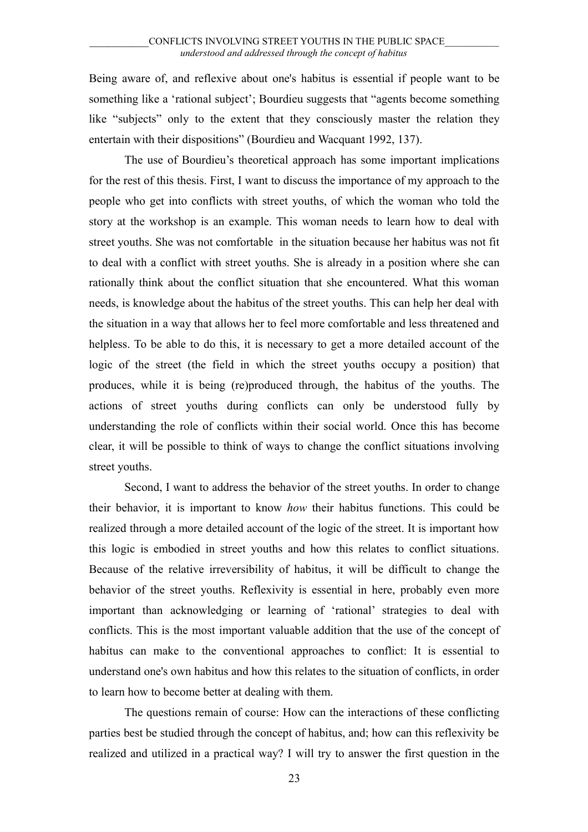Being aware of, and reflexive about one's habitus is essential if people want to be something like a 'rational subject'; Bourdieu suggests that "agents become something like "subjects" only to the extent that they consciously master the relation they entertain with their dispositions" (Bourdieu and Wacquant 1992, 137).

The use of Bourdieu's theoretical approach has some important implications for the rest of this thesis. First, I want to discuss the importance of my approach to the people who get into conflicts with street youths, of which the woman who told the story at the workshop is an example. This woman needs to learn how to deal with street youths. She was not comfortable in the situation because her habitus was not fit to deal with a conflict with street youths. She is already in a position where she can rationally think about the conflict situation that she encountered. What this woman needs, is knowledge about the habitus of the street youths. This can help her deal with the situation in a way that allows her to feel more comfortable and less threatened and helpless. To be able to do this, it is necessary to get a more detailed account of the logic of the street (the field in which the street youths occupy a position) that produces, while it is being (re)produced through, the habitus of the youths. The actions of street youths during conflicts can only be understood fully by understanding the role of conflicts within their social world. Once this has become clear, it will be possible to think of ways to change the conflict situations involving street youths.

Second, I want to address the behavior of the street youths. In order to change their behavior, it is important to know *how* their habitus functions. This could be realized through a more detailed account of the logic of the street. It is important how this logic is embodied in street youths and how this relates to conflict situations. Because of the relative irreversibility of habitus, it will be difficult to change the behavior of the street youths. Reflexivity is essential in here, probably even more important than acknowledging or learning of 'rational' strategies to deal with conflicts. This is the most important valuable addition that the use of the concept of habitus can make to the conventional approaches to conflict: It is essential to understand one's own habitus and how this relates to the situation of conflicts, in order to learn how to become better at dealing with them.

The questions remain of course: How can the interactions of these conflicting parties best be studied through the concept of habitus, and; how can this reflexivity be realized and utilized in a practical way? I will try to answer the first question in the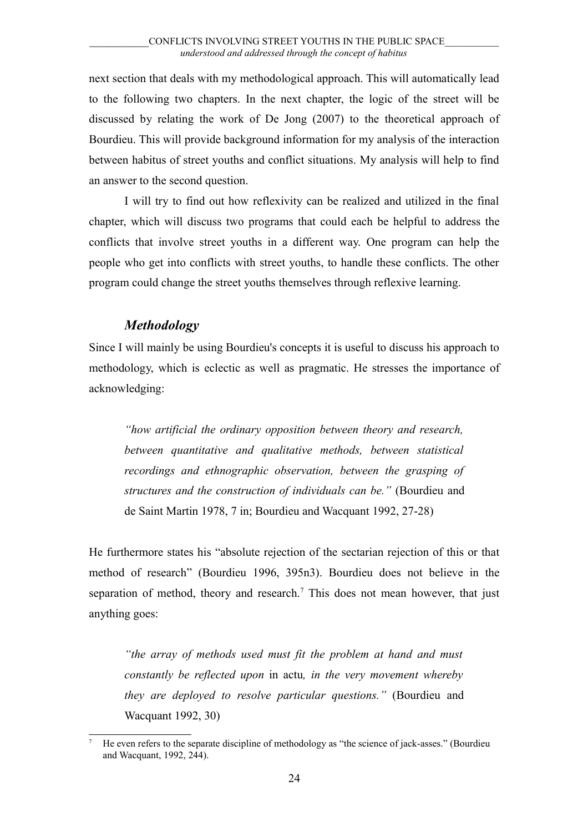next section that deals with my methodological approach. This will automatically lead to the following two chapters. In the next chapter, the logic of the street will be discussed by relating the work of De Jong (2007) to the theoretical approach of Bourdieu. This will provide background information for my analysis of the interaction between habitus of street youths and conflict situations. My analysis will help to find an answer to the second question.

I will try to find out how reflexivity can be realized and utilized in the final chapter, which will discuss two programs that could each be helpful to address the conflicts that involve street youths in a different way. One program can help the people who get into conflicts with street youths, to handle these conflicts. The other program could change the street youths themselves through reflexive learning.

### *Methodology*

<span id="page-23-0"></span>Since I will mainly be using Bourdieu's concepts it is useful to discuss his approach to methodology, which is eclectic as well as pragmatic. He stresses the importance of acknowledging:

*"how artificial the ordinary opposition between theory and research, between quantitative and qualitative methods, between statistical recordings and ethnographic observation, between the grasping of structures and the construction of individuals can be."* (Bourdieu and de Saint Martin 1978, 7 in; Bourdieu and Wacquant 1992, 27-28)

He furthermore states his "absolute rejection of the sectarian rejection of this or that method of research" (Bourdieu 1996, 395n3). Bourdieu does not believe in the separation of method, theory and research.<sup>[7](#page-23-1)</sup> This does not mean however, that just anything goes:

*"the array of methods used must fit the problem at hand and must constantly be reflected upon* in actu*, in the very movement whereby they are deployed to resolve particular questions."* (Bourdieu and Wacquant 1992, 30)

<span id="page-23-1"></span><sup>7</sup> He even refers to the separate discipline of methodology as "the science of jack-asses." (Bourdieu and Wacquant, 1992, 244).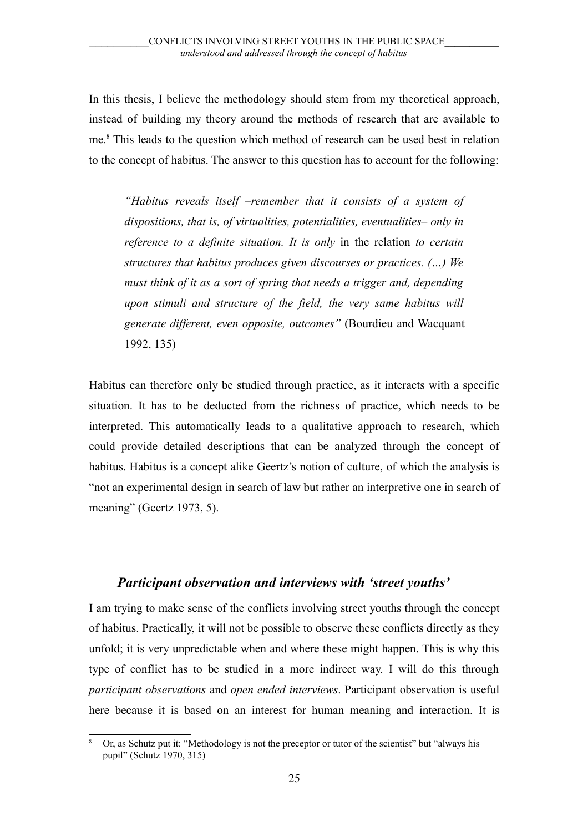In this thesis, I believe the methodology should stem from my theoretical approach, instead of building my theory around the methods of research that are available to me.[8](#page-24-1) This leads to the question which method of research can be used best in relation to the concept of habitus. The answer to this question has to account for the following:

*"Habitus reveals itself –remember that it consists of a system of dispositions, that is, of virtualities, potentialities, eventualities– only in reference to a definite situation. It is only* in the relation *to certain structures that habitus produces given discourses or practices. (…) We must think of it as a sort of spring that needs a trigger and, depending upon stimuli and structure of the field, the very same habitus will generate different, even opposite, outcomes"* (Bourdieu and Wacquant 1992, 135)

Habitus can therefore only be studied through practice, as it interacts with a specific situation. It has to be deducted from the richness of practice, which needs to be interpreted. This automatically leads to a qualitative approach to research, which could provide detailed descriptions that can be analyzed through the concept of habitus. Habitus is a concept alike Geertz's notion of culture, of which the analysis is "not an experimental design in search of law but rather an interpretive one in search of meaning" (Geertz 1973, 5).

#### <span id="page-24-0"></span>*Participant observation and interviews with 'street youths'*

I am trying to make sense of the conflicts involving street youths through the concept of habitus. Practically, it will not be possible to observe these conflicts directly as they unfold; it is very unpredictable when and where these might happen. This is why this type of conflict has to be studied in a more indirect way. I will do this through *participant observations* and *open ended interviews*. Participant observation is useful here because it is based on an interest for human meaning and interaction. It is

<span id="page-24-1"></span><sup>8</sup> Or, as Schutz put it: "Methodology is not the preceptor or tutor of the scientist" but "always his pupil" (Schutz 1970, 315)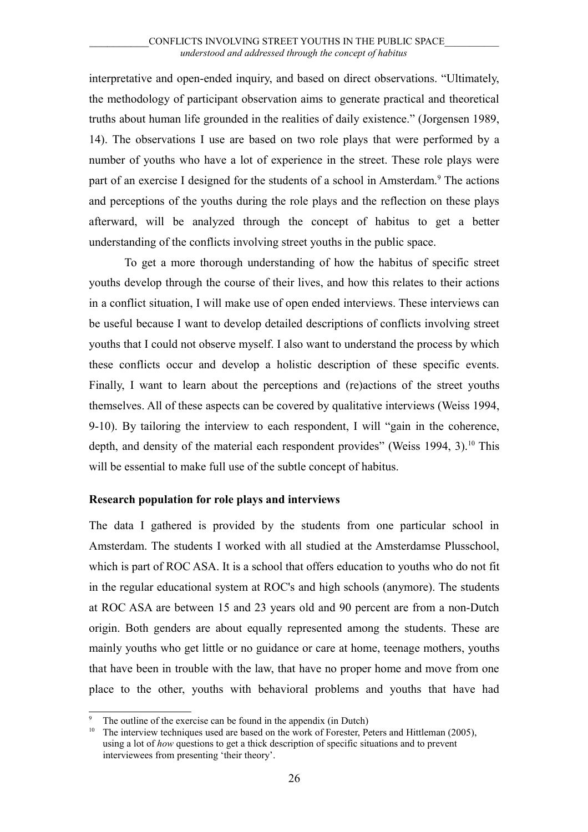interpretative and open-ended inquiry, and based on direct observations. "Ultimately, the methodology of participant observation aims to generate practical and theoretical truths about human life grounded in the realities of daily existence." (Jorgensen 1989, 14). The observations I use are based on two role plays that were performed by a number of youths who have a lot of experience in the street. These role plays were part of an exercise I designed for the students of a school in Amsterdam.<sup>[9](#page-25-1)</sup> The actions and perceptions of the youths during the role plays and the reflection on these plays afterward, will be analyzed through the concept of habitus to get a better understanding of the conflicts involving street youths in the public space.

To get a more thorough understanding of how the habitus of specific street youths develop through the course of their lives, and how this relates to their actions in a conflict situation, I will make use of open ended interviews. These interviews can be useful because I want to develop detailed descriptions of conflicts involving street youths that I could not observe myself. I also want to understand the process by which these conflicts occur and develop a holistic description of these specific events. Finally, I want to learn about the perceptions and (re)actions of the street youths themselves. All of these aspects can be covered by qualitative interviews (Weiss 1994, 9-10). By tailoring the interview to each respondent, I will "gain in the coherence, depth, and density of the material each respondent provides" (Weiss 1994, 3).<sup>[10](#page-25-2)</sup> This will be essential to make full use of the subtle concept of habitus.

#### <span id="page-25-0"></span>**Research population for role plays and interviews**

The data I gathered is provided by the students from one particular school in Amsterdam. The students I worked with all studied at the Amsterdamse Plusschool, which is part of ROC ASA. It is a school that offers education to youths who do not fit in the regular educational system at ROC's and high schools (anymore). The students at ROC ASA are between 15 and 23 years old and 90 percent are from a non-Dutch origin. Both genders are about equally represented among the students. These are mainly youths who get little or no guidance or care at home, teenage mothers, youths that have been in trouble with the law, that have no proper home and move from one place to the other, youths with behavioral problems and youths that have had

<span id="page-25-1"></span><sup>&</sup>lt;sup>9</sup> The outline of the exercise can be found in the appendix (in Dutch)<sup>10</sup> The interview techniques used are based on the work of Espectar. Be

<span id="page-25-2"></span><sup>10</sup> The interview techniques used are based on the work of Forester, Peters and Hittleman (2005), using a lot of *how* questions to get a thick description of specific situations and to prevent interviewees from presenting 'their theory'.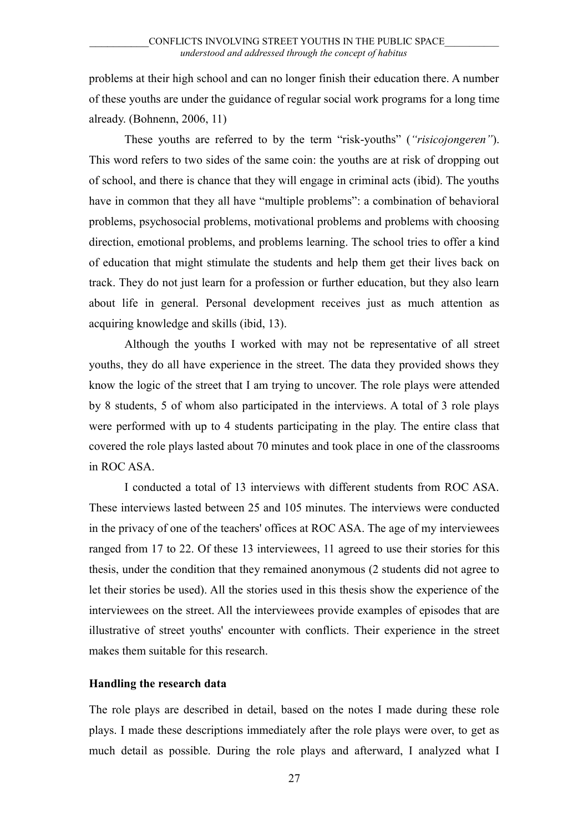problems at their high school and can no longer finish their education there. A number of these youths are under the guidance of regular social work programs for a long time already. (Bohnenn, 2006, 11)

These youths are referred to by the term "risk-youths" (*"risicojongeren"*). This word refers to two sides of the same coin: the youths are at risk of dropping out of school, and there is chance that they will engage in criminal acts (ibid). The youths have in common that they all have "multiple problems": a combination of behavioral problems, psychosocial problems, motivational problems and problems with choosing direction, emotional problems, and problems learning. The school tries to offer a kind of education that might stimulate the students and help them get their lives back on track. They do not just learn for a profession or further education, but they also learn about life in general. Personal development receives just as much attention as acquiring knowledge and skills (ibid, 13).

Although the youths I worked with may not be representative of all street youths, they do all have experience in the street. The data they provided shows they know the logic of the street that I am trying to uncover. The role plays were attended by 8 students, 5 of whom also participated in the interviews. A total of 3 role plays were performed with up to 4 students participating in the play. The entire class that covered the role plays lasted about 70 minutes and took place in one of the classrooms in ROC ASA.

I conducted a total of 13 interviews with different students from ROC ASA. These interviews lasted between 25 and 105 minutes. The interviews were conducted in the privacy of one of the teachers' offices at ROC ASA. The age of my interviewees ranged from 17 to 22. Of these 13 interviewees, 11 agreed to use their stories for this thesis, under the condition that they remained anonymous (2 students did not agree to let their stories be used). All the stories used in this thesis show the experience of the interviewees on the street. All the interviewees provide examples of episodes that are illustrative of street youths' encounter with conflicts. Their experience in the street makes them suitable for this research.

#### <span id="page-26-0"></span>**Handling the research data**

The role plays are described in detail, based on the notes I made during these role plays. I made these descriptions immediately after the role plays were over, to get as much detail as possible. During the role plays and afterward, I analyzed what I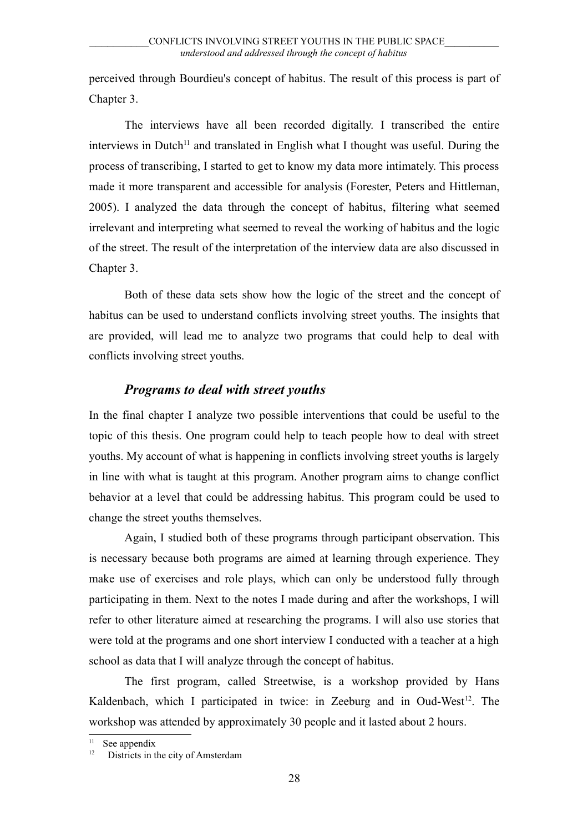perceived through Bourdieu's concept of habitus. The result of this process is part of Chapter 3.

The interviews have all been recorded digitally. I transcribed the entire interviews in Dutch<sup>[11](#page-27-1)</sup> and translated in English what I thought was useful. During the process of transcribing, I started to get to know my data more intimately. This process made it more transparent and accessible for analysis (Forester, Peters and Hittleman, 2005). I analyzed the data through the concept of habitus, filtering what seemed irrelevant and interpreting what seemed to reveal the working of habitus and the logic of the street. The result of the interpretation of the interview data are also discussed in Chapter 3.

Both of these data sets show how the logic of the street and the concept of habitus can be used to understand conflicts involving street youths. The insights that are provided, will lead me to analyze two programs that could help to deal with conflicts involving street youths.

### <span id="page-27-0"></span>*Programs to deal with street youths*

In the final chapter I analyze two possible interventions that could be useful to the topic of this thesis. One program could help to teach people how to deal with street youths. My account of what is happening in conflicts involving street youths is largely in line with what is taught at this program. Another program aims to change conflict behavior at a level that could be addressing habitus. This program could be used to change the street youths themselves.

Again, I studied both of these programs through participant observation. This is necessary because both programs are aimed at learning through experience. They make use of exercises and role plays, which can only be understood fully through participating in them. Next to the notes I made during and after the workshops, I will refer to other literature aimed at researching the programs. I will also use stories that were told at the programs and one short interview I conducted with a teacher at a high school as data that I will analyze through the concept of habitus.

The first program, called Streetwise, is a workshop provided by Hans Kaldenbach, which I participated in twice: in Zeeburg and in Oud-West<sup>[12](#page-27-2)</sup>. The workshop was attended by approximately 30 people and it lasted about 2 hours.

<span id="page-27-1"></span>See appendix

<span id="page-27-2"></span>Districts in the city of Amsterdam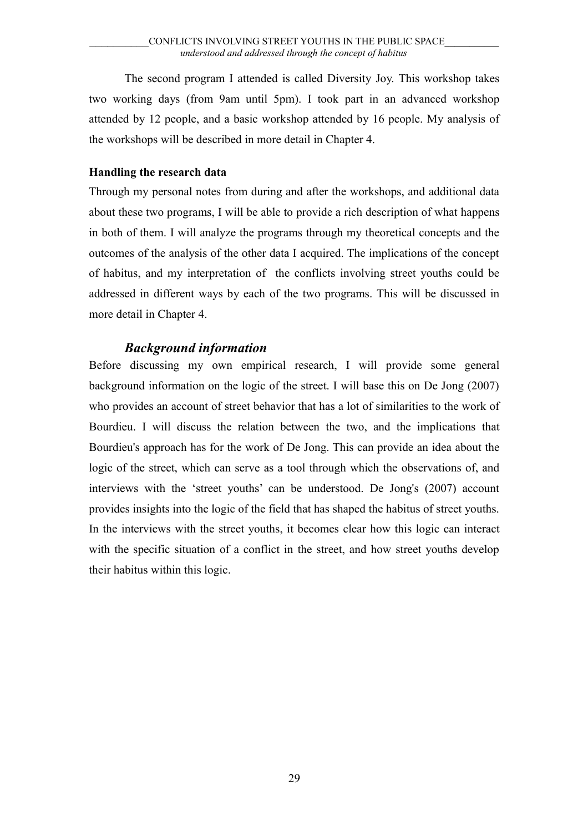The second program I attended is called Diversity Joy. This workshop takes two working days (from 9am until 5pm). I took part in an advanced workshop attended by 12 people, and a basic workshop attended by 16 people. My analysis of the workshops will be described in more detail in Chapter 4.

#### <span id="page-28-1"></span>**Handling the research data**

Through my personal notes from during and after the workshops, and additional data about these two programs, I will be able to provide a rich description of what happens in both of them. I will analyze the programs through my theoretical concepts and the outcomes of the analysis of the other data I acquired. The implications of the concept of habitus, and my interpretation of the conflicts involving street youths could be addressed in different ways by each of the two programs. This will be discussed in more detail in Chapter 4.

### <span id="page-28-0"></span>*Background information*

Before discussing my own empirical research, I will provide some general background information on the logic of the street. I will base this on De Jong (2007) who provides an account of street behavior that has a lot of similarities to the work of Bourdieu. I will discuss the relation between the two, and the implications that Bourdieu's approach has for the work of De Jong. This can provide an idea about the logic of the street, which can serve as a tool through which the observations of, and interviews with the 'street youths' can be understood. De Jong's (2007) account provides insights into the logic of the field that has shaped the habitus of street youths. In the interviews with the street youths, it becomes clear how this logic can interact with the specific situation of a conflict in the street, and how street youths develop their habitus within this logic.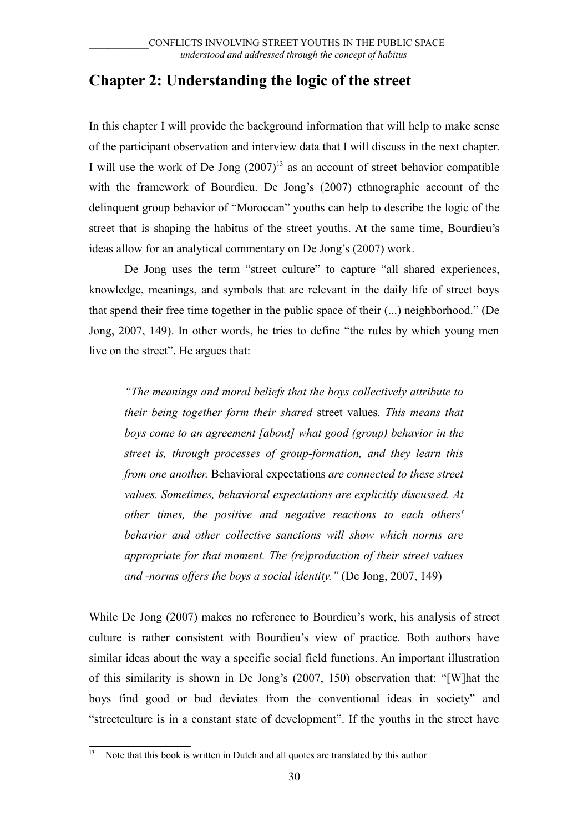## <span id="page-29-0"></span>**Chapter 2: Understanding the logic of the street**

In this chapter I will provide the background information that will help to make sense of the participant observation and interview data that I will discuss in the next chapter. I will use the work of De Jong  $(2007)^{13}$  $(2007)^{13}$  $(2007)^{13}$  as an account of street behavior compatible with the framework of Bourdieu. De Jong's (2007) ethnographic account of the delinquent group behavior of "Moroccan" youths can help to describe the logic of the street that is shaping the habitus of the street youths. At the same time, Bourdieu's ideas allow for an analytical commentary on De Jong's (2007) work.

De Jong uses the term "street culture" to capture "all shared experiences, knowledge, meanings, and symbols that are relevant in the daily life of street boys that spend their free time together in the public space of their (...) neighborhood." (De Jong, 2007, 149). In other words, he tries to define "the rules by which young men live on the street". He argues that:

*"The meanings and moral beliefs that the boys collectively attribute to their being together form their shared* street values*. This means that boys come to an agreement [about] what good (group) behavior in the street is, through processes of group-formation, and they learn this from one another.* Behavioral expectations *are connected to these street values. Sometimes, behavioral expectations are explicitly discussed. At other times, the positive and negative reactions to each others' behavior and other collective sanctions will show which norms are appropriate for that moment. The (re)production of their street values and -norms offers the boys a social identity."* (De Jong, 2007, 149)

While De Jong (2007) makes no reference to Bourdieu's work, his analysis of street culture is rather consistent with Bourdieu's view of practice. Both authors have similar ideas about the way a specific social field functions. An important illustration of this similarity is shown in De Jong's (2007, 150) observation that: "[W]hat the boys find good or bad deviates from the conventional ideas in society" and "streetculture is in a constant state of development". If the youths in the street have

<span id="page-29-1"></span>Note that this book is written in Dutch and all quotes are translated by this author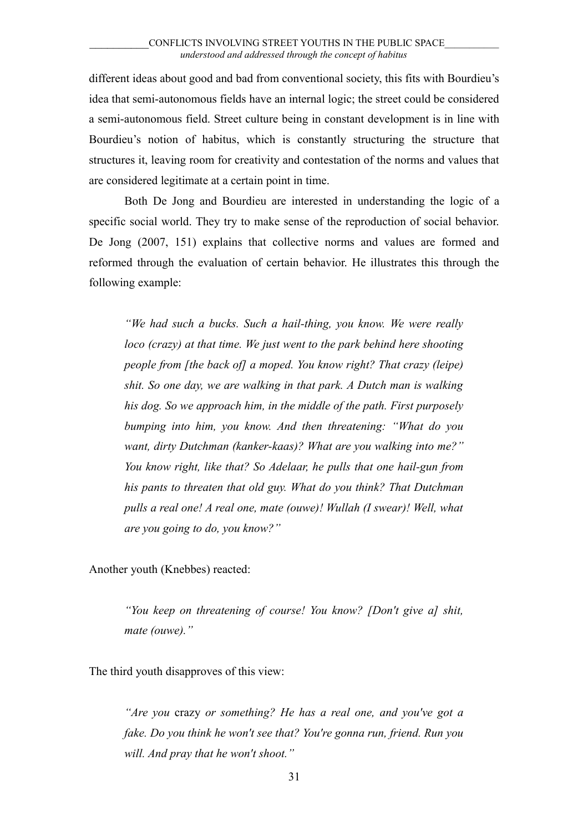different ideas about good and bad from conventional society, this fits with Bourdieu's idea that semi-autonomous fields have an internal logic; the street could be considered a semi-autonomous field. Street culture being in constant development is in line with Bourdieu's notion of habitus, which is constantly structuring the structure that structures it, leaving room for creativity and contestation of the norms and values that are considered legitimate at a certain point in time.

Both De Jong and Bourdieu are interested in understanding the logic of a specific social world. They try to make sense of the reproduction of social behavior. De Jong (2007, 151) explains that collective norms and values are formed and reformed through the evaluation of certain behavior. He illustrates this through the following example:

*"We had such a bucks. Such a hail-thing, you know. We were really loco (crazy) at that time. We just went to the park behind here shooting people from [the back of] a moped. You know right? That crazy (leipe) shit. So one day, we are walking in that park. A Dutch man is walking his dog. So we approach him, in the middle of the path. First purposely bumping into him, you know. And then threatening: "What do you want, dirty Dutchman (kanker-kaas)? What are you walking into me?" You know right, like that? So Adelaar, he pulls that one hail-gun from his pants to threaten that old guy. What do you think? That Dutchman pulls a real one! A real one, mate (ouwe)! Wullah (I swear)! Well, what are you going to do, you know?"*

Another youth (Knebbes) reacted:

*"You keep on threatening of course! You know? [Don't give a] shit, mate (ouwe)."*

The third youth disapproves of this view:

*"Are you* crazy *or something? He has a real one, and you've got a fake. Do you think he won't see that? You're gonna run, friend. Run you will. And pray that he won't shoot."*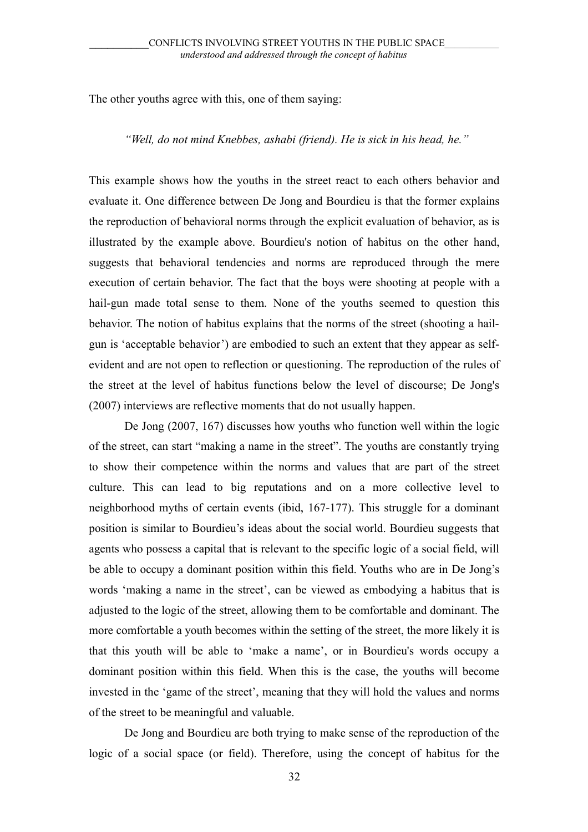The other youths agree with this, one of them saying:

#### *"Well, do not mind Knebbes, ashabi (friend). He is sick in his head, he."*

This example shows how the youths in the street react to each others behavior and evaluate it. One difference between De Jong and Bourdieu is that the former explains the reproduction of behavioral norms through the explicit evaluation of behavior, as is illustrated by the example above. Bourdieu's notion of habitus on the other hand, suggests that behavioral tendencies and norms are reproduced through the mere execution of certain behavior. The fact that the boys were shooting at people with a hail-gun made total sense to them. None of the youths seemed to question this behavior. The notion of habitus explains that the norms of the street (shooting a hailgun is 'acceptable behavior') are embodied to such an extent that they appear as selfevident and are not open to reflection or questioning. The reproduction of the rules of the street at the level of habitus functions below the level of discourse; De Jong's (2007) interviews are reflective moments that do not usually happen.

De Jong (2007, 167) discusses how youths who function well within the logic of the street, can start "making a name in the street". The youths are constantly trying to show their competence within the norms and values that are part of the street culture. This can lead to big reputations and on a more collective level to neighborhood myths of certain events (ibid, 167-177). This struggle for a dominant position is similar to Bourdieu's ideas about the social world. Bourdieu suggests that agents who possess a capital that is relevant to the specific logic of a social field, will be able to occupy a dominant position within this field. Youths who are in De Jong's words 'making a name in the street', can be viewed as embodying a habitus that is adjusted to the logic of the street, allowing them to be comfortable and dominant. The more comfortable a youth becomes within the setting of the street, the more likely it is that this youth will be able to 'make a name', or in Bourdieu's words occupy a dominant position within this field. When this is the case, the youths will become invested in the 'game of the street', meaning that they will hold the values and norms of the street to be meaningful and valuable.

De Jong and Bourdieu are both trying to make sense of the reproduction of the logic of a social space (or field). Therefore, using the concept of habitus for the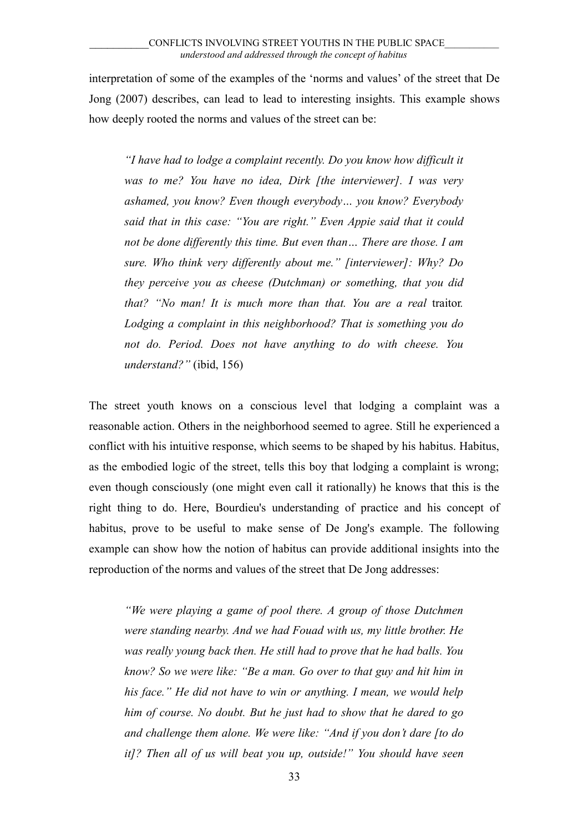interpretation of some of the examples of the 'norms and values' of the street that De Jong (2007) describes, can lead to lead to interesting insights. This example shows how deeply rooted the norms and values of the street can be:

*"I have had to lodge a complaint recently. Do you know how difficult it was to me? You have no idea, Dirk [the interviewer]. I was very ashamed, you know? Even though everybody… you know? Everybody said that in this case: "You are right." Even Appie said that it could not be done differently this time. But even than… There are those. I am sure. Who think very differently about me." [interviewer]: Why? Do they perceive you as cheese (Dutchman) or something, that you did that? "No man! It is much more than that. You are a real* traitor*. Lodging a complaint in this neighborhood? That is something you do not do. Period. Does not have anything to do with cheese. You understand?"* (ibid, 156)

The street youth knows on a conscious level that lodging a complaint was a reasonable action. Others in the neighborhood seemed to agree. Still he experienced a conflict with his intuitive response, which seems to be shaped by his habitus. Habitus, as the embodied logic of the street, tells this boy that lodging a complaint is wrong; even though consciously (one might even call it rationally) he knows that this is the right thing to do. Here, Bourdieu's understanding of practice and his concept of habitus, prove to be useful to make sense of De Jong's example. The following example can show how the notion of habitus can provide additional insights into the reproduction of the norms and values of the street that De Jong addresses:

*"We were playing a game of pool there. A group of those Dutchmen were standing nearby. And we had Fouad with us, my little brother. He was really young back then. He still had to prove that he had balls. You know? So we were like: "Be a man. Go over to that guy and hit him in his face." He did not have to win or anything. I mean, we would help him of course. No doubt. But he just had to show that he dared to go and challenge them alone. We were like: "And if you don't dare [to do it]? Then all of us will beat you up, outside!" You should have seen*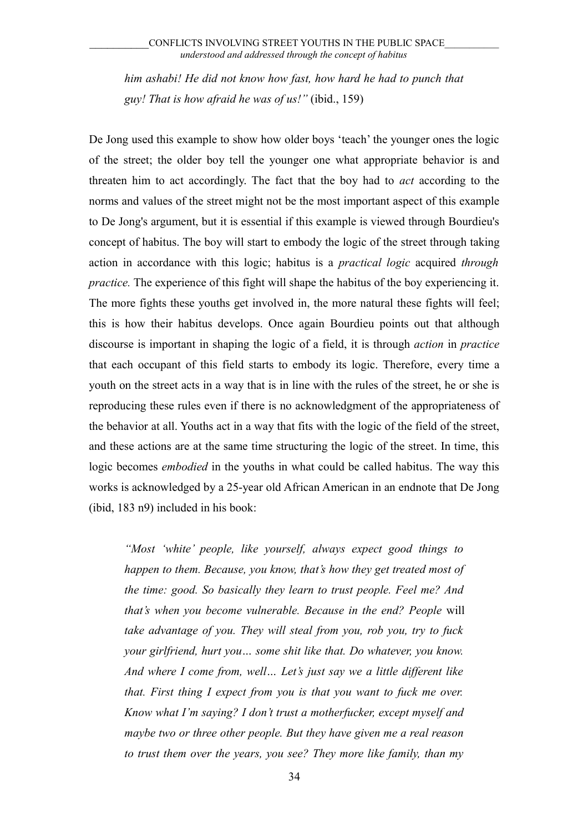*him ashabi! He did not know how fast, how hard he had to punch that guy! That is how afraid he was of us!"* (ibid., 159)

De Jong used this example to show how older boys 'teach' the younger ones the logic of the street; the older boy tell the younger one what appropriate behavior is and threaten him to act accordingly. The fact that the boy had to *act* according to the norms and values of the street might not be the most important aspect of this example to De Jong's argument, but it is essential if this example is viewed through Bourdieu's concept of habitus. The boy will start to embody the logic of the street through taking action in accordance with this logic; habitus is a *practical logic* acquired *through practice.* The experience of this fight will shape the habitus of the boy experiencing it. The more fights these youths get involved in, the more natural these fights will feel; this is how their habitus develops. Once again Bourdieu points out that although discourse is important in shaping the logic of a field, it is through *action* in *practice* that each occupant of this field starts to embody its logic. Therefore, every time a youth on the street acts in a way that is in line with the rules of the street, he or she is reproducing these rules even if there is no acknowledgment of the appropriateness of the behavior at all. Youths act in a way that fits with the logic of the field of the street, and these actions are at the same time structuring the logic of the street. In time, this logic becomes *embodied* in the youths in what could be called habitus. The way this works is acknowledged by a 25-year old African American in an endnote that De Jong (ibid, 183 n9) included in his book:

*"Most 'white' people, like yourself, always expect good things to happen to them. Because, you know, that's how they get treated most of the time: good. So basically they learn to trust people. Feel me? And that's when you become vulnerable. Because in the end? People* will *take advantage of you. They will steal from you, rob you, try to fuck your girlfriend, hurt you… some shit like that. Do whatever, you know. And where I come from, well… Let's just say we a little different like that. First thing I expect from you is that you want to fuck me over. Know what I'm saying? I don't trust a motherfucker, except myself and maybe two or three other people. But they have given me a real reason to trust them over the years, you see? They more like family, than my*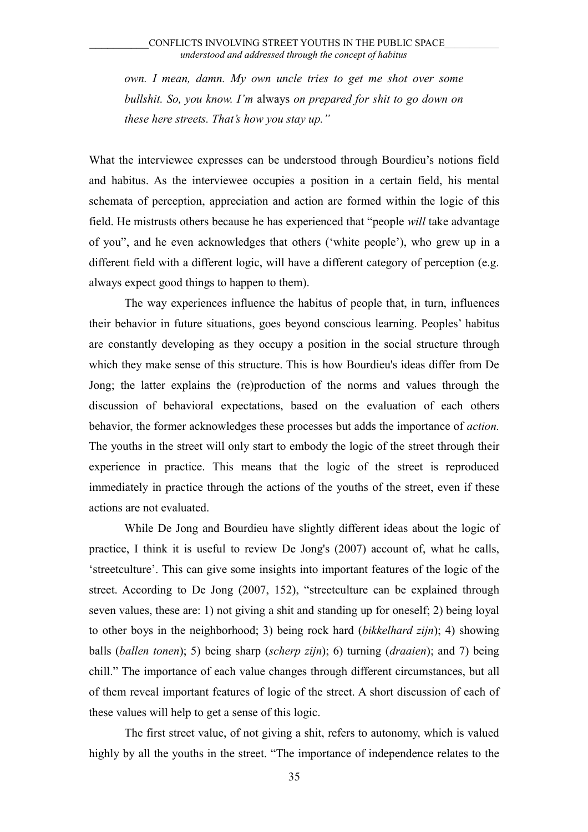*own. I mean, damn. My own uncle tries to get me shot over some bullshit. So, you know. I'm* always *on prepared for shit to go down on these here streets. That's how you stay up."*

What the interviewee expresses can be understood through Bourdieu's notions field and habitus. As the interviewee occupies a position in a certain field, his mental schemata of perception, appreciation and action are formed within the logic of this field. He mistrusts others because he has experienced that "people *will* take advantage of you", and he even acknowledges that others ('white people'), who grew up in a different field with a different logic, will have a different category of perception (e.g. always expect good things to happen to them).

The way experiences influence the habitus of people that, in turn, influences their behavior in future situations, goes beyond conscious learning. Peoples' habitus are constantly developing as they occupy a position in the social structure through which they make sense of this structure. This is how Bourdieu's ideas differ from De Jong; the latter explains the (re)production of the norms and values through the discussion of behavioral expectations, based on the evaluation of each others behavior, the former acknowledges these processes but adds the importance of *action.* The youths in the street will only start to embody the logic of the street through their experience in practice. This means that the logic of the street is reproduced immediately in practice through the actions of the youths of the street, even if these actions are not evaluated.

While De Jong and Bourdieu have slightly different ideas about the logic of practice, I think it is useful to review De Jong's (2007) account of, what he calls, 'streetculture'. This can give some insights into important features of the logic of the street. According to De Jong (2007, 152), "streetculture can be explained through seven values, these are: 1) not giving a shit and standing up for oneself; 2) being loyal to other boys in the neighborhood; 3) being rock hard (*bikkelhard zijn*); 4) showing balls (*ballen tonen*); 5) being sharp (*scherp zijn*); 6) turning (*draaien*); and 7) being chill." The importance of each value changes through different circumstances, but all of them reveal important features of logic of the street. A short discussion of each of these values will help to get a sense of this logic.

The first street value, of not giving a shit, refers to autonomy, which is valued highly by all the youths in the street. "The importance of independence relates to the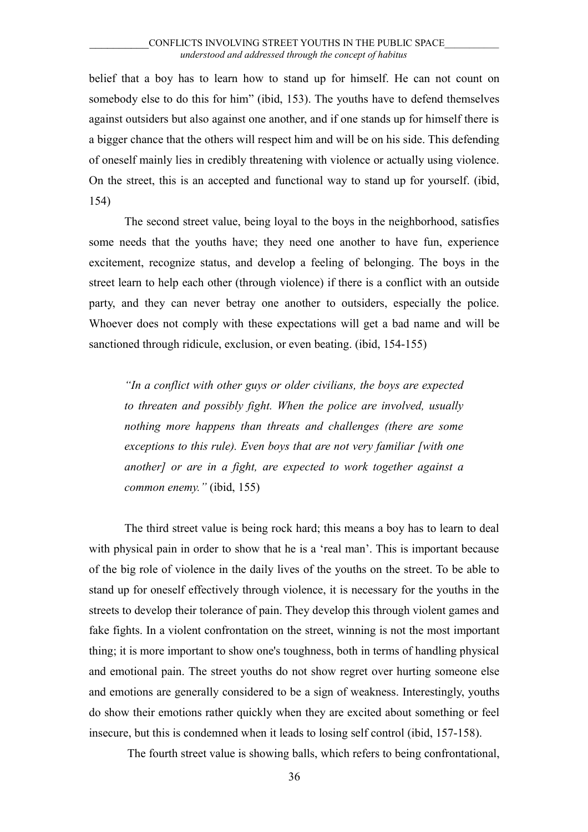belief that a boy has to learn how to stand up for himself. He can not count on somebody else to do this for him" (ibid, 153). The youths have to defend themselves against outsiders but also against one another, and if one stands up for himself there is a bigger chance that the others will respect him and will be on his side. This defending of oneself mainly lies in credibly threatening with violence or actually using violence. On the street, this is an accepted and functional way to stand up for yourself. (ibid, 154)

The second street value, being loyal to the boys in the neighborhood, satisfies some needs that the youths have; they need one another to have fun, experience excitement, recognize status, and develop a feeling of belonging. The boys in the street learn to help each other (through violence) if there is a conflict with an outside party, and they can never betray one another to outsiders, especially the police. Whoever does not comply with these expectations will get a bad name and will be sanctioned through ridicule, exclusion, or even beating. (ibid, 154-155)

*"In a conflict with other guys or older civilians, the boys are expected to threaten and possibly fight. When the police are involved, usually nothing more happens than threats and challenges (there are some exceptions to this rule). Even boys that are not very familiar [with one another] or are in a fight, are expected to work together against a common enemy."* (ibid, 155)

The third street value is being rock hard; this means a boy has to learn to deal with physical pain in order to show that he is a 'real man'. This is important because of the big role of violence in the daily lives of the youths on the street. To be able to stand up for oneself effectively through violence, it is necessary for the youths in the streets to develop their tolerance of pain. They develop this through violent games and fake fights. In a violent confrontation on the street, winning is not the most important thing; it is more important to show one's toughness, both in terms of handling physical and emotional pain. The street youths do not show regret over hurting someone else and emotions are generally considered to be a sign of weakness. Interestingly, youths do show their emotions rather quickly when they are excited about something or feel insecure, but this is condemned when it leads to losing self control (ibid, 157-158).

The fourth street value is showing balls, which refers to being confrontational,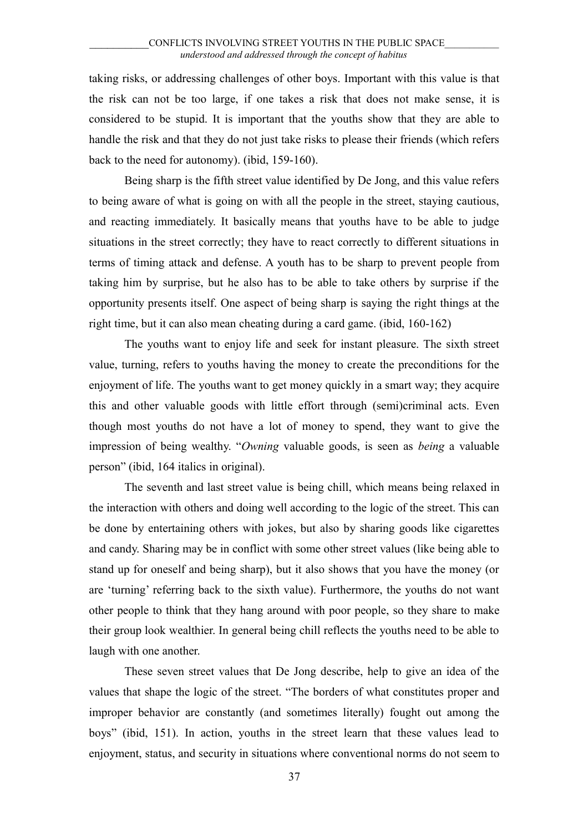taking risks, or addressing challenges of other boys. Important with this value is that the risk can not be too large, if one takes a risk that does not make sense, it is considered to be stupid. It is important that the youths show that they are able to handle the risk and that they do not just take risks to please their friends (which refers back to the need for autonomy). (ibid, 159-160).

Being sharp is the fifth street value identified by De Jong, and this value refers to being aware of what is going on with all the people in the street, staying cautious, and reacting immediately. It basically means that youths have to be able to judge situations in the street correctly; they have to react correctly to different situations in terms of timing attack and defense. A youth has to be sharp to prevent people from taking him by surprise, but he also has to be able to take others by surprise if the opportunity presents itself. One aspect of being sharp is saying the right things at the right time, but it can also mean cheating during a card game. (ibid, 160-162)

The youths want to enjoy life and seek for instant pleasure. The sixth street value, turning, refers to youths having the money to create the preconditions for the enjoyment of life. The youths want to get money quickly in a smart way; they acquire this and other valuable goods with little effort through (semi)criminal acts. Even though most youths do not have a lot of money to spend, they want to give the impression of being wealthy. "*Owning* valuable goods, is seen as *being* a valuable person" (ibid, 164 italics in original).

The seventh and last street value is being chill, which means being relaxed in the interaction with others and doing well according to the logic of the street. This can be done by entertaining others with jokes, but also by sharing goods like cigarettes and candy. Sharing may be in conflict with some other street values (like being able to stand up for oneself and being sharp), but it also shows that you have the money (or are 'turning' referring back to the sixth value). Furthermore, the youths do not want other people to think that they hang around with poor people, so they share to make their group look wealthier. In general being chill reflects the youths need to be able to laugh with one another.

These seven street values that De Jong describe, help to give an idea of the values that shape the logic of the street. "The borders of what constitutes proper and improper behavior are constantly (and sometimes literally) fought out among the boys" (ibid, 151). In action, youths in the street learn that these values lead to enjoyment, status, and security in situations where conventional norms do not seem to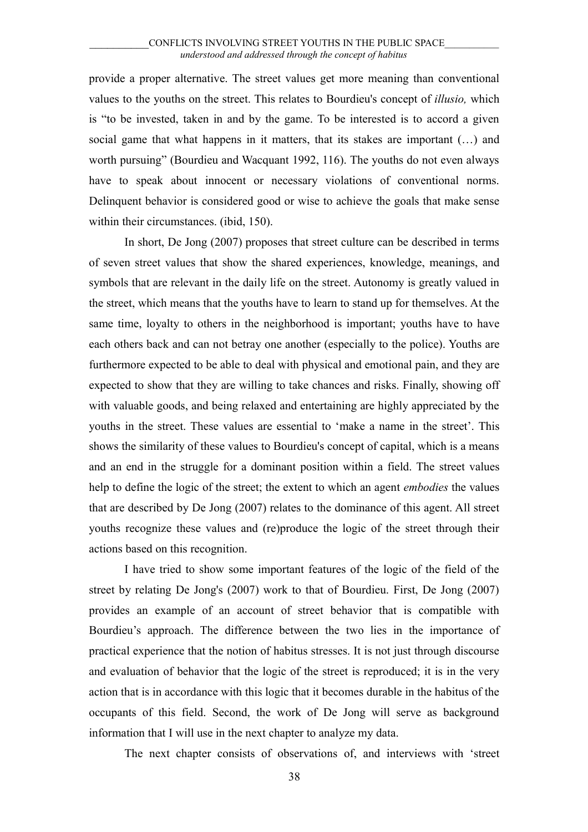provide a proper alternative. The street values get more meaning than conventional values to the youths on the street. This relates to Bourdieu's concept of *illusio,* which is "to be invested, taken in and by the game. To be interested is to accord a given social game that what happens in it matters, that its stakes are important (…) and worth pursuing" (Bourdieu and Wacquant 1992, 116). The youths do not even always have to speak about innocent or necessary violations of conventional norms. Delinquent behavior is considered good or wise to achieve the goals that make sense within their circumstances. (ibid, 150).

In short, De Jong (2007) proposes that street culture can be described in terms of seven street values that show the shared experiences, knowledge, meanings, and symbols that are relevant in the daily life on the street. Autonomy is greatly valued in the street, which means that the youths have to learn to stand up for themselves. At the same time, loyalty to others in the neighborhood is important; youths have to have each others back and can not betray one another (especially to the police). Youths are furthermore expected to be able to deal with physical and emotional pain, and they are expected to show that they are willing to take chances and risks. Finally, showing off with valuable goods, and being relaxed and entertaining are highly appreciated by the youths in the street. These values are essential to 'make a name in the street'. This shows the similarity of these values to Bourdieu's concept of capital, which is a means and an end in the struggle for a dominant position within a field. The street values help to define the logic of the street; the extent to which an agent *embodies* the values that are described by De Jong (2007) relates to the dominance of this agent. All street youths recognize these values and (re)produce the logic of the street through their actions based on this recognition.

I have tried to show some important features of the logic of the field of the street by relating De Jong's (2007) work to that of Bourdieu. First, De Jong (2007) provides an example of an account of street behavior that is compatible with Bourdieu's approach. The difference between the two lies in the importance of practical experience that the notion of habitus stresses. It is not just through discourse and evaluation of behavior that the logic of the street is reproduced; it is in the very action that is in accordance with this logic that it becomes durable in the habitus of the occupants of this field. Second, the work of De Jong will serve as background information that I will use in the next chapter to analyze my data.

The next chapter consists of observations of, and interviews with 'street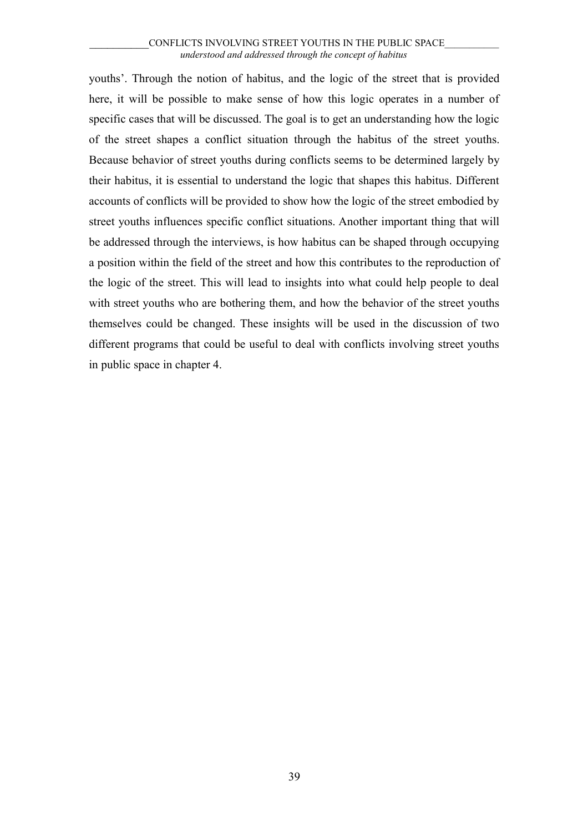youths'. Through the notion of habitus, and the logic of the street that is provided here, it will be possible to make sense of how this logic operates in a number of specific cases that will be discussed. The goal is to get an understanding how the logic of the street shapes a conflict situation through the habitus of the street youths. Because behavior of street youths during conflicts seems to be determined largely by their habitus, it is essential to understand the logic that shapes this habitus. Different accounts of conflicts will be provided to show how the logic of the street embodied by street youths influences specific conflict situations. Another important thing that will be addressed through the interviews, is how habitus can be shaped through occupying a position within the field of the street and how this contributes to the reproduction of the logic of the street. This will lead to insights into what could help people to deal with street youths who are bothering them, and how the behavior of the street youths themselves could be changed. These insights will be used in the discussion of two different programs that could be useful to deal with conflicts involving street youths in public space in chapter 4.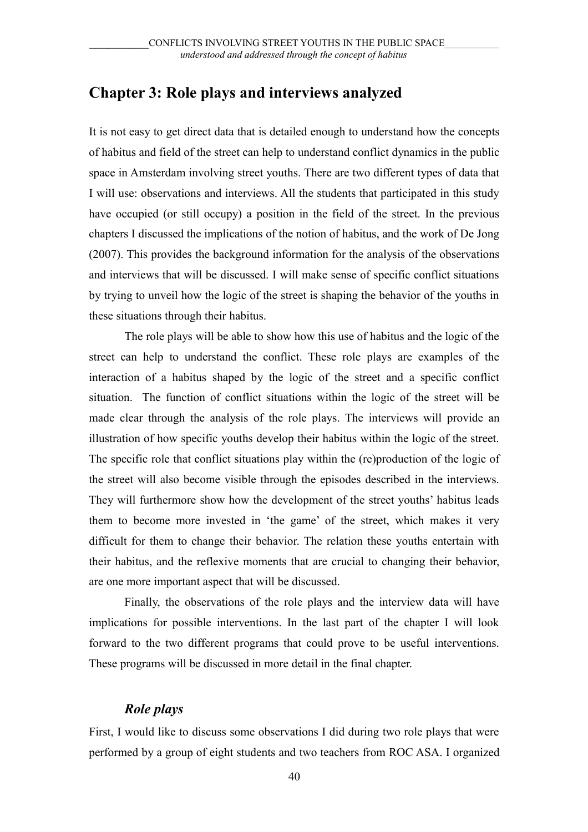# **Chapter 3: Role plays and interviews analyzed**

It is not easy to get direct data that is detailed enough to understand how the concepts of habitus and field of the street can help to understand conflict dynamics in the public space in Amsterdam involving street youths. There are two different types of data that I will use: observations and interviews. All the students that participated in this study have occupied (or still occupy) a position in the field of the street. In the previous chapters I discussed the implications of the notion of habitus, and the work of De Jong (2007). This provides the background information for the analysis of the observations and interviews that will be discussed. I will make sense of specific conflict situations by trying to unveil how the logic of the street is shaping the behavior of the youths in these situations through their habitus.

The role plays will be able to show how this use of habitus and the logic of the street can help to understand the conflict. These role plays are examples of the interaction of a habitus shaped by the logic of the street and a specific conflict situation. The function of conflict situations within the logic of the street will be made clear through the analysis of the role plays. The interviews will provide an illustration of how specific youths develop their habitus within the logic of the street. The specific role that conflict situations play within the (re)production of the logic of the street will also become visible through the episodes described in the interviews. They will furthermore show how the development of the street youths' habitus leads them to become more invested in 'the game' of the street, which makes it very difficult for them to change their behavior. The relation these youths entertain with their habitus, and the reflexive moments that are crucial to changing their behavior, are one more important aspect that will be discussed.

Finally, the observations of the role plays and the interview data will have implications for possible interventions. In the last part of the chapter I will look forward to the two different programs that could prove to be useful interventions. These programs will be discussed in more detail in the final chapter.

# *Role plays*

First, I would like to discuss some observations I did during two role plays that were performed by a group of eight students and two teachers from ROC ASA. I organized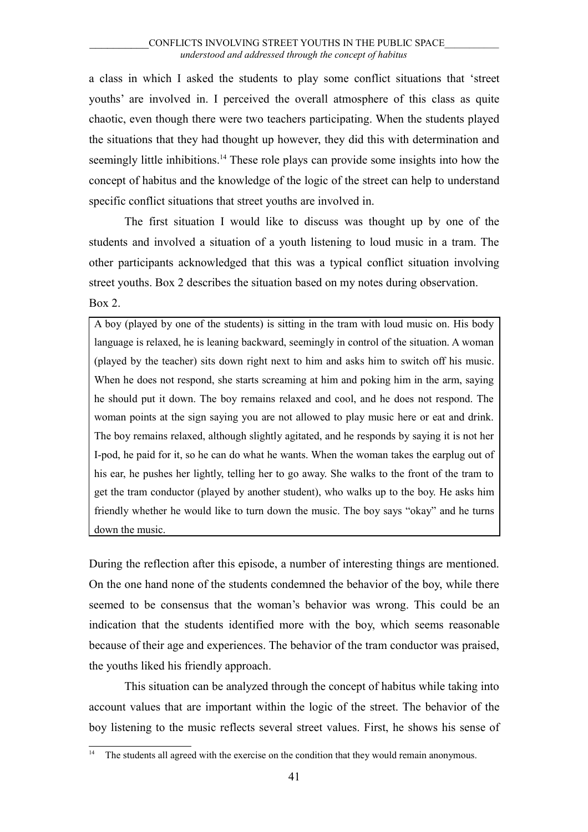a class in which I asked the students to play some conflict situations that 'street youths' are involved in. I perceived the overall atmosphere of this class as quite chaotic, even though there were two teachers participating. When the students played the situations that they had thought up however, they did this with determination and seemingly little inhibitions.<sup>[14](#page-40-0)</sup> These role plays can provide some insights into how the concept of habitus and the knowledge of the logic of the street can help to understand specific conflict situations that street youths are involved in.

The first situation I would like to discuss was thought up by one of the students and involved a situation of a youth listening to loud music in a tram. The other participants acknowledged that this was a typical conflict situation involving street youths. Box 2 describes the situation based on my notes during observation. Box 2.

A boy (played by one of the students) is sitting in the tram with loud music on. His body language is relaxed, he is leaning backward, seemingly in control of the situation. A woman (played by the teacher) sits down right next to him and asks him to switch off his music. When he does not respond, she starts screaming at him and poking him in the arm, saying he should put it down. The boy remains relaxed and cool, and he does not respond. The woman points at the sign saying you are not allowed to play music here or eat and drink. The boy remains relaxed, although slightly agitated, and he responds by saying it is not her I-pod, he paid for it, so he can do what he wants. When the woman takes the earplug out of his ear, he pushes her lightly, telling her to go away. She walks to the front of the tram to get the tram conductor (played by another student), who walks up to the boy. He asks him friendly whether he would like to turn down the music. The boy says "okay" and he turns down the music.

During the reflection after this episode, a number of interesting things are mentioned. On the one hand none of the students condemned the behavior of the boy, while there seemed to be consensus that the woman's behavior was wrong. This could be an indication that the students identified more with the boy, which seems reasonable because of their age and experiences. The behavior of the tram conductor was praised, the youths liked his friendly approach.

This situation can be analyzed through the concept of habitus while taking into account values that are important within the logic of the street. The behavior of the boy listening to the music reflects several street values. First, he shows his sense of

<span id="page-40-0"></span><sup>14</sup> The students all agreed with the exercise on the condition that they would remain anonymous.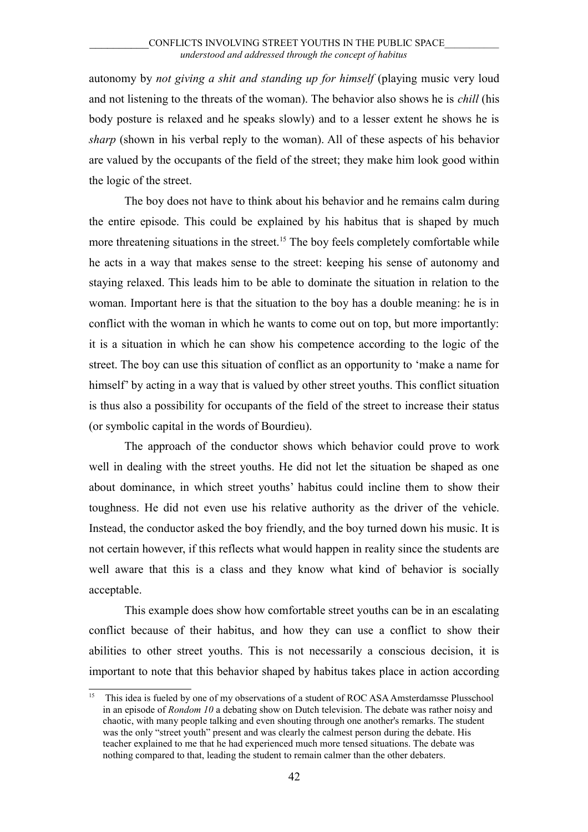autonomy by *not giving a shit and standing up for himself* (playing music very loud and not listening to the threats of the woman). The behavior also shows he is *chill* (his body posture is relaxed and he speaks slowly) and to a lesser extent he shows he is *sharp* (shown in his verbal reply to the woman). All of these aspects of his behavior are valued by the occupants of the field of the street; they make him look good within the logic of the street.

The boy does not have to think about his behavior and he remains calm during the entire episode. This could be explained by his habitus that is shaped by much more threatening situations in the street.<sup>[15](#page-41-0)</sup> The boy feels completely comfortable while he acts in a way that makes sense to the street: keeping his sense of autonomy and staying relaxed. This leads him to be able to dominate the situation in relation to the woman. Important here is that the situation to the boy has a double meaning: he is in conflict with the woman in which he wants to come out on top, but more importantly: it is a situation in which he can show his competence according to the logic of the street. The boy can use this situation of conflict as an opportunity to 'make a name for himself' by acting in a way that is valued by other street youths. This conflict situation is thus also a possibility for occupants of the field of the street to increase their status (or symbolic capital in the words of Bourdieu).

The approach of the conductor shows which behavior could prove to work well in dealing with the street youths. He did not let the situation be shaped as one about dominance, in which street youths' habitus could incline them to show their toughness. He did not even use his relative authority as the driver of the vehicle. Instead, the conductor asked the boy friendly, and the boy turned down his music. It is not certain however, if this reflects what would happen in reality since the students are well aware that this is a class and they know what kind of behavior is socially acceptable.

This example does show how comfortable street youths can be in an escalating conflict because of their habitus, and how they can use a conflict to show their abilities to other street youths. This is not necessarily a conscious decision, it is important to note that this behavior shaped by habitus takes place in action according

<span id="page-41-0"></span><sup>15</sup> This idea is fueled by one of my observations of a student of ROC ASA Amsterdamsse Plusschool in an episode of *Rondom 10* a debating show on Dutch television. The debate was rather noisy and chaotic, with many people talking and even shouting through one another's remarks. The student was the only "street youth" present and was clearly the calmest person during the debate. His teacher explained to me that he had experienced much more tensed situations. The debate was nothing compared to that, leading the student to remain calmer than the other debaters.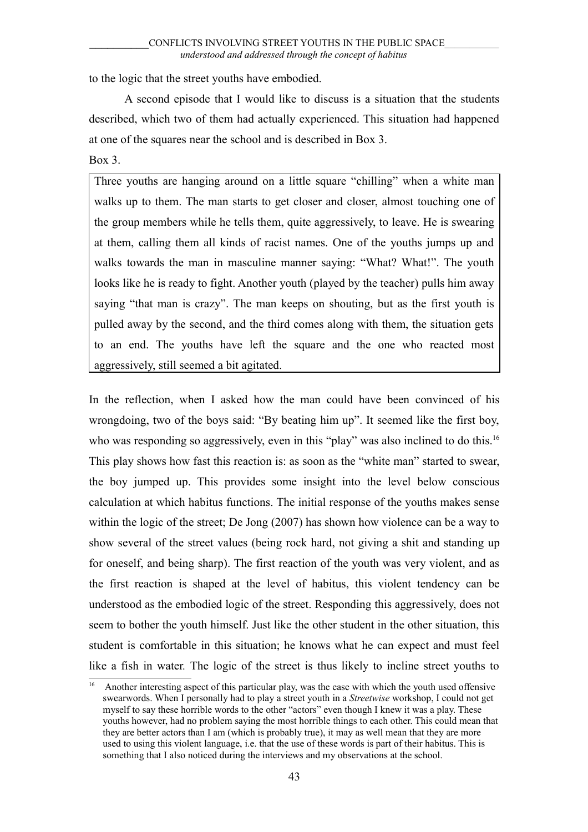to the logic that the street youths have embodied.

A second episode that I would like to discuss is a situation that the students described, which two of them had actually experienced. This situation had happened at one of the squares near the school and is described in Box 3.

## Box 3.

Three youths are hanging around on a little square "chilling" when a white man walks up to them. The man starts to get closer and closer, almost touching one of the group members while he tells them, quite aggressively, to leave. He is swearing at them, calling them all kinds of racist names. One of the youths jumps up and walks towards the man in masculine manner saying: "What? What!". The youth looks like he is ready to fight. Another youth (played by the teacher) pulls him away saying "that man is crazy". The man keeps on shouting, but as the first youth is pulled away by the second, and the third comes along with them, the situation gets to an end. The youths have left the square and the one who reacted most aggressively, still seemed a bit agitated.

In the reflection, when I asked how the man could have been convinced of his wrongdoing, two of the boys said: "By beating him up". It seemed like the first boy, who was responding so aggressively, even in this "play" was also inclined to do this.<sup>[16](#page-42-0)</sup> This play shows how fast this reaction is: as soon as the "white man" started to swear, the boy jumped up. This provides some insight into the level below conscious calculation at which habitus functions. The initial response of the youths makes sense within the logic of the street; De Jong (2007) has shown how violence can be a way to show several of the street values (being rock hard, not giving a shit and standing up for oneself, and being sharp). The first reaction of the youth was very violent, and as the first reaction is shaped at the level of habitus, this violent tendency can be understood as the embodied logic of the street. Responding this aggressively, does not seem to bother the youth himself. Just like the other student in the other situation, this student is comfortable in this situation; he knows what he can expect and must feel like a fish in water*.* The logic of the street is thus likely to incline street youths to

<span id="page-42-0"></span><sup>16</sup> Another interesting aspect of this particular play, was the ease with which the youth used offensive swearwords. When I personally had to play a street youth in a *Streetwise* workshop, I could not get myself to say these horrible words to the other "actors" even though I knew it was a play. These youths however, had no problem saying the most horrible things to each other. This could mean that they are better actors than I am (which is probably true), it may as well mean that they are more used to using this violent language, i.e. that the use of these words is part of their habitus. This is something that I also noticed during the interviews and my observations at the school.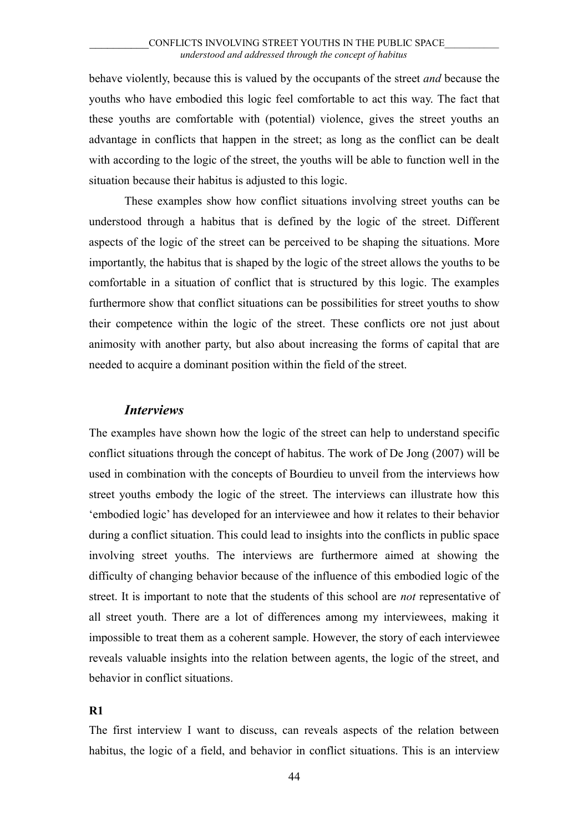behave violently, because this is valued by the occupants of the street *and* because the youths who have embodied this logic feel comfortable to act this way. The fact that these youths are comfortable with (potential) violence, gives the street youths an advantage in conflicts that happen in the street; as long as the conflict can be dealt with according to the logic of the street, the youths will be able to function well in the situation because their habitus is adjusted to this logic.

These examples show how conflict situations involving street youths can be understood through a habitus that is defined by the logic of the street. Different aspects of the logic of the street can be perceived to be shaping the situations. More importantly, the habitus that is shaped by the logic of the street allows the youths to be comfortable in a situation of conflict that is structured by this logic. The examples furthermore show that conflict situations can be possibilities for street youths to show their competence within the logic of the street. These conflicts ore not just about animosity with another party, but also about increasing the forms of capital that are needed to acquire a dominant position within the field of the street.

## *Interviews*

The examples have shown how the logic of the street can help to understand specific conflict situations through the concept of habitus. The work of De Jong (2007) will be used in combination with the concepts of Bourdieu to unveil from the interviews how street youths embody the logic of the street. The interviews can illustrate how this 'embodied logic' has developed for an interviewee and how it relates to their behavior during a conflict situation. This could lead to insights into the conflicts in public space involving street youths. The interviews are furthermore aimed at showing the difficulty of changing behavior because of the influence of this embodied logic of the street. It is important to note that the students of this school are *not* representative of all street youth. There are a lot of differences among my interviewees, making it impossible to treat them as a coherent sample. However, the story of each interviewee reveals valuable insights into the relation between agents, the logic of the street, and behavior in conflict situations.

## **R1**

The first interview I want to discuss, can reveals aspects of the relation between habitus, the logic of a field, and behavior in conflict situations. This is an interview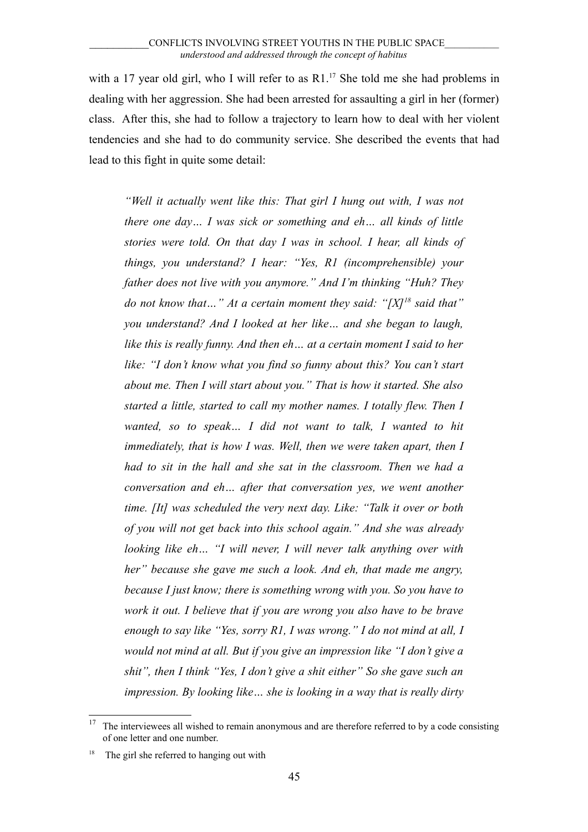with a [17](#page-44-0) year old girl, who I will refer to as  $R1$ .<sup>17</sup> She told me she had problems in dealing with her aggression. She had been arrested for assaulting a girl in her (former) class. After this, she had to follow a trajectory to learn how to deal with her violent tendencies and she had to do community service. She described the events that had lead to this fight in quite some detail:

*"Well it actually went like this: That girl I hung out with, I was not there one day… I was sick or something and eh… all kinds of little stories were told. On that day I was in school. I hear, all kinds of things, you understand? I hear: "Yes, R1 (incomprehensible) your father does not live with you anymore." And I'm thinking "Huh? They do not know that…" At a certain moment they said: "[X][18](#page-44-1) said that" you understand? And I looked at her like… and she began to laugh, like this is really funny. And then eh… at a certain moment I said to her like: "I don't know what you find so funny about this? You can't start about me. Then I will start about you." That is how it started. She also started a little, started to call my mother names. I totally flew. Then I wanted, so to speak… I did not want to talk, I wanted to hit immediately, that is how I was. Well, then we were taken apart, then I had to sit in the hall and she sat in the classroom. Then we had a conversation and eh… after that conversation yes, we went another time. [It] was scheduled the very next day. Like: "Talk it over or both of you will not get back into this school again." And she was already looking like eh… "I will never, I will never talk anything over with her" because she gave me such a look. And eh, that made me angry, because I just know; there is something wrong with you. So you have to work it out. I believe that if you are wrong you also have to be brave enough to say like "Yes, sorry R1, I was wrong." I do not mind at all, I would not mind at all. But if you give an impression like "I don't give a shit", then I think "Yes, I don't give a shit either" So she gave such an impression. By looking like… she is looking in a way that is really dirty*

<span id="page-44-0"></span> $17$  The interviewees all wished to remain anonymous and are therefore referred to by a code consisting of one letter and one number.

<span id="page-44-1"></span>The girl she referred to hanging out with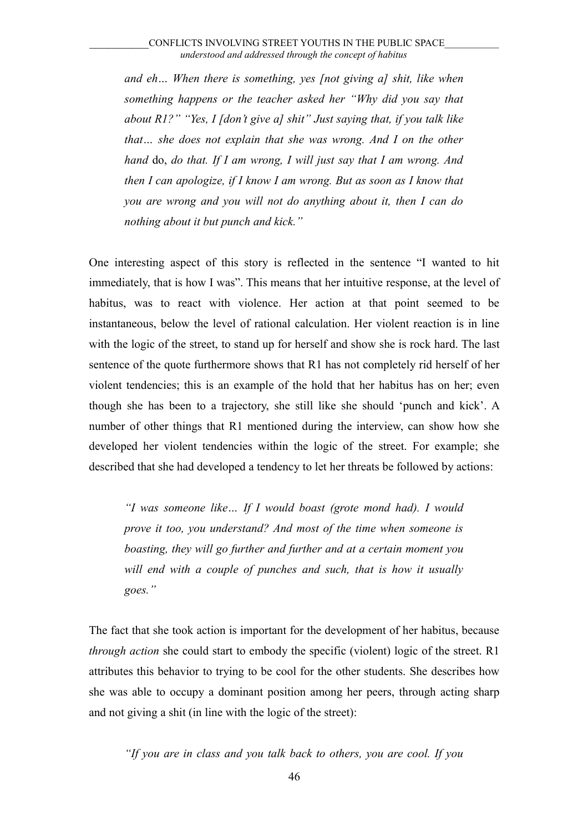*and eh… When there is something, yes [not giving a] shit, like when something happens or the teacher asked her "Why did you say that about R1?" "Yes, I [don't give a] shit" Just saying that, if you talk like that… she does not explain that she was wrong. And I on the other hand* do, *do that. If I am wrong, I will just say that I am wrong. And then I can apologize, if I know I am wrong. But as soon as I know that you are wrong and you will not do anything about it, then I can do nothing about it but punch and kick."*

One interesting aspect of this story is reflected in the sentence "I wanted to hit immediately, that is how I was". This means that her intuitive response, at the level of habitus, was to react with violence. Her action at that point seemed to be instantaneous, below the level of rational calculation. Her violent reaction is in line with the logic of the street, to stand up for herself and show she is rock hard. The last sentence of the quote furthermore shows that R1 has not completely rid herself of her violent tendencies; this is an example of the hold that her habitus has on her; even though she has been to a trajectory, she still like she should 'punch and kick'. A number of other things that R1 mentioned during the interview, can show how she developed her violent tendencies within the logic of the street. For example; she described that she had developed a tendency to let her threats be followed by actions:

*"I was someone like… If I would boast (grote mond had). I would prove it too, you understand? And most of the time when someone is boasting, they will go further and further and at a certain moment you will end with a couple of punches and such, that is how it usually goes."* 

The fact that she took action is important for the development of her habitus, because *through action* she could start to embody the specific (violent) logic of the street. R1 attributes this behavior to trying to be cool for the other students. She describes how she was able to occupy a dominant position among her peers, through acting sharp and not giving a shit (in line with the logic of the street):

*"If you are in class and you talk back to others, you are cool. If you*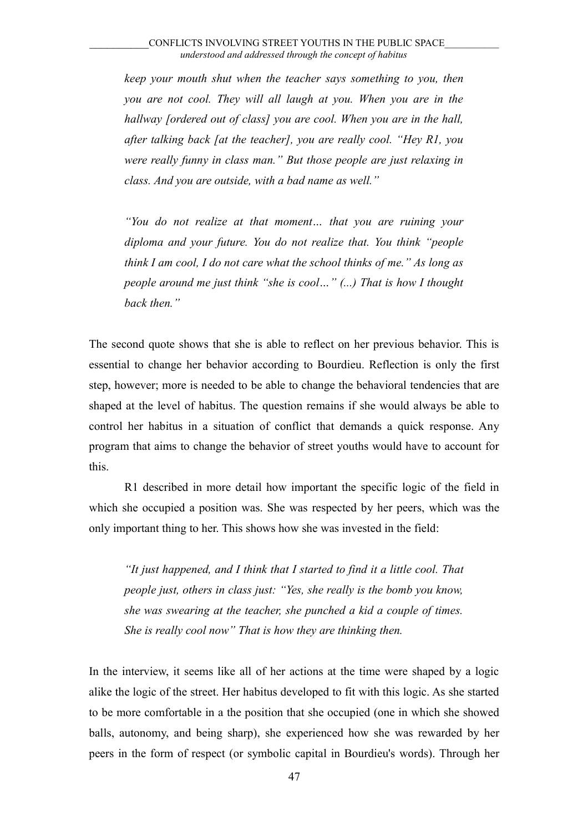*keep your mouth shut when the teacher says something to you, then you are not cool. They will all laugh at you. When you are in the hallway [ordered out of class] you are cool. When you are in the hall, after talking back [at the teacher], you are really cool. "Hey R1, you were really funny in class man." But those people are just relaxing in class. And you are outside, with a bad name as well."*

*"You do not realize at that moment… that you are ruining your diploma and your future. You do not realize that. You think "people think I am cool, I do not care what the school thinks of me." As long as people around me just think "she is cool…" (...) That is how I thought back then."*

The second quote shows that she is able to reflect on her previous behavior. This is essential to change her behavior according to Bourdieu. Reflection is only the first step, however; more is needed to be able to change the behavioral tendencies that are shaped at the level of habitus. The question remains if she would always be able to control her habitus in a situation of conflict that demands a quick response. Any program that aims to change the behavior of street youths would have to account for this.

R1 described in more detail how important the specific logic of the field in which she occupied a position was. She was respected by her peers, which was the only important thing to her. This shows how she was invested in the field:

*"It just happened, and I think that I started to find it a little cool. That people just, others in class just: "Yes, she really is the bomb you know, she was swearing at the teacher, she punched a kid a couple of times. She is really cool now" That is how they are thinking then.*

In the interview, it seems like all of her actions at the time were shaped by a logic alike the logic of the street. Her habitus developed to fit with this logic. As she started to be more comfortable in a the position that she occupied (one in which she showed balls, autonomy, and being sharp), she experienced how she was rewarded by her peers in the form of respect (or symbolic capital in Bourdieu's words). Through her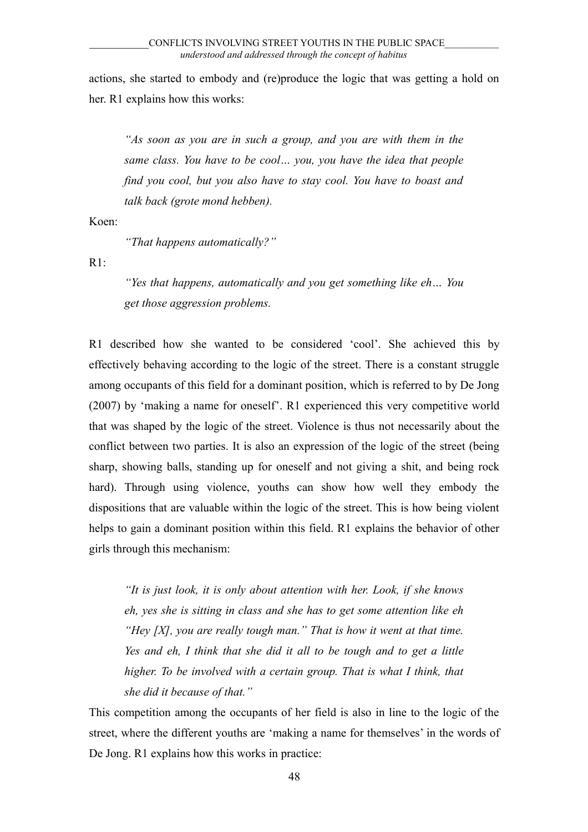actions, she started to embody and (re)produce the logic that was getting a hold on her. R1 explains how this works:

*"As soon as you are in such a group, and you are with them in the same class. You have to be cool… you, you have the idea that people find you cool, but you also have to stay cool. You have to boast and talk back (grote mond hebben).* 

Koen:

*"That happens automatically?"*

 $R1$ :

*"Yes that happens, automatically and you get something like eh… You get those aggression problems.*

R1 described how she wanted to be considered 'cool'. She achieved this by effectively behaving according to the logic of the street. There is a constant struggle among occupants of this field for a dominant position, which is referred to by De Jong (2007) by 'making a name for oneself'. R1 experienced this very competitive world that was shaped by the logic of the street. Violence is thus not necessarily about the conflict between two parties. It is also an expression of the logic of the street (being sharp, showing balls, standing up for oneself and not giving a shit, and being rock hard). Through using violence, youths can show how well they embody the dispositions that are valuable within the logic of the street. This is how being violent helps to gain a dominant position within this field. R1 explains the behavior of other girls through this mechanism:

*"It is just look, it is only about attention with her. Look, if she knows eh, yes she is sitting in class and she has to get some attention like eh "Hey [X], you are really tough man." That is how it went at that time. Yes and eh, I think that she did it all to be tough and to get a little higher. To be involved with a certain group. That is what I think, that she did it because of that."*

This competition among the occupants of her field is also in line to the logic of the street, where the different youths are 'making a name for themselves' in the words of De Jong. R1 explains how this works in practice: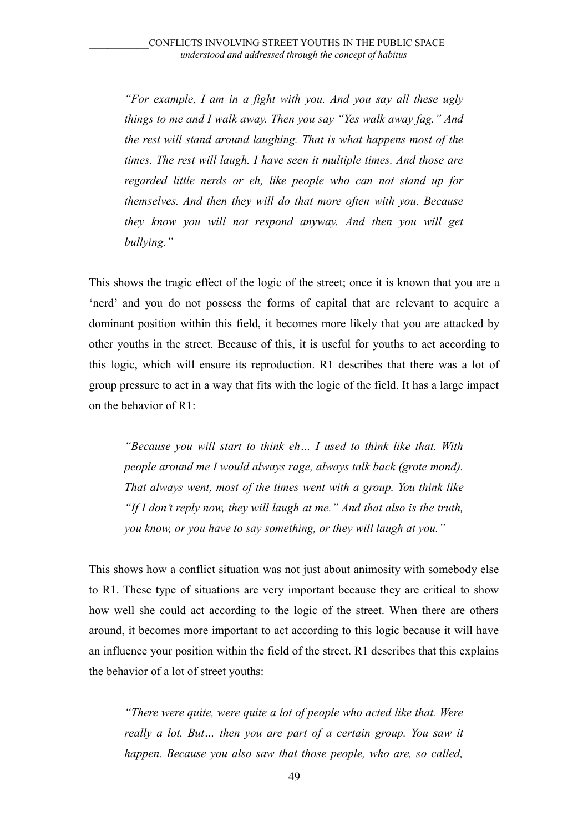*"For example, I am in a fight with you. And you say all these ugly things to me and I walk away. Then you say "Yes walk away fag." And the rest will stand around laughing. That is what happens most of the times. The rest will laugh. I have seen it multiple times. And those are regarded little nerds or eh, like people who can not stand up for themselves. And then they will do that more often with you. Because they know you will not respond anyway. And then you will get bullying."*

This shows the tragic effect of the logic of the street; once it is known that you are a 'nerd' and you do not possess the forms of capital that are relevant to acquire a dominant position within this field, it becomes more likely that you are attacked by other youths in the street. Because of this, it is useful for youths to act according to this logic, which will ensure its reproduction. R1 describes that there was a lot of group pressure to act in a way that fits with the logic of the field. It has a large impact on the behavior of R1:

*"Because you will start to think eh… I used to think like that. With people around me I would always rage, always talk back (grote mond). That always went, most of the times went with a group. You think like "If I don't reply now, they will laugh at me." And that also is the truth, you know, or you have to say something, or they will laugh at you."*

This shows how a conflict situation was not just about animosity with somebody else to R1. These type of situations are very important because they are critical to show how well she could act according to the logic of the street. When there are others around, it becomes more important to act according to this logic because it will have an influence your position within the field of the street. R1 describes that this explains the behavior of a lot of street youths:

*"There were quite, were quite a lot of people who acted like that. Were really a lot. But… then you are part of a certain group. You saw it happen. Because you also saw that those people, who are, so called,*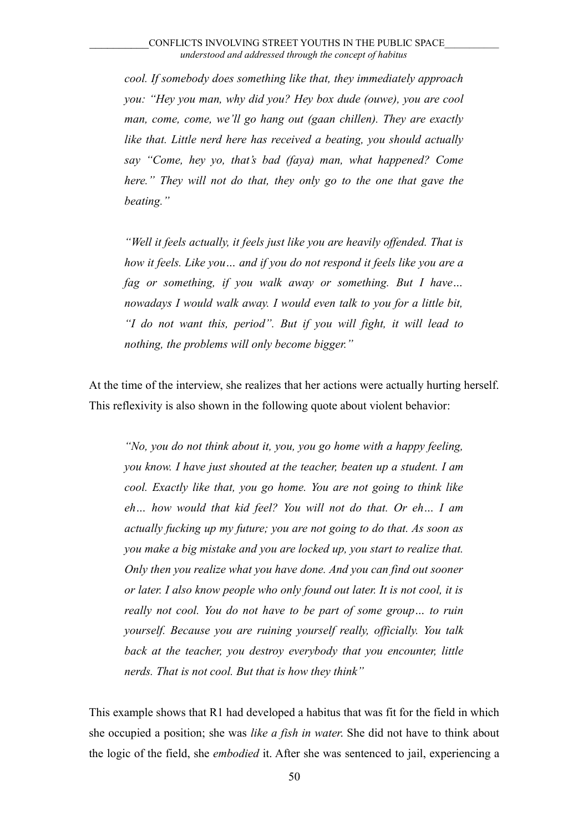*cool. If somebody does something like that, they immediately approach you: "Hey you man, why did you? Hey box dude (ouwe), you are cool man, come, come, we'll go hang out (gaan chillen). They are exactly like that. Little nerd here has received a beating, you should actually say "Come, hey yo, that's bad (faya) man, what happened? Come here." They will not do that, they only go to the one that gave the beating."*

*"Well it feels actually, it feels just like you are heavily offended. That is how it feels. Like you… and if you do not respond it feels like you are a fag or something, if you walk away or something. But I have… nowadays I would walk away. I would even talk to you for a little bit, "I do not want this, period". But if you will fight, it will lead to nothing, the problems will only become bigger."*

At the time of the interview, she realizes that her actions were actually hurting herself. This reflexivity is also shown in the following quote about violent behavior:

*"No, you do not think about it, you, you go home with a happy feeling, you know. I have just shouted at the teacher, beaten up a student. I am cool. Exactly like that, you go home. You are not going to think like eh… how would that kid feel? You will not do that. Or eh… I am actually fucking up my future; you are not going to do that. As soon as you make a big mistake and you are locked up, you start to realize that. Only then you realize what you have done. And you can find out sooner or later. I also know people who only found out later. It is not cool, it is really not cool. You do not have to be part of some group… to ruin yourself. Because you are ruining yourself really, officially. You talk back at the teacher, you destroy everybody that you encounter, little nerds. That is not cool. But that is how they think"*

This example shows that R1 had developed a habitus that was fit for the field in which she occupied a position; she was *like a fish in water*. She did not have to think about the logic of the field, she *embodied* it. After she was sentenced to jail, experiencing a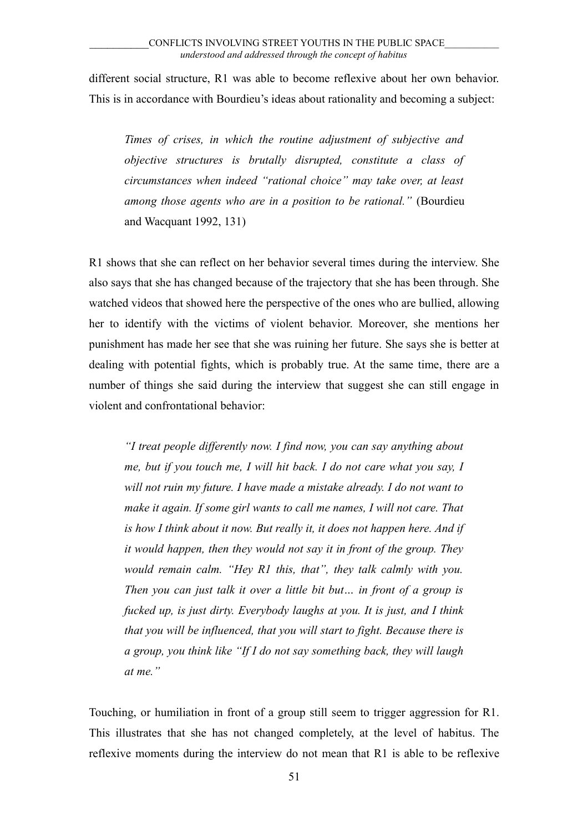different social structure, R1 was able to become reflexive about her own behavior. This is in accordance with Bourdieu's ideas about rationality and becoming a subject:

*Times of crises, in which the routine adjustment of subjective and objective structures is brutally disrupted, constitute a class of circumstances when indeed "rational choice" may take over, at least among those agents who are in a position to be rational."* (Bourdieu and Wacquant 1992, 131)

R1 shows that she can reflect on her behavior several times during the interview. She also says that she has changed because of the trajectory that she has been through. She watched videos that showed here the perspective of the ones who are bullied, allowing her to identify with the victims of violent behavior. Moreover, she mentions her punishment has made her see that she was ruining her future. She says she is better at dealing with potential fights, which is probably true. At the same time, there are a number of things she said during the interview that suggest she can still engage in violent and confrontational behavior:

*"I treat people differently now. I find now, you can say anything about me, but if you touch me, I will hit back. I do not care what you say, I will not ruin my future. I have made a mistake already. I do not want to make it again. If some girl wants to call me names, I will not care. That is how I think about it now. But really it, it does not happen here. And if it would happen, then they would not say it in front of the group. They would remain calm. "Hey R1 this, that", they talk calmly with you. Then you can just talk it over a little bit but… in front of a group is fucked up, is just dirty. Everybody laughs at you. It is just, and I think that you will be influenced, that you will start to fight. Because there is a group, you think like "If I do not say something back, they will laugh at me."* 

Touching, or humiliation in front of a group still seem to trigger aggression for R1. This illustrates that she has not changed completely, at the level of habitus. The reflexive moments during the interview do not mean that R1 is able to be reflexive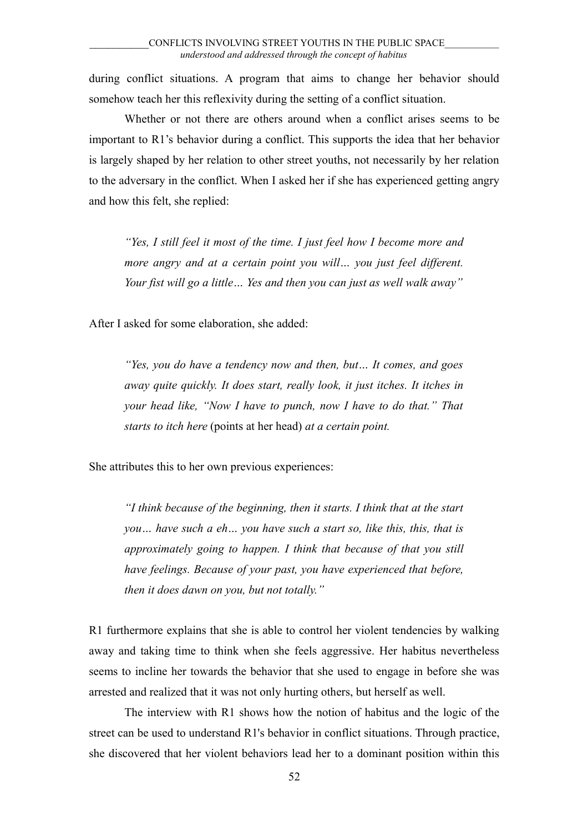during conflict situations. A program that aims to change her behavior should somehow teach her this reflexivity during the setting of a conflict situation.

Whether or not there are others around when a conflict arises seems to be important to R1's behavior during a conflict. This supports the idea that her behavior is largely shaped by her relation to other street youths, not necessarily by her relation to the adversary in the conflict. When I asked her if she has experienced getting angry and how this felt, she replied:

*"Yes, I still feel it most of the time. I just feel how I become more and more angry and at a certain point you will… you just feel different. Your fist will go a little… Yes and then you can just as well walk away"*

After I asked for some elaboration, she added:

*"Yes, you do have a tendency now and then, but… It comes, and goes away quite quickly. It does start, really look, it just itches. It itches in your head like, "Now I have to punch, now I have to do that." That starts to itch here* (points at her head) *at a certain point.*

She attributes this to her own previous experiences:

*"I think because of the beginning, then it starts. I think that at the start you… have such a eh… you have such a start so, like this, this, that is approximately going to happen. I think that because of that you still have feelings. Because of your past, you have experienced that before, then it does dawn on you, but not totally."* 

R1 furthermore explains that she is able to control her violent tendencies by walking away and taking time to think when she feels aggressive. Her habitus nevertheless seems to incline her towards the behavior that she used to engage in before she was arrested and realized that it was not only hurting others, but herself as well.

The interview with R1 shows how the notion of habitus and the logic of the street can be used to understand R1's behavior in conflict situations. Through practice, she discovered that her violent behaviors lead her to a dominant position within this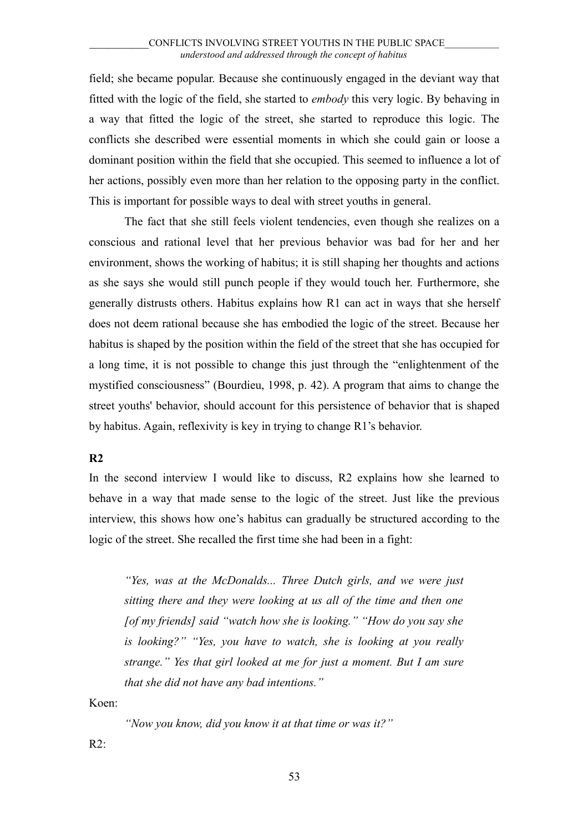field; she became popular. Because she continuously engaged in the deviant way that fitted with the logic of the field, she started to *embody* this very logic. By behaving in a way that fitted the logic of the street, she started to reproduce this logic. The conflicts she described were essential moments in which she could gain or loose a dominant position within the field that she occupied. This seemed to influence a lot of her actions, possibly even more than her relation to the opposing party in the conflict. This is important for possible ways to deal with street youths in general.

The fact that she still feels violent tendencies, even though she realizes on a conscious and rational level that her previous behavior was bad for her and her environment, shows the working of habitus; it is still shaping her thoughts and actions as she says she would still punch people if they would touch her. Furthermore, she generally distrusts others. Habitus explains how R1 can act in ways that she herself does not deem rational because she has embodied the logic of the street. Because her habitus is shaped by the position within the field of the street that she has occupied for a long time, it is not possible to change this just through the "enlightenment of the mystified consciousness" (Bourdieu, 1998, p. 42). A program that aims to change the street youths' behavior, should account for this persistence of behavior that is shaped by habitus. Again, reflexivity is key in trying to change R1's behavior.

# **R2**

In the second interview I would like to discuss, R2 explains how she learned to behave in a way that made sense to the logic of the street. Just like the previous interview, this shows how one's habitus can gradually be structured according to the logic of the street. She recalled the first time she had been in a fight:

*"Yes, was at the McDonalds... Three Dutch girls, and we were just sitting there and they were looking at us all of the time and then one [of my friends] said "watch how she is looking." "How do you say she is looking?" "Yes, you have to watch, she is looking at you really strange." Yes that girl looked at me for just a moment. But I am sure that she did not have any bad intentions."*

Koen:

*"Now you know, did you know it at that time or was it?"*

 $R2$ :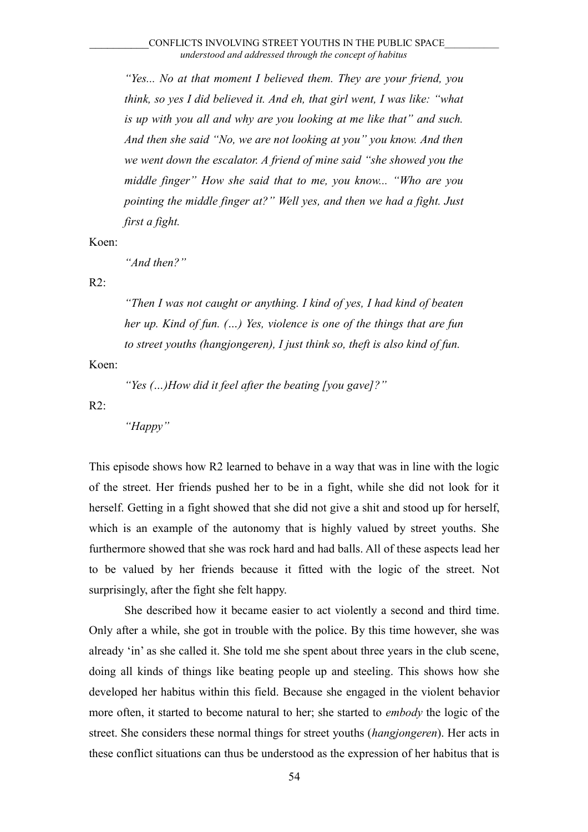*"Yes... No at that moment I believed them. They are your friend, you think, so yes I did believed it. And eh, that girl went, I was like: "what is up with you all and why are you looking at me like that" and such. And then she said "No, we are not looking at you" you know. And then we went down the escalator. A friend of mine said "she showed you the middle finger" How she said that to me, you know... "Who are you pointing the middle finger at?" Well yes, and then we had a fight. Just first a fight.*

Koen:

*"And then?"*

R2:

*"Then I was not caught or anything. I kind of yes, I had kind of beaten her up. Kind of fun. (…) Yes, violence is one of the things that are fun to street youths (hangjongeren), I just think so, theft is also kind of fun.*

Koen:

*"Yes (…)How did it feel after the beating [you gave]?"*

R2:

*"Happy"*

This episode shows how R2 learned to behave in a way that was in line with the logic of the street. Her friends pushed her to be in a fight, while she did not look for it herself. Getting in a fight showed that she did not give a shit and stood up for herself, which is an example of the autonomy that is highly valued by street youths. She furthermore showed that she was rock hard and had balls. All of these aspects lead her to be valued by her friends because it fitted with the logic of the street. Not surprisingly, after the fight she felt happy.

She described how it became easier to act violently a second and third time. Only after a while, she got in trouble with the police. By this time however, she was already 'in' as she called it. She told me she spent about three years in the club scene, doing all kinds of things like beating people up and steeling. This shows how she developed her habitus within this field. Because she engaged in the violent behavior more often, it started to become natural to her; she started to *embody* the logic of the street. She considers these normal things for street youths (*hangjongeren*). Her acts in these conflict situations can thus be understood as the expression of her habitus that is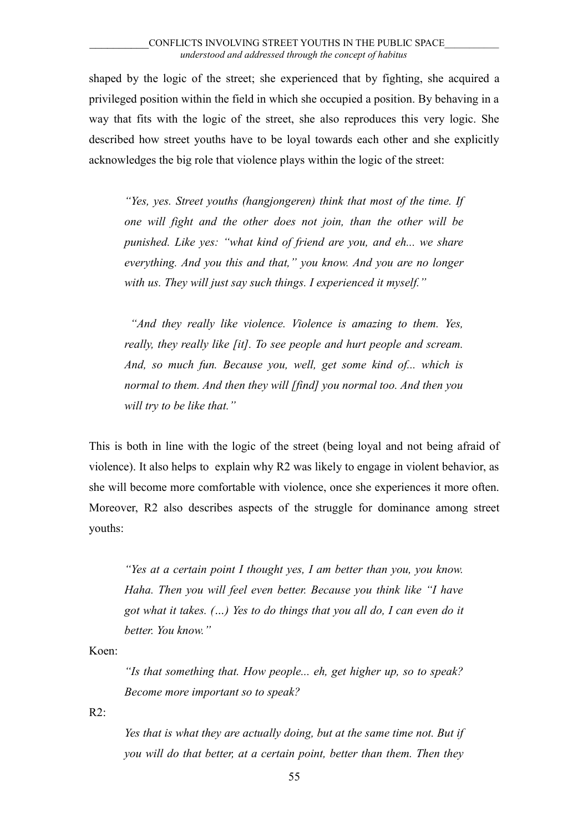shaped by the logic of the street; she experienced that by fighting, she acquired a privileged position within the field in which she occupied a position. By behaving in a way that fits with the logic of the street, she also reproduces this very logic. She described how street youths have to be loyal towards each other and she explicitly acknowledges the big role that violence plays within the logic of the street:

*"Yes, yes. Street youths (hangjongeren) think that most of the time. If one will fight and the other does not join, than the other will be punished. Like yes: "what kind of friend are you, and eh... we share everything. And you this and that," you know. And you are no longer with us. They will just say such things. I experienced it myself."* 

 *"And they really like violence. Violence is amazing to them. Yes, really, they really like [it]. To see people and hurt people and scream. And, so much fun. Because you, well, get some kind of... which is normal to them. And then they will [find] you normal too. And then you will try to be like that."*

This is both in line with the logic of the street (being loyal and not being afraid of violence). It also helps to explain why R2 was likely to engage in violent behavior, as she will become more comfortable with violence, once she experiences it more often. Moreover, R2 also describes aspects of the struggle for dominance among street youths:

*"Yes at a certain point I thought yes, I am better than you, you know. Haha. Then you will feel even better. Because you think like "I have got what it takes. (…) Yes to do things that you all do, I can even do it better. You know."*

Koen:

*"Is that something that. How people... eh, get higher up, so to speak? Become more important so to speak?*

 $R2$ :

*Yes that is what they are actually doing, but at the same time not. But if you will do that better, at a certain point, better than them. Then they*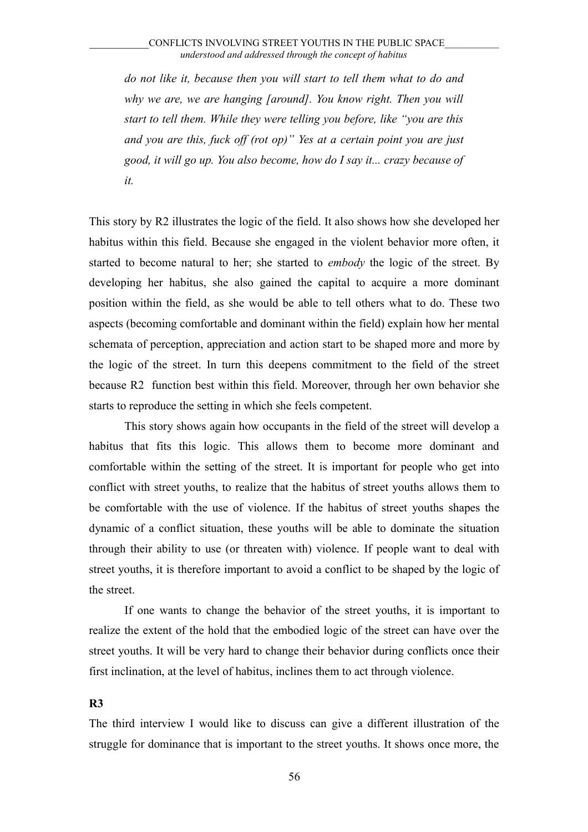*do not like it, because then you will start to tell them what to do and why we are, we are hanging [around]. You know right. Then you will start to tell them. While they were telling you before, like "you are this and you are this, fuck off (rot op)" Yes at a certain point you are just good, it will go up. You also become, how do I say it... crazy because of it.*

This story by R2 illustrates the logic of the field. It also shows how she developed her habitus within this field. Because she engaged in the violent behavior more often, it started to become natural to her; she started to *embody* the logic of the street. By developing her habitus, she also gained the capital to acquire a more dominant position within the field, as she would be able to tell others what to do. These two aspects (becoming comfortable and dominant within the field) explain how her mental schemata of perception, appreciation and action start to be shaped more and more by the logic of the street. In turn this deepens commitment to the field of the street because R2 function best within this field. Moreover, through her own behavior she starts to reproduce the setting in which she feels competent.

This story shows again how occupants in the field of the street will develop a habitus that fits this logic. This allows them to become more dominant and comfortable within the setting of the street. It is important for people who get into conflict with street youths, to realize that the habitus of street youths allows them to be comfortable with the use of violence. If the habitus of street youths shapes the dynamic of a conflict situation, these youths will be able to dominate the situation through their ability to use (or threaten with) violence. If people want to deal with street youths, it is therefore important to avoid a conflict to be shaped by the logic of the street.

If one wants to change the behavior of the street youths, it is important to realize the extent of the hold that the embodied logic of the street can have over the street youths. It will be very hard to change their behavior during conflicts once their first inclination, at the level of habitus, inclines them to act through violence.

#### **R3**

The third interview I would like to discuss can give a different illustration of the struggle for dominance that is important to the street youths. It shows once more, the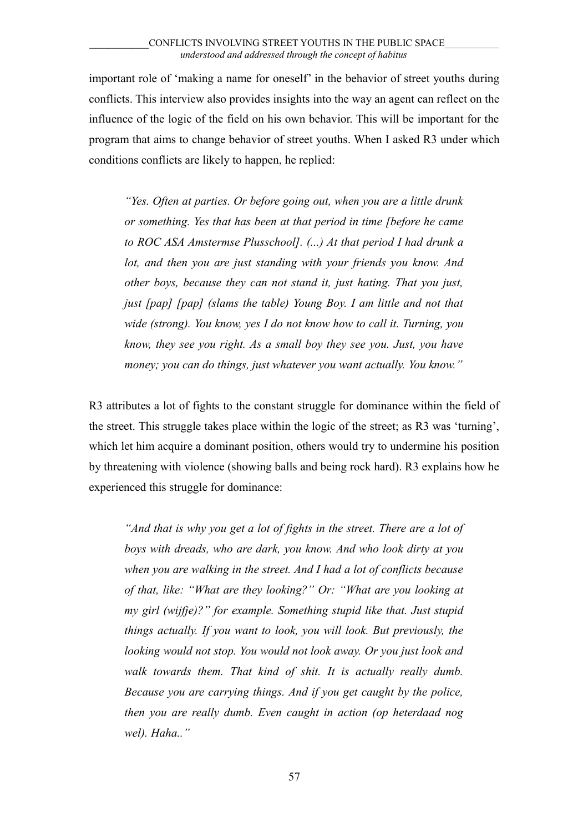important role of 'making a name for oneself' in the behavior of street youths during conflicts. This interview also provides insights into the way an agent can reflect on the influence of the logic of the field on his own behavior. This will be important for the program that aims to change behavior of street youths. When I asked R3 under which conditions conflicts are likely to happen, he replied:

*"Yes. Often at parties. Or before going out, when you are a little drunk or something. Yes that has been at that period in time [before he came to ROC ASA Amstermse Plusschool]. (...) At that period I had drunk a lot, and then you are just standing with your friends you know. And other boys, because they can not stand it, just hating. That you just, just [pap] [pap] (slams the table) Young Boy. I am little and not that wide (strong). You know, yes I do not know how to call it. Turning, you know, they see you right. As a small boy they see you. Just, you have money; you can do things, just whatever you want actually. You know."*

R3 attributes a lot of fights to the constant struggle for dominance within the field of the street. This struggle takes place within the logic of the street; as R3 was 'turning', which let him acquire a dominant position, others would try to undermine his position by threatening with violence (showing balls and being rock hard). R3 explains how he experienced this struggle for dominance:

*"And that is why you get a lot of fights in the street. There are a lot of boys with dreads, who are dark, you know. And who look dirty at you when you are walking in the street. And I had a lot of conflicts because of that, like: "What are they looking?" Or: "What are you looking at my girl (wijfje)?" for example. Something stupid like that. Just stupid things actually. If you want to look, you will look. But previously, the looking would not stop. You would not look away. Or you just look and walk towards them. That kind of shit. It is actually really dumb. Because you are carrying things. And if you get caught by the police, then you are really dumb. Even caught in action (op heterdaad nog wel). Haha.."*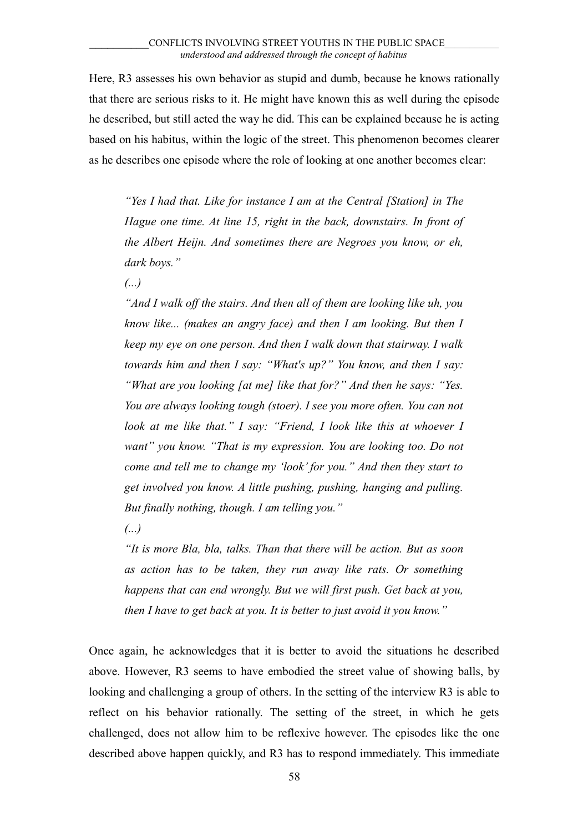Here, R3 assesses his own behavior as stupid and dumb, because he knows rationally that there are serious risks to it. He might have known this as well during the episode he described, but still acted the way he did. This can be explained because he is acting based on his habitus, within the logic of the street. This phenomenon becomes clearer as he describes one episode where the role of looking at one another becomes clear:

*"Yes I had that. Like for instance I am at the Central [Station] in The Hague one time. At line 15, right in the back, downstairs. In front of the Albert Heijn. And sometimes there are Negroes you know, or eh, dark boys."*

*(...)*

*"And I walk off the stairs. And then all of them are looking like uh, you know like... (makes an angry face) and then I am looking. But then I keep my eye on one person. And then I walk down that stairway. I walk towards him and then I say: "What's up?" You know, and then I say: "What are you looking [at me] like that for?" And then he says: "Yes. You are always looking tough (stoer). I see you more often. You can not look at me like that." I say: "Friend, I look like this at whoever I want" you know. "That is my expression. You are looking too. Do not come and tell me to change my 'look' for you." And then they start to get involved you know. A little pushing, pushing, hanging and pulling. But finally nothing, though. I am telling you."*

*(...)*

*"It is more Bla, bla, talks. Than that there will be action. But as soon as action has to be taken, they run away like rats. Or something happens that can end wrongly. But we will first push. Get back at you, then I have to get back at you. It is better to just avoid it you know."* 

Once again, he acknowledges that it is better to avoid the situations he described above. However, R3 seems to have embodied the street value of showing balls, by looking and challenging a group of others. In the setting of the interview R3 is able to reflect on his behavior rationally. The setting of the street, in which he gets challenged, does not allow him to be reflexive however. The episodes like the one described above happen quickly, and R3 has to respond immediately. This immediate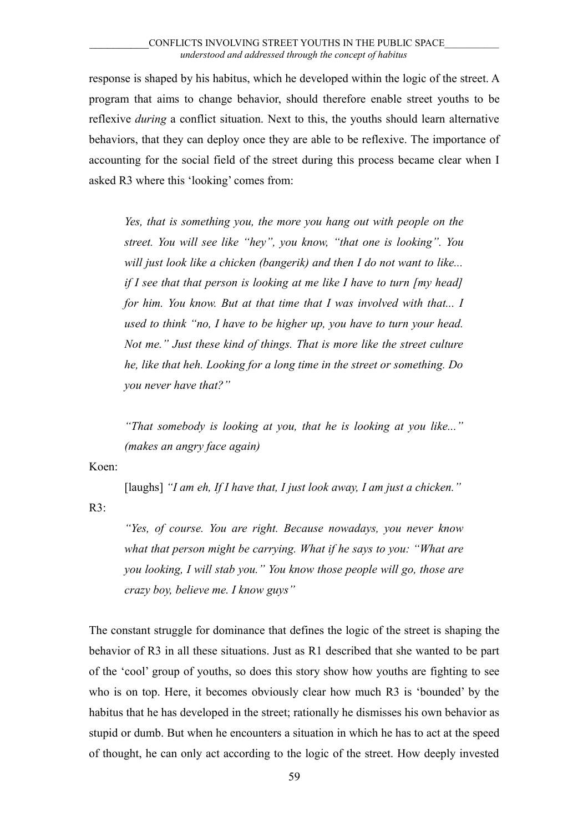response is shaped by his habitus, which he developed within the logic of the street. A program that aims to change behavior, should therefore enable street youths to be reflexive *during* a conflict situation. Next to this, the youths should learn alternative behaviors, that they can deploy once they are able to be reflexive. The importance of accounting for the social field of the street during this process became clear when I asked R3 where this 'looking' comes from:

*Yes, that is something you, the more you hang out with people on the street. You will see like "hey", you know, "that one is looking". You will just look like a chicken (bangerik) and then I do not want to like... if I see that that person is looking at me like I have to turn [my head] for him. You know. But at that time that I was involved with that... I used to think "no, I have to be higher up, you have to turn your head. Not me." Just these kind of things. That is more like the street culture he, like that heh. Looking for a long time in the street or something. Do you never have that?"*

*"That somebody is looking at you, that he is looking at you like..." (makes an angry face again)*

Koen:

[laughs] "I am eh, If I have that, I just look away, I am just a chicken."

 $R3$ :

*"Yes, of course. You are right. Because nowadays, you never know what that person might be carrying. What if he says to you: "What are you looking, I will stab you." You know those people will go, those are crazy boy, believe me. I know guys"* 

The constant struggle for dominance that defines the logic of the street is shaping the behavior of R3 in all these situations. Just as R1 described that she wanted to be part of the 'cool' group of youths, so does this story show how youths are fighting to see who is on top. Here, it becomes obviously clear how much R3 is 'bounded' by the habitus that he has developed in the street; rationally he dismisses his own behavior as stupid or dumb. But when he encounters a situation in which he has to act at the speed of thought, he can only act according to the logic of the street. How deeply invested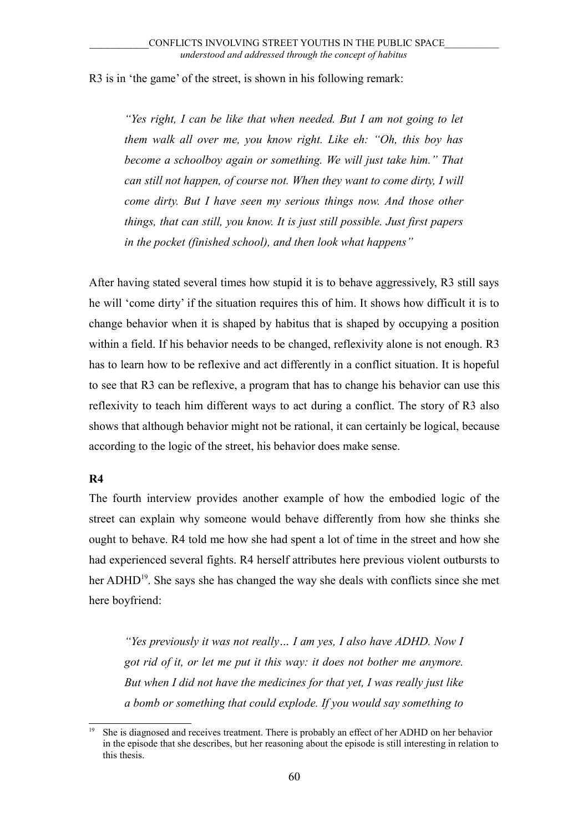R3 is in 'the game' of the street, is shown in his following remark:

*"Yes right, I can be like that when needed. But I am not going to let them walk all over me, you know right. Like eh: "Oh, this boy has become a schoolboy again or something. We will just take him." That can still not happen, of course not. When they want to come dirty, I will come dirty. But I have seen my serious things now. And those other things, that can still, you know. It is just still possible. Just first papers in the pocket (finished school), and then look what happens"* 

After having stated several times how stupid it is to behave aggressively, R3 still says he will 'come dirty' if the situation requires this of him. It shows how difficult it is to change behavior when it is shaped by habitus that is shaped by occupying a position within a field. If his behavior needs to be changed, reflexivity alone is not enough. R3 has to learn how to be reflexive and act differently in a conflict situation. It is hopeful to see that R3 can be reflexive, a program that has to change his behavior can use this reflexivity to teach him different ways to act during a conflict. The story of R3 also shows that although behavior might not be rational, it can certainly be logical, because according to the logic of the street, his behavior does make sense.

## **R4**

The fourth interview provides another example of how the embodied logic of the street can explain why someone would behave differently from how she thinks she ought to behave. R4 told me how she had spent a lot of time in the street and how she had experienced several fights. R4 herself attributes here previous violent outbursts to her ADHD<sup>[19](#page-59-0)</sup>. She says she has changed the way she deals with conflicts since she met here boyfriend:

*"Yes previously it was not really… I am yes, I also have ADHD. Now I got rid of it, or let me put it this way: it does not bother me anymore. But when I did not have the medicines for that yet, I was really just like a bomb or something that could explode. If you would say something to*

<span id="page-59-0"></span><sup>19</sup> She is diagnosed and receives treatment. There is probably an effect of her ADHD on her behavior in the episode that she describes, but her reasoning about the episode is still interesting in relation to this thesis.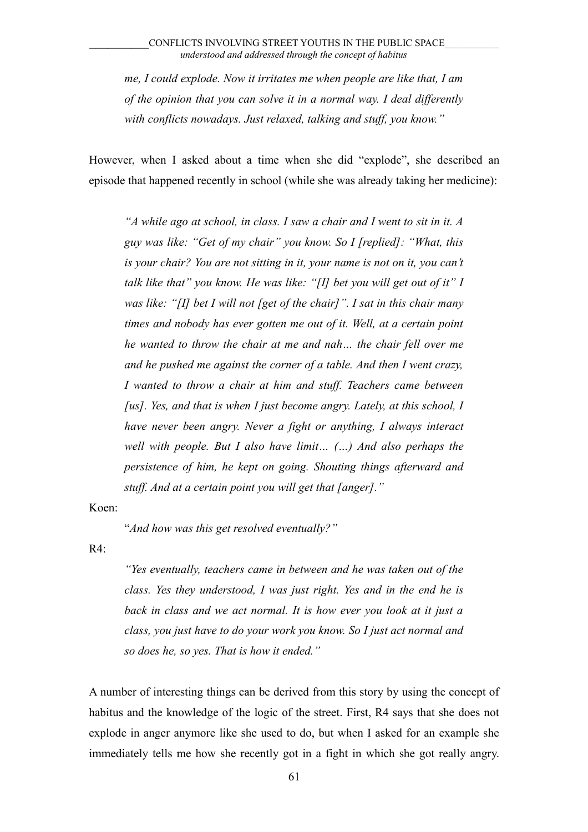*me, I could explode. Now it irritates me when people are like that, I am of the opinion that you can solve it in a normal way. I deal differently with conflicts nowadays. Just relaxed, talking and stuff, you know."*

However, when I asked about a time when she did "explode", she described an episode that happened recently in school (while she was already taking her medicine):

*"A while ago at school, in class. I saw a chair and I went to sit in it. A guy was like: "Get of my chair" you know. So I [replied]: "What, this is your chair? You are not sitting in it, your name is not on it, you can't talk like that" you know. He was like: "[I] bet you will get out of it" I was like: "[I] bet I will not [get of the chair]". I sat in this chair many times and nobody has ever gotten me out of it. Well, at a certain point he wanted to throw the chair at me and nah… the chair fell over me and he pushed me against the corner of a table. And then I went crazy, I wanted to throw a chair at him and stuff. Teachers came between [us]. Yes, and that is when I just become angry. Lately, at this school, I have never been angry. Never a fight or anything, I always interact well with people. But I also have limit… (…) And also perhaps the persistence of him, he kept on going. Shouting things afterward and stuff. And at a certain point you will get that [anger]."*

Koen:

"*And how was this get resolved eventually?"*

 $R4$ :

*"Yes eventually, teachers came in between and he was taken out of the class. Yes they understood, I was just right. Yes and in the end he is back in class and we act normal. It is how ever you look at it just a class, you just have to do your work you know. So I just act normal and so does he, so yes. That is how it ended."*

A number of interesting things can be derived from this story by using the concept of habitus and the knowledge of the logic of the street. First, R4 says that she does not explode in anger anymore like she used to do, but when I asked for an example she immediately tells me how she recently got in a fight in which she got really angry.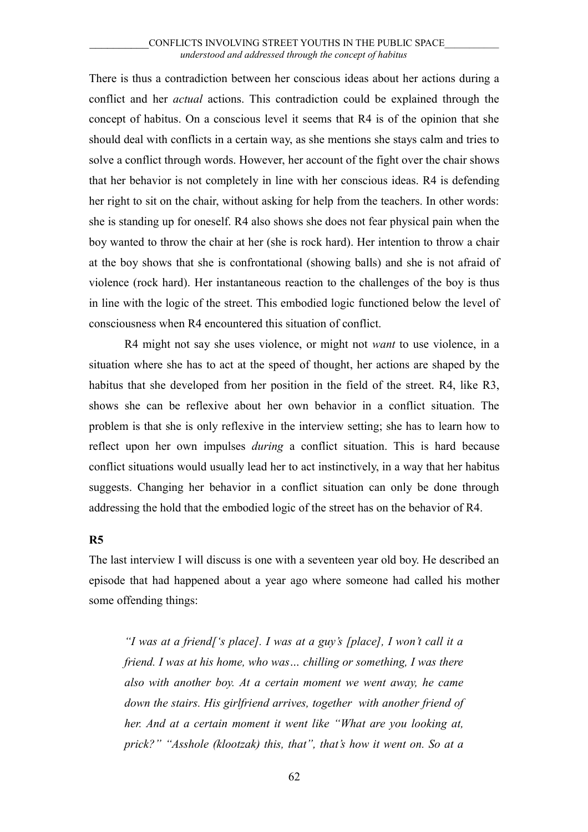There is thus a contradiction between her conscious ideas about her actions during a conflict and her *actual* actions. This contradiction could be explained through the concept of habitus. On a conscious level it seems that R4 is of the opinion that she should deal with conflicts in a certain way, as she mentions she stays calm and tries to solve a conflict through words. However, her account of the fight over the chair shows that her behavior is not completely in line with her conscious ideas. R4 is defending her right to sit on the chair, without asking for help from the teachers. In other words: she is standing up for oneself. R4 also shows she does not fear physical pain when the boy wanted to throw the chair at her (she is rock hard). Her intention to throw a chair at the boy shows that she is confrontational (showing balls) and she is not afraid of violence (rock hard). Her instantaneous reaction to the challenges of the boy is thus in line with the logic of the street. This embodied logic functioned below the level of consciousness when R4 encountered this situation of conflict.

R4 might not say she uses violence, or might not *want* to use violence, in a situation where she has to act at the speed of thought, her actions are shaped by the habitus that she developed from her position in the field of the street. R4, like R3, shows she can be reflexive about her own behavior in a conflict situation. The problem is that she is only reflexive in the interview setting; she has to learn how to reflect upon her own impulses *during* a conflict situation. This is hard because conflict situations would usually lead her to act instinctively, in a way that her habitus suggests. Changing her behavior in a conflict situation can only be done through addressing the hold that the embodied logic of the street has on the behavior of R4.

## **R5**

The last interview I will discuss is one with a seventeen year old boy. He described an episode that had happened about a year ago where someone had called his mother some offending things:

*"I was at a friend['s place]. I was at a guy's [place], I won't call it a friend. I was at his home, who was… chilling or something, I was there also with another boy. At a certain moment we went away, he came down the stairs. His girlfriend arrives, together with another friend of her. And at a certain moment it went like "What are you looking at, prick?" "Asshole (klootzak) this, that", that's how it went on. So at a*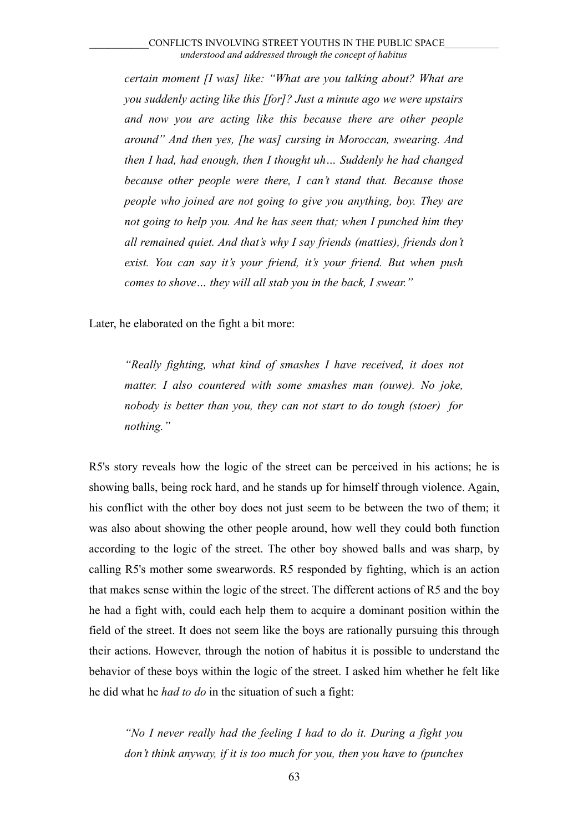*certain moment [I was] like: "What are you talking about? What are you suddenly acting like this [for]? Just a minute ago we were upstairs and now you are acting like this because there are other people around" And then yes, [he was] cursing in Moroccan, swearing. And then I had, had enough, then I thought uh… Suddenly he had changed because other people were there, I can't stand that. Because those people who joined are not going to give you anything, boy. They are not going to help you. And he has seen that; when I punched him they all remained quiet. And that's why I say friends (matties), friends don't exist. You can say it's your friend, it's your friend. But when push comes to shove… they will all stab you in the back, I swear."*

Later, he elaborated on the fight a bit more:

*"Really fighting, what kind of smashes I have received, it does not matter. I also countered with some smashes man (ouwe). No joke, nobody is better than you, they can not start to do tough (stoer) for nothing."*

R5's story reveals how the logic of the street can be perceived in his actions; he is showing balls, being rock hard, and he stands up for himself through violence. Again, his conflict with the other boy does not just seem to be between the two of them; it was also about showing the other people around, how well they could both function according to the logic of the street. The other boy showed balls and was sharp, by calling R5's mother some swearwords. R5 responded by fighting, which is an action that makes sense within the logic of the street. The different actions of R5 and the boy he had a fight with, could each help them to acquire a dominant position within the field of the street. It does not seem like the boys are rationally pursuing this through their actions. However, through the notion of habitus it is possible to understand the behavior of these boys within the logic of the street. I asked him whether he felt like he did what he *had to do* in the situation of such a fight:

*"No I never really had the feeling I had to do it. During a fight you don't think anyway, if it is too much for you, then you have to (punches*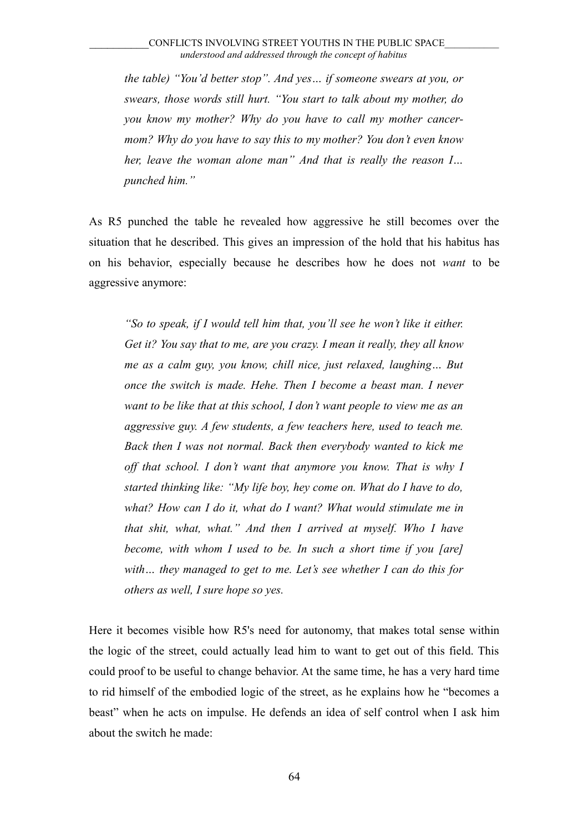*the table) "You'd better stop". And yes… if someone swears at you, or swears, those words still hurt. "You start to talk about my mother, do you know my mother? Why do you have to call my mother cancermom? Why do you have to say this to my mother? You don't even know her, leave the woman alone man" And that is really the reason I… punched him."*

As R5 punched the table he revealed how aggressive he still becomes over the situation that he described. This gives an impression of the hold that his habitus has on his behavior, especially because he describes how he does not *want* to be aggressive anymore:

*"So to speak, if I would tell him that, you'll see he won't like it either. Get it? You say that to me, are you crazy. I mean it really, they all know me as a calm guy, you know, chill nice, just relaxed, laughing… But once the switch is made. Hehe. Then I become a beast man. I never want to be like that at this school, I don't want people to view me as an aggressive guy. A few students, a few teachers here, used to teach me. Back then I was not normal. Back then everybody wanted to kick me off that school. I don't want that anymore you know. That is why I started thinking like: "My life boy, hey come on. What do I have to do, what? How can I do it, what do I want? What would stimulate me in that shit, what, what." And then I arrived at myself. Who I have become, with whom I used to be. In such a short time if you [are] with… they managed to get to me. Let's see whether I can do this for others as well, I sure hope so yes.* 

Here it becomes visible how R5's need for autonomy, that makes total sense within the logic of the street, could actually lead him to want to get out of this field. This could proof to be useful to change behavior. At the same time, he has a very hard time to rid himself of the embodied logic of the street, as he explains how he "becomes a beast" when he acts on impulse. He defends an idea of self control when I ask him about the switch he made: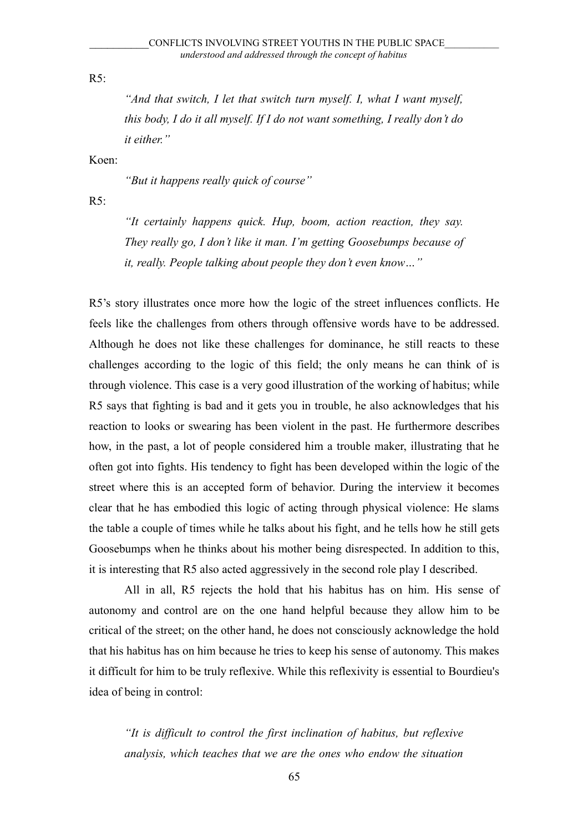R5:

*"And that switch, I let that switch turn myself. I, what I want myself, this body, I do it all myself. If I do not want something, I really don't do it either."*

Koen:

*"But it happens really quick of course"*

 $R5$ :

*"It certainly happens quick. Hup, boom, action reaction, they say. They really go, I don't like it man. I'm getting Goosebumps because of it, really. People talking about people they don't even know…"*

R5's story illustrates once more how the logic of the street influences conflicts. He feels like the challenges from others through offensive words have to be addressed. Although he does not like these challenges for dominance, he still reacts to these challenges according to the logic of this field; the only means he can think of is through violence. This case is a very good illustration of the working of habitus; while R5 says that fighting is bad and it gets you in trouble, he also acknowledges that his reaction to looks or swearing has been violent in the past. He furthermore describes how, in the past, a lot of people considered him a trouble maker, illustrating that he often got into fights. His tendency to fight has been developed within the logic of the street where this is an accepted form of behavior. During the interview it becomes clear that he has embodied this logic of acting through physical violence: He slams the table a couple of times while he talks about his fight, and he tells how he still gets Goosebumps when he thinks about his mother being disrespected. In addition to this, it is interesting that R5 also acted aggressively in the second role play I described.

All in all, R5 rejects the hold that his habitus has on him. His sense of autonomy and control are on the one hand helpful because they allow him to be critical of the street; on the other hand, he does not consciously acknowledge the hold that his habitus has on him because he tries to keep his sense of autonomy. This makes it difficult for him to be truly reflexive. While this reflexivity is essential to Bourdieu's idea of being in control:

*"It is difficult to control the first inclination of habitus, but reflexive analysis, which teaches that we are the ones who endow the situation*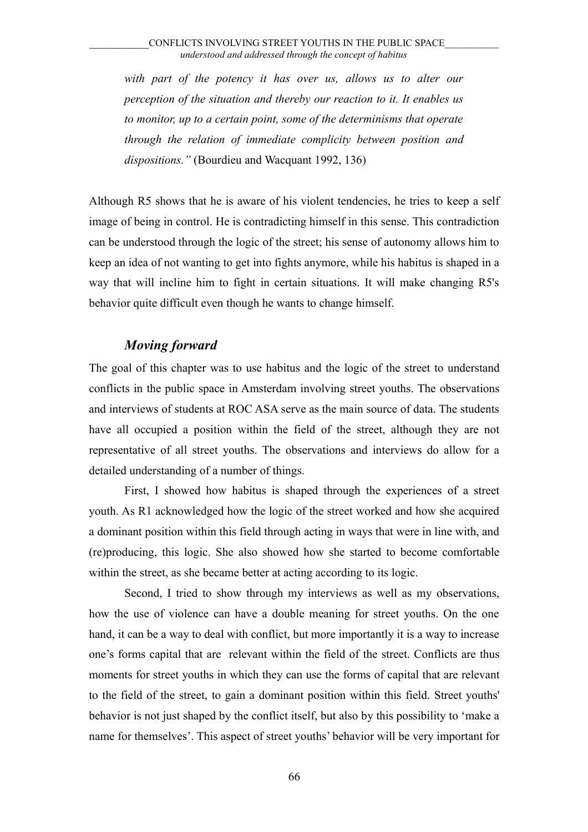*with part of the potency it has over us, allows us to alter our perception of the situation and thereby our reaction to it. It enables us to monitor, up to a certain point, some of the determinisms that operate through the relation of immediate complicity between position and dispositions."* (Bourdieu and Wacquant 1992, 136)

Although R5 shows that he is aware of his violent tendencies, he tries to keep a self image of being in control. He is contradicting himself in this sense. This contradiction can be understood through the logic of the street; his sense of autonomy allows him to keep an idea of not wanting to get into fights anymore, while his habitus is shaped in a way that will incline him to fight in certain situations. It will make changing R5's behavior quite difficult even though he wants to change himself.

# *Moving forward*

The goal of this chapter was to use habitus and the logic of the street to understand conflicts in the public space in Amsterdam involving street youths. The observations and interviews of students at ROC ASA serve as the main source of data. The students have all occupied a position within the field of the street, although they are not representative of all street youths. The observations and interviews do allow for a detailed understanding of a number of things.

First, I showed how habitus is shaped through the experiences of a street youth. As R1 acknowledged how the logic of the street worked and how she acquired a dominant position within this field through acting in ways that were in line with, and (re)producing, this logic. She also showed how she started to become comfortable within the street, as she became better at acting according to its logic.

Second, I tried to show through my interviews as well as my observations, how the use of violence can have a double meaning for street youths. On the one hand, it can be a way to deal with conflict, but more importantly it is a way to increase one's forms capital that are relevant within the field of the street. Conflicts are thus moments for street youths in which they can use the forms of capital that are relevant to the field of the street, to gain a dominant position within this field. Street youths' behavior is not just shaped by the conflict itself, but also by this possibility to 'make a name for themselves'. This aspect of street youths' behavior will be very important for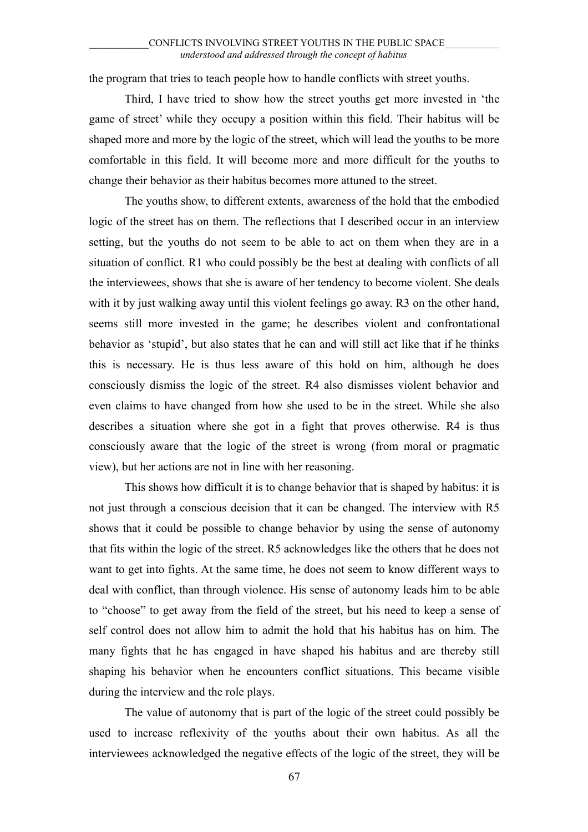the program that tries to teach people how to handle conflicts with street youths.

Third, I have tried to show how the street youths get more invested in 'the game of street' while they occupy a position within this field. Their habitus will be shaped more and more by the logic of the street, which will lead the youths to be more comfortable in this field. It will become more and more difficult for the youths to change their behavior as their habitus becomes more attuned to the street.

The youths show, to different extents, awareness of the hold that the embodied logic of the street has on them. The reflections that I described occur in an interview setting, but the youths do not seem to be able to act on them when they are in a situation of conflict. R1 who could possibly be the best at dealing with conflicts of all the interviewees, shows that she is aware of her tendency to become violent. She deals with it by just walking away until this violent feelings go away. R3 on the other hand, seems still more invested in the game; he describes violent and confrontational behavior as 'stupid', but also states that he can and will still act like that if he thinks this is necessary. He is thus less aware of this hold on him, although he does consciously dismiss the logic of the street. R4 also dismisses violent behavior and even claims to have changed from how she used to be in the street. While she also describes a situation where she got in a fight that proves otherwise. R4 is thus consciously aware that the logic of the street is wrong (from moral or pragmatic view), but her actions are not in line with her reasoning.

This shows how difficult it is to change behavior that is shaped by habitus: it is not just through a conscious decision that it can be changed. The interview with R5 shows that it could be possible to change behavior by using the sense of autonomy that fits within the logic of the street. R5 acknowledges like the others that he does not want to get into fights. At the same time, he does not seem to know different ways to deal with conflict, than through violence. His sense of autonomy leads him to be able to "choose" to get away from the field of the street, but his need to keep a sense of self control does not allow him to admit the hold that his habitus has on him. The many fights that he has engaged in have shaped his habitus and are thereby still shaping his behavior when he encounters conflict situations. This became visible during the interview and the role plays.

The value of autonomy that is part of the logic of the street could possibly be used to increase reflexivity of the youths about their own habitus. As all the interviewees acknowledged the negative effects of the logic of the street, they will be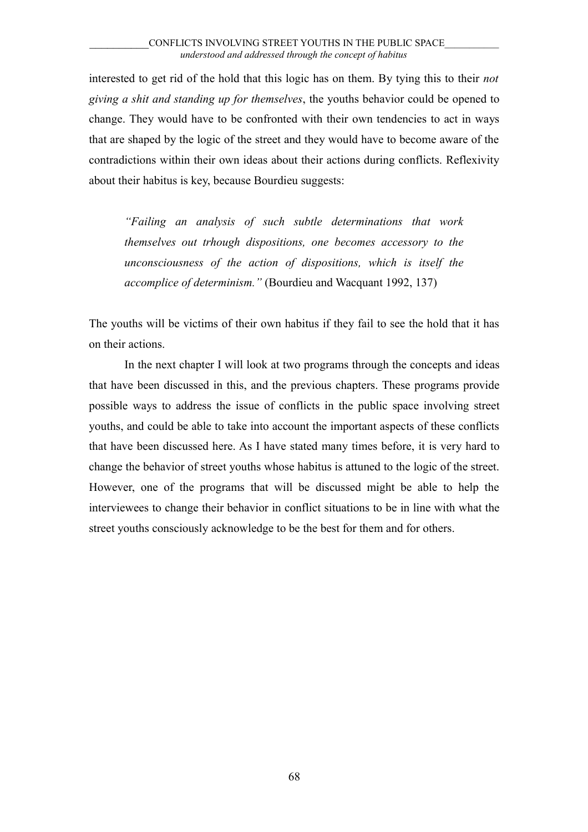interested to get rid of the hold that this logic has on them. By tying this to their *not giving a shit and standing up for themselves*, the youths behavior could be opened to change. They would have to be confronted with their own tendencies to act in ways that are shaped by the logic of the street and they would have to become aware of the contradictions within their own ideas about their actions during conflicts. Reflexivity about their habitus is key, because Bourdieu suggests:

*"Failing an analysis of such subtle determinations that work themselves out trhough dispositions, one becomes accessory to the unconsciousness of the action of dispositions, which is itself the accomplice of determinism."* (Bourdieu and Wacquant 1992, 137)

The youths will be victims of their own habitus if they fail to see the hold that it has on their actions.

In the next chapter I will look at two programs through the concepts and ideas that have been discussed in this, and the previous chapters. These programs provide possible ways to address the issue of conflicts in the public space involving street youths, and could be able to take into account the important aspects of these conflicts that have been discussed here. As I have stated many times before, it is very hard to change the behavior of street youths whose habitus is attuned to the logic of the street. However, one of the programs that will be discussed might be able to help the interviewees to change their behavior in conflict situations to be in line with what the street youths consciously acknowledge to be the best for them and for others.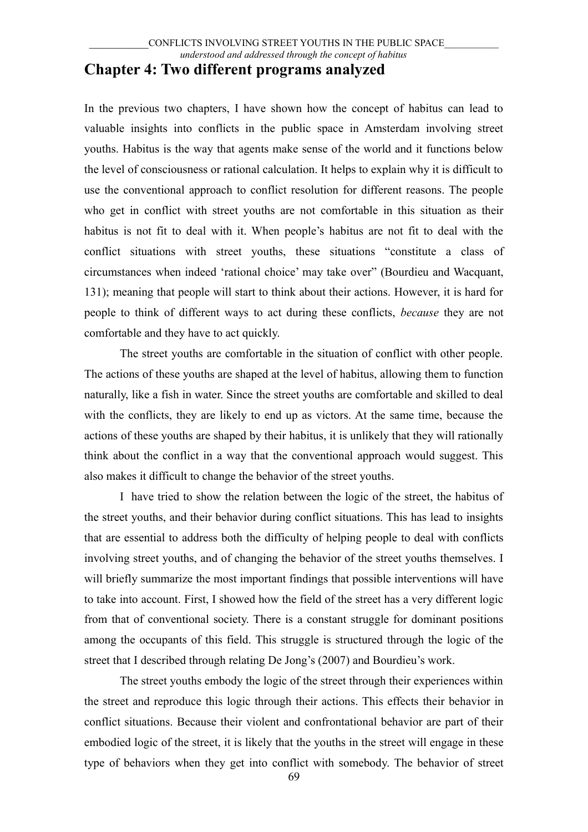In the previous two chapters, I have shown how the concept of habitus can lead to valuable insights into conflicts in the public space in Amsterdam involving street youths. Habitus is the way that agents make sense of the world and it functions below the level of consciousness or rational calculation. It helps to explain why it is difficult to use the conventional approach to conflict resolution for different reasons. The people who get in conflict with street youths are not comfortable in this situation as their habitus is not fit to deal with it. When people's habitus are not fit to deal with the conflict situations with street youths, these situations "constitute a class of circumstances when indeed 'rational choice' may take over" (Bourdieu and Wacquant, 131); meaning that people will start to think about their actions. However, it is hard for people to think of different ways to act during these conflicts, *because* they are not comfortable and they have to act quickly.

The street youths are comfortable in the situation of conflict with other people. The actions of these youths are shaped at the level of habitus, allowing them to function naturally, like a fish in water. Since the street youths are comfortable and skilled to deal with the conflicts, they are likely to end up as victors. At the same time, because the actions of these youths are shaped by their habitus, it is unlikely that they will rationally think about the conflict in a way that the conventional approach would suggest. This also makes it difficult to change the behavior of the street youths.

I have tried to show the relation between the logic of the street, the habitus of the street youths, and their behavior during conflict situations. This has lead to insights that are essential to address both the difficulty of helping people to deal with conflicts involving street youths, and of changing the behavior of the street youths themselves. I will briefly summarize the most important findings that possible interventions will have to take into account. First, I showed how the field of the street has a very different logic from that of conventional society. There is a constant struggle for dominant positions among the occupants of this field. This struggle is structured through the logic of the street that I described through relating De Jong's (2007) and Bourdieu's work.

The street youths embody the logic of the street through their experiences within the street and reproduce this logic through their actions. This effects their behavior in conflict situations. Because their violent and confrontational behavior are part of their embodied logic of the street, it is likely that the youths in the street will engage in these type of behaviors when they get into conflict with somebody. The behavior of street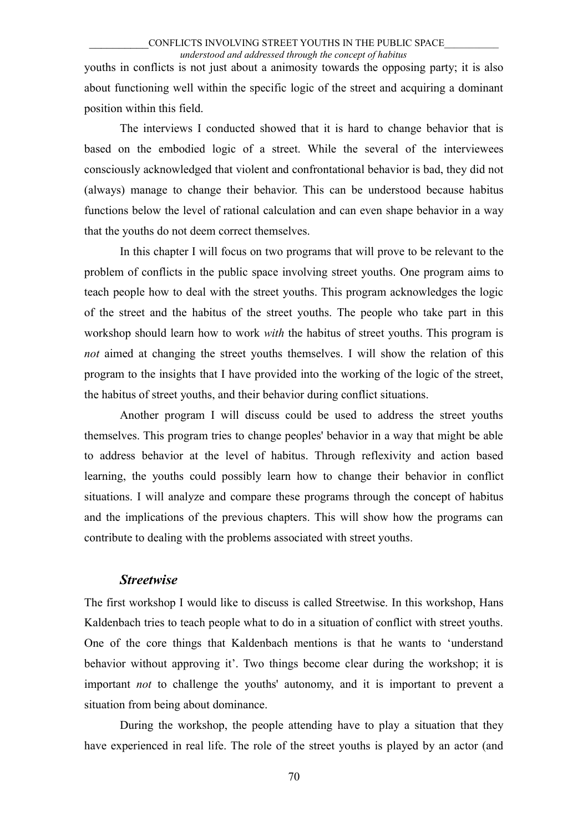#### \_\_\_\_\_\_\_\_\_\_CONFLICTS INVOLVING STREET YOUTHS IN THE PUBLIC SPACE\_\_\_\_\_\_\_\_\_\_\_ *understood and addressed through the concept of habitus*

youths in conflicts is not just about a animosity towards the opposing party; it is also about functioning well within the specific logic of the street and acquiring a dominant position within this field.

The interviews I conducted showed that it is hard to change behavior that is based on the embodied logic of a street. While the several of the interviewees consciously acknowledged that violent and confrontational behavior is bad, they did not (always) manage to change their behavior. This can be understood because habitus functions below the level of rational calculation and can even shape behavior in a way that the youths do not deem correct themselves.

In this chapter I will focus on two programs that will prove to be relevant to the problem of conflicts in the public space involving street youths. One program aims to teach people how to deal with the street youths. This program acknowledges the logic of the street and the habitus of the street youths. The people who take part in this workshop should learn how to work *with* the habitus of street youths. This program is *not* aimed at changing the street youths themselves. I will show the relation of this program to the insights that I have provided into the working of the logic of the street, the habitus of street youths, and their behavior during conflict situations.

Another program I will discuss could be used to address the street youths themselves. This program tries to change peoples' behavior in a way that might be able to address behavior at the level of habitus. Through reflexivity and action based learning, the youths could possibly learn how to change their behavior in conflict situations. I will analyze and compare these programs through the concept of habitus and the implications of the previous chapters. This will show how the programs can contribute to dealing with the problems associated with street youths.

### *Streetwise*

The first workshop I would like to discuss is called Streetwise. In this workshop, Hans Kaldenbach tries to teach people what to do in a situation of conflict with street youths. One of the core things that Kaldenbach mentions is that he wants to 'understand behavior without approving it'. Two things become clear during the workshop; it is important *not* to challenge the youths' autonomy, and it is important to prevent a situation from being about dominance.

During the workshop, the people attending have to play a situation that they have experienced in real life. The role of the street youths is played by an actor (and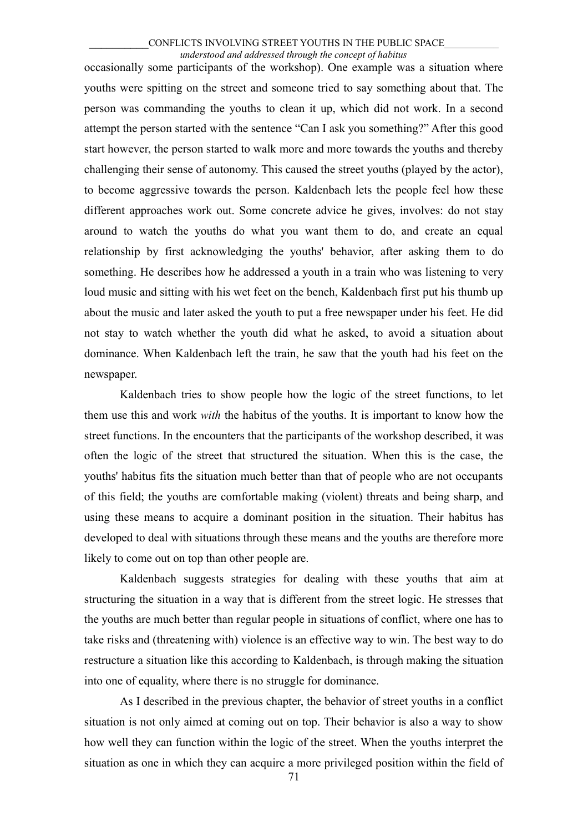#### \_\_\_\_\_\_\_\_\_\_CONFLICTS INVOLVING STREET YOUTHS IN THE PUBLIC SPACE\_\_\_\_\_\_\_\_\_\_\_ *understood and addressed through the concept of habitus*

occasionally some participants of the workshop). One example was a situation where youths were spitting on the street and someone tried to say something about that. The person was commanding the youths to clean it up, which did not work. In a second attempt the person started with the sentence "Can I ask you something?" After this good start however, the person started to walk more and more towards the youths and thereby challenging their sense of autonomy. This caused the street youths (played by the actor), to become aggressive towards the person. Kaldenbach lets the people feel how these different approaches work out. Some concrete advice he gives, involves: do not stay around to watch the youths do what you want them to do, and create an equal relationship by first acknowledging the youths' behavior, after asking them to do something. He describes how he addressed a youth in a train who was listening to very loud music and sitting with his wet feet on the bench, Kaldenbach first put his thumb up about the music and later asked the youth to put a free newspaper under his feet. He did not stay to watch whether the youth did what he asked, to avoid a situation about dominance. When Kaldenbach left the train, he saw that the youth had his feet on the newspaper.

Kaldenbach tries to show people how the logic of the street functions, to let them use this and work *with* the habitus of the youths. It is important to know how the street functions. In the encounters that the participants of the workshop described, it was often the logic of the street that structured the situation. When this is the case, the youths' habitus fits the situation much better than that of people who are not occupants of this field; the youths are comfortable making (violent) threats and being sharp, and using these means to acquire a dominant position in the situation. Their habitus has developed to deal with situations through these means and the youths are therefore more likely to come out on top than other people are.

Kaldenbach suggests strategies for dealing with these youths that aim at structuring the situation in a way that is different from the street logic. He stresses that the youths are much better than regular people in situations of conflict, where one has to take risks and (threatening with) violence is an effective way to win. The best way to do restructure a situation like this according to Kaldenbach, is through making the situation into one of equality, where there is no struggle for dominance.

As I described in the previous chapter, the behavior of street youths in a conflict situation is not only aimed at coming out on top. Their behavior is also a way to show how well they can function within the logic of the street. When the youths interpret the situation as one in which they can acquire a more privileged position within the field of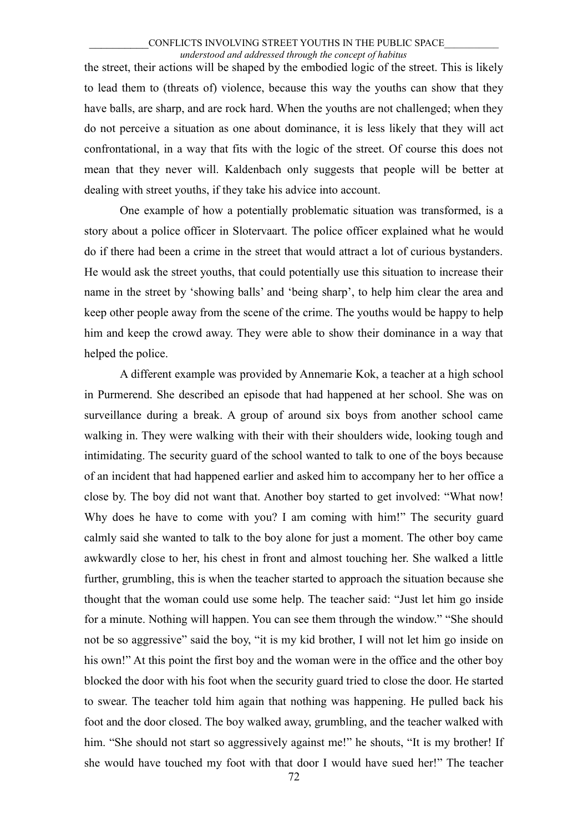#### \_\_\_\_\_\_\_\_\_\_CONFLICTS INVOLVING STREET YOUTHS IN THE PUBLIC SPACE\_\_\_\_\_\_\_\_\_\_\_ *understood and addressed through the concept of habitus*

the street, their actions will be shaped by the embodied logic of the street. This is likely to lead them to (threats of) violence, because this way the youths can show that they have balls, are sharp, and are rock hard. When the youths are not challenged; when they do not perceive a situation as one about dominance, it is less likely that they will act confrontational, in a way that fits with the logic of the street. Of course this does not mean that they never will. Kaldenbach only suggests that people will be better at dealing with street youths, if they take his advice into account.

One example of how a potentially problematic situation was transformed, is a story about a police officer in Slotervaart. The police officer explained what he would do if there had been a crime in the street that would attract a lot of curious bystanders. He would ask the street youths, that could potentially use this situation to increase their name in the street by 'showing balls' and 'being sharp', to help him clear the area and keep other people away from the scene of the crime. The youths would be happy to help him and keep the crowd away. They were able to show their dominance in a way that helped the police.

A different example was provided by Annemarie Kok, a teacher at a high school in Purmerend. She described an episode that had happened at her school. She was on surveillance during a break. A group of around six boys from another school came walking in. They were walking with their with their shoulders wide, looking tough and intimidating. The security guard of the school wanted to talk to one of the boys because of an incident that had happened earlier and asked him to accompany her to her office a close by. The boy did not want that. Another boy started to get involved: "What now! Why does he have to come with you? I am coming with him!" The security guard calmly said she wanted to talk to the boy alone for just a moment. The other boy came awkwardly close to her, his chest in front and almost touching her. She walked a little further, grumbling, this is when the teacher started to approach the situation because she thought that the woman could use some help. The teacher said: "Just let him go inside for a minute. Nothing will happen. You can see them through the window." "She should not be so aggressive" said the boy, "it is my kid brother, I will not let him go inside on his own!" At this point the first boy and the woman were in the office and the other boy blocked the door with his foot when the security guard tried to close the door. He started to swear. The teacher told him again that nothing was happening. He pulled back his foot and the door closed. The boy walked away, grumbling, and the teacher walked with him. "She should not start so aggressively against me!" he shouts, "It is my brother! If she would have touched my foot with that door I would have sued her!" The teacher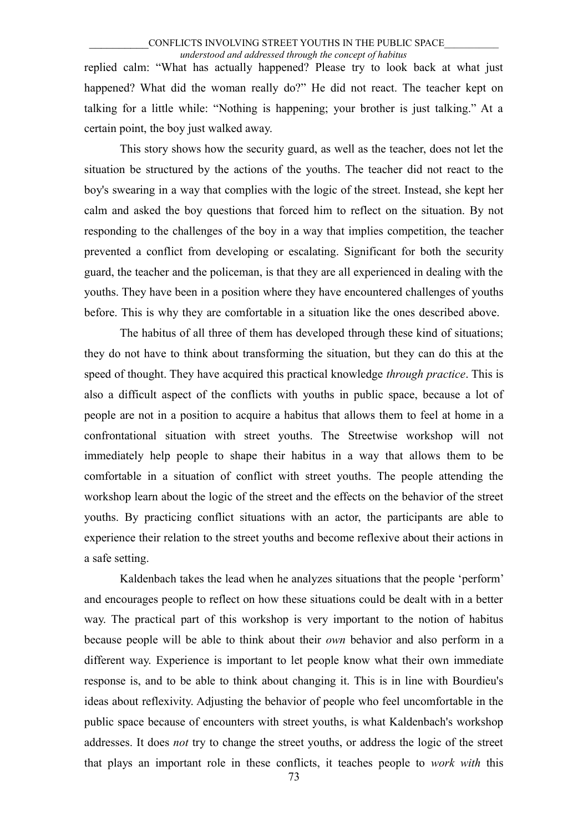replied calm: "What has actually happened? Please try to look back at what just happened? What did the woman really do?" He did not react. The teacher kept on talking for a little while: "Nothing is happening; your brother is just talking." At a certain point, the boy just walked away.

This story shows how the security guard, as well as the teacher, does not let the situation be structured by the actions of the youths. The teacher did not react to the boy's swearing in a way that complies with the logic of the street. Instead, she kept her calm and asked the boy questions that forced him to reflect on the situation. By not responding to the challenges of the boy in a way that implies competition, the teacher prevented a conflict from developing or escalating. Significant for both the security guard, the teacher and the policeman, is that they are all experienced in dealing with the youths. They have been in a position where they have encountered challenges of youths before. This is why they are comfortable in a situation like the ones described above.

The habitus of all three of them has developed through these kind of situations; they do not have to think about transforming the situation, but they can do this at the speed of thought. They have acquired this practical knowledge *through practice*. This is also a difficult aspect of the conflicts with youths in public space, because a lot of people are not in a position to acquire a habitus that allows them to feel at home in a confrontational situation with street youths. The Streetwise workshop will not immediately help people to shape their habitus in a way that allows them to be comfortable in a situation of conflict with street youths. The people attending the workshop learn about the logic of the street and the effects on the behavior of the street youths. By practicing conflict situations with an actor, the participants are able to experience their relation to the street youths and become reflexive about their actions in a safe setting.

Kaldenbach takes the lead when he analyzes situations that the people 'perform' and encourages people to reflect on how these situations could be dealt with in a better way. The practical part of this workshop is very important to the notion of habitus because people will be able to think about their *own* behavior and also perform in a different way. Experience is important to let people know what their own immediate response is, and to be able to think about changing it. This is in line with Bourdieu's ideas about reflexivity. Adjusting the behavior of people who feel uncomfortable in the public space because of encounters with street youths, is what Kaldenbach's workshop addresses. It does *not* try to change the street youths, or address the logic of the street that plays an important role in these conflicts, it teaches people to *work with* this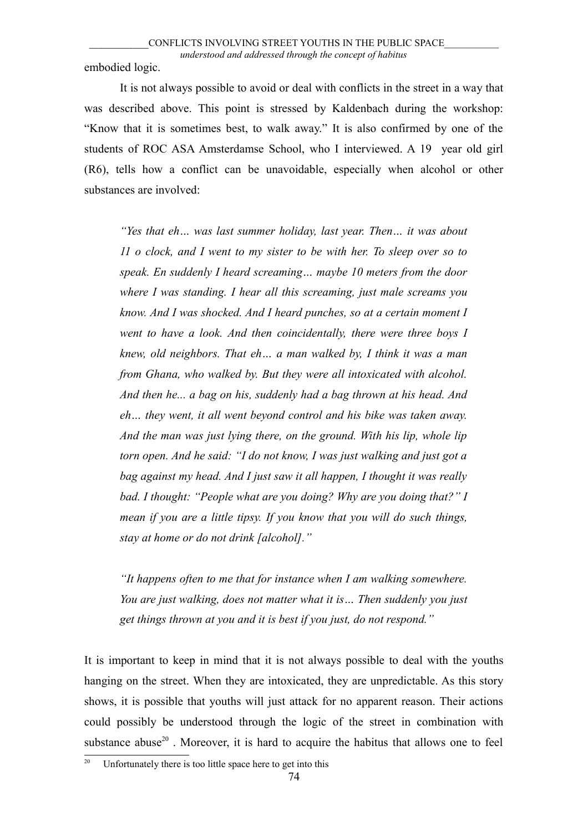embodied logic.

It is not always possible to avoid or deal with conflicts in the street in a way that was described above. This point is stressed by Kaldenbach during the workshop: "Know that it is sometimes best, to walk away." It is also confirmed by one of the students of ROC ASA Amsterdamse School, who I interviewed. A 19 year old girl (R6), tells how a conflict can be unavoidable, especially when alcohol or other substances are involved:

*"Yes that eh… was last summer holiday, last year. Then… it was about 11 o clock, and I went to my sister to be with her. To sleep over so to speak. En suddenly I heard screaming… maybe 10 meters from the door where I was standing. I hear all this screaming, just male screams you know. And I was shocked. And I heard punches, so at a certain moment I went to have a look. And then coincidentally, there were three boys I knew, old neighbors. That eh… a man walked by, I think it was a man from Ghana, who walked by. But they were all intoxicated with alcohol. And then he... a bag on his, suddenly had a bag thrown at his head. And eh… they went, it all went beyond control and his bike was taken away. And the man was just lying there, on the ground. With his lip, whole lip torn open. And he said: "I do not know, I was just walking and just got a bag against my head. And I just saw it all happen, I thought it was really bad. I thought: "People what are you doing? Why are you doing that?" I mean if you are a little tipsy. If you know that you will do such things, stay at home or do not drink [alcohol]."* 

*"It happens often to me that for instance when I am walking somewhere. You are just walking, does not matter what it is… Then suddenly you just get things thrown at you and it is best if you just, do not respond."*

It is important to keep in mind that it is not always possible to deal with the youths hanging on the street. When they are intoxicated, they are unpredictable. As this story shows, it is possible that youths will just attack for no apparent reason. Their actions could possibly be understood through the logic of the street in combination with substance abuse<sup>[20](#page-73-0)</sup>. Moreover, it is hard to acquire the habitus that allows one to feel

<span id="page-73-0"></span><sup>&</sup>lt;sup>20</sup> Unfortunately there is too little space here to get into this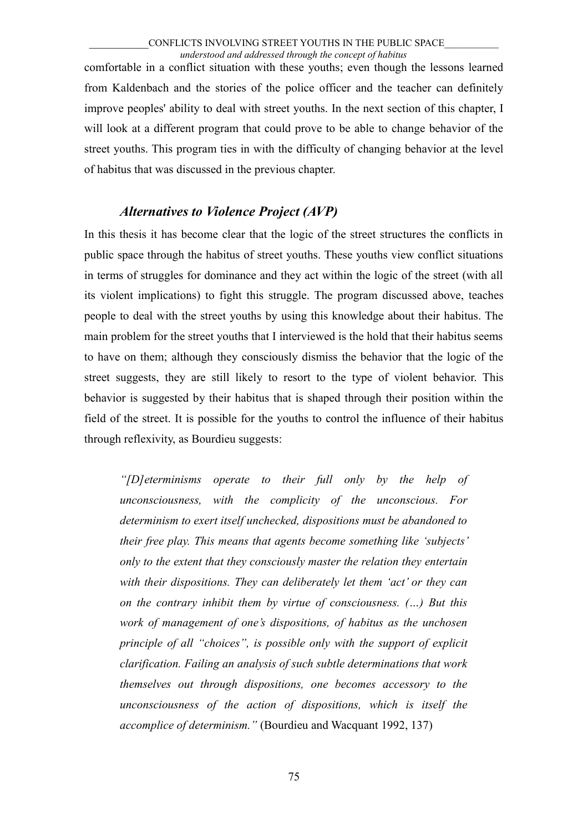comfortable in a conflict situation with these youths; even though the lessons learned from Kaldenbach and the stories of the police officer and the teacher can definitely improve peoples' ability to deal with street youths. In the next section of this chapter, I will look at a different program that could prove to be able to change behavior of the street youths. This program ties in with the difficulty of changing behavior at the level of habitus that was discussed in the previous chapter.

# *Alternatives to Violence Project (AVP)*

In this thesis it has become clear that the logic of the street structures the conflicts in public space through the habitus of street youths. These youths view conflict situations in terms of struggles for dominance and they act within the logic of the street (with all its violent implications) to fight this struggle. The program discussed above, teaches people to deal with the street youths by using this knowledge about their habitus. The main problem for the street youths that I interviewed is the hold that their habitus seems to have on them; although they consciously dismiss the behavior that the logic of the street suggests, they are still likely to resort to the type of violent behavior. This behavior is suggested by their habitus that is shaped through their position within the field of the street. It is possible for the youths to control the influence of their habitus through reflexivity, as Bourdieu suggests:

*"[D]eterminisms operate to their full only by the help of unconsciousness, with the complicity of the unconscious. For determinism to exert itself unchecked, dispositions must be abandoned to their free play. This means that agents become something like 'subjects' only to the extent that they consciously master the relation they entertain with their dispositions. They can deliberately let them 'act' or they can on the contrary inhibit them by virtue of consciousness. (…) But this work of management of one's dispositions, of habitus as the unchosen principle of all "choices", is possible only with the support of explicit clarification. Failing an analysis of such subtle determinations that work themselves out through dispositions, one becomes accessory to the unconsciousness of the action of dispositions, which is itself the accomplice of determinism."* (Bourdieu and Wacquant 1992, 137)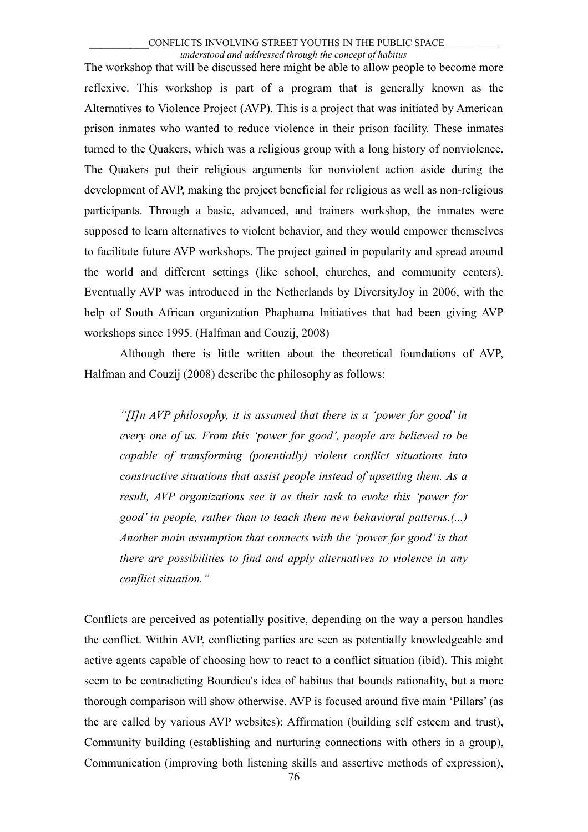The workshop that will be discussed here might be able to allow people to become more reflexive. This workshop is part of a program that is generally known as the Alternatives to Violence Project (AVP). This is a project that was initiated by American prison inmates who wanted to reduce violence in their prison facility. These inmates turned to the Quakers, which was a religious group with a long history of nonviolence. The Quakers put their religious arguments for nonviolent action aside during the development of AVP, making the project beneficial for religious as well as non-religious participants. Through a basic, advanced, and trainers workshop, the inmates were supposed to learn alternatives to violent behavior, and they would empower themselves to facilitate future AVP workshops. The project gained in popularity and spread around the world and different settings (like school, churches, and community centers). Eventually AVP was introduced in the Netherlands by DiversityJoy in 2006, with the help of South African organization Phaphama Initiatives that had been giving AVP workshops since 1995. (Halfman and Couzij, 2008)

Although there is little written about the theoretical foundations of AVP, Halfman and Couzij (2008) describe the philosophy as follows:

*"[I]n AVP philosophy, it is assumed that there is a 'power for good' in every one of us. From this 'power for good', people are believed to be capable of transforming (potentially) violent conflict situations into constructive situations that assist people instead of upsetting them. As a result, AVP organizations see it as their task to evoke this 'power for good' in people, rather than to teach them new behavioral patterns.(...) Another main assumption that connects with the 'power for good' is that there are possibilities to find and apply alternatives to violence in any conflict situation."*

Conflicts are perceived as potentially positive, depending on the way a person handles the conflict. Within AVP, conflicting parties are seen as potentially knowledgeable and active agents capable of choosing how to react to a conflict situation (ibid). This might seem to be contradicting Bourdieu's idea of habitus that bounds rationality, but a more thorough comparison will show otherwise. AVP is focused around five main 'Pillars' (as the are called by various AVP websites): Affirmation (building self esteem and trust), Community building (establishing and nurturing connections with others in a group), Communication (improving both listening skills and assertive methods of expression),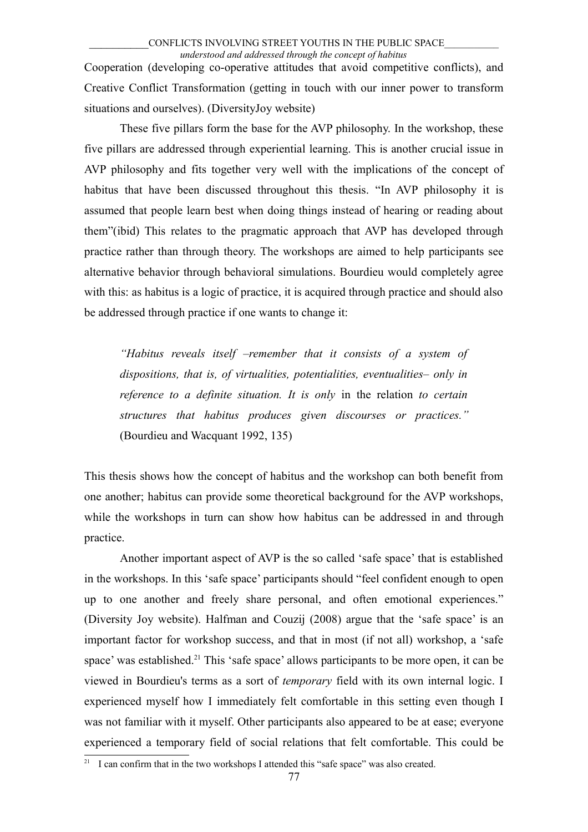Cooperation (developing co-operative attitudes that avoid competitive conflicts), and Creative Conflict Transformation (getting in touch with our inner power to transform situations and ourselves). (DiversityJoy website)

These five pillars form the base for the AVP philosophy. In the workshop, these five pillars are addressed through experiential learning. This is another crucial issue in AVP philosophy and fits together very well with the implications of the concept of habitus that have been discussed throughout this thesis. "In AVP philosophy it is assumed that people learn best when doing things instead of hearing or reading about them"(ibid) This relates to the pragmatic approach that AVP has developed through practice rather than through theory. The workshops are aimed to help participants see alternative behavior through behavioral simulations. Bourdieu would completely agree with this: as habitus is a logic of practice, it is acquired through practice and should also be addressed through practice if one wants to change it:

*"Habitus reveals itself –remember that it consists of a system of dispositions, that is, of virtualities, potentialities, eventualities– only in reference to a definite situation. It is only* in the relation *to certain structures that habitus produces given discourses or practices."* (Bourdieu and Wacquant 1992, 135)

This thesis shows how the concept of habitus and the workshop can both benefit from one another; habitus can provide some theoretical background for the AVP workshops, while the workshops in turn can show how habitus can be addressed in and through practice.

Another important aspect of AVP is the so called 'safe space' that is established in the workshops. In this 'safe space' participants should "feel confident enough to open up to one another and freely share personal, and often emotional experiences." (Diversity Joy website). Halfman and Couzij (2008) argue that the 'safe space' is an important factor for workshop success, and that in most (if not all) workshop, a 'safe space' was established.<sup>[21](#page-76-0)</sup> This 'safe space' allows participants to be more open, it can be viewed in Bourdieu's terms as a sort of *temporary* field with its own internal logic. I experienced myself how I immediately felt comfortable in this setting even though I was not familiar with it myself. Other participants also appeared to be at ease; everyone experienced a temporary field of social relations that felt comfortable. This could be

<span id="page-76-0"></span><sup>&</sup>lt;sup>21</sup> I can confirm that in the two workshops I attended this "safe space" was also created.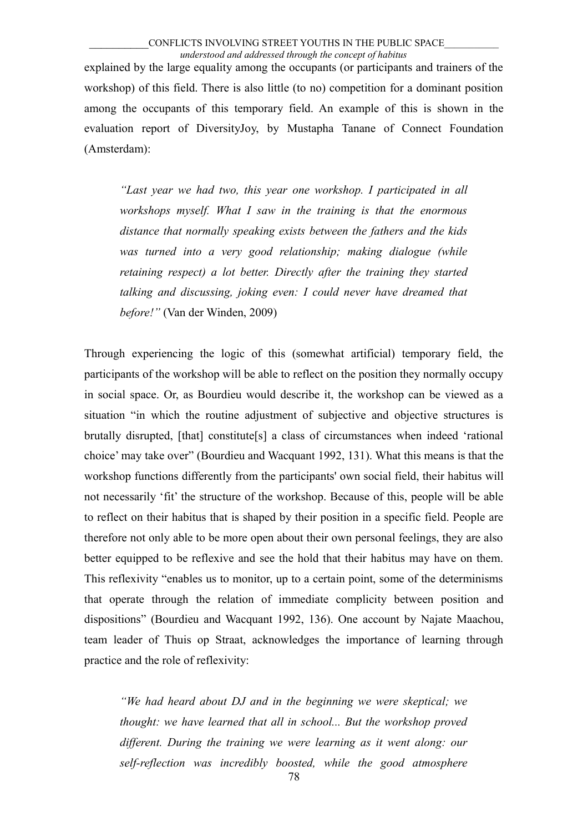explained by the large equality among the occupants (or participants and trainers of the workshop) of this field. There is also little (to no) competition for a dominant position among the occupants of this temporary field. An example of this is shown in the evaluation report of DiversityJoy, by Mustapha Tanane of Connect Foundation (Amsterdam):

*"Last year we had two, this year one workshop. I participated in all workshops myself. What I saw in the training is that the enormous distance that normally speaking exists between the fathers and the kids was turned into a very good relationship; making dialogue (while retaining respect) a lot better. Directly after the training they started talking and discussing, joking even: I could never have dreamed that before!"* (Van der Winden, 2009)

Through experiencing the logic of this (somewhat artificial) temporary field, the participants of the workshop will be able to reflect on the position they normally occupy in social space. Or, as Bourdieu would describe it, the workshop can be viewed as a situation "in which the routine adjustment of subjective and objective structures is brutally disrupted, [that] constitute[s] a class of circumstances when indeed 'rational choice' may take over" (Bourdieu and Wacquant 1992, 131). What this means is that the workshop functions differently from the participants' own social field, their habitus will not necessarily 'fit' the structure of the workshop. Because of this, people will be able to reflect on their habitus that is shaped by their position in a specific field. People are therefore not only able to be more open about their own personal feelings, they are also better equipped to be reflexive and see the hold that their habitus may have on them. This reflexivity "enables us to monitor, up to a certain point, some of the determinisms that operate through the relation of immediate complicity between position and dispositions" (Bourdieu and Wacquant 1992, 136). One account by Najate Maachou, team leader of Thuis op Straat, acknowledges the importance of learning through practice and the role of reflexivity:

*"We had heard about DJ and in the beginning we were skeptical; we thought: we have learned that all in school... But the workshop proved different. During the training we were learning as it went along: our self-reflection was incredibly boosted, while the good atmosphere*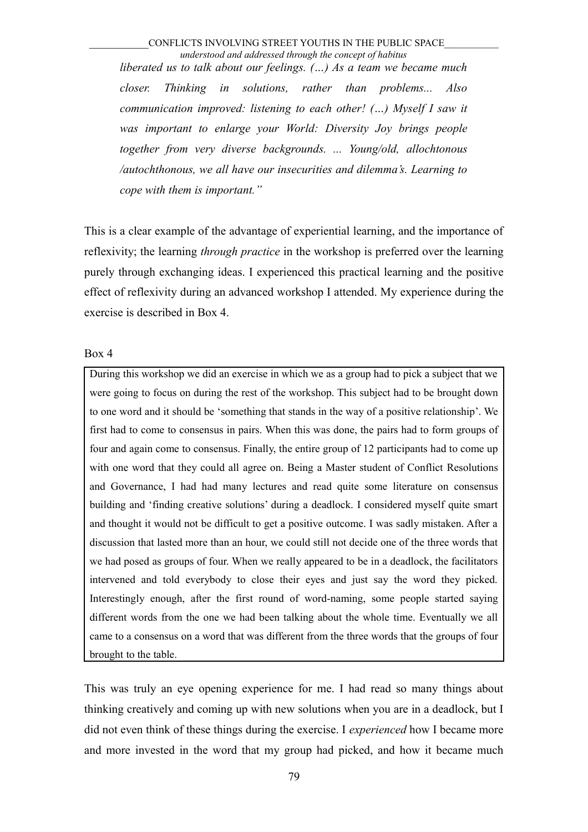*liberated us to talk about our feelings. (…) As a team we became much closer. Thinking in solutions, rather than problems... Also communication improved: listening to each other! (…) Myself I saw it was important to enlarge your World: Diversity Joy brings people together from very diverse backgrounds. ... Young/old, allochtonous /autochthonous, we all have our insecurities and dilemma's. Learning to cope with them is important."*

This is a clear example of the advantage of experiential learning, and the importance of reflexivity; the learning *through practice* in the workshop is preferred over the learning purely through exchanging ideas. I experienced this practical learning and the positive effect of reflexivity during an advanced workshop I attended. My experience during the exercise is described in Box 4.

Box 4

During this workshop we did an exercise in which we as a group had to pick a subject that we were going to focus on during the rest of the workshop. This subject had to be brought down to one word and it should be 'something that stands in the way of a positive relationship'. We first had to come to consensus in pairs. When this was done, the pairs had to form groups of four and again come to consensus. Finally, the entire group of 12 participants had to come up with one word that they could all agree on. Being a Master student of Conflict Resolutions and Governance, I had had many lectures and read quite some literature on consensus building and 'finding creative solutions' during a deadlock. I considered myself quite smart and thought it would not be difficult to get a positive outcome. I was sadly mistaken. After a discussion that lasted more than an hour, we could still not decide one of the three words that we had posed as groups of four. When we really appeared to be in a deadlock, the facilitators intervened and told everybody to close their eyes and just say the word they picked. Interestingly enough, after the first round of word-naming, some people started saying different words from the one we had been talking about the whole time. Eventually we all came to a consensus on a word that was different from the three words that the groups of four brought to the table.

This was truly an eye opening experience for me. I had read so many things about thinking creatively and coming up with new solutions when you are in a deadlock, but I did not even think of these things during the exercise. I *experienced* how I became more and more invested in the word that my group had picked, and how it became much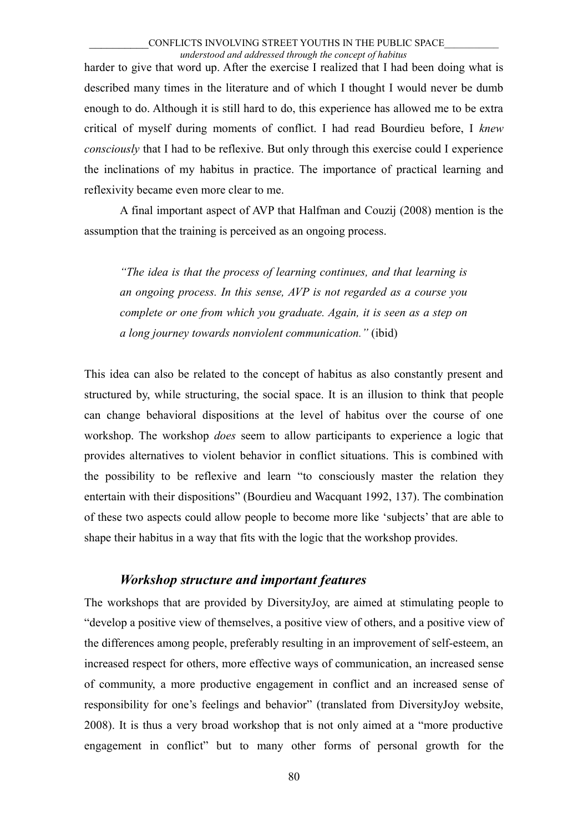harder to give that word up. After the exercise I realized that I had been doing what is described many times in the literature and of which I thought I would never be dumb enough to do. Although it is still hard to do, this experience has allowed me to be extra critical of myself during moments of conflict. I had read Bourdieu before, I *knew consciously* that I had to be reflexive. But only through this exercise could I experience the inclinations of my habitus in practice. The importance of practical learning and reflexivity became even more clear to me.

A final important aspect of AVP that Halfman and Couzij (2008) mention is the assumption that the training is perceived as an ongoing process.

*"The idea is that the process of learning continues, and that learning is an ongoing process. In this sense, AVP is not regarded as a course you complete or one from which you graduate. Again, it is seen as a step on a long journey towards nonviolent communication."* (ibid)

This idea can also be related to the concept of habitus as also constantly present and structured by, while structuring, the social space. It is an illusion to think that people can change behavioral dispositions at the level of habitus over the course of one workshop. The workshop *does* seem to allow participants to experience a logic that provides alternatives to violent behavior in conflict situations. This is combined with the possibility to be reflexive and learn "to consciously master the relation they entertain with their dispositions" (Bourdieu and Wacquant 1992, 137). The combination of these two aspects could allow people to become more like 'subjects' that are able to shape their habitus in a way that fits with the logic that the workshop provides.

### *Workshop structure and important features*

The workshops that are provided by DiversityJoy, are aimed at stimulating people to "develop a positive view of themselves, a positive view of others, and a positive view of the differences among people, preferably resulting in an improvement of self-esteem, an increased respect for others, more effective ways of communication, an increased sense of community, a more productive engagement in conflict and an increased sense of responsibility for one's feelings and behavior" (translated from DiversityJoy website, 2008). It is thus a very broad workshop that is not only aimed at a "more productive engagement in conflict" but to many other forms of personal growth for the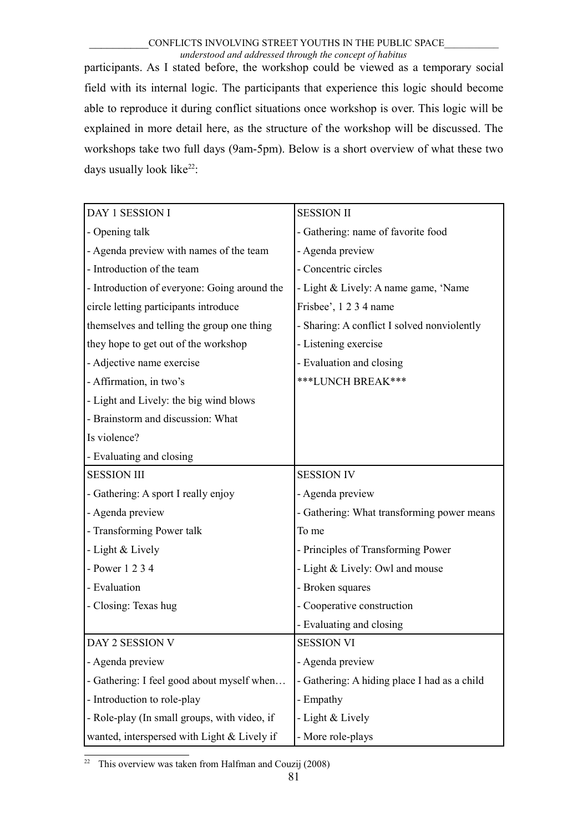participants. As I stated before, the workshop could be viewed as a temporary social field with its internal logic. The participants that experience this logic should become able to reproduce it during conflict situations once workshop is over. This logic will be explained in more detail here, as the structure of the workshop will be discussed. The workshops take two full days (9am-5pm). Below is a short overview of what these two days usually look like $22$ :

| DAY 1 SESSION I                              | <b>SESSION II</b>                            |
|----------------------------------------------|----------------------------------------------|
| - Opening talk                               | - Gathering: name of favorite food           |
| - Agenda preview with names of the team      | - Agenda preview                             |
| - Introduction of the team                   | - Concentric circles                         |
| - Introduction of everyone: Going around the | - Light & Lively: A name game, 'Name         |
| circle letting participants introduce        | Frisbee', 1 2 3 4 name                       |
| themselves and telling the group one thing   | - Sharing: A conflict I solved nonviolently  |
| they hope to get out of the workshop         | - Listening exercise                         |
| - Adjective name exercise                    | - Evaluation and closing                     |
| - Affirmation, in two's                      | ***LUNCH BREAK***                            |
| - Light and Lively: the big wind blows       |                                              |
| - Brainstorm and discussion: What            |                                              |
| Is violence?                                 |                                              |
| - Evaluating and closing                     |                                              |
| <b>SESSION III</b>                           | <b>SESSION IV</b>                            |
| - Gathering: A sport I really enjoy          | - Agenda preview                             |
| - Agenda preview                             | - Gathering: What transforming power means   |
| - Transforming Power talk                    | To me                                        |
| - Light & Lively                             | - Principles of Transforming Power           |
| - Power 1 2 3 4                              | - Light & Lively: Owl and mouse              |
| - Evaluation                                 | - Broken squares                             |
| - Closing: Texas hug                         | - Cooperative construction                   |
|                                              | - Evaluating and closing                     |
| DAY 2 SESSION V                              | <b>SESSION VI</b>                            |
| - Agenda preview                             | - Agenda preview                             |
| - Gathering: I feel good about myself when   | - Gathering: A hiding place I had as a child |
| - Introduction to role-play                  | - Empathy                                    |
| - Role-play (In small groups, with video, if | - Light & Lively                             |
| wanted, interspersed with Light & Lively if  | - More role-plays                            |

<span id="page-80-0"></span><sup>22</sup> This overview was taken from Halfman and Couzij (2008)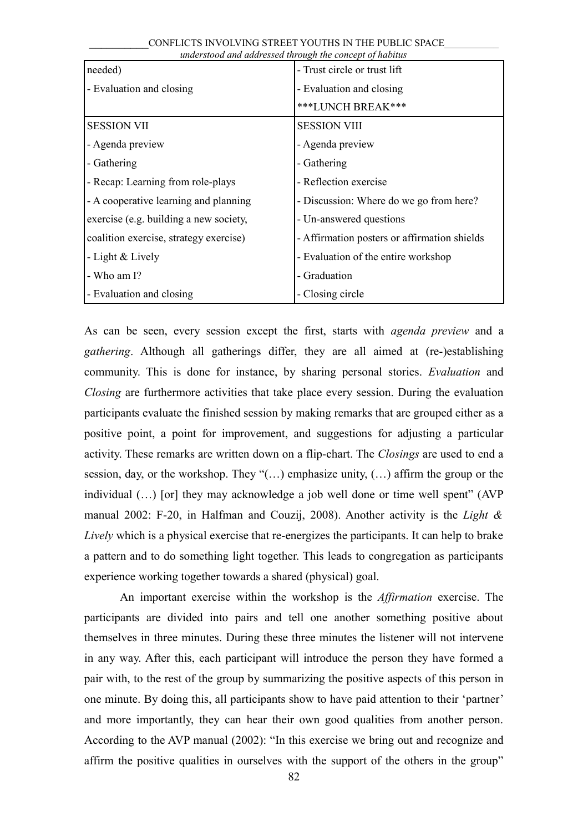| needed)                                | - Trust circle or trust lift                 |
|----------------------------------------|----------------------------------------------|
| - Evaluation and closing               | - Evaluation and closing                     |
|                                        | ***LUNCH BREAK***                            |
| <b>SESSION VII</b>                     | <b>SESSION VIII</b>                          |
| - Agenda preview                       | - Agenda preview                             |
| - Gathering                            | - Gathering                                  |
| - Recap: Learning from role-plays      | - Reflection exercise                        |
| - A cooperative learning and planning  | - Discussion: Where do we go from here?      |
| exercise (e.g. building a new society, | - Un-answered questions                      |
| coalition exercise, strategy exercise) | - Affirmation posters or affirmation shields |
| - Light & Lively                       | - Evaluation of the entire workshop          |
| - Who am I?                            | - Graduation                                 |
| - Evaluation and closing               | - Closing circle                             |

As can be seen, every session except the first, starts with *agenda preview* and a *gathering*. Although all gatherings differ, they are all aimed at (re-)establishing community. This is done for instance, by sharing personal stories. *Evaluation* and *Closing* are furthermore activities that take place every session. During the evaluation participants evaluate the finished session by making remarks that are grouped either as a positive point, a point for improvement, and suggestions for adjusting a particular activity. These remarks are written down on a flip-chart. The *Closings* are used to end a session, day, or the workshop. They "(…) emphasize unity, (…) affirm the group or the individual (…) [or] they may acknowledge a job well done or time well spent" (AVP manual 2002: F-20, in Halfman and Couzij, 2008). Another activity is the *Light & Lively* which is a physical exercise that re-energizes the participants. It can help to brake a pattern and to do something light together. This leads to congregation as participants experience working together towards a shared (physical) goal.

An important exercise within the workshop is the *Affirmation* exercise. The participants are divided into pairs and tell one another something positive about themselves in three minutes. During these three minutes the listener will not intervene in any way. After this, each participant will introduce the person they have formed a pair with, to the rest of the group by summarizing the positive aspects of this person in one minute. By doing this, all participants show to have paid attention to their 'partner' and more importantly, they can hear their own good qualities from another person. According to the AVP manual (2002): "In this exercise we bring out and recognize and affirm the positive qualities in ourselves with the support of the others in the group"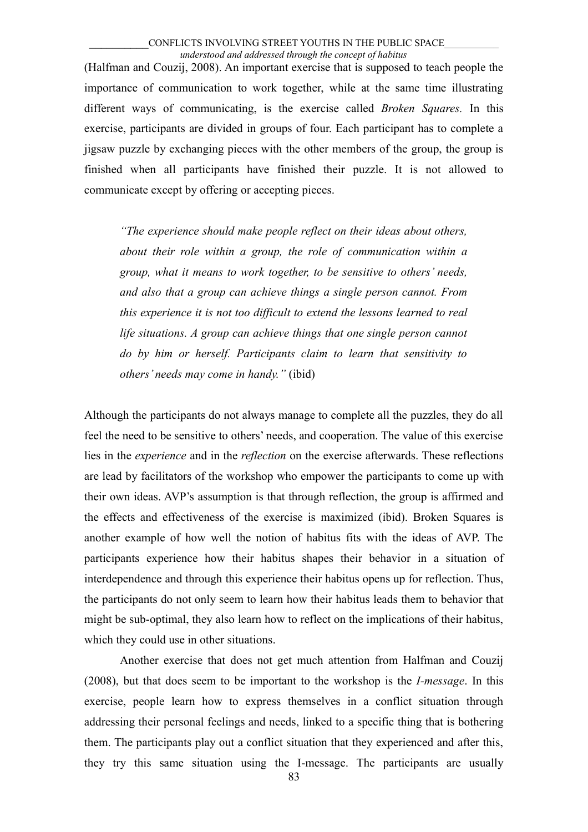(Halfman and Couzij, 2008). An important exercise that is supposed to teach people the importance of communication to work together, while at the same time illustrating different ways of communicating, is the exercise called *Broken Squares.* In this exercise, participants are divided in groups of four. Each participant has to complete a jigsaw puzzle by exchanging pieces with the other members of the group, the group is finished when all participants have finished their puzzle. It is not allowed to communicate except by offering or accepting pieces.

*"The experience should make people reflect on their ideas about others, about their role within a group, the role of communication within a group, what it means to work together, to be sensitive to others' needs, and also that a group can achieve things a single person cannot. From this experience it is not too difficult to extend the lessons learned to real life situations. A group can achieve things that one single person cannot do by him or herself. Participants claim to learn that sensitivity to others' needs may come in handy."* (ibid)

Although the participants do not always manage to complete all the puzzles, they do all feel the need to be sensitive to others' needs, and cooperation. The value of this exercise lies in the *experience* and in the *reflection* on the exercise afterwards. These reflections are lead by facilitators of the workshop who empower the participants to come up with their own ideas. AVP's assumption is that through reflection, the group is affirmed and the effects and effectiveness of the exercise is maximized (ibid). Broken Squares is another example of how well the notion of habitus fits with the ideas of AVP. The participants experience how their habitus shapes their behavior in a situation of interdependence and through this experience their habitus opens up for reflection. Thus, the participants do not only seem to learn how their habitus leads them to behavior that might be sub-optimal, they also learn how to reflect on the implications of their habitus, which they could use in other situations.

Another exercise that does not get much attention from Halfman and Couzij (2008), but that does seem to be important to the workshop is the *I-message*. In this exercise, people learn how to express themselves in a conflict situation through addressing their personal feelings and needs, linked to a specific thing that is bothering them. The participants play out a conflict situation that they experienced and after this, they try this same situation using the I-message. The participants are usually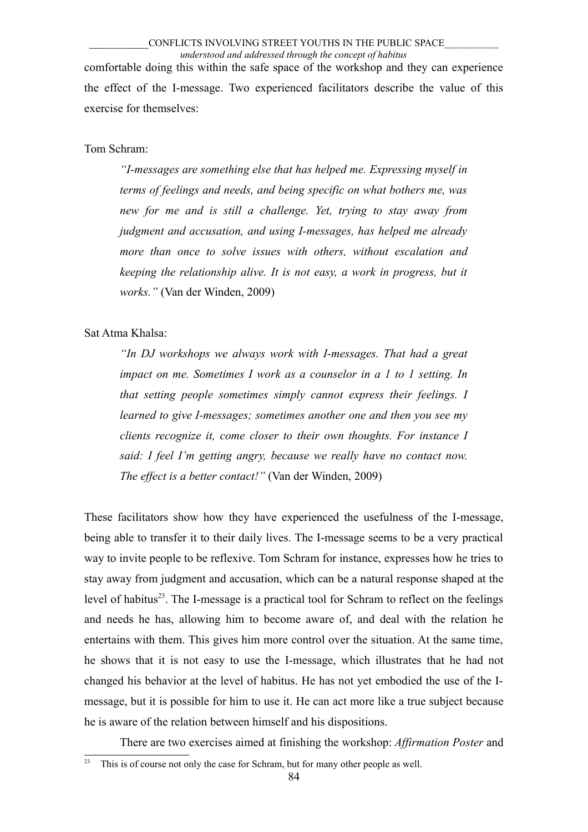comfortable doing this within the safe space of the workshop and they can experience the effect of the I-message. Two experienced facilitators describe the value of this exercise for themselves:

### Tom Schram:

*"I-messages are something else that has helped me. Expressing myself in terms of feelings and needs, and being specific on what bothers me, was new for me and is still a challenge. Yet, trying to stay away from judgment and accusation, and using I-messages, has helped me already more than once to solve issues with others, without escalation and keeping the relationship alive. It is not easy, a work in progress, but it works."* (Van der Winden, 2009)

### Sat Atma Khalsa:

*"In DJ workshops we always work with I-messages. That had a great impact on me. Sometimes I work as a counselor in a 1 to 1 setting. In that setting people sometimes simply cannot express their feelings. I learned to give I-messages; sometimes another one and then you see my clients recognize it, come closer to their own thoughts. For instance I said: I feel I'm getting angry, because we really have no contact now. The effect is a better contact!"* (Van der Winden, 2009)

These facilitators show how they have experienced the usefulness of the I-message, being able to transfer it to their daily lives. The I-message seems to be a very practical way to invite people to be reflexive. Tom Schram for instance, expresses how he tries to stay away from judgment and accusation, which can be a natural response shaped at the level of habitus<sup>[23](#page-83-0)</sup>. The I-message is a practical tool for Schram to reflect on the feelings and needs he has, allowing him to become aware of, and deal with the relation he entertains with them. This gives him more control over the situation. At the same time, he shows that it is not easy to use the I-message, which illustrates that he had not changed his behavior at the level of habitus. He has not yet embodied the use of the Imessage, but it is possible for him to use it. He can act more like a true subject because he is aware of the relation between himself and his dispositions.

There are two exercises aimed at finishing the workshop: *Affirmation Poster* and

<span id="page-83-0"></span> $23$  This is of course not only the case for Schram, but for many other people as well.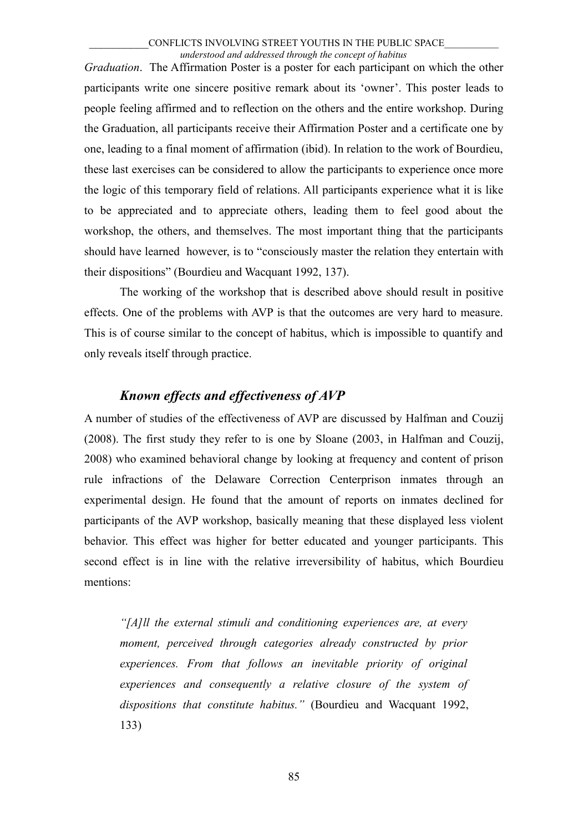*Graduation*. The Affirmation Poster is a poster for each participant on which the other participants write one sincere positive remark about its 'owner'. This poster leads to people feeling affirmed and to reflection on the others and the entire workshop. During the Graduation, all participants receive their Affirmation Poster and a certificate one by one, leading to a final moment of affirmation (ibid). In relation to the work of Bourdieu, these last exercises can be considered to allow the participants to experience once more the logic of this temporary field of relations. All participants experience what it is like to be appreciated and to appreciate others, leading them to feel good about the workshop, the others, and themselves. The most important thing that the participants should have learned however, is to "consciously master the relation they entertain with their dispositions" (Bourdieu and Wacquant 1992, 137).

The working of the workshop that is described above should result in positive effects. One of the problems with AVP is that the outcomes are very hard to measure. This is of course similar to the concept of habitus, which is impossible to quantify and only reveals itself through practice.

# *Known effects and effectiveness of AVP*

A number of studies of the effectiveness of AVP are discussed by Halfman and Couzij (2008). The first study they refer to is one by Sloane (2003, in Halfman and Couzij, 2008) who examined behavioral change by looking at frequency and content of prison rule infractions of the Delaware Correction Centerprison inmates through an experimental design. He found that the amount of reports on inmates declined for participants of the AVP workshop, basically meaning that these displayed less violent behavior. This effect was higher for better educated and younger participants. This second effect is in line with the relative irreversibility of habitus, which Bourdieu mentions:

*"[A]ll the external stimuli and conditioning experiences are, at every moment, perceived through categories already constructed by prior experiences. From that follows an inevitable priority of original experiences and consequently a relative closure of the system of dispositions that constitute habitus."* (Bourdieu and Wacquant 1992, 133)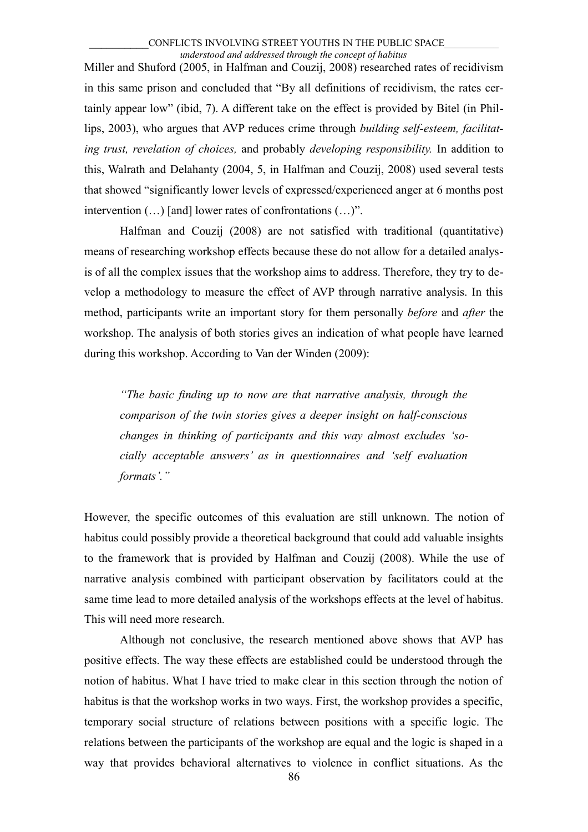Miller and Shuford (2005, in Halfman and Couzij, 2008) researched rates of recidivism in this same prison and concluded that "By all definitions of recidivism, the rates certainly appear low" (ibid, 7). A different take on the effect is provided by Bitel (in Phillips, 2003), who argues that AVP reduces crime through *building self-esteem, facilitating trust, revelation of choices,* and probably *developing responsibility.* In addition to this, Walrath and Delahanty (2004, 5, in Halfman and Couzij, 2008) used several tests that showed "significantly lower levels of expressed/experienced anger at 6 months post intervention (…) [and] lower rates of confrontations (…)".

Halfman and Couzij (2008) are not satisfied with traditional (quantitative) means of researching workshop effects because these do not allow for a detailed analysis of all the complex issues that the workshop aims to address. Therefore, they try to develop a methodology to measure the effect of AVP through narrative analysis. In this method, participants write an important story for them personally *before* and *after* the workshop. The analysis of both stories gives an indication of what people have learned during this workshop. According to Van der Winden (2009):

*"The basic finding up to now are that narrative analysis, through the comparison of the twin stories gives a deeper insight on half-conscious changes in thinking of participants and this way almost excludes 'socially acceptable answers' as in questionnaires and 'self evaluation formats'."*

However, the specific outcomes of this evaluation are still unknown. The notion of habitus could possibly provide a theoretical background that could add valuable insights to the framework that is provided by Halfman and Couzij (2008). While the use of narrative analysis combined with participant observation by facilitators could at the same time lead to more detailed analysis of the workshops effects at the level of habitus. This will need more research.

Although not conclusive, the research mentioned above shows that AVP has positive effects. The way these effects are established could be understood through the notion of habitus. What I have tried to make clear in this section through the notion of habitus is that the workshop works in two ways. First, the workshop provides a specific, temporary social structure of relations between positions with a specific logic. The relations between the participants of the workshop are equal and the logic is shaped in a way that provides behavioral alternatives to violence in conflict situations. As the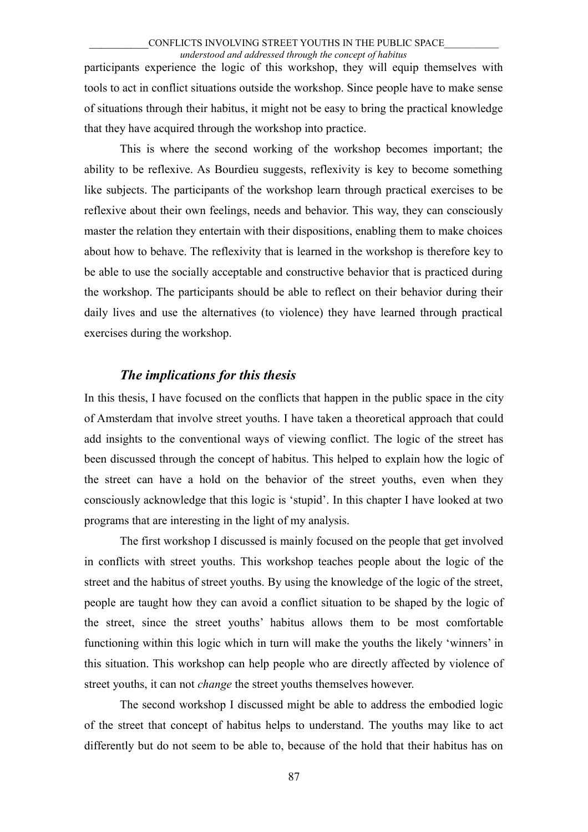participants experience the logic of this workshop, they will equip themselves with tools to act in conflict situations outside the workshop. Since people have to make sense of situations through their habitus, it might not be easy to bring the practical knowledge that they have acquired through the workshop into practice.

This is where the second working of the workshop becomes important; the ability to be reflexive. As Bourdieu suggests, reflexivity is key to become something like subjects. The participants of the workshop learn through practical exercises to be reflexive about their own feelings, needs and behavior. This way, they can consciously master the relation they entertain with their dispositions, enabling them to make choices about how to behave. The reflexivity that is learned in the workshop is therefore key to be able to use the socially acceptable and constructive behavior that is practiced during the workshop. The participants should be able to reflect on their behavior during their daily lives and use the alternatives (to violence) they have learned through practical exercises during the workshop.

### *The implications for this thesis*

In this thesis, I have focused on the conflicts that happen in the public space in the city of Amsterdam that involve street youths. I have taken a theoretical approach that could add insights to the conventional ways of viewing conflict. The logic of the street has been discussed through the concept of habitus. This helped to explain how the logic of the street can have a hold on the behavior of the street youths, even when they consciously acknowledge that this logic is 'stupid'. In this chapter I have looked at two programs that are interesting in the light of my analysis.

The first workshop I discussed is mainly focused on the people that get involved in conflicts with street youths. This workshop teaches people about the logic of the street and the habitus of street youths. By using the knowledge of the logic of the street, people are taught how they can avoid a conflict situation to be shaped by the logic of the street, since the street youths' habitus allows them to be most comfortable functioning within this logic which in turn will make the youths the likely 'winners' in this situation. This workshop can help people who are directly affected by violence of street youths, it can not *change* the street youths themselves however.

The second workshop I discussed might be able to address the embodied logic of the street that concept of habitus helps to understand. The youths may like to act differently but do not seem to be able to, because of the hold that their habitus has on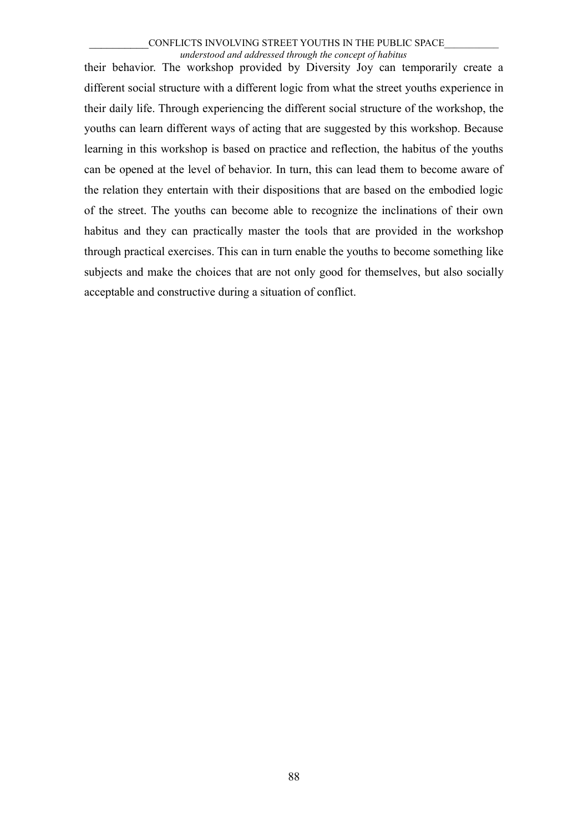their behavior. The workshop provided by Diversity Joy can temporarily create a different social structure with a different logic from what the street youths experience in their daily life. Through experiencing the different social structure of the workshop, the youths can learn different ways of acting that are suggested by this workshop. Because learning in this workshop is based on practice and reflection, the habitus of the youths can be opened at the level of behavior. In turn, this can lead them to become aware of the relation they entertain with their dispositions that are based on the embodied logic of the street. The youths can become able to recognize the inclinations of their own habitus and they can practically master the tools that are provided in the workshop through practical exercises. This can in turn enable the youths to become something like subjects and make the choices that are not only good for themselves, but also socially acceptable and constructive during a situation of conflict.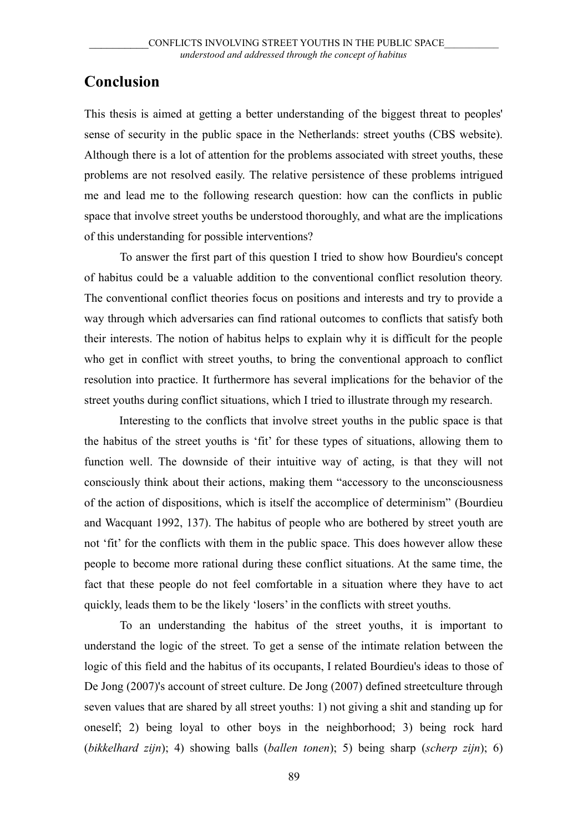# **Conclusion**

This thesis is aimed at getting a better understanding of the biggest threat to peoples' sense of security in the public space in the Netherlands: street youths (CBS website). Although there is a lot of attention for the problems associated with street youths, these problems are not resolved easily. The relative persistence of these problems intrigued me and lead me to the following research question: how can the conflicts in public space that involve street youths be understood thoroughly, and what are the implications of this understanding for possible interventions?

To answer the first part of this question I tried to show how Bourdieu's concept of habitus could be a valuable addition to the conventional conflict resolution theory. The conventional conflict theories focus on positions and interests and try to provide a way through which adversaries can find rational outcomes to conflicts that satisfy both their interests. The notion of habitus helps to explain why it is difficult for the people who get in conflict with street youths, to bring the conventional approach to conflict resolution into practice. It furthermore has several implications for the behavior of the street youths during conflict situations, which I tried to illustrate through my research.

Interesting to the conflicts that involve street youths in the public space is that the habitus of the street youths is 'fit' for these types of situations, allowing them to function well. The downside of their intuitive way of acting, is that they will not consciously think about their actions, making them "accessory to the unconsciousness of the action of dispositions, which is itself the accomplice of determinism" (Bourdieu and Wacquant 1992, 137). The habitus of people who are bothered by street youth are not 'fit' for the conflicts with them in the public space. This does however allow these people to become more rational during these conflict situations. At the same time, the fact that these people do not feel comfortable in a situation where they have to act quickly, leads them to be the likely 'losers' in the conflicts with street youths.

To an understanding the habitus of the street youths, it is important to understand the logic of the street. To get a sense of the intimate relation between the logic of this field and the habitus of its occupants, I related Bourdieu's ideas to those of De Jong (2007)'s account of street culture. De Jong (2007) defined streetculture through seven values that are shared by all street youths: 1) not giving a shit and standing up for oneself; 2) being loyal to other boys in the neighborhood; 3) being rock hard (*bikkelhard zijn*); 4) showing balls (*ballen tonen*); 5) being sharp (*scherp zijn*); 6)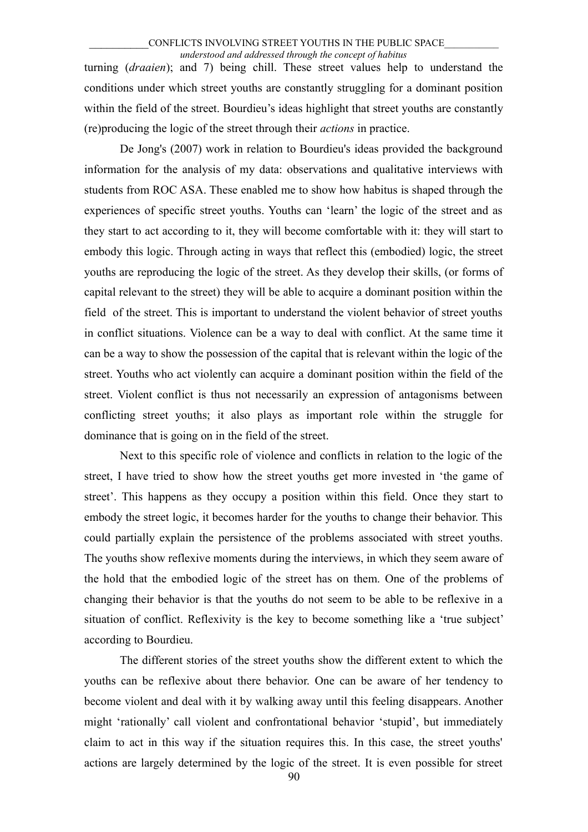turning (*draaien*); and 7) being chill. These street values help to understand the conditions under which street youths are constantly struggling for a dominant position within the field of the street. Bourdieu's ideas highlight that street youths are constantly (re)producing the logic of the street through their *actions* in practice.

De Jong's (2007) work in relation to Bourdieu's ideas provided the background information for the analysis of my data: observations and qualitative interviews with students from ROC ASA. These enabled me to show how habitus is shaped through the experiences of specific street youths. Youths can 'learn' the logic of the street and as they start to act according to it, they will become comfortable with it: they will start to embody this logic. Through acting in ways that reflect this (embodied) logic, the street youths are reproducing the logic of the street. As they develop their skills, (or forms of capital relevant to the street) they will be able to acquire a dominant position within the field of the street. This is important to understand the violent behavior of street youths in conflict situations. Violence can be a way to deal with conflict. At the same time it can be a way to show the possession of the capital that is relevant within the logic of the street. Youths who act violently can acquire a dominant position within the field of the street. Violent conflict is thus not necessarily an expression of antagonisms between conflicting street youths; it also plays as important role within the struggle for dominance that is going on in the field of the street.

Next to this specific role of violence and conflicts in relation to the logic of the street, I have tried to show how the street youths get more invested in 'the game of street'. This happens as they occupy a position within this field. Once they start to embody the street logic, it becomes harder for the youths to change their behavior. This could partially explain the persistence of the problems associated with street youths. The youths show reflexive moments during the interviews, in which they seem aware of the hold that the embodied logic of the street has on them. One of the problems of changing their behavior is that the youths do not seem to be able to be reflexive in a situation of conflict. Reflexivity is the key to become something like a 'true subject' according to Bourdieu.

The different stories of the street youths show the different extent to which the youths can be reflexive about there behavior. One can be aware of her tendency to become violent and deal with it by walking away until this feeling disappears. Another might 'rationally' call violent and confrontational behavior 'stupid', but immediately claim to act in this way if the situation requires this. In this case, the street youths' actions are largely determined by the logic of the street. It is even possible for street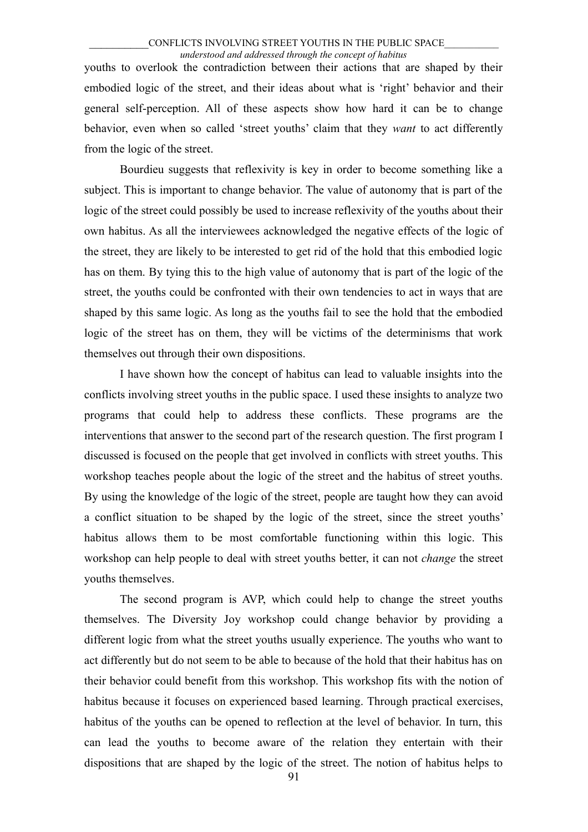youths to overlook the contradiction between their actions that are shaped by their embodied logic of the street, and their ideas about what is 'right' behavior and their general self-perception. All of these aspects show how hard it can be to change behavior, even when so called 'street youths' claim that they *want* to act differently from the logic of the street.

Bourdieu suggests that reflexivity is key in order to become something like a subject. This is important to change behavior. The value of autonomy that is part of the logic of the street could possibly be used to increase reflexivity of the youths about their own habitus. As all the interviewees acknowledged the negative effects of the logic of the street, they are likely to be interested to get rid of the hold that this embodied logic has on them. By tying this to the high value of autonomy that is part of the logic of the street, the youths could be confronted with their own tendencies to act in ways that are shaped by this same logic. As long as the youths fail to see the hold that the embodied logic of the street has on them, they will be victims of the determinisms that work themselves out through their own dispositions.

I have shown how the concept of habitus can lead to valuable insights into the conflicts involving street youths in the public space. I used these insights to analyze two programs that could help to address these conflicts. These programs are the interventions that answer to the second part of the research question. The first program I discussed is focused on the people that get involved in conflicts with street youths. This workshop teaches people about the logic of the street and the habitus of street youths. By using the knowledge of the logic of the street, people are taught how they can avoid a conflict situation to be shaped by the logic of the street, since the street youths' habitus allows them to be most comfortable functioning within this logic. This workshop can help people to deal with street youths better, it can not *change* the street youths themselves.

The second program is AVP, which could help to change the street youths themselves. The Diversity Joy workshop could change behavior by providing a different logic from what the street youths usually experience. The youths who want to act differently but do not seem to be able to because of the hold that their habitus has on their behavior could benefit from this workshop. This workshop fits with the notion of habitus because it focuses on experienced based learning. Through practical exercises, habitus of the youths can be opened to reflection at the level of behavior. In turn, this can lead the youths to become aware of the relation they entertain with their dispositions that are shaped by the logic of the street. The notion of habitus helps to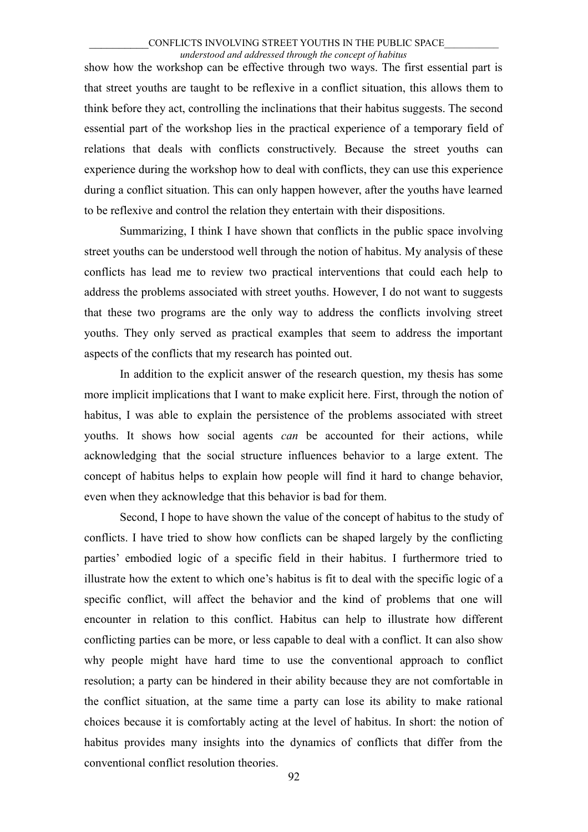show how the workshop can be effective through two ways. The first essential part is that street youths are taught to be reflexive in a conflict situation, this allows them to think before they act, controlling the inclinations that their habitus suggests. The second essential part of the workshop lies in the practical experience of a temporary field of relations that deals with conflicts constructively. Because the street youths can experience during the workshop how to deal with conflicts, they can use this experience during a conflict situation. This can only happen however, after the youths have learned to be reflexive and control the relation they entertain with their dispositions.

Summarizing, I think I have shown that conflicts in the public space involving street youths can be understood well through the notion of habitus. My analysis of these conflicts has lead me to review two practical interventions that could each help to address the problems associated with street youths. However, I do not want to suggests that these two programs are the only way to address the conflicts involving street youths. They only served as practical examples that seem to address the important aspects of the conflicts that my research has pointed out.

In addition to the explicit answer of the research question, my thesis has some more implicit implications that I want to make explicit here. First, through the notion of habitus, I was able to explain the persistence of the problems associated with street youths. It shows how social agents *can* be accounted for their actions, while acknowledging that the social structure influences behavior to a large extent. The concept of habitus helps to explain how people will find it hard to change behavior, even when they acknowledge that this behavior is bad for them.

Second, I hope to have shown the value of the concept of habitus to the study of conflicts. I have tried to show how conflicts can be shaped largely by the conflicting parties' embodied logic of a specific field in their habitus. I furthermore tried to illustrate how the extent to which one's habitus is fit to deal with the specific logic of a specific conflict, will affect the behavior and the kind of problems that one will encounter in relation to this conflict. Habitus can help to illustrate how different conflicting parties can be more, or less capable to deal with a conflict. It can also show why people might have hard time to use the conventional approach to conflict resolution; a party can be hindered in their ability because they are not comfortable in the conflict situation, at the same time a party can lose its ability to make rational choices because it is comfortably acting at the level of habitus. In short: the notion of habitus provides many insights into the dynamics of conflicts that differ from the conventional conflict resolution theories.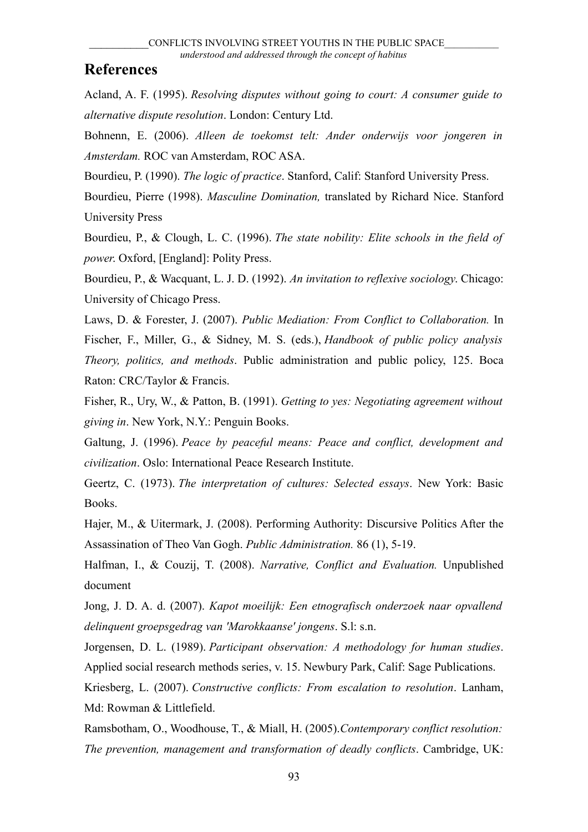# **References**

Acland, A. F. (1995). *Resolving disputes without going to court: A consumer guide to alternative dispute resolution*. London: Century Ltd.

Bohnenn, E. (2006). *Alleen de toekomst telt: Ander onderwijs voor jongeren in Amsterdam.* ROC van Amsterdam, ROC ASA.

Bourdieu, P. (1990). *The logic of practice*. Stanford, Calif: Stanford University Press.

Bourdieu, Pierre (1998). *Masculine Domination,* translated by Richard Nice. Stanford University Press

Bourdieu, P., & Clough, L. C. (1996). *The state nobility: Elite schools in the field of power*. Oxford, [England]: Polity Press.

Bourdieu, P., & Wacquant, L. J. D. (1992). *An invitation to reflexive sociology*. Chicago: University of Chicago Press.

Laws, D. & Forester, J. (2007). *Public Mediation: From Conflict to Collaboration.* In Fischer, F., Miller, G., & Sidney, M. S. (eds.), *Handbook of public policy analysis Theory, politics, and methods*. Public administration and public policy, 125. Boca Raton: CRC/Taylor & Francis.

Fisher, R., Ury, W., & Patton, B. (1991). *Getting to yes: Negotiating agreement without giving in*. New York, N.Y.: Penguin Books.

Galtung, J. (1996). *Peace by peaceful means: Peace and conflict, development and civilization*. Oslo: International Peace Research Institute.

Geertz, C. (1973). *The interpretation of cultures: Selected essays*. New York: Basic Books.

Hajer, M., & Uitermark, J. (2008). Performing Authority: Discursive Politics After the Assassination of Theo Van Gogh. *Public Administration.* 86 (1), 5-19.

Halfman, I., & Couzij, T. (2008). *Narrative, Conflict and Evaluation.* Unpublished document

Jong, J. D. A. d. (2007). *Kapot moeilijk: Een etnografisch onderzoek naar opvallend delinquent groepsgedrag van 'Marokkaanse' jongens*. S.l: s.n.

Jorgensen, D. L. (1989). *Participant observation: A methodology for human studies*. Applied social research methods series, v. 15. Newbury Park, Calif: Sage Publications.

Kriesberg, L. (2007). *Constructive conflicts: From escalation to resolution*. Lanham, Md: Rowman & Littlefield.

Ramsbotham, O., Woodhouse, T., & Miall, H. (2005).*Contemporary conflict resolution: The prevention, management and transformation of deadly conflicts*. Cambridge, UK: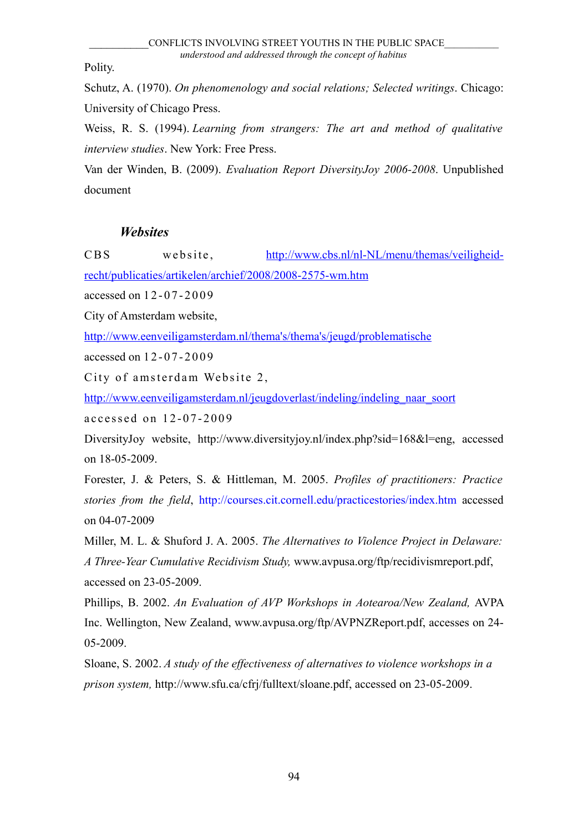Polity.

Schutz, A. (1970). *On phenomenology and social relations; Selected writings*. Chicago: University of Chicago Press.

Weiss, R. S. (1994). *Learning from strangers: The art and method of qualitative interview studies*. New York: Free Press.

Van der Winden, B. (2009). *Evaluation Report DiversityJoy 2006-2008*. Unpublished document

# *Websites*

CBS website, [http://www.cbs.nl/nl-NL/menu/themas/veiligheid-](http://www.cbs.nl/nl-NL/menu/themas/veiligheid-recht/publicaties/artikelen/archief/2008/2008-2575-wm.htm)

[recht/publicaties/artikelen/archief/2008/2008-2575-wm.htm](http://www.cbs.nl/nl-NL/menu/themas/veiligheid-recht/publicaties/artikelen/archief/2008/2008-2575-wm.htm)

accessed on 12-07-2009

City of Amsterdam website,

[http://www.eenveiligamsterdam.nl/thema's/thema's/jeugd/problematische](http://www.eenveiligamsterdam.nl/thema)

accessed on 1 2 - 0 7 - 2 0 0 9

City of amsterdam Website 2,

[http://www.eenveiligamsterdam.nl/jeugdoverlast/indeling/indeling\\_naar\\_soort](http://www.eenveiligamsterdam.nl/jeugdoverlast/indeling/indeling_naar_soort)

accessed on 12-07-2009

DiversityJoy website, http://www.diversityjoy.nl/index.php?sid=168&l=eng, accessed on 18-05-2009.

Forester, J. & Peters, S. & Hittleman, M. 2005. *Profiles of practitioners: Practice stories from the field*, http://courses.cit.cornell.edu/practicestories/index.htm accessed on 04-07-2009

Miller, M. L. & Shuford J. A. 2005. *The Alternatives to Violence Project in Delaware: A Three-Year Cumulative Recidivism Study,* www.avpusa.org/ftp/recidivismreport.pdf, accessed on 23-05-2009.

Phillips, B. 2002. *An Evaluation of AVP Workshops in Aotearoa/New Zealand,* AVPA Inc. Wellington, New Zealand, www.avpusa.org/ftp/AVPNZReport.pdf, accesses on 24- 05-2009.

Sloane, S. 2002. *A study of the effectiveness of alternatives to violence workshops in a prison system,* http://www.sfu.ca/cfrj/fulltext/sloane.pdf, accessed on 23-05-2009.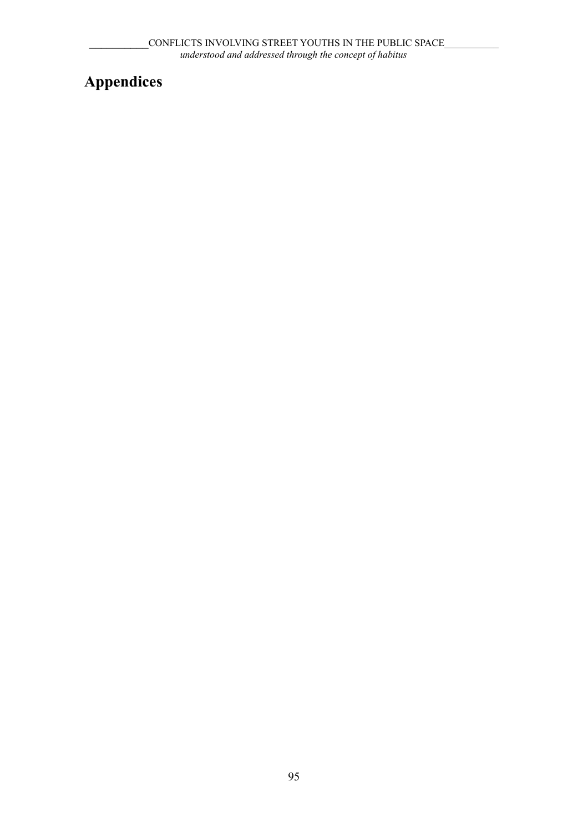# **Appendices**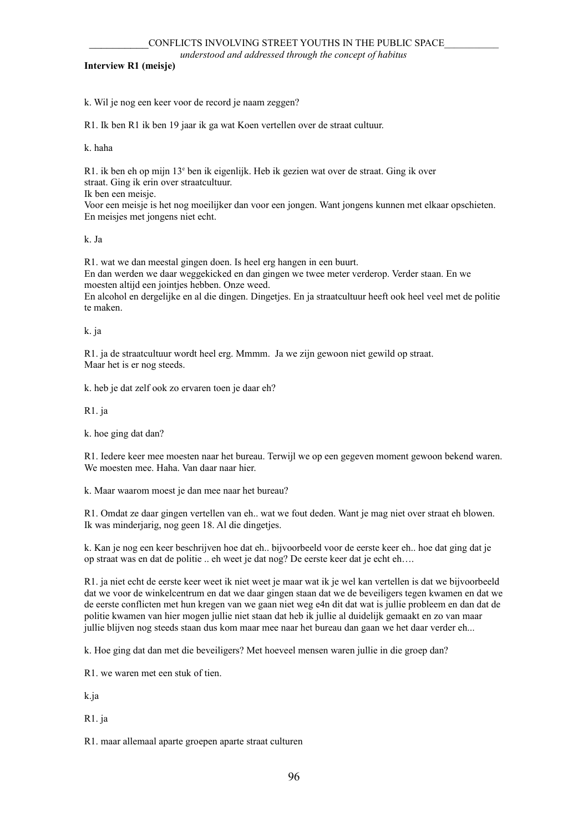*understood and addressed through the concept of habitus*

**Interview R1 (meisje)**

k. Wil je nog een keer voor de record je naam zeggen?

R1. Ik ben R1 ik ben 19 jaar ik ga wat Koen vertellen over de straat cultuur.

k. haha

R1. ik ben eh op mijn 13<sup>e</sup> ben ik eigenlijk. Heb ik gezien wat over de straat. Ging ik over straat. Ging ik erin over straatcultuur.

Ik ben een meisje.

Voor een meisje is het nog moeilijker dan voor een jongen. Want jongens kunnen met elkaar opschieten. En meisjes met jongens niet echt.

k. Ja

R1. wat we dan meestal gingen doen. Is heel erg hangen in een buurt.

En dan werden we daar weggekicked en dan gingen we twee meter verderop. Verder staan. En we moesten altijd een jointjes hebben. Onze weed.

En alcohol en dergelijke en al die dingen. Dingetjes. En ja straatcultuur heeft ook heel veel met de politie te maken.

k. ja

R1. ja de straatcultuur wordt heel erg. Mmmm. Ja we zijn gewoon niet gewild op straat. Maar het is er nog steeds.

k. heb je dat zelf ook zo ervaren toen je daar eh?

R1. ja

k. hoe ging dat dan?

R1. Iedere keer mee moesten naar het bureau. Terwijl we op een gegeven moment gewoon bekend waren. We moesten mee. Haha. Van daar naar hier.

k. Maar waarom moest je dan mee naar het bureau?

R1. Omdat ze daar gingen vertellen van eh.. wat we fout deden. Want je mag niet over straat eh blowen. Ik was minderjarig, nog geen 18. Al die dingetjes.

k. Kan je nog een keer beschrijven hoe dat eh.. bijvoorbeeld voor de eerste keer eh.. hoe dat ging dat je op straat was en dat de politie .. eh weet je dat nog? De eerste keer dat je echt eh….

R1. ja niet echt de eerste keer weet ik niet weet je maar wat ik je wel kan vertellen is dat we bijvoorbeeld dat we voor de winkelcentrum en dat we daar gingen staan dat we de beveiligers tegen kwamen en dat we de eerste conflicten met hun kregen van we gaan niet weg e4n dit dat wat is jullie probleem en dan dat de politie kwamen van hier mogen jullie niet staan dat heb ik jullie al duidelijk gemaakt en zo van maar jullie blijven nog steeds staan dus kom maar mee naar het bureau dan gaan we het daar verder eh...

k. Hoe ging dat dan met die beveiligers? Met hoeveel mensen waren jullie in die groep dan?

R1. we waren met een stuk of tien.

k.ja

R1. ja

R1. maar allemaal aparte groepen aparte straat culturen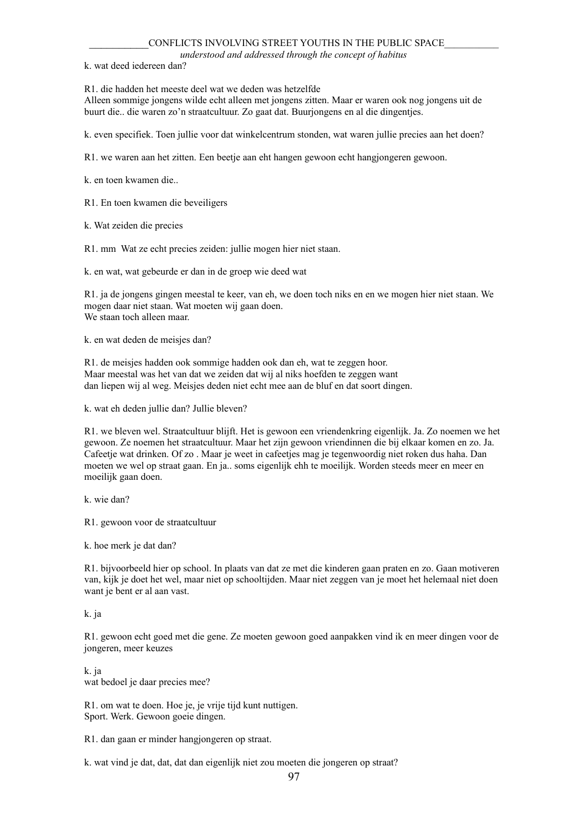#### CONFLICTS INVOLVING STREET YOUTHS IN THE PUBLIC SPACE

*understood and addressed through the concept of habitus*

k. wat deed iedereen dan?

R1. die hadden het meeste deel wat we deden was hetzelfde

Alleen sommige jongens wilde echt alleen met jongens zitten. Maar er waren ook nog jongens uit de buurt die.. die waren zo'n straatcultuur. Zo gaat dat. Buurjongens en al die dingentjes.

k. even specifiek. Toen jullie voor dat winkelcentrum stonden, wat waren jullie precies aan het doen?

R1. we waren aan het zitten. Een beetje aan eht hangen gewoon echt hangjongeren gewoon.

k. en toen kwamen die..

R1. En toen kwamen die beveiligers

k. Wat zeiden die precies

R1. mm Wat ze echt precies zeiden: jullie mogen hier niet staan.

k. en wat, wat gebeurde er dan in de groep wie deed wat

R1. ja de jongens gingen meestal te keer, van eh, we doen toch niks en en we mogen hier niet staan. We mogen daar niet staan. Wat moeten wij gaan doen. We staan toch alleen maar.

k. en wat deden de meisjes dan?

R1. de meisjes hadden ook sommige hadden ook dan eh, wat te zeggen hoor. Maar meestal was het van dat we zeiden dat wij al niks hoefden te zeggen want dan liepen wij al weg. Meisjes deden niet echt mee aan de bluf en dat soort dingen.

k. wat eh deden jullie dan? Jullie bleven?

R1. we bleven wel. Straatcultuur blijft. Het is gewoon een vriendenkring eigenlijk. Ja. Zo noemen we het gewoon. Ze noemen het straatcultuur. Maar het zijn gewoon vriendinnen die bij elkaar komen en zo. Ja. Cafeetje wat drinken. Of zo . Maar je weet in cafeetjes mag je tegenwoordig niet roken dus haha. Dan moeten we wel op straat gaan. En ja.. soms eigenlijk ehh te moeilijk. Worden steeds meer en meer en moeilijk gaan doen.

k. wie dan?

R1. gewoon voor de straatcultuur

k. hoe merk je dat dan?

R1. bijvoorbeeld hier op school. In plaats van dat ze met die kinderen gaan praten en zo. Gaan motiveren van, kijk je doet het wel, maar niet op schooltijden. Maar niet zeggen van je moet het helemaal niet doen want je bent er al aan vast.

#### k. ja

R1. gewoon echt goed met die gene. Ze moeten gewoon goed aanpakken vind ik en meer dingen voor de jongeren, meer keuzes

k. ja wat bedoel je daar precies mee?

R1. om wat te doen. Hoe je, je vrije tijd kunt nuttigen. Sport. Werk. Gewoon goeie dingen.

R1. dan gaan er minder hangjongeren op straat.

k. wat vind je dat, dat, dat dan eigenlijk niet zou moeten die jongeren op straat?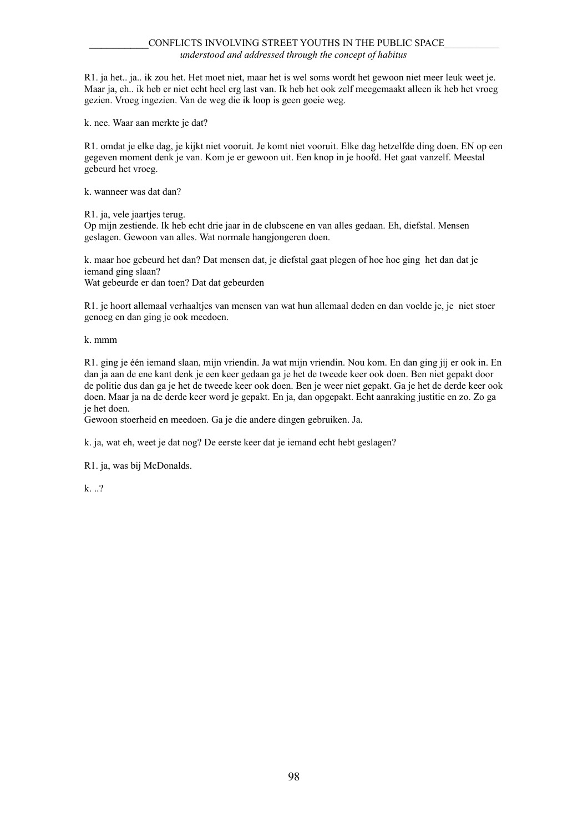R1. ja het.. ja.. ik zou het. Het moet niet, maar het is wel soms wordt het gewoon niet meer leuk weet je. Maar ja, eh.. ik heb er niet echt heel erg last van. Ik heb het ook zelf meegemaakt alleen ik heb het vroeg gezien. Vroeg ingezien. Van de weg die ik loop is geen goeie weg.

k. nee. Waar aan merkte je dat?

R1. omdat je elke dag, je kijkt niet vooruit. Je komt niet vooruit. Elke dag hetzelfde ding doen. EN op een gegeven moment denk je van. Kom je er gewoon uit. Een knop in je hoofd. Het gaat vanzelf. Meestal gebeurd het vroeg.

k. wanneer was dat dan?

R1. ja, vele jaartjes terug.

Op mijn zestiende. Ik heb echt drie jaar in de clubscene en van alles gedaan. Eh, diefstal. Mensen geslagen. Gewoon van alles. Wat normale hangjongeren doen.

k. maar hoe gebeurd het dan? Dat mensen dat, je diefstal gaat plegen of hoe hoe ging het dan dat je iemand ging slaan?

Wat gebeurde er dan toen? Dat dat gebeurden

R1. je hoort allemaal verhaaltjes van mensen van wat hun allemaal deden en dan voelde je, je niet stoer genoeg en dan ging je ook meedoen.

k. mmm

R1. ging je één iemand slaan, mijn vriendin. Ja wat mijn vriendin. Nou kom. En dan ging jij er ook in. En dan ja aan de ene kant denk je een keer gedaan ga je het de tweede keer ook doen. Ben niet gepakt door de politie dus dan ga je het de tweede keer ook doen. Ben je weer niet gepakt. Ga je het de derde keer ook doen. Maar ja na de derde keer word je gepakt. En ja, dan opgepakt. Echt aanraking justitie en zo. Zo ga je het doen.

Gewoon stoerheid en meedoen. Ga je die andere dingen gebruiken. Ja.

k. ja, wat eh, weet je dat nog? De eerste keer dat je iemand echt hebt geslagen?

R1. ja, was bij McDonalds.

k. ..?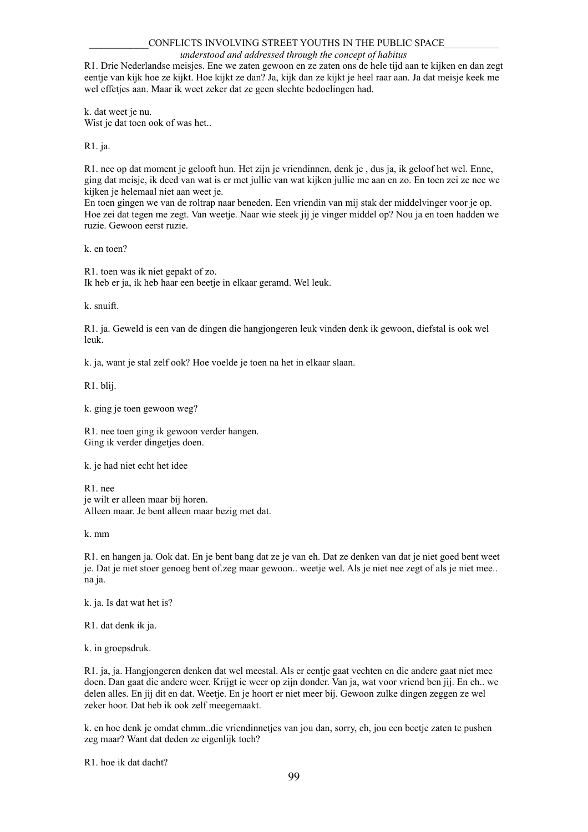#### CONFLICTS INVOLVING STREET YOUTHS IN THE PUBLIC SPACE

#### *understood and addressed through the concept of habitus*

R1. Drie Nederlandse meisjes. Ene we zaten gewoon en ze zaten ons de hele tijd aan te kijken en dan zegt eentje van kijk hoe ze kijkt. Hoe kijkt ze dan? Ja, kijk dan ze kijkt je heel raar aan. Ja dat meisje keek me wel effetjes aan. Maar ik weet zeker dat ze geen slechte bedoelingen had.

k. dat weet je nu. Wist je dat toen ook of was het..

R1. ja.

R1. nee op dat moment je gelooft hun. Het zijn je vriendinnen, denk je , dus ja, ik geloof het wel. Enne, ging dat meisje, ik deed van wat is er met jullie van wat kijken jullie me aan en zo. En toen zei ze nee we kijken je helemaal niet aan weet je.

En toen gingen we van de roltrap naar beneden. Een vriendin van mij stak der middelvinger voor je op. Hoe zei dat tegen me zegt. Van weetje. Naar wie steek jij je vinger middel op? Nou ja en toen hadden we ruzie. Gewoon eerst ruzie.

k. en toen?

R1. toen was ik niet gepakt of zo. Ik heb er ja, ik heb haar een beetje in elkaar geramd. Wel leuk.

k. snuift.

R1. ja. Geweld is een van de dingen die hangjongeren leuk vinden denk ik gewoon, diefstal is ook wel leuk.

k. ja, want je stal zelf ook? Hoe voelde je toen na het in elkaar slaan.

R1. blij.

k. ging je toen gewoon weg?

R1. nee toen ging ik gewoon verder hangen. Ging ik verder dingetjes doen.

k. je had niet echt het idee

R1. nee je wilt er alleen maar bij horen. Alleen maar. Je bent alleen maar bezig met dat.

k. mm

R1. en hangen ja. Ook dat. En je bent bang dat ze je van eh. Dat ze denken van dat je niet goed bent weet je. Dat je niet stoer genoeg bent of.zeg maar gewoon.. weetje wel. Als je niet nee zegt of als je niet mee.. na ja.

k. ja. Is dat wat het is?

R1. dat denk ik ja.

k. in groepsdruk.

R1. ja, ja. Hangjongeren denken dat wel meestal. Als er eentje gaat vechten en die andere gaat niet mee doen. Dan gaat die andere weer. Krijgt ie weer op zijn donder. Van ja, wat voor vriend ben jij. En eh.. we delen alles. En jij dit en dat. Weetje. En je hoort er niet meer bij. Gewoon zulke dingen zeggen ze wel zeker hoor. Dat heb ik ook zelf meegemaakt.

k. en hoe denk je omdat ehmm..die vriendinnetjes van jou dan, sorry, eh, jou een beetje zaten te pushen zeg maar? Want dat deden ze eigenlijk toch?

R1. hoe ik dat dacht?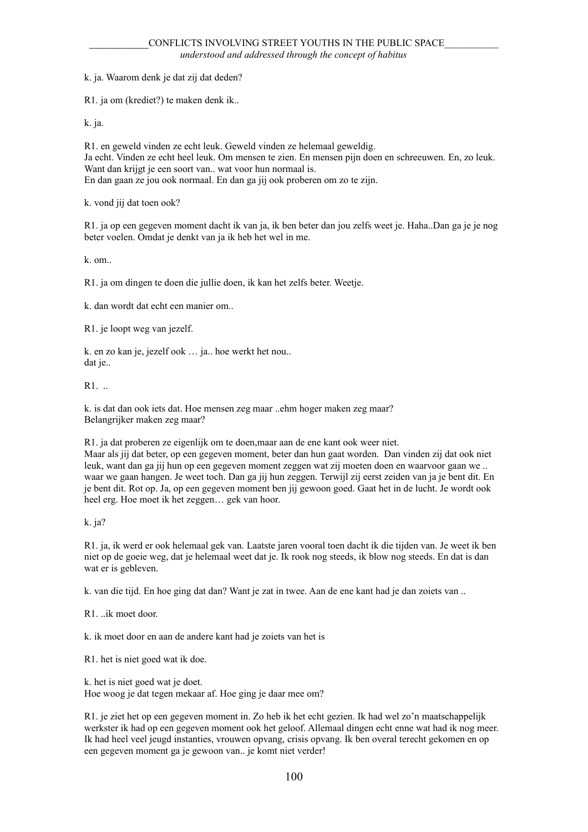k. ja. Waarom denk je dat zij dat deden?

R1. ja om (krediet?) te maken denk ik..

k. ja.

R1. en geweld vinden ze echt leuk. Geweld vinden ze helemaal geweldig. Ja echt. Vinden ze echt heel leuk. Om mensen te zien. En mensen pijn doen en schreeuwen. En, zo leuk. Want dan krijgt je een soort van.. wat voor hun normaal is. En dan gaan ze jou ook normaal. En dan ga jij ook proberen om zo te zijn.

k. vond jij dat toen ook?

R1. ja op een gegeven moment dacht ik van ja, ik ben beter dan jou zelfs weet je. Haha..Dan ga je je nog beter voelen. Omdat je denkt van ja ik heb het wel in me.

k. om..

R1. ja om dingen te doen die jullie doen, ik kan het zelfs beter. Weetje.

k. dan wordt dat echt een manier om..

R1. je loopt weg van jezelf.

k. en zo kan je, jezelf ook … ja.. hoe werkt het nou.. dat je..

R1. ..

k. is dat dan ook iets dat. Hoe mensen zeg maar ..ehm hoger maken zeg maar? Belangrijker maken zeg maar?

R1. ja dat proberen ze eigenlijk om te doen,maar aan de ene kant ook weer niet.

Maar als jij dat beter, op een gegeven moment, beter dan hun gaat worden. Dan vinden zij dat ook niet leuk, want dan ga jij hun op een gegeven moment zeggen wat zij moeten doen en waarvoor gaan we .. waar we gaan hangen. Je weet toch. Dan ga jij hun zeggen. Terwijl zij eerst zeiden van ja je bent dit. En je bent dit. Rot op. Ja, op een gegeven moment ben jij gewoon goed. Gaat het in de lucht. Je wordt ook heel erg. Hoe moet ik het zeggen… gek van hoor.

k. ja?

R1. ja, ik werd er ook helemaal gek van. Laatste jaren vooral toen dacht ik die tijden van. Je weet ik ben niet op de goeie weg, dat je helemaal weet dat je. Ik rook nog steeds, ik blow nog steeds. En dat is dan wat er is gebleven.

k. van die tijd. En hoe ging dat dan? Want je zat in twee. Aan de ene kant had je dan zoiets van ..

 $R1$  ik moet door.

k. ik moet door en aan de andere kant had je zoiets van het is

R1. het is niet goed wat ik doe.

k. het is niet goed wat je doet. Hoe woog je dat tegen mekaar af. Hoe ging je daar mee om?

R1. je ziet het op een gegeven moment in. Zo heb ik het echt gezien. Ik had wel zo'n maatschappelijk werkster ik had op een gegeven moment ook het geloof. Allemaal dingen echt enne wat had ik nog meer. Ik had heel veel jeugd instanties, vrouwen opvang, crisis opvang. Ik ben overal terecht gekomen en op een gegeven moment ga je gewoon van.. je komt niet verder!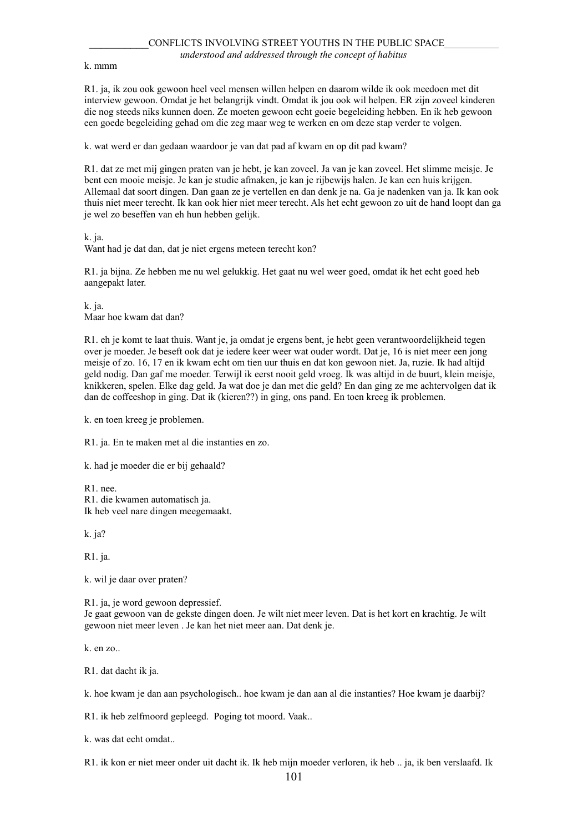k. mmm

R1. ja, ik zou ook gewoon heel veel mensen willen helpen en daarom wilde ik ook meedoen met dit interview gewoon. Omdat je het belangrijk vindt. Omdat ik jou ook wil helpen. ER zijn zoveel kinderen die nog steeds niks kunnen doen. Ze moeten gewoon echt goeie begeleiding hebben. En ik heb gewoon een goede begeleiding gehad om die zeg maar weg te werken en om deze stap verder te volgen.

k. wat werd er dan gedaan waardoor je van dat pad af kwam en op dit pad kwam?

R1. dat ze met mij gingen praten van je hebt, je kan zoveel. Ja van je kan zoveel. Het slimme meisje. Je bent een mooie meisje. Je kan je studie afmaken, je kan je rijbewijs halen. Je kan een huis krijgen. Allemaal dat soort dingen. Dan gaan ze je vertellen en dan denk je na. Ga je nadenken van ja. Ik kan ook thuis niet meer terecht. Ik kan ook hier niet meer terecht. Als het echt gewoon zo uit de hand loopt dan ga je wel zo beseffen van eh hun hebben gelijk.

k. ja.

Want had je dat dan, dat je niet ergens meteen terecht kon?

R1. ja bijna. Ze hebben me nu wel gelukkig. Het gaat nu wel weer goed, omdat ik het echt goed heb aangepakt later.

k. ja. Maar hoe kwam dat dan?

R1. eh je komt te laat thuis. Want je, ja omdat je ergens bent, je hebt geen verantwoordelijkheid tegen over je moeder. Je beseft ook dat je iedere keer weer wat ouder wordt. Dat je, 16 is niet meer een jong meisje of zo. 16, 17 en ik kwam echt om tien uur thuis en dat kon gewoon niet. Ja, ruzie. Ik had altijd geld nodig. Dan gaf me moeder. Terwijl ik eerst nooit geld vroeg. Ik was altijd in de buurt, klein meisje, knikkeren, spelen. Elke dag geld. Ja wat doe je dan met die geld? En dan ging ze me achtervolgen dat ik dan de coffeeshop in ging. Dat ik (kieren??) in ging, ons pand. En toen kreeg ik problemen.

k. en toen kreeg je problemen.

R1. ja. En te maken met al die instanties en zo.

k. had je moeder die er bij gehaald?

R1. nee. R1. die kwamen automatisch ja. Ik heb veel nare dingen meegemaakt.

k. ja?

R1. ja.

k. wil je daar over praten?

R1. ja, je word gewoon depressief.

Je gaat gewoon van de gekste dingen doen. Je wilt niet meer leven. Dat is het kort en krachtig. Je wilt gewoon niet meer leven . Je kan het niet meer aan. Dat denk je.

k. en zo..

R1. dat dacht ik ja.

k. hoe kwam je dan aan psychologisch.. hoe kwam je dan aan al die instanties? Hoe kwam je daarbij?

R1. ik heb zelfmoord gepleegd. Poging tot moord. Vaak..

k. was dat echt omdat..

R1. ik kon er niet meer onder uit dacht ik. Ik heb mijn moeder verloren, ik heb .. ja, ik ben verslaafd. Ik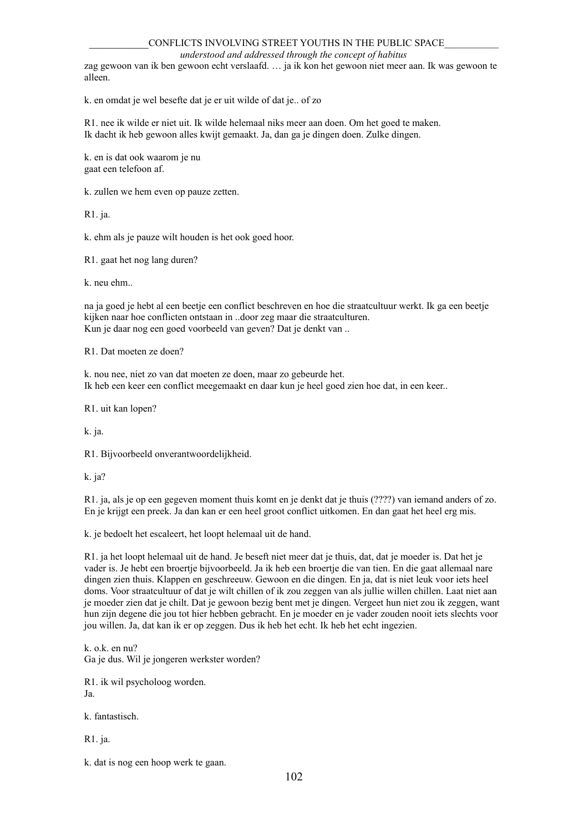#### CONFLICTS INVOLVING STREET YOUTHS IN THE PUBLIC SPACE

*understood and addressed through the concept of habitus*

zag gewoon van ik ben gewoon echt verslaafd. … ja ik kon het gewoon niet meer aan. Ik was gewoon te alleen.

k. en omdat je wel besefte dat je er uit wilde of dat je.. of zo

R1. nee ik wilde er niet uit. Ik wilde helemaal niks meer aan doen. Om het goed te maken. Ik dacht ik heb gewoon alles kwijt gemaakt. Ja, dan ga je dingen doen. Zulke dingen.

k. en is dat ook waarom je nu gaat een telefoon af.

k. zullen we hem even op pauze zetten.

R1. ja.

k. ehm als je pauze wilt houden is het ook goed hoor.

R1. gaat het nog lang duren?

k. neu ehm..

na ja goed je hebt al een beetje een conflict beschreven en hoe die straatcultuur werkt. Ik ga een beetje kijken naar hoe conflicten ontstaan in ..door zeg maar die straatculturen. Kun je daar nog een goed voorbeeld van geven? Dat je denkt van ..

R1. Dat moeten ze doen?

k. nou nee, niet zo van dat moeten ze doen, maar zo gebeurde het. Ik heb een keer een conflict meegemaakt en daar kun je heel goed zien hoe dat, in een keer..

R1. uit kan lopen?

k. ja.

R1. Bijvoorbeeld onverantwoordelijkheid.

k. ja?

R1. ja, als je op een gegeven moment thuis komt en je denkt dat je thuis (????) van iemand anders of zo. En je krijgt een preek. Ja dan kan er een heel groot conflict uitkomen. En dan gaat het heel erg mis.

k. je bedoelt het escaleert, het loopt helemaal uit de hand.

R1. ja het loopt helemaal uit de hand. Je beseft niet meer dat je thuis, dat, dat je moeder is. Dat het je vader is. Je hebt een broertje bijvoorbeeld. Ja ik heb een broertje die van tien. En die gaat allemaal nare dingen zien thuis. Klappen en geschreeuw. Gewoon en die dingen. En ja, dat is niet leuk voor iets heel doms. Voor straatcultuur of dat je wilt chillen of ik zou zeggen van als jullie willen chillen. Laat niet aan je moeder zien dat je chilt. Dat je gewoon bezig bent met je dingen. Vergeet hun niet zou ik zeggen, want hun zijn degene die jou tot hier hebben gebracht. En je moeder en je vader zouden nooit iets slechts voor jou willen. Ja, dat kan ik er op zeggen. Dus ik heb het echt. Ik heb het echt ingezien.

k. o.k. en nu? Ga je dus. Wil je jongeren werkster worden?

R1. ik wil psycholoog worden. Ja.

k. fantastisch.

R1. ja.

k. dat is nog een hoop werk te gaan.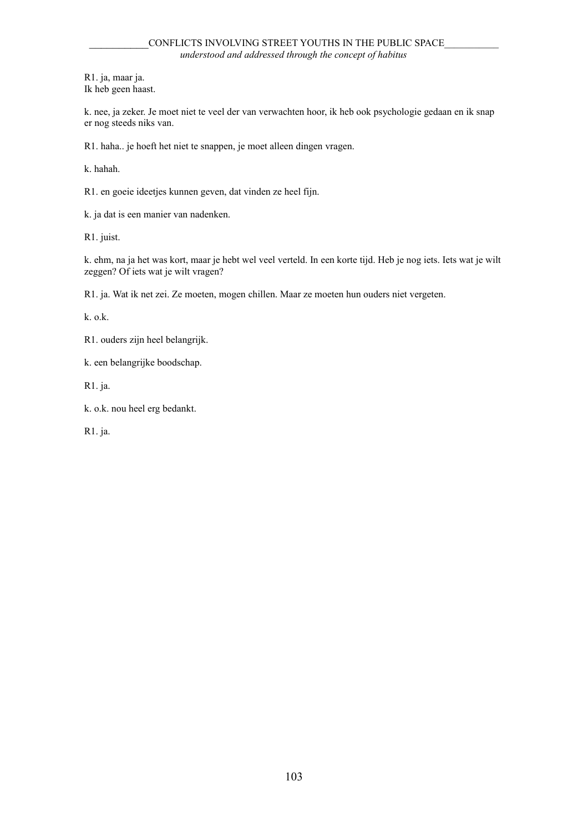R1. ja, maar ja. Ik heb geen haast.

k. nee, ja zeker. Je moet niet te veel der van verwachten hoor, ik heb ook psychologie gedaan en ik snap er nog steeds niks van.

R1. haha.. je hoeft het niet te snappen, je moet alleen dingen vragen.

k. hahah.

R1. en goeie ideetjes kunnen geven, dat vinden ze heel fijn.

k. ja dat is een manier van nadenken.

R1. juist.

k. ehm, na ja het was kort, maar je hebt wel veel verteld. In een korte tijd. Heb je nog iets. Iets wat je wilt zeggen? Of iets wat je wilt vragen?

R1. ja. Wat ik net zei. Ze moeten, mogen chillen. Maar ze moeten hun ouders niet vergeten.

k. o.k.

R1. ouders zijn heel belangrijk.

k. een belangrijke boodschap.

R1. ja.

k. o.k. nou heel erg bedankt.

R1. ja.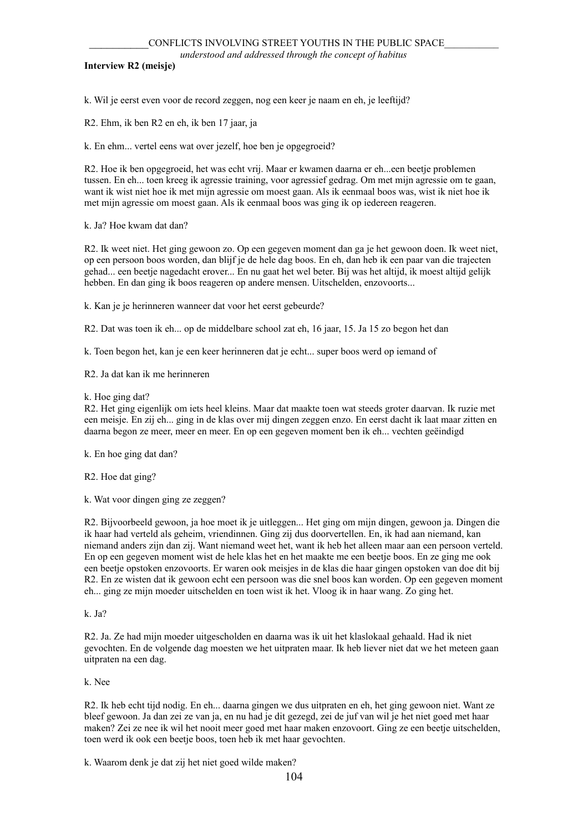#### **Interview R2 (meisje)**

k. Wil je eerst even voor de record zeggen, nog een keer je naam en eh, je leeftijd?

R2. Ehm, ik ben R2 en eh, ik ben 17 jaar, ja

k. En ehm... vertel eens wat over jezelf, hoe ben je opgegroeid?

R2. Hoe ik ben opgegroeid, het was echt vrij. Maar er kwamen daarna er eh...een beetje problemen tussen. En eh... toen kreeg ik agressie training, voor agressief gedrag. Om met mijn agressie om te gaan, want ik wist niet hoe ik met mijn agressie om moest gaan. Als ik eenmaal boos was, wist ik niet hoe ik met mijn agressie om moest gaan. Als ik eenmaal boos was ging ik op iedereen reageren.

k. Ja? Hoe kwam dat dan?

R2. Ik weet niet. Het ging gewoon zo. Op een gegeven moment dan ga je het gewoon doen. Ik weet niet, op een persoon boos worden, dan blijf je de hele dag boos. En eh, dan heb ik een paar van die trajecten gehad... een beetje nagedacht erover... En nu gaat het wel beter. Bij was het altijd, ik moest altijd gelijk hebben. En dan ging ik boos reageren op andere mensen. Uitschelden, enzovoorts...

k. Kan je je herinneren wanneer dat voor het eerst gebeurde?

R2. Dat was toen ik eh... op de middelbare school zat eh, 16 jaar, 15. Ja 15 zo begon het dan

k. Toen begon het, kan je een keer herinneren dat je echt... super boos werd op iemand of

R2. Ja dat kan ik me herinneren

k. Hoe ging dat?

R2. Het ging eigenlijk om iets heel kleins. Maar dat maakte toen wat steeds groter daarvan. Ik ruzie met een meisje. En zij eh... ging in de klas over mij dingen zeggen enzo. En eerst dacht ik laat maar zitten en daarna begon ze meer, meer en meer. En op een gegeven moment ben ik eh... vechten geëindigd

k. En hoe ging dat dan?

R2. Hoe dat ging?

k. Wat voor dingen ging ze zeggen?

R2. Bijvoorbeeld gewoon, ja hoe moet ik je uitleggen... Het ging om mijn dingen, gewoon ja. Dingen die ik haar had verteld als geheim, vriendinnen. Ging zij dus doorvertellen. En, ik had aan niemand, kan niemand anders zijn dan zij. Want niemand weet het, want ik heb het alleen maar aan een persoon verteld. En op een gegeven moment wist de hele klas het en het maakte me een beetje boos. En ze ging me ook een beetje opstoken enzovoorts. Er waren ook meisjes in de klas die haar gingen opstoken van doe dit bij R2. En ze wisten dat ik gewoon echt een persoon was die snel boos kan worden. Op een gegeven moment eh... ging ze mijn moeder uitschelden en toen wist ik het. Vloog ik in haar wang. Zo ging het.

k. Ja?

R2. Ja. Ze had mijn moeder uitgescholden en daarna was ik uit het klaslokaal gehaald. Had ik niet gevochten. En de volgende dag moesten we het uitpraten maar. Ik heb liever niet dat we het meteen gaan uitpraten na een dag.

k. Nee

R2. Ik heb echt tijd nodig. En eh... daarna gingen we dus uitpraten en eh, het ging gewoon niet. Want ze bleef gewoon. Ja dan zei ze van ja, en nu had je dit gezegd, zei de juf van wil je het niet goed met haar maken? Zei ze nee ik wil het nooit meer goed met haar maken enzovoort. Ging ze een beetje uitschelden, toen werd ik ook een beetje boos, toen heb ik met haar gevochten.

k. Waarom denk je dat zij het niet goed wilde maken?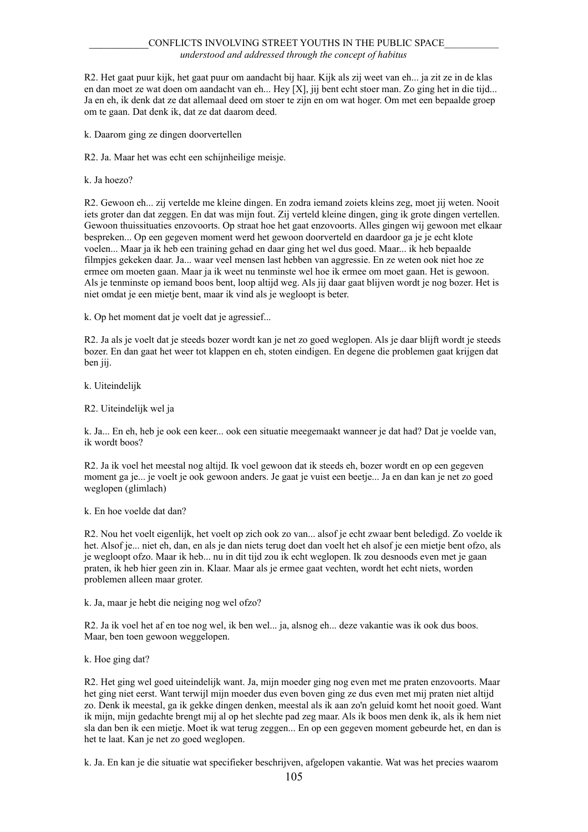R2. Het gaat puur kijk, het gaat puur om aandacht bij haar. Kijk als zij weet van eh... ja zit ze in de klas en dan moet ze wat doen om aandacht van eh... Hey [X], jij bent echt stoer man. Zo ging het in die tijd... Ja en eh, ik denk dat ze dat allemaal deed om stoer te zijn en om wat hoger. Om met een bepaalde groep om te gaan. Dat denk ik, dat ze dat daarom deed.

k. Daarom ging ze dingen doorvertellen

R2. Ja. Maar het was echt een schijnheilige meisje.

k. Ja hoezo?

R2. Gewoon eh... zij vertelde me kleine dingen. En zodra iemand zoiets kleins zeg, moet jij weten. Nooit iets groter dan dat zeggen. En dat was mijn fout. Zij verteld kleine dingen, ging ik grote dingen vertellen. Gewoon thuissituaties enzovoorts. Op straat hoe het gaat enzovoorts. Alles gingen wij gewoon met elkaar bespreken... Op een gegeven moment werd het gewoon doorverteld en daardoor ga je je echt klote voelen... Maar ja ik heb een training gehad en daar ging het wel dus goed. Maar... ik heb bepaalde filmpjes gekeken daar. Ja... waar veel mensen last hebben van aggressie. En ze weten ook niet hoe ze ermee om moeten gaan. Maar ja ik weet nu tenminste wel hoe ik ermee om moet gaan. Het is gewoon. Als je tenminste op iemand boos bent, loop altijd weg. Als jij daar gaat blijven wordt je nog bozer. Het is niet omdat je een mietje bent, maar ik vind als je wegloopt is beter.

k. Op het moment dat je voelt dat je agressief...

R2. Ja als je voelt dat je steeds bozer wordt kan je net zo goed weglopen. Als je daar blijft wordt je steeds bozer. En dan gaat het weer tot klappen en eh, stoten eindigen. En degene die problemen gaat krijgen dat ben jij.

k. Uiteindelijk

#### R2. Uiteindelijk wel ja

k. Ja... En eh, heb je ook een keer... ook een situatie meegemaakt wanneer je dat had? Dat je voelde van, ik wordt boos?

R2. Ja ik voel het meestal nog altijd. Ik voel gewoon dat ik steeds eh, bozer wordt en op een gegeven moment ga je... je voelt je ook gewoon anders. Je gaat je vuist een beetje... Ja en dan kan je net zo goed weglopen (glimlach)

k. En hoe voelde dat dan?

R2. Nou het voelt eigenlijk, het voelt op zich ook zo van... alsof je echt zwaar bent beledigd. Zo voelde ik het. Alsof je... niet eh, dan, en als je dan niets terug doet dan voelt het eh alsof je een mietje bent ofzo, als je wegloopt ofzo. Maar ik heb... nu in dit tijd zou ik echt weglopen. Ik zou desnoods even met je gaan praten, ik heb hier geen zin in. Klaar. Maar als je ermee gaat vechten, wordt het echt niets, worden problemen alleen maar groter.

k. Ja, maar je hebt die neiging nog wel ofzo?

R2. Ja ik voel het af en toe nog wel, ik ben wel... ja, alsnog eh... deze vakantie was ik ook dus boos. Maar, ben toen gewoon weggelopen.

k. Hoe ging dat?

R2. Het ging wel goed uiteindelijk want. Ja, mijn moeder ging nog even met me praten enzovoorts. Maar het ging niet eerst. Want terwijl mijn moeder dus even boven ging ze dus even met mij praten niet altijd zo. Denk ik meestal, ga ik gekke dingen denken, meestal als ik aan zo'n geluid komt het nooit goed. Want ik mijn, mijn gedachte brengt mij al op het slechte pad zeg maar. Als ik boos men denk ik, als ik hem niet sla dan ben ik een mietje. Moet ik wat terug zeggen... En op een gegeven moment gebeurde het, en dan is het te laat. Kan je net zo goed weglopen.

k. Ja. En kan je die situatie wat specifieker beschrijven, afgelopen vakantie. Wat was het precies waarom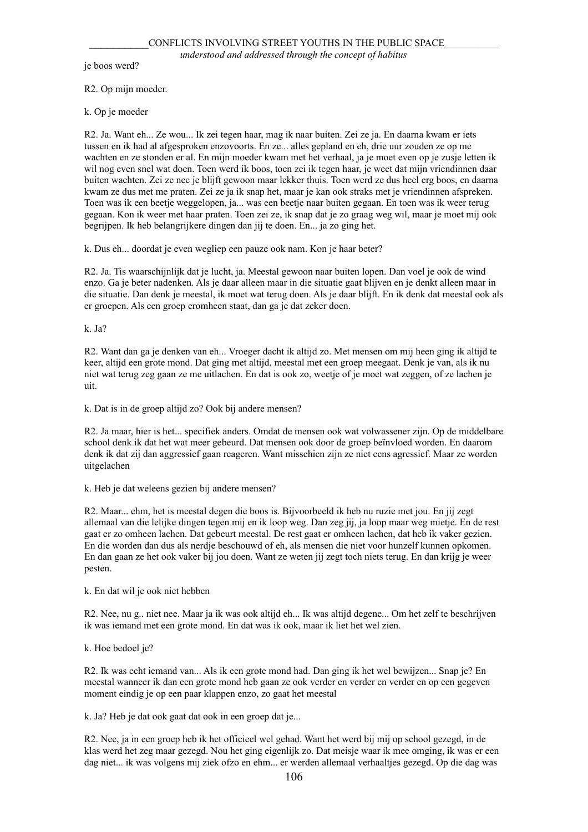je boos werd?

R2. Op mijn moeder.

k. Op je moeder

R2. Ja. Want eh... Ze wou... Ik zei tegen haar, mag ik naar buiten. Zei ze ja. En daarna kwam er iets tussen en ik had al afgesproken enzovoorts. En ze... alles gepland en eh, drie uur zouden ze op me wachten en ze stonden er al. En mijn moeder kwam met het verhaal, ja je moet even op je zusje letten ik wil nog even snel wat doen. Toen werd ik boos, toen zei ik tegen haar, je weet dat mijn vriendinnen daar buiten wachten. Zei ze nee je blijft gewoon maar lekker thuis. Toen werd ze dus heel erg boos, en daarna kwam ze dus met me praten. Zei ze ja ik snap het, maar je kan ook straks met je vriendinnen afspreken. Toen was ik een beetje weggelopen, ja... was een beetje naar buiten gegaan. En toen was ik weer terug gegaan. Kon ik weer met haar praten. Toen zei ze, ik snap dat je zo graag weg wil, maar je moet mij ook begrijpen. Ik heb belangrijkere dingen dan jij te doen. En... ja zo ging het.

k. Dus eh... doordat je even wegliep een pauze ook nam. Kon je haar beter?

R2. Ja. Tis waarschijnlijk dat je lucht, ja. Meestal gewoon naar buiten lopen. Dan voel je ook de wind enzo. Ga je beter nadenken. Als je daar alleen maar in die situatie gaat blijven en je denkt alleen maar in die situatie. Dan denk je meestal, ik moet wat terug doen. Als je daar blijft. En ik denk dat meestal ook als er groepen. Als een groep eromheen staat, dan ga je dat zeker doen.

k. Ja?

R2. Want dan ga je denken van eh... Vroeger dacht ik altijd zo. Met mensen om mij heen ging ik altijd te keer, altijd een grote mond. Dat ging met altijd, meestal met een groep meegaat. Denk je van, als ik nu niet wat terug zeg gaan ze me uitlachen. En dat is ook zo, weetje of je moet wat zeggen, of ze lachen je uit.

k. Dat is in de groep altijd zo? Ook bij andere mensen?

R2. Ja maar, hier is het... specifiek anders. Omdat de mensen ook wat volwassener zijn. Op de middelbare school denk ik dat het wat meer gebeurd. Dat mensen ook door de groep beïnvloed worden. En daarom denk ik dat zij dan aggressief gaan reageren. Want misschien zijn ze niet eens agressief. Maar ze worden uitgelachen

k. Heb je dat weleens gezien bij andere mensen?

R2. Maar... ehm, het is meestal degen die boos is. Bijvoorbeeld ik heb nu ruzie met jou. En jij zegt allemaal van die lelijke dingen tegen mij en ik loop weg. Dan zeg jij, ja loop maar weg mietje. En de rest gaat er zo omheen lachen. Dat gebeurt meestal. De rest gaat er omheen lachen, dat heb ik vaker gezien. En die worden dan dus als nerdje beschouwd of eh, als mensen die niet voor hunzelf kunnen opkomen. En dan gaan ze het ook vaker bij jou doen. Want ze weten jij zegt toch niets terug. En dan krijg je weer pesten.

k. En dat wil je ook niet hebben

R2. Nee, nu g.. niet nee. Maar ja ik was ook altijd eh... Ik was altijd degene... Om het zelf te beschrijven ik was iemand met een grote mond. En dat was ik ook, maar ik liet het wel zien.

k. Hoe bedoel je?

R2. Ik was echt iemand van... Als ik een grote mond had. Dan ging ik het wel bewijzen... Snap je? En meestal wanneer ik dan een grote mond heb gaan ze ook verder en verder en verder en op een gegeven moment eindig je op een paar klappen enzo, zo gaat het meestal

k. Ja? Heb je dat ook gaat dat ook in een groep dat je...

R2. Nee, ja in een groep heb ik het officieel wel gehad. Want het werd bij mij op school gezegd, in de klas werd het zeg maar gezegd. Nou het ging eigenlijk zo. Dat meisje waar ik mee omging, ik was er een dag niet... ik was volgens mij ziek ofzo en ehm... er werden allemaal verhaaltjes gezegd. Op die dag was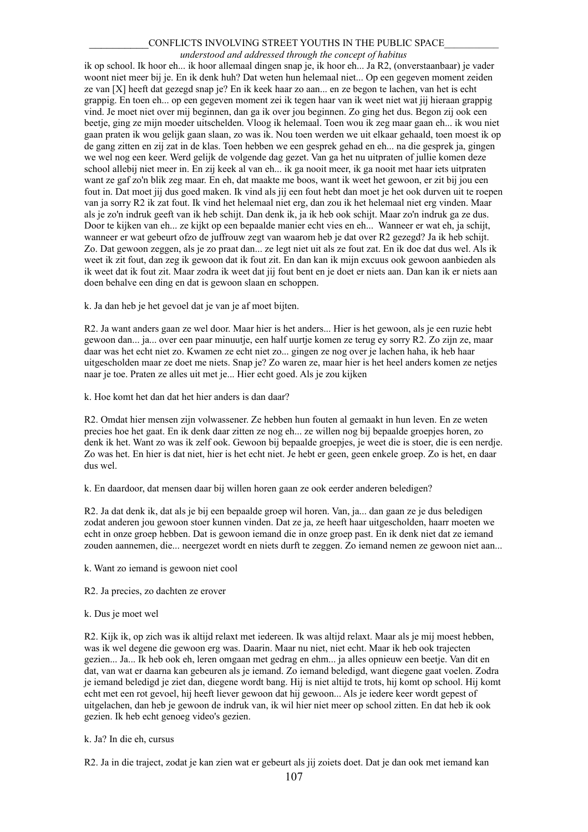#### CONFLICTS INVOLVING STREET YOUTHS IN THE PUBLIC SPACE

#### *understood and addressed through the concept of habitus*

ik op school. Ik hoor eh... ik hoor allemaal dingen snap je, ik hoor eh... Ja R2, (onverstaanbaar) je vader woont niet meer bij je. En ik denk huh? Dat weten hun helemaal niet... Op een gegeven moment zeiden ze van [X] heeft dat gezegd snap je? En ik keek haar zo aan... en ze begon te lachen, van het is echt grappig. En toen eh... op een gegeven moment zei ik tegen haar van ik weet niet wat jij hieraan grappig vind. Je moet niet over mij beginnen, dan ga ik over jou beginnen. Zo ging het dus. Begon zij ook een beetje, ging ze mijn moeder uitschelden. Vloog ik helemaal. Toen wou ik zeg maar gaan eh... ik wou niet gaan praten ik wou gelijk gaan slaan, zo was ik. Nou toen werden we uit elkaar gehaald, toen moest ik op de gang zitten en zij zat in de klas. Toen hebben we een gesprek gehad en eh... na die gesprek ja, gingen we wel nog een keer. Werd gelijk de volgende dag gezet. Van ga het nu uitpraten of jullie komen deze school allebij niet meer in. En zij keek al van eh... ik ga nooit meer, ik ga nooit met haar iets uitpraten want ze gaf zo'n blik zeg maar. En eh, dat maakte me boos, want ik weet het gewoon, er zit bij jou een fout in. Dat moet jij dus goed maken. Ik vind als jij een fout hebt dan moet je het ook durven uit te roepen van ja sorry R2 ik zat fout. Ik vind het helemaal niet erg, dan zou ik het helemaal niet erg vinden. Maar als je zo'n indruk geeft van ik heb schijt. Dan denk ik, ja ik heb ook schijt. Maar zo'n indruk ga ze dus. Door te kijken van eh... ze kijkt op een bepaalde manier echt vies en eh... Wanneer er wat eh, ja schijt, wanneer er wat gebeurt ofzo de juffrouw zegt van waarom heb je dat over R2 gezegd? Ja ik heb schijt. Zo. Dat gewoon zeggen, als je zo praat dan... ze legt niet uit als ze fout zat. En ik doe dat dus wel. Als ik weet ik zit fout, dan zeg ik gewoon dat ik fout zit. En dan kan ik mijn excuus ook gewoon aanbieden als ik weet dat ik fout zit. Maar zodra ik weet dat jij fout bent en je doet er niets aan. Dan kan ik er niets aan doen behalve een ding en dat is gewoon slaan en schoppen.

k. Ja dan heb je het gevoel dat je van je af moet bijten.

R2. Ja want anders gaan ze wel door. Maar hier is het anders... Hier is het gewoon, als je een ruzie hebt gewoon dan... ja... over een paar minuutje, een half uurtje komen ze terug ey sorry R2. Zo zijn ze, maar daar was het echt niet zo. Kwamen ze echt niet zo... gingen ze nog over je lachen haha, ik heb haar uitgescholden maar ze doet me niets. Snap je? Zo waren ze, maar hier is het heel anders komen ze netjes naar je toe. Praten ze alles uit met je... Hier echt goed. Als je zou kijken

k. Hoe komt het dan dat het hier anders is dan daar?

R2. Omdat hier mensen zijn volwassener. Ze hebben hun fouten al gemaakt in hun leven. En ze weten precies hoe het gaat. En ik denk daar zitten ze nog eh... ze willen nog bij bepaalde groepjes horen, zo denk ik het. Want zo was ik zelf ook. Gewoon bij bepaalde groepjes, je weet die is stoer, die is een nerdje. Zo was het. En hier is dat niet, hier is het echt niet. Je hebt er geen, geen enkele groep. Zo is het, en daar dus wel.

k. En daardoor, dat mensen daar bij willen horen gaan ze ook eerder anderen beledigen?

R2. Ja dat denk ik, dat als je bij een bepaalde groep wil horen. Van, ja... dan gaan ze je dus beledigen zodat anderen jou gewoon stoer kunnen vinden. Dat ze ja, ze heeft haar uitgescholden, haarr moeten we echt in onze groep hebben. Dat is gewoon iemand die in onze groep past. En ik denk niet dat ze iemand zouden aannemen, die... neergezet wordt en niets durft te zeggen. Zo iemand nemen ze gewoon niet aan...

k. Want zo iemand is gewoon niet cool

R2. Ja precies, zo dachten ze erover

#### k. Dus je moet wel

R2. Kijk ik, op zich was ik altijd relaxt met iedereen. Ik was altijd relaxt. Maar als je mij moest hebben, was ik wel degene die gewoon erg was. Daarin. Maar nu niet, niet echt. Maar ik heb ook trajecten gezien... Ja... Ik heb ook eh, leren omgaan met gedrag en ehm... ja alles opnieuw een beetje. Van dit en dat, van wat er daarna kan gebeuren als je iemand. Zo iemand beledigd, want diegene gaat voelen. Zodra je iemand beledigd je ziet dan, diegene wordt bang. Hij is niet altijd te trots, hij komt op school. Hij komt echt met een rot gevoel, hij heeft liever gewoon dat hij gewoon... Als je iedere keer wordt gepest of uitgelachen, dan heb je gewoon de indruk van, ik wil hier niet meer op school zitten. En dat heb ik ook gezien. Ik heb echt genoeg video's gezien.

#### k. Ja? In die eh, cursus

R2. Ja in die traject, zodat je kan zien wat er gebeurt als jij zoiets doet. Dat je dan ook met iemand kan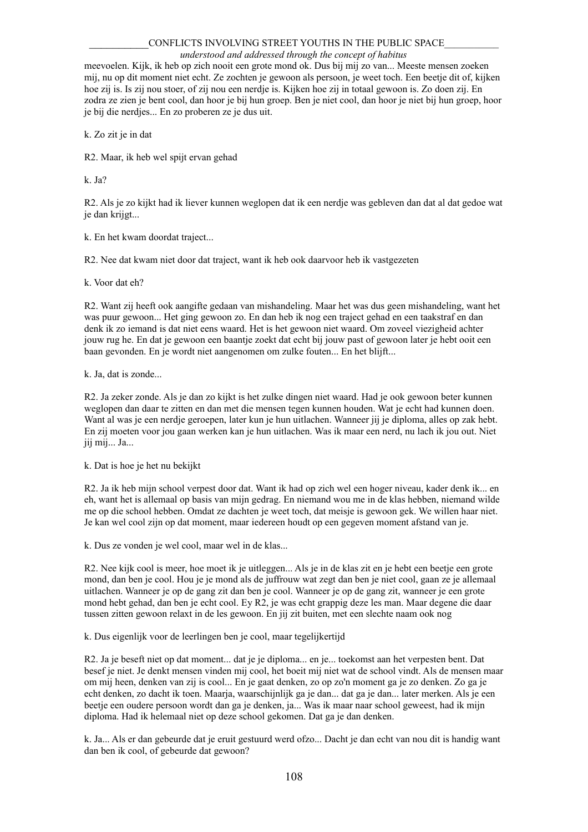#### CONFLICTS INVOLVING STREET YOUTHS IN THE PUBLIC SPACE

#### *understood and addressed through the concept of habitus*

meevoelen. Kijk, ik heb op zich nooit een grote mond ok. Dus bij mij zo van... Meeste mensen zoeken mij, nu op dit moment niet echt. Ze zochten je gewoon als persoon, je weet toch. Een beetje dit of, kijken hoe zij is. Is zij nou stoer, of zij nou een nerdje is. Kijken hoe zij in totaal gewoon is. Zo doen zij. En zodra ze zien je bent cool, dan hoor je bij hun groep. Ben je niet cool, dan hoor je niet bij hun groep, hoor je bij die nerdjes... En zo proberen ze je dus uit.

k. Zo zit je in dat

R2. Maar, ik heb wel spijt ervan gehad

k. Ja?

R2. Als je zo kijkt had ik liever kunnen weglopen dat ik een nerdje was gebleven dan dat al dat gedoe wat je dan krijgt...

k. En het kwam doordat traject...

R2. Nee dat kwam niet door dat traject, want ik heb ook daarvoor heb ik vastgezeten

k. Voor dat eh?

R2. Want zij heeft ook aangifte gedaan van mishandeling. Maar het was dus geen mishandeling, want het was puur gewoon... Het ging gewoon zo. En dan heb ik nog een traject gehad en een taakstraf en dan denk ik zo iemand is dat niet eens waard. Het is het gewoon niet waard. Om zoveel viezigheid achter jouw rug he. En dat je gewoon een baantje zoekt dat echt bij jouw past of gewoon later je hebt ooit een baan gevonden. En je wordt niet aangenomen om zulke fouten... En het blijft...

k. Ja, dat is zonde...

R2. Ja zeker zonde. Als je dan zo kijkt is het zulke dingen niet waard. Had je ook gewoon beter kunnen weglopen dan daar te zitten en dan met die mensen tegen kunnen houden. Wat je echt had kunnen doen. Want al was je een nerdje geroepen, later kun je hun uitlachen. Wanneer jij je diploma, alles op zak hebt. En zij moeten voor jou gaan werken kan je hun uitlachen. Was ik maar een nerd, nu lach ik jou out. Niet jij mij... Ja...

k. Dat is hoe je het nu bekijkt

R2. Ja ik heb mijn school verpest door dat. Want ik had op zich wel een hoger niveau, kader denk ik... en eh, want het is allemaal op basis van mijn gedrag. En niemand wou me in de klas hebben, niemand wilde me op die school hebben. Omdat ze dachten je weet toch, dat meisje is gewoon gek. We willen haar niet. Je kan wel cool zijn op dat moment, maar iedereen houdt op een gegeven moment afstand van je.

k. Dus ze vonden je wel cool, maar wel in de klas...

R2. Nee kijk cool is meer, hoe moet ik je uitleggen... Als je in de klas zit en je hebt een beetje een grote mond, dan ben je cool. Hou je je mond als de juffrouw wat zegt dan ben je niet cool, gaan ze je allemaal uitlachen. Wanneer je op de gang zit dan ben je cool. Wanneer je op de gang zit, wanneer je een grote mond hebt gehad, dan ben je echt cool. Ey R2, je was echt grappig deze les man. Maar degene die daar tussen zitten gewoon relaxt in de les gewoon. En jij zit buiten, met een slechte naam ook nog

k. Dus eigenlijk voor de leerlingen ben je cool, maar tegelijkertijd

R2. Ja je beseft niet op dat moment... dat je je diploma... en je... toekomst aan het verpesten bent. Dat besef je niet. Je denkt mensen vinden mij cool, het boeit mij niet wat de school vindt. Als de mensen maar om mij heen, denken van zij is cool... En je gaat denken, zo op zo'n moment ga je zo denken. Zo ga je echt denken, zo dacht ik toen. Maarja, waarschijnlijk ga je dan... dat ga je dan... later merken. Als je een beetje een oudere persoon wordt dan ga je denken, ja... Was ik maar naar school geweest, had ik mijn diploma. Had ik helemaal niet op deze school gekomen. Dat ga je dan denken.

k. Ja... Als er dan gebeurde dat je eruit gestuurd werd ofzo... Dacht je dan echt van nou dit is handig want dan ben ik cool, of gebeurde dat gewoon?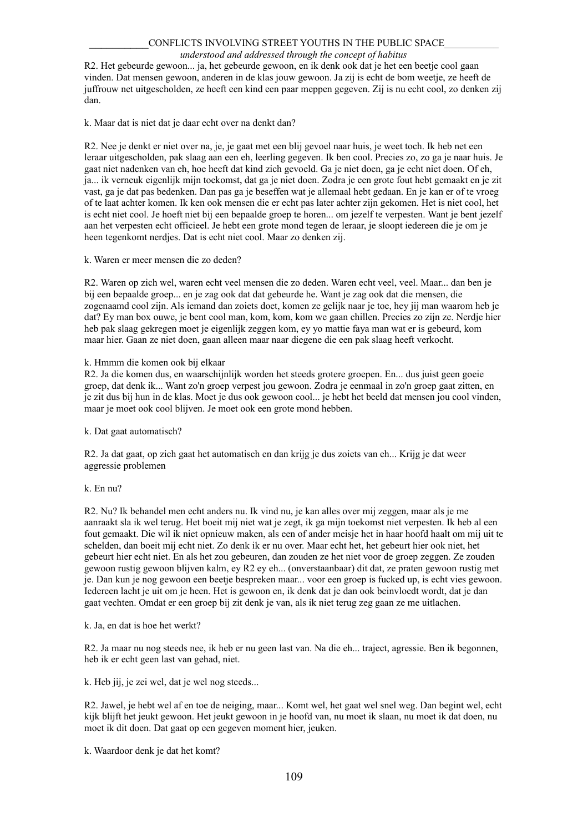#### *understood and addressed through the concept of habitus*

R2. Het gebeurde gewoon... ja, het gebeurde gewoon, en ik denk ook dat je het een beetje cool gaan vinden. Dat mensen gewoon, anderen in de klas jouw gewoon. Ja zij is echt de bom weetje, ze heeft de juffrouw net uitgescholden, ze heeft een kind een paar meppen gegeven. Zij is nu echt cool, zo denken zij dan.

k. Maar dat is niet dat je daar echt over na denkt dan?

R2. Nee je denkt er niet over na, je, je gaat met een blij gevoel naar huis, je weet toch. Ik heb net een leraar uitgescholden, pak slaag aan een eh, leerling gegeven. Ik ben cool. Precies zo, zo ga je naar huis. Je gaat niet nadenken van eh, hoe heeft dat kind zich gevoeld. Ga je niet doen, ga je echt niet doen. Of eh, ja... ik verneuk eigenlijk mijn toekomst, dat ga je niet doen. Zodra je een grote fout hebt gemaakt en je zit vast, ga je dat pas bedenken. Dan pas ga je beseffen wat je allemaal hebt gedaan. En je kan er of te vroeg of te laat achter komen. Ik ken ook mensen die er echt pas later achter zijn gekomen. Het is niet cool, het is echt niet cool. Je hoeft niet bij een bepaalde groep te horen... om jezelf te verpesten. Want je bent jezelf aan het verpesten echt officieel. Je hebt een grote mond tegen de leraar, je sloopt iedereen die je om je heen tegenkomt nerdjes. Dat is echt niet cool. Maar zo denken zij.

k. Waren er meer mensen die zo deden?

R2. Waren op zich wel, waren echt veel mensen die zo deden. Waren echt veel, veel. Maar... dan ben je bij een bepaalde groep... en je zag ook dat dat gebeurde he. Want je zag ook dat die mensen, die zogenaamd cool zijn. Als iemand dan zoiets doet, komen ze gelijk naar je toe, hey jij man waarom heb je dat? Ey man box ouwe, je bent cool man, kom, kom, kom we gaan chillen. Precies zo zijn ze. Nerdje hier heb pak slaag gekregen moet je eigenlijk zeggen kom, ey yo mattie faya man wat er is gebeurd, kom maar hier. Gaan ze niet doen, gaan alleen maar naar diegene die een pak slaag heeft verkocht.

k. Hmmm die komen ook bij elkaar

R2. Ja die komen dus, en waarschijnlijk worden het steeds grotere groepen. En... dus juist geen goeie groep, dat denk ik... Want zo'n groep verpest jou gewoon. Zodra je eenmaal in zo'n groep gaat zitten, en je zit dus bij hun in de klas. Moet je dus ook gewoon cool... je hebt het beeld dat mensen jou cool vinden, maar je moet ook cool blijven. Je moet ook een grote mond hebben.

k. Dat gaat automatisch?

R2. Ja dat gaat, op zich gaat het automatisch en dan krijg je dus zoiets van eh... Krijg je dat weer aggressie problemen

# k. En nu?

R2. Nu? Ik behandel men echt anders nu. Ik vind nu, je kan alles over mij zeggen, maar als je me aanraakt sla ik wel terug. Het boeit mij niet wat je zegt, ik ga mijn toekomst niet verpesten. Ik heb al een fout gemaakt. Die wil ik niet opnieuw maken, als een of ander meisje het in haar hoofd haalt om mij uit te schelden, dan boeit mij echt niet. Zo denk ik er nu over. Maar echt het, het gebeurt hier ook niet, het gebeurt hier echt niet. En als het zou gebeuren, dan zouden ze het niet voor de groep zeggen. Ze zouden gewoon rustig gewoon blijven kalm, ey R2 ey eh... (onverstaanbaar) dit dat, ze praten gewoon rustig met je. Dan kun je nog gewoon een beetje bespreken maar... voor een groep is fucked up, is echt vies gewoon. Iedereen lacht je uit om je heen. Het is gewoon en, ik denk dat je dan ook beinvloedt wordt, dat je dan gaat vechten. Omdat er een groep bij zit denk je van, als ik niet terug zeg gaan ze me uitlachen.

k. Ja, en dat is hoe het werkt?

R2. Ja maar nu nog steeds nee, ik heb er nu geen last van. Na die eh... traject, agressie. Ben ik begonnen, heb ik er echt geen last van gehad, niet.

k. Heb jij, je zei wel, dat je wel nog steeds...

R2. Jawel, je hebt wel af en toe de neiging, maar... Komt wel, het gaat wel snel weg. Dan begint wel, echt kijk blijft het jeukt gewoon. Het jeukt gewoon in je hoofd van, nu moet ik slaan, nu moet ik dat doen, nu moet ik dit doen. Dat gaat op een gegeven moment hier, jeuken.

k. Waardoor denk je dat het komt?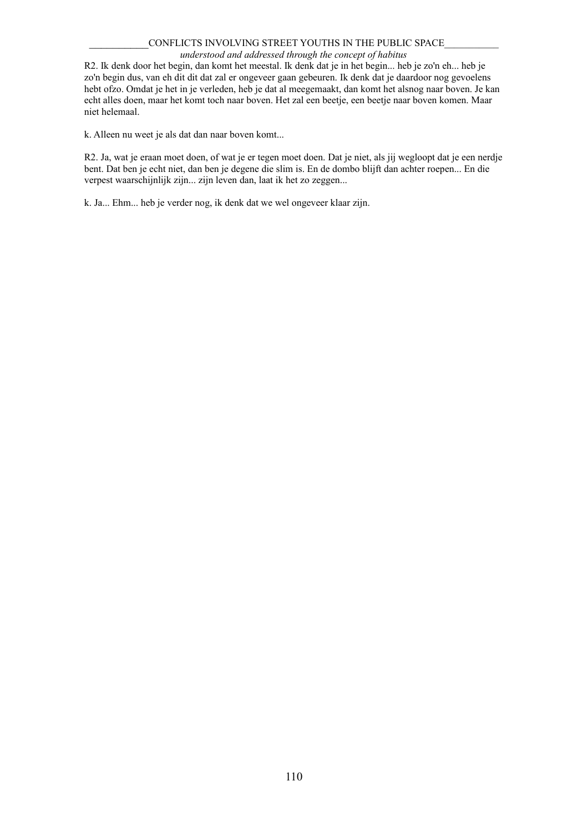### *understood and addressed through the concept of habitus*

R2. Ik denk door het begin, dan komt het meestal. Ik denk dat je in het begin... heb je zo'n eh... heb je zo'n begin dus, van eh dit dit dat zal er ongeveer gaan gebeuren. Ik denk dat je daardoor nog gevoelens hebt ofzo. Omdat je het in je verleden, heb je dat al meegemaakt, dan komt het alsnog naar boven. Je kan echt alles doen, maar het komt toch naar boven. Het zal een beetje, een beetje naar boven komen. Maar niet helemaal.

k. Alleen nu weet je als dat dan naar boven komt...

R2. Ja, wat je eraan moet doen, of wat je er tegen moet doen. Dat je niet, als jij wegloopt dat je een nerdje bent. Dat ben je echt niet, dan ben je degene die slim is. En de dombo blijft dan achter roepen... En die verpest waarschijnlijk zijn... zijn leven dan, laat ik het zo zeggen...

k. Ja... Ehm... heb je verder nog, ik denk dat we wel ongeveer klaar zijn.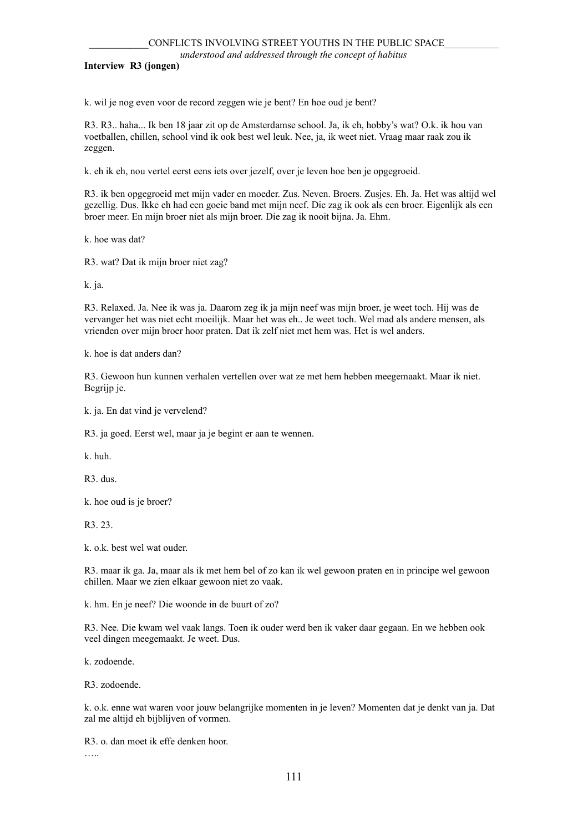**Interview R3 (jongen)**

k. wil je nog even voor de record zeggen wie je bent? En hoe oud je bent?

R3. R3.. haha... Ik ben 18 jaar zit op de Amsterdamse school. Ja, ik eh, hobby's wat? O.k. ik hou van voetballen, chillen, school vind ik ook best wel leuk. Nee, ja, ik weet niet. Vraag maar raak zou ik zeggen.

k. eh ik eh, nou vertel eerst eens iets over jezelf, over je leven hoe ben je opgegroeid.

R3. ik ben opgegroeid met mijn vader en moeder. Zus. Neven. Broers. Zusjes. Eh. Ja. Het was altijd wel gezellig. Dus. Ikke eh had een goeie band met mijn neef. Die zag ik ook als een broer. Eigenlijk als een broer meer. En mijn broer niet als mijn broer. Die zag ik nooit bijna. Ja. Ehm.

k. hoe was dat?

R3. wat? Dat ik mijn broer niet zag?

k. ja.

R3. Relaxed. Ja. Nee ik was ja. Daarom zeg ik ja mijn neef was mijn broer, je weet toch. Hij was de vervanger het was niet echt moeilijk. Maar het was eh.. Je weet toch. Wel mad als andere mensen, als vrienden over mijn broer hoor praten. Dat ik zelf niet met hem was. Het is wel anders.

k. hoe is dat anders dan?

R3. Gewoon hun kunnen verhalen vertellen over wat ze met hem hebben meegemaakt. Maar ik niet. Begrijp je.

k. ja. En dat vind je vervelend?

R3. ja goed. Eerst wel, maar ja je begint er aan te wennen.

k. huh.

R3. dus.

k. hoe oud is je broer?

R3. 23.

k. o.k. best wel wat ouder.

R3. maar ik ga. Ja, maar als ik met hem bel of zo kan ik wel gewoon praten en in principe wel gewoon chillen. Maar we zien elkaar gewoon niet zo vaak.

k. hm. En je neef? Die woonde in de buurt of zo?

R3. Nee. Die kwam wel vaak langs. Toen ik ouder werd ben ik vaker daar gegaan. En we hebben ook veel dingen meegemaakt. Je weet. Dus.

k. zodoende.

R3. zodoende.

k. o.k. enne wat waren voor jouw belangrijke momenten in je leven? Momenten dat je denkt van ja. Dat zal me altijd eh bijblijven of vormen.

R3. o. dan moet ik effe denken hoor.

…..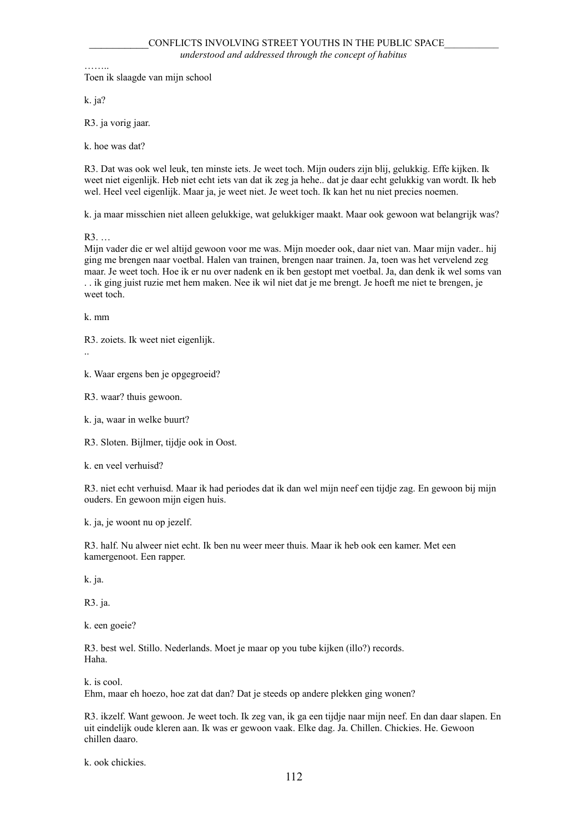……… Toen ik slaagde van mijn school

k. ja?

R3. ja vorig jaar.

k. hoe was dat?

R3. Dat was ook wel leuk, ten minste iets. Je weet toch. Mijn ouders zijn blij, gelukkig. Effe kijken. Ik weet niet eigenlijk. Heb niet echt iets van dat ik zeg ja hehe.. dat je daar echt gelukkig van wordt. Ik heb wel. Heel veel eigenlijk. Maar ja, je weet niet. Je weet toch. Ik kan het nu niet precies noemen.

k. ja maar misschien niet alleen gelukkige, wat gelukkiger maakt. Maar ook gewoon wat belangrijk was?

R3. …

Mijn vader die er wel altijd gewoon voor me was. Mijn moeder ook, daar niet van. Maar mijn vader.. hij ging me brengen naar voetbal. Halen van trainen, brengen naar trainen. Ja, toen was het vervelend zeg maar. Je weet toch. Hoe ik er nu over nadenk en ik ben gestopt met voetbal. Ja, dan denk ik wel soms van . . ik ging juist ruzie met hem maken. Nee ik wil niet dat je me brengt. Je hoeft me niet te brengen, je weet toch.

k. mm

R3. zoiets. Ik weet niet eigenlijk.

..

k. Waar ergens ben je opgegroeid?

R3. waar? thuis gewoon.

k. ja, waar in welke buurt?

R3. Sloten. Bijlmer, tijdje ook in Oost.

k. en veel verhuisd?

R3. niet echt verhuisd. Maar ik had periodes dat ik dan wel mijn neef een tijdje zag. En gewoon bij mijn ouders. En gewoon mijn eigen huis.

k. ja, je woont nu op jezelf.

R3. half. Nu alweer niet echt. Ik ben nu weer meer thuis. Maar ik heb ook een kamer. Met een kamergenoot. Een rapper.

k. ja.

R3. ja.

k. een goeie?

R3. best wel. Stillo. Nederlands. Moet je maar op you tube kijken (illo?) records. Haha.

k. is cool.

Ehm, maar eh hoezo, hoe zat dat dan? Dat je steeds op andere plekken ging wonen?

R3. ikzelf. Want gewoon. Je weet toch. Ik zeg van, ik ga een tijdje naar mijn neef. En dan daar slapen. En uit eindelijk oude kleren aan. Ik was er gewoon vaak. Elke dag. Ja. Chillen. Chickies. He. Gewoon chillen daaro.

k. ook chickies.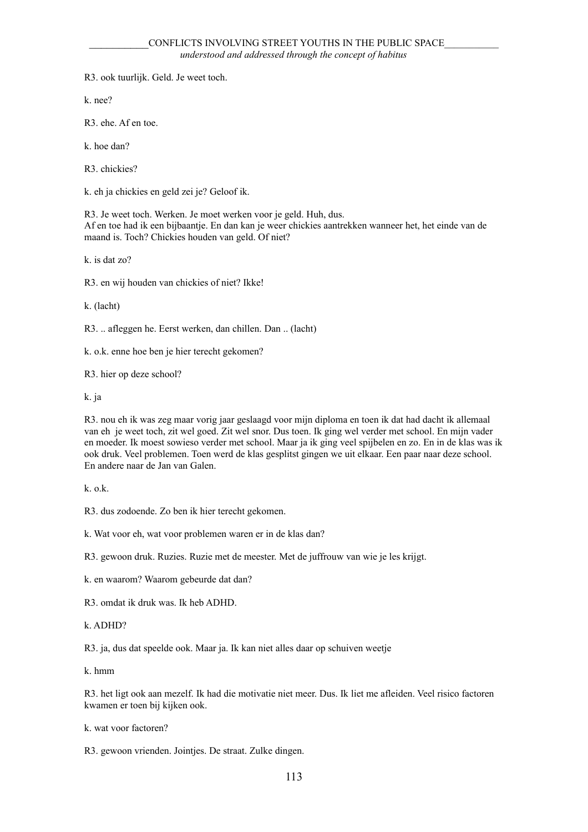R3. ook tuurlijk. Geld. Je weet toch.

k. nee?

R3. ehe. Af en toe.

k. hoe dan?

R3. chickies?

k. eh ja chickies en geld zei je? Geloof ik.

R3. Je weet toch. Werken. Je moet werken voor je geld. Huh, dus. Af en toe had ik een bijbaantje. En dan kan je weer chickies aantrekken wanneer het, het einde van de maand is. Toch? Chickies houden van geld. Of niet?

k. is dat zo?

R3. en wij houden van chickies of niet? Ikke!

k. (lacht)

R3. .. afleggen he. Eerst werken, dan chillen. Dan .. (lacht)

k. o.k. enne hoe ben je hier terecht gekomen?

R3. hier op deze school?

k. ja

R3. nou eh ik was zeg maar vorig jaar geslaagd voor mijn diploma en toen ik dat had dacht ik allemaal van eh je weet toch, zit wel goed. Zit wel snor. Dus toen. Ik ging wel verder met school. En mijn vader en moeder. Ik moest sowieso verder met school. Maar ja ik ging veel spijbelen en zo. En in de klas was ik ook druk. Veel problemen. Toen werd de klas gesplitst gingen we uit elkaar. Een paar naar deze school. En andere naar de Jan van Galen.

k. o.k.

R3. dus zodoende. Zo ben ik hier terecht gekomen.

k. Wat voor eh, wat voor problemen waren er in de klas dan?

R3. gewoon druk. Ruzies. Ruzie met de meester. Met de juffrouw van wie je les krijgt.

k. en waarom? Waarom gebeurde dat dan?

R3. omdat ik druk was. Ik heb ADHD.

k. ADHD?

R3. ja, dus dat speelde ook. Maar ja. Ik kan niet alles daar op schuiven weetje

k. hmm

R3. het ligt ook aan mezelf. Ik had die motivatie niet meer. Dus. Ik liet me afleiden. Veel risico factoren kwamen er toen bij kijken ook.

k. wat voor factoren?

R3. gewoon vrienden. Jointjes. De straat. Zulke dingen.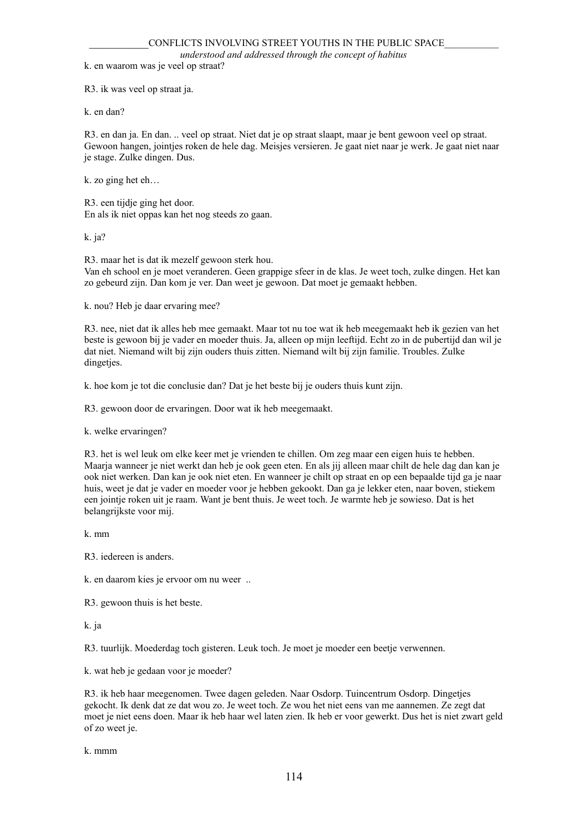*understood and addressed through the concept of habitus*

k. en waarom was je veel op straat?

R3. ik was veel op straat ja.

k. en dan?

R3. en dan ja. En dan. .. veel op straat. Niet dat je op straat slaapt, maar je bent gewoon veel op straat. Gewoon hangen, jointjes roken de hele dag. Meisjes versieren. Je gaat niet naar je werk. Je gaat niet naar je stage. Zulke dingen. Dus.

k. zo ging het eh…

R3. een tijdje ging het door. En als ik niet oppas kan het nog steeds zo gaan.

k. ja?

R3. maar het is dat ik mezelf gewoon sterk hou.

Van eh school en je moet veranderen. Geen grappige sfeer in de klas. Je weet toch, zulke dingen. Het kan zo gebeurd zijn. Dan kom je ver. Dan weet je gewoon. Dat moet je gemaakt hebben.

k. nou? Heb je daar ervaring mee?

R3. nee, niet dat ik alles heb mee gemaakt. Maar tot nu toe wat ik heb meegemaakt heb ik gezien van het beste is gewoon bij je vader en moeder thuis. Ja, alleen op mijn leeftijd. Echt zo in de pubertijd dan wil je dat niet. Niemand wilt bij zijn ouders thuis zitten. Niemand wilt bij zijn familie. Troubles. Zulke dingeties.

k. hoe kom je tot die conclusie dan? Dat je het beste bij je ouders thuis kunt zijn.

R3. gewoon door de ervaringen. Door wat ik heb meegemaakt.

k. welke ervaringen?

R3. het is wel leuk om elke keer met je vrienden te chillen. Om zeg maar een eigen huis te hebben. Maarja wanneer je niet werkt dan heb je ook geen eten. En als jij alleen maar chilt de hele dag dan kan je ook niet werken. Dan kan je ook niet eten. En wanneer je chilt op straat en op een bepaalde tijd ga je naar huis, weet je dat je vader en moeder voor je hebben gekookt. Dan ga je lekker eten, naar boven, stiekem een jointje roken uit je raam. Want je bent thuis. Je weet toch. Je warmte heb je sowieso. Dat is het belangrijkste voor mij.

k. mm

R3. iedereen is anders.

k. en daarom kies je ervoor om nu weer ..

R3. gewoon thuis is het beste.

k. ja

R3. tuurlijk. Moederdag toch gisteren. Leuk toch. Je moet je moeder een beetje verwennen.

k. wat heb je gedaan voor je moeder?

R3. ik heb haar meegenomen. Twee dagen geleden. Naar Osdorp. Tuincentrum Osdorp. Dingetjes gekocht. Ik denk dat ze dat wou zo. Je weet toch. Ze wou het niet eens van me aannemen. Ze zegt dat moet je niet eens doen. Maar ik heb haar wel laten zien. Ik heb er voor gewerkt. Dus het is niet zwart geld of zo weet je.

k. mmm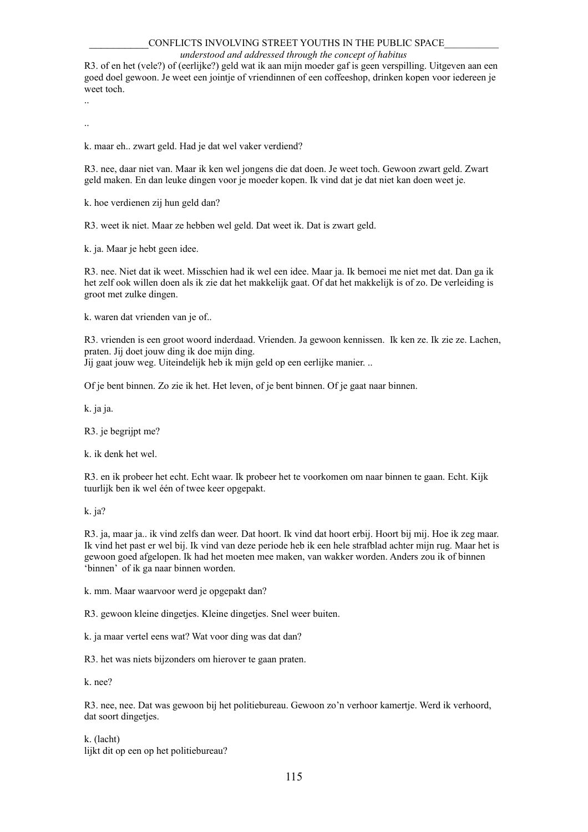#### *understood and addressed through the concept of habitus*

R3. of en het (vele?) of (eerlijke?) geld wat ik aan mijn moeder gaf is geen verspilling. Uitgeven aan een goed doel gewoon. Je weet een jointje of vriendinnen of een coffeeshop, drinken kopen voor iedereen je weet toch.

..

..

k. maar eh.. zwart geld. Had je dat wel vaker verdiend?

R3. nee, daar niet van. Maar ik ken wel jongens die dat doen. Je weet toch. Gewoon zwart geld. Zwart geld maken. En dan leuke dingen voor je moeder kopen. Ik vind dat je dat niet kan doen weet je.

k. hoe verdienen zij hun geld dan?

R3. weet ik niet. Maar ze hebben wel geld. Dat weet ik. Dat is zwart geld.

k. ja. Maar je hebt geen idee.

R3. nee. Niet dat ik weet. Misschien had ik wel een idee. Maar ja. Ik bemoei me niet met dat. Dan ga ik het zelf ook willen doen als ik zie dat het makkelijk gaat. Of dat het makkelijk is of zo. De verleiding is groot met zulke dingen.

k. waren dat vrienden van je of..

R3. vrienden is een groot woord inderdaad. Vrienden. Ja gewoon kennissen. Ik ken ze. Ik zie ze. Lachen, praten. Jij doet jouw ding ik doe mijn ding. Jij gaat jouw weg. Uiteindelijk heb ik mijn geld op een eerlijke manier. ..

Of je bent binnen. Zo zie ik het. Het leven, of je bent binnen. Of je gaat naar binnen.

k. ja ja.

R<sub>3</sub>. je begrijpt me?

k. ik denk het wel.

R3. en ik probeer het echt. Echt waar. Ik probeer het te voorkomen om naar binnen te gaan. Echt. Kijk tuurlijk ben ik wel één of twee keer opgepakt.

k. ja?

R3. ja, maar ja.. ik vind zelfs dan weer. Dat hoort. Ik vind dat hoort erbij. Hoort bij mij. Hoe ik zeg maar. Ik vind het past er wel bij. Ik vind van deze periode heb ik een hele strafblad achter mijn rug. Maar het is gewoon goed afgelopen. Ik had het moeten mee maken, van wakker worden. Anders zou ik of binnen 'binnen' of ik ga naar binnen worden.

k. mm. Maar waarvoor werd je opgepakt dan?

R3. gewoon kleine dingetjes. Kleine dingetjes. Snel weer buiten.

k. ja maar vertel eens wat? Wat voor ding was dat dan?

R3. het was niets bijzonders om hierover te gaan praten.

k. nee?

R3. nee, nee. Dat was gewoon bij het politiebureau. Gewoon zo'n verhoor kamertje. Werd ik verhoord, dat soort dingetjes.

k. (lacht) lijkt dit op een op het politiebureau?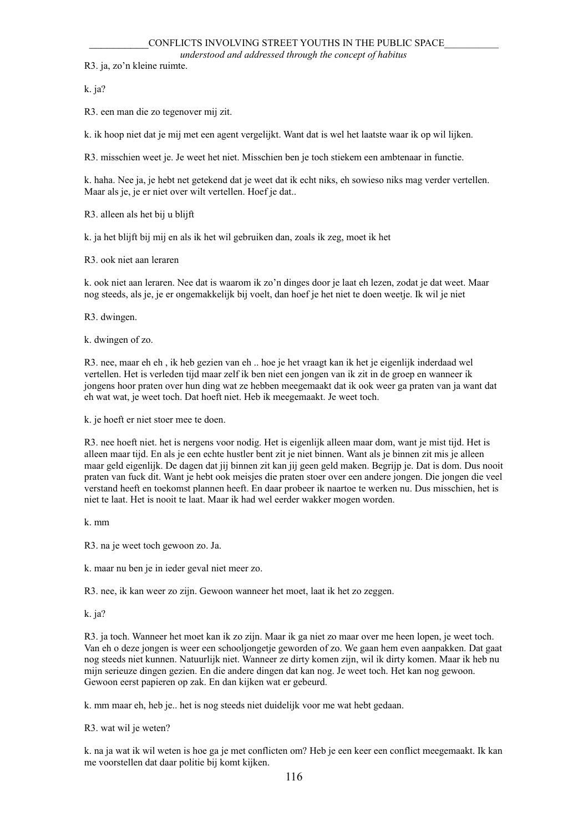R3. ja, zo'n kleine ruimte.

k. ja?

R3. een man die zo tegenover mij zit.

k. ik hoop niet dat je mij met een agent vergelijkt. Want dat is wel het laatste waar ik op wil lijken.

R3. misschien weet je. Je weet het niet. Misschien ben je toch stiekem een ambtenaar in functie.

k. haha. Nee ja, je hebt net getekend dat je weet dat ik echt niks, eh sowieso niks mag verder vertellen. Maar als je, je er niet over wilt vertellen. Hoef je dat..

R3. alleen als het bij u blijft

k. ja het blijft bij mij en als ik het wil gebruiken dan, zoals ik zeg, moet ik het

R3. ook niet aan leraren

k. ook niet aan leraren. Nee dat is waarom ik zo'n dinges door je laat eh lezen, zodat je dat weet. Maar nog steeds, als je, je er ongemakkelijk bij voelt, dan hoef je het niet te doen weetje. Ik wil je niet

R3. dwingen.

k. dwingen of zo.

R3. nee, maar eh eh , ik heb gezien van eh .. hoe je het vraagt kan ik het je eigenlijk inderdaad wel vertellen. Het is verleden tijd maar zelf ik ben niet een jongen van ik zit in de groep en wanneer ik jongens hoor praten over hun ding wat ze hebben meegemaakt dat ik ook weer ga praten van ja want dat eh wat wat, je weet toch. Dat hoeft niet. Heb ik meegemaakt. Je weet toch.

k. je hoeft er niet stoer mee te doen.

R3. nee hoeft niet. het is nergens voor nodig. Het is eigenlijk alleen maar dom, want je mist tijd. Het is alleen maar tijd. En als je een echte hustler bent zit je niet binnen. Want als je binnen zit mis je alleen maar geld eigenlijk. De dagen dat jij binnen zit kan jij geen geld maken. Begrijp je. Dat is dom. Dus nooit praten van fuck dit. Want je hebt ook meisjes die praten stoer over een andere jongen. Die jongen die veel verstand heeft en toekomst plannen heeft. En daar probeer ik naartoe te werken nu. Dus misschien, het is niet te laat. Het is nooit te laat. Maar ik had wel eerder wakker mogen worden.

k. mm

R3. na je weet toch gewoon zo. Ja.

k. maar nu ben je in ieder geval niet meer zo.

R3. nee, ik kan weer zo zijn. Gewoon wanneer het moet, laat ik het zo zeggen.

# k. ja?

R3. ja toch. Wanneer het moet kan ik zo zijn. Maar ik ga niet zo maar over me heen lopen, je weet toch. Van eh o deze jongen is weer een schooljongetje geworden of zo. We gaan hem even aanpakken. Dat gaat nog steeds niet kunnen. Natuurlijk niet. Wanneer ze dirty komen zijn, wil ik dirty komen. Maar ik heb nu mijn serieuze dingen gezien. En die andere dingen dat kan nog. Je weet toch. Het kan nog gewoon. Gewoon eerst papieren op zak. En dan kijken wat er gebeurd.

k. mm maar eh, heb je.. het is nog steeds niet duidelijk voor me wat hebt gedaan.

R3. wat wil je weten?

k. na ja wat ik wil weten is hoe ga je met conflicten om? Heb je een keer een conflict meegemaakt. Ik kan me voorstellen dat daar politie bij komt kijken.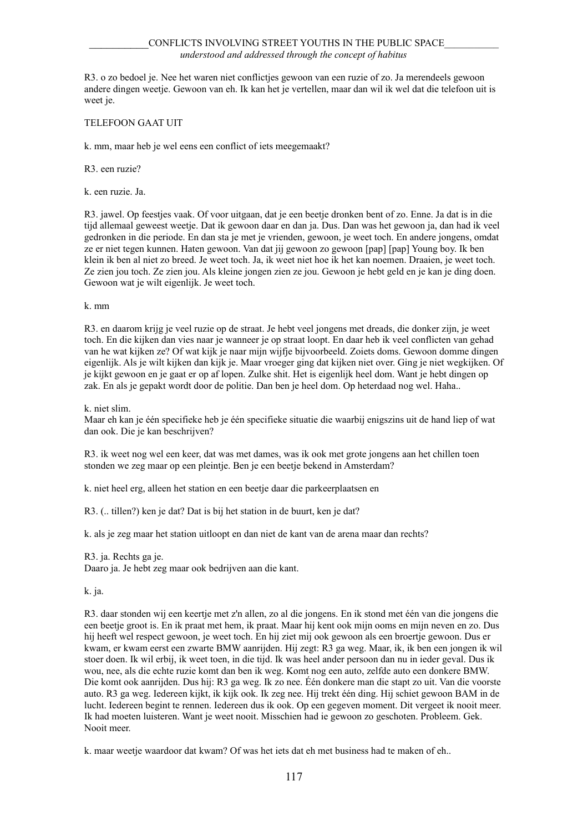## CONFLICTS INVOLVING STREET YOUTHS IN THE PUBLIC SPACE *understood and addressed through the concept of habitus*

R3. o zo bedoel je. Nee het waren niet conflictjes gewoon van een ruzie of zo. Ja merendeels gewoon andere dingen weetje. Gewoon van eh. Ik kan het je vertellen, maar dan wil ik wel dat die telefoon uit is weet je.

## TELEFOON GAAT UIT

k. mm, maar heb je wel eens een conflict of iets meegemaakt?

R3. een ruzie?

k. een ruzie. Ja.

R3. jawel. Op feestjes vaak. Of voor uitgaan, dat je een beetje dronken bent of zo. Enne. Ja dat is in die tijd allemaal geweest weetje. Dat ik gewoon daar en dan ja. Dus. Dan was het gewoon ja, dan had ik veel gedronken in die periode. En dan sta je met je vrienden, gewoon, je weet toch. En andere jongens, omdat ze er niet tegen kunnen. Haten gewoon. Van dat jij gewoon zo gewoon [pap] [pap] Young boy. Ik ben klein ik ben al niet zo breed. Je weet toch. Ja, ik weet niet hoe ik het kan noemen. Draaien, je weet toch. Ze zien jou toch. Ze zien jou. Als kleine jongen zien ze jou. Gewoon je hebt geld en je kan je ding doen. Gewoon wat je wilt eigenlijk. Je weet toch.

k. mm

R3. en daarom krijg je veel ruzie op de straat. Je hebt veel jongens met dreads, die donker zijn, je weet toch. En die kijken dan vies naar je wanneer je op straat loopt. En daar heb ik veel conflicten van gehad van he wat kijken ze? Of wat kijk je naar mijn wijfje bijvoorbeeld. Zoiets doms. Gewoon domme dingen eigenlijk. Als je wilt kijken dan kijk je. Maar vroeger ging dat kijken niet over. Ging je niet wegkijken. Of je kijkt gewoon en je gaat er op af lopen. Zulke shit. Het is eigenlijk heel dom. Want je hebt dingen op zak. En als je gepakt wordt door de politie. Dan ben je heel dom. Op heterdaad nog wel. Haha..

k. niet slim.

Maar eh kan je één specifieke heb je één specifieke situatie die waarbij enigszins uit de hand liep of wat dan ook. Die je kan beschrijven?

R3. ik weet nog wel een keer, dat was met dames, was ik ook met grote jongens aan het chillen toen stonden we zeg maar op een pleintje. Ben je een beetje bekend in Amsterdam?

k. niet heel erg, alleen het station en een beetje daar die parkeerplaatsen en

R3. (.. tillen?) ken je dat? Dat is bij het station in de buurt, ken je dat?

k. als je zeg maar het station uitloopt en dan niet de kant van de arena maar dan rechts?

R3. ja. Rechts ga je.

Daaro ja. Je hebt zeg maar ook bedrijven aan die kant.

k. ja.

R3. daar stonden wij een keertje met z'n allen, zo al die jongens. En ik stond met één van die jongens die een beetje groot is. En ik praat met hem, ik praat. Maar hij kent ook mijn ooms en mijn neven en zo. Dus hij heeft wel respect gewoon, je weet toch. En hij ziet mij ook gewoon als een broertje gewoon. Dus er kwam, er kwam eerst een zwarte BMW aanrijden. Hij zegt: R3 ga weg. Maar, ik, ik ben een jongen ik wil stoer doen. Ik wil erbij, ik weet toen, in die tijd. Ik was heel ander persoon dan nu in ieder geval. Dus ik wou, nee, als die echte ruzie komt dan ben ik weg. Komt nog een auto, zelfde auto een donkere BMW. Die komt ook aanrijden. Dus hij: R3 ga weg. Ik zo nee. Één donkere man die stapt zo uit. Van die voorste auto. R3 ga weg. Iedereen kijkt, ik kijk ook. Ik zeg nee. Hij trekt één ding. Hij schiet gewoon BAM in de lucht. Iedereen begint te rennen. Iedereen dus ik ook. Op een gegeven moment. Dit vergeet ik nooit meer. Ik had moeten luisteren. Want je weet nooit. Misschien had ie gewoon zo geschoten. Probleem. Gek. Nooit meer.

k. maar weetje waardoor dat kwam? Of was het iets dat eh met business had te maken of eh..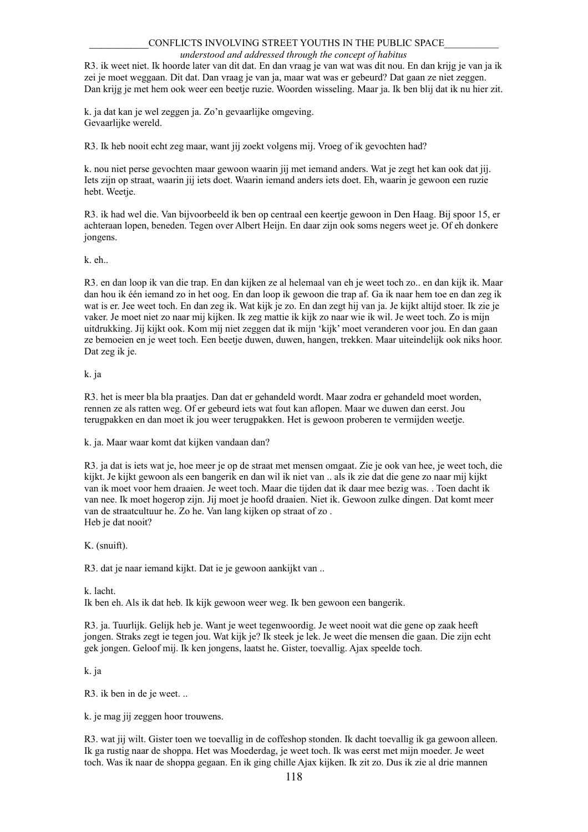#### *understood and addressed through the concept of habitus*

R3. ik weet niet. Ik hoorde later van dit dat. En dan vraag je van wat was dit nou. En dan krijg je van ja ik zei je moet weggaan. Dit dat. Dan vraag je van ja, maar wat was er gebeurd? Dat gaan ze niet zeggen. Dan krijg je met hem ook weer een beetje ruzie. Woorden wisseling. Maar ja. Ik ben blij dat ik nu hier zit.

k. ja dat kan je wel zeggen ja. Zo'n gevaarlijke omgeving. Gevaarlijke wereld.

R3. Ik heb nooit echt zeg maar, want jij zoekt volgens mij. Vroeg of ik gevochten had?

k. nou niet perse gevochten maar gewoon waarin jij met iemand anders. Wat je zegt het kan ook dat jij. Iets zijn op straat, waarin jij iets doet. Waarin iemand anders iets doet. Eh, waarin je gewoon een ruzie hebt. Weetje.

R3. ik had wel die. Van bijvoorbeeld ik ben op centraal een keertje gewoon in Den Haag. Bij spoor 15, er achteraan lopen, beneden. Tegen over Albert Heijn. En daar zijn ook soms negers weet je. Of eh donkere jongens.

k. eh..

R3. en dan loop ik van die trap. En dan kijken ze al helemaal van eh je weet toch zo.. en dan kijk ik. Maar dan hou ik één iemand zo in het oog. En dan loop ik gewoon die trap af. Ga ik naar hem toe en dan zeg ik wat is er. Jee weet toch. En dan zeg ik. Wat kijk je zo. En dan zegt hij van ja. Je kijkt altijd stoer. Ik zie je vaker. Je moet niet zo naar mij kijken. Ik zeg mattie ik kijk zo naar wie ik wil. Je weet toch. Zo is mijn uitdrukking. Jij kijkt ook. Kom mij niet zeggen dat ik mijn 'kijk' moet veranderen voor jou. En dan gaan ze bemoeien en je weet toch. Een beetje duwen, duwen, hangen, trekken. Maar uiteindelijk ook niks hoor. Dat zeg ik je.

#### k. ja

R3. het is meer bla bla praatjes. Dan dat er gehandeld wordt. Maar zodra er gehandeld moet worden, rennen ze als ratten weg. Of er gebeurd iets wat fout kan aflopen. Maar we duwen dan eerst. Jou terugpakken en dan moet ik jou weer terugpakken. Het is gewoon proberen te vermijden weetje.

k. ja. Maar waar komt dat kijken vandaan dan?

R3. ja dat is iets wat je, hoe meer je op de straat met mensen omgaat. Zie je ook van hee, je weet toch, die kijkt. Je kijkt gewoon als een bangerik en dan wil ik niet van .. als ik zie dat die gene zo naar mij kijkt van ik moet voor hem draaien. Je weet toch. Maar die tijden dat ik daar mee bezig was. . Toen dacht ik van nee. Ik moet hogerop zijn. Jij moet je hoofd draaien. Niet ik. Gewoon zulke dingen. Dat komt meer van de straatcultuur he. Zo he. Van lang kijken op straat of zo . Heb je dat nooit?

K. (snuift).

R3. dat je naar iemand kijkt. Dat ie je gewoon aankijkt van ..

k. lacht.

Ik ben eh. Als ik dat heb. Ik kijk gewoon weer weg. Ik ben gewoon een bangerik.

R3. ja. Tuurlijk. Gelijk heb je. Want je weet tegenwoordig. Je weet nooit wat die gene op zaak heeft jongen. Straks zegt ie tegen jou. Wat kijk je? Ik steek je lek. Je weet die mensen die gaan. Die zijn echt gek jongen. Geloof mij. Ik ken jongens, laatst he. Gister, toevallig. Ajax speelde toch.

k. ja

R3. ik ben in de je weet. ..

k. je mag jij zeggen hoor trouwens.

R3. wat jij wilt. Gister toen we toevallig in de coffeshop stonden. Ik dacht toevallig ik ga gewoon alleen. Ik ga rustig naar de shoppa. Het was Moederdag, je weet toch. Ik was eerst met mijn moeder. Je weet toch. Was ik naar de shoppa gegaan. En ik ging chille Ajax kijken. Ik zit zo. Dus ik zie al drie mannen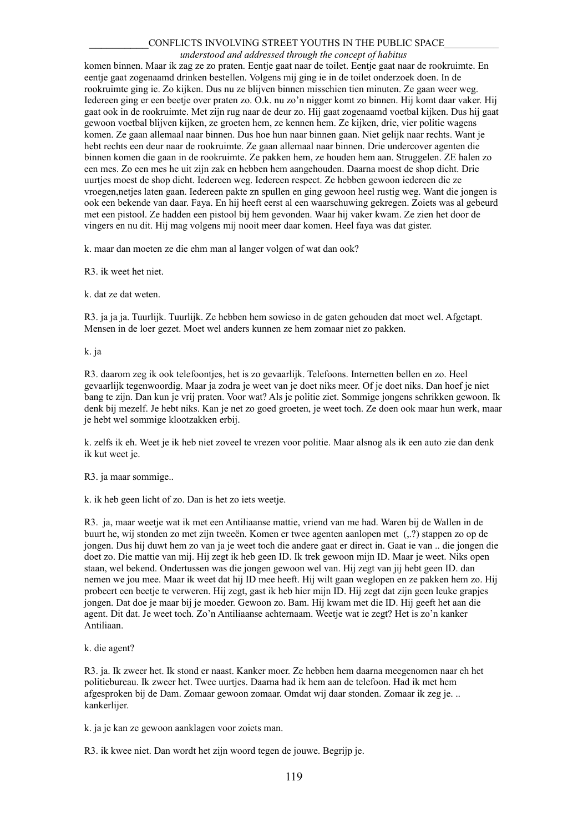*understood and addressed through the concept of habitus*

komen binnen. Maar ik zag ze zo praten. Eentje gaat naar de toilet. Eentje gaat naar de rookruimte. En eentje gaat zogenaamd drinken bestellen. Volgens mij ging ie in de toilet onderzoek doen. In de rookruimte ging ie. Zo kijken. Dus nu ze blijven binnen misschien tien minuten. Ze gaan weer weg. Iedereen ging er een beetje over praten zo. O.k. nu zo'n nigger komt zo binnen. Hij komt daar vaker. Hij gaat ook in de rookruimte. Met zijn rug naar de deur zo. Hij gaat zogenaamd voetbal kijken. Dus hij gaat gewoon voetbal blijven kijken, ze groeten hem, ze kennen hem. Ze kijken, drie, vier politie wagens komen. Ze gaan allemaal naar binnen. Dus hoe hun naar binnen gaan. Niet gelijk naar rechts. Want je hebt rechts een deur naar de rookruimte. Ze gaan allemaal naar binnen. Drie undercover agenten die binnen komen die gaan in de rookruimte. Ze pakken hem, ze houden hem aan. Struggelen. ZE halen zo een mes. Zo een mes he uit zijn zak en hebben hem aangehouden. Daarna moest de shop dicht. Drie uurties moest de shop dicht. Iedereen weg. Iedereen respect. Ze hebben gewoon iedereen die ze vroegen,netjes laten gaan. Iedereen pakte zn spullen en ging gewoon heel rustig weg. Want die jongen is ook een bekende van daar. Faya. En hij heeft eerst al een waarschuwing gekregen. Zoiets was al gebeurd met een pistool. Ze hadden een pistool bij hem gevonden. Waar hij vaker kwam. Ze zien het door de vingers en nu dit. Hij mag volgens mij nooit meer daar komen. Heel faya was dat gister.

k. maar dan moeten ze die ehm man al langer volgen of wat dan ook?

R3. ik weet het niet.

k. dat ze dat weten.

R3. ja ja ja. Tuurlijk. Tuurlijk. Ze hebben hem sowieso in de gaten gehouden dat moet wel. Afgetapt. Mensen in de loer gezet. Moet wel anders kunnen ze hem zomaar niet zo pakken.

k. ja

R3. daarom zeg ik ook telefoonties, het is zo gevaarlijk. Telefoons. Internetten bellen en zo. Heel gevaarlijk tegenwoordig. Maar ja zodra je weet van je doet niks meer. Of je doet niks. Dan hoef je niet bang te zijn. Dan kun je vrij praten. Voor wat? Als je politie ziet. Sommige jongens schrikken gewoon. Ik denk bij mezelf. Je hebt niks. Kan je net zo goed groeten, je weet toch. Ze doen ook maar hun werk, maar je hebt wel sommige klootzakken erbij.

k. zelfs ik eh. Weet je ik heb niet zoveel te vrezen voor politie. Maar alsnog als ik een auto zie dan denk ik kut weet je.

R3. ja maar sommige..

k. ik heb geen licht of zo. Dan is het zo iets weetje.

R3. ja, maar weetje wat ik met een Antiliaanse mattie, vriend van me had. Waren bij de Wallen in de buurt he, wij stonden zo met zijn tweeën. Komen er twee agenten aanlopen met (,.?) stappen zo op de jongen. Dus hij duwt hem zo van ja je weet toch die andere gaat er direct in. Gaat ie van .. die jongen die doet zo. Die mattie van mij. Hij zegt ik heb geen ID. Ik trek gewoon mijn ID. Maar je weet. Niks open staan, wel bekend. Ondertussen was die jongen gewoon wel van. Hij zegt van jij hebt geen ID. dan nemen we jou mee. Maar ik weet dat hij ID mee heeft. Hij wilt gaan weglopen en ze pakken hem zo. Hij probeert een beetje te verweren. Hij zegt, gast ik heb hier mijn ID. Hij zegt dat zijn geen leuke grapjes jongen. Dat doe je maar bij je moeder. Gewoon zo. Bam. Hij kwam met die ID. Hij geeft het aan die agent. Dit dat. Je weet toch. Zo'n Antiliaanse achternaam. Weetje wat ie zegt? Het is zo'n kanker Antiliaan.

k. die agent?

R3. ja. Ik zweer het. Ik stond er naast. Kanker moer. Ze hebben hem daarna meegenomen naar eh het politiebureau. Ik zweer het. Twee uurtjes. Daarna had ik hem aan de telefoon. Had ik met hem afgesproken bij de Dam. Zomaar gewoon zomaar. Omdat wij daar stonden. Zomaar ik zeg je. .. kankerlijer.

k. ja je kan ze gewoon aanklagen voor zoiets man.

R3. ik kwee niet. Dan wordt het zijn woord tegen de jouwe. Begrijp je.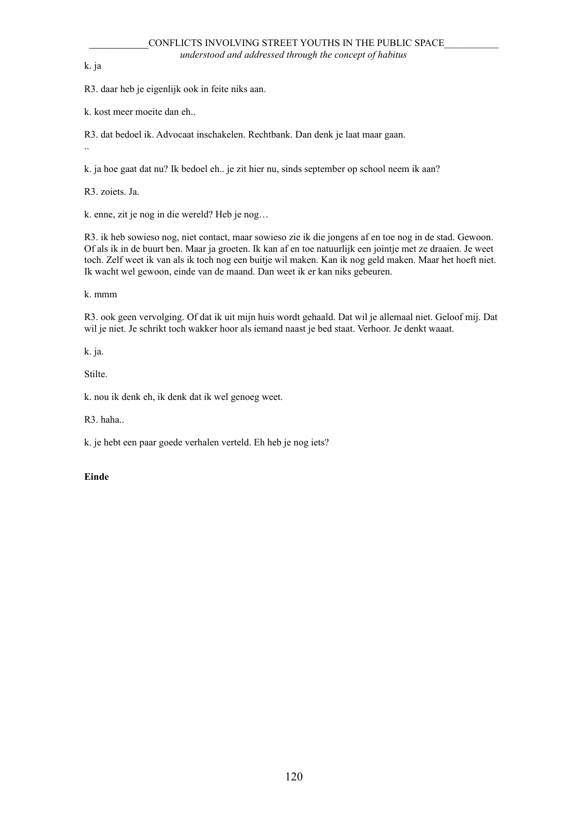k. ja

..

R3. daar heb je eigenlijk ook in feite niks aan.

k. kost meer moeite dan eh..

R3. dat bedoel ik. Advocaat inschakelen. Rechtbank. Dan denk je laat maar gaan.

k. ja hoe gaat dat nu? Ik bedoel eh.. je zit hier nu, sinds september op school neem ik aan?

R3. zoiets. Ja.

k. enne, zit je nog in die wereld? Heb je nog…

R3. ik heb sowieso nog, niet contact, maar sowieso zie ik die jongens af en toe nog in de stad. Gewoon. Of als ik in de buurt ben. Maar ja groeten. Ik kan af en toe natuurlijk een jointje met ze draaien. Je weet toch. Zelf weet ik van als ik toch nog een buitje wil maken. Kan ik nog geld maken. Maar het hoeft niet. Ik wacht wel gewoon, einde van de maand. Dan weet ik er kan niks gebeuren.

k. mmm

R3. ook geen vervolging. Of dat ik uit mijn huis wordt gehaald. Dat wil je allemaal niet. Geloof mij. Dat wil je niet. Je schrikt toch wakker hoor als iemand naast je bed staat. Verhoor. Je denkt waaat.

k. ja.

Stilte.

k. nou ik denk eh, ik denk dat ik wel genoeg weet.

R3. haha..

k. je hebt een paar goede verhalen verteld. Eh heb je nog iets?

**Einde**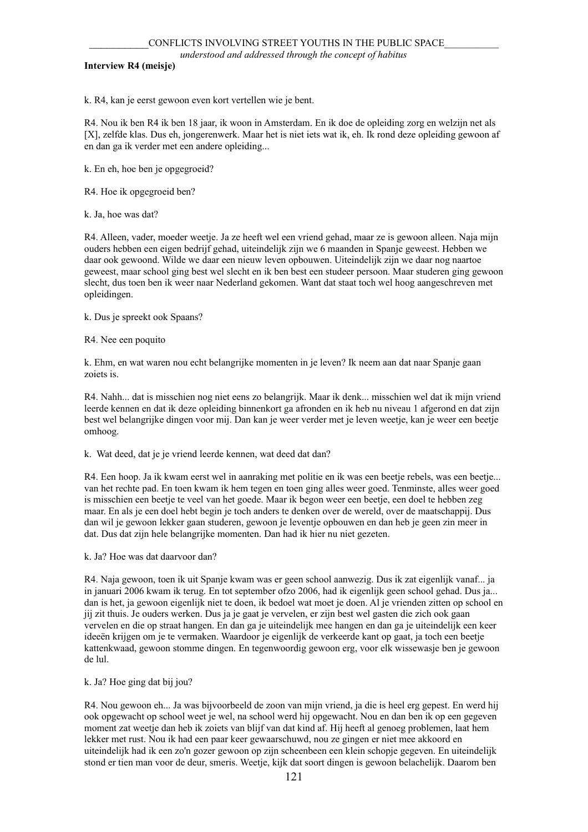**Interview R4 (meisje)**

k. R4, kan je eerst gewoon even kort vertellen wie je bent.

R4. Nou ik ben R4 ik ben 18 jaar, ik woon in Amsterdam. En ik doe de opleiding zorg en welzijn net als [X], zelfde klas. Dus eh, jongerenwerk. Maar het is niet iets wat ik, eh. Ik rond deze opleiding gewoon af en dan ga ik verder met een andere opleiding...

k. En eh, hoe ben je opgegroeid?

R4. Hoe ik opgegroeid ben?

k. Ja, hoe was dat?

R4. Alleen, vader, moeder weetje. Ja ze heeft wel een vriend gehad, maar ze is gewoon alleen. Naja mijn ouders hebben een eigen bedrijf gehad, uiteindelijk zijn we 6 maanden in Spanje geweest. Hebben we daar ook gewoond. Wilde we daar een nieuw leven opbouwen. Uiteindelijk zijn we daar nog naartoe geweest, maar school ging best wel slecht en ik ben best een studeer persoon. Maar studeren ging gewoon slecht, dus toen ben ik weer naar Nederland gekomen. Want dat staat toch wel hoog aangeschreven met opleidingen.

k. Dus je spreekt ook Spaans?

R4. Nee een poquito

k. Ehm, en wat waren nou echt belangrijke momenten in je leven? Ik neem aan dat naar Spanje gaan zoiets is.

R4. Nahh... dat is misschien nog niet eens zo belangrijk. Maar ik denk... misschien wel dat ik mijn vriend leerde kennen en dat ik deze opleiding binnenkort ga afronden en ik heb nu niveau 1 afgerond en dat zijn best wel belangrijke dingen voor mij. Dan kan je weer verder met je leven weetje, kan je weer een beetje omhoog.

k. Wat deed, dat je je vriend leerde kennen, wat deed dat dan?

R4. Een hoop. Ja ik kwam eerst wel in aanraking met politie en ik was een beetje rebels, was een beetje... van het rechte pad. En toen kwam ik hem tegen en toen ging alles weer goed. Tenminste, alles weer goed is misschien een beetje te veel van het goede. Maar ik begon weer een beetje, een doel te hebben zeg maar. En als je een doel hebt begin je toch anders te denken over de wereld, over de maatschappij. Dus dan wil je gewoon lekker gaan studeren, gewoon je leventje opbouwen en dan heb je geen zin meer in dat. Dus dat zijn hele belangrijke momenten. Dan had ik hier nu niet gezeten.

k. Ja? Hoe was dat daarvoor dan?

R4. Naja gewoon, toen ik uit Spanje kwam was er geen school aanwezig. Dus ik zat eigenlijk vanaf... ja in januari 2006 kwam ik terug. En tot september ofzo 2006, had ik eigenlijk geen school gehad. Dus ja... dan is het, ja gewoon eigenlijk niet te doen, ik bedoel wat moet je doen. Al je vrienden zitten op school en jij zit thuis. Je ouders werken. Dus ja je gaat je vervelen, er zijn best wel gasten die zich ook gaan vervelen en die op straat hangen. En dan ga je uiteindelijk mee hangen en dan ga je uiteindelijk een keer ideeën krijgen om je te vermaken. Waardoor je eigenlijk de verkeerde kant op gaat, ja toch een beetje kattenkwaad, gewoon stomme dingen. En tegenwoordig gewoon erg, voor elk wissewasje ben je gewoon de lul.

k. Ja? Hoe ging dat bij jou?

R4. Nou gewoon eh... Ja was bijvoorbeeld de zoon van mijn vriend, ja die is heel erg gepest. En werd hij ook opgewacht op school weet je wel, na school werd hij opgewacht. Nou en dan ben ik op een gegeven moment zat weetje dan heb ik zoiets van blijf van dat kind af. Hij heeft al genoeg problemen, laat hem lekker met rust. Nou ik had een paar keer gewaarschuwd, nou ze gingen er niet mee akkoord en uiteindelijk had ik een zo'n gozer gewoon op zijn scheenbeen een klein schopje gegeven. En uiteindelijk stond er tien man voor de deur, smeris. Weetje, kijk dat soort dingen is gewoon belachelijk. Daarom ben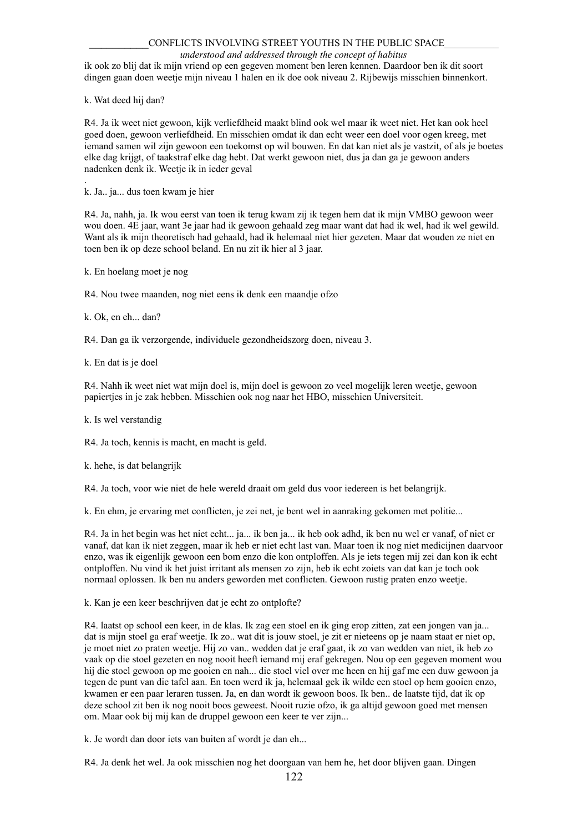#### *understood and addressed through the concept of habitus*

ik ook zo blij dat ik mijn vriend op een gegeven moment ben leren kennen. Daardoor ben ik dit soort dingen gaan doen weetje mijn niveau 1 halen en ik doe ook niveau 2. Rijbewijs misschien binnenkort.

k. Wat deed hij dan?

.

R4. Ja ik weet niet gewoon, kijk verliefdheid maakt blind ook wel maar ik weet niet. Het kan ook heel goed doen, gewoon verliefdheid. En misschien omdat ik dan echt weer een doel voor ogen kreeg, met iemand samen wil zijn gewoon een toekomst op wil bouwen. En dat kan niet als je vastzit, of als je boetes elke dag krijgt, of taakstraf elke dag hebt. Dat werkt gewoon niet, dus ja dan ga je gewoon anders nadenken denk ik. Weetje ik in ieder geval

k. Ja.. ja... dus toen kwam je hier

R4. Ja, nahh, ja. Ik wou eerst van toen ik terug kwam zij ik tegen hem dat ik mijn VMBO gewoon weer wou doen. 4E jaar, want 3e jaar had ik gewoon gehaald zeg maar want dat had ik wel, had ik wel gewild. Want als ik mijn theoretisch had gehaald, had ik helemaal niet hier gezeten. Maar dat wouden ze niet en toen ben ik op deze school beland. En nu zit ik hier al 3 jaar.

k. En hoelang moet je nog

R4. Nou twee maanden, nog niet eens ik denk een maandje ofzo

k. Ok, en eh... dan?

R4. Dan ga ik verzorgende, individuele gezondheidszorg doen, niveau 3.

k. En dat is je doel

R4. Nahh ik weet niet wat mijn doel is, mijn doel is gewoon zo veel mogelijk leren weetje, gewoon papiertjes in je zak hebben. Misschien ook nog naar het HBO, misschien Universiteit.

k. Is wel verstandig

R4. Ja toch, kennis is macht, en macht is geld.

k. hehe, is dat belangrijk

R4. Ja toch, voor wie niet de hele wereld draait om geld dus voor iedereen is het belangrijk.

k. En ehm, je ervaring met conflicten, je zei net, je bent wel in aanraking gekomen met politie...

R4. Ja in het begin was het niet echt... ja... ik ben ja... ik heb ook adhd, ik ben nu wel er vanaf, of niet er vanaf, dat kan ik niet zeggen, maar ik heb er niet echt last van. Maar toen ik nog niet medicijnen daarvoor enzo, was ik eigenlijk gewoon een bom enzo die kon ontploffen. Als je iets tegen mij zei dan kon ik echt ontploffen. Nu vind ik het juist irritant als mensen zo zijn, heb ik echt zoiets van dat kan je toch ook normaal oplossen. Ik ben nu anders geworden met conflicten. Gewoon rustig praten enzo weetje.

k. Kan je een keer beschrijven dat je echt zo ontplofte?

R4. laatst op school een keer, in de klas. Ik zag een stoel en ik ging erop zitten, zat een jongen van ja... dat is mijn stoel ga eraf weetje. Ik zo.. wat dit is jouw stoel, je zit er nieteens op je naam staat er niet op, je moet niet zo praten weetje. Hij zo van.. wedden dat je eraf gaat, ik zo van wedden van niet, ik heb zo vaak op die stoel gezeten en nog nooit heeft iemand mij eraf gekregen. Nou op een gegeven moment wou hij die stoel gewoon op me gooien en nah... die stoel viel over me heen en hij gaf me een duw gewoon ja tegen de punt van die tafel aan. En toen werd ik ja, helemaal gek ik wilde een stoel op hem gooien enzo, kwamen er een paar leraren tussen. Ja, en dan wordt ik gewoon boos. Ik ben.. de laatste tijd, dat ik op deze school zit ben ik nog nooit boos geweest. Nooit ruzie ofzo, ik ga altijd gewoon goed met mensen om. Maar ook bij mij kan de druppel gewoon een keer te ver zijn...

k. Je wordt dan door iets van buiten af wordt je dan eh...

R4. Ja denk het wel. Ja ook misschien nog het doorgaan van hem he, het door blijven gaan. Dingen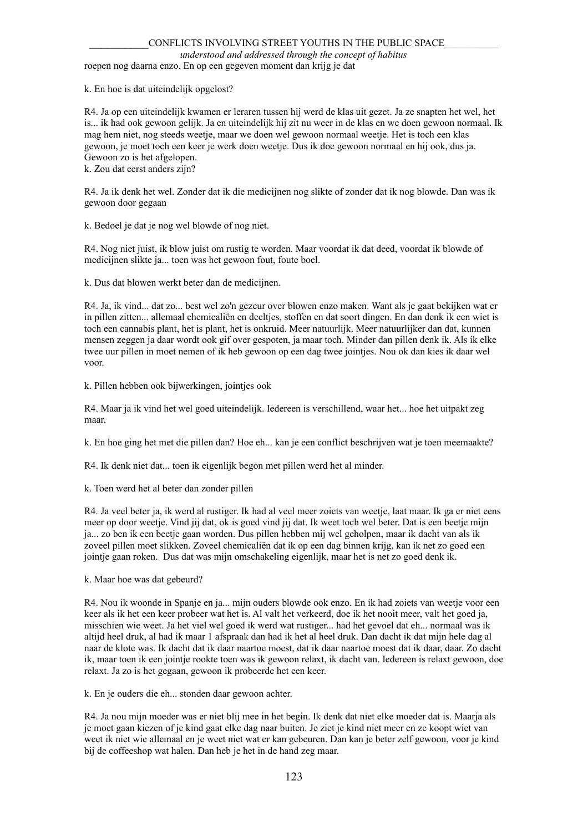# *understood and addressed through the concept of habitus*

roepen nog daarna enzo. En op een gegeven moment dan krijg je dat

k. En hoe is dat uiteindelijk opgelost?

R4. Ja op een uiteindelijk kwamen er leraren tussen hij werd de klas uit gezet. Ja ze snapten het wel, het is... ik had ook gewoon gelijk. Ja en uiteindelijk hij zit nu weer in de klas en we doen gewoon normaal. Ik mag hem niet, nog steeds weetje, maar we doen wel gewoon normaal weetje. Het is toch een klas gewoon, je moet toch een keer je werk doen weetje. Dus ik doe gewoon normaal en hij ook, dus ja. Gewoon zo is het afgelopen. k. Zou dat eerst anders zijn?

R4. Ja ik denk het wel. Zonder dat ik die medicijnen nog slikte of zonder dat ik nog blowde. Dan was ik gewoon door gegaan

k. Bedoel je dat je nog wel blowde of nog niet.

R4. Nog niet juist, ik blow juist om rustig te worden. Maar voordat ik dat deed, voordat ik blowde of medicijnen slikte ja... toen was het gewoon fout, foute boel.

k. Dus dat blowen werkt beter dan de medicijnen.

R4. Ja, ik vind... dat zo... best wel zo'n gezeur over blowen enzo maken. Want als je gaat bekijken wat er in pillen zitten... allemaal chemicaliën en deeltjes, stoffen en dat soort dingen. En dan denk ik een wiet is toch een cannabis plant, het is plant, het is onkruid. Meer natuurlijk. Meer natuurlijker dan dat, kunnen mensen zeggen ja daar wordt ook gif over gespoten, ja maar toch. Minder dan pillen denk ik. Als ik elke twee uur pillen in moet nemen of ik heb gewoon op een dag twee jointjes. Nou ok dan kies ik daar wel voor.

k. Pillen hebben ook bijwerkingen, jointjes ook

R4. Maar ja ik vind het wel goed uiteindelijk. Iedereen is verschillend, waar het... hoe het uitpakt zeg maar.

k. En hoe ging het met die pillen dan? Hoe eh... kan je een conflict beschrijven wat je toen meemaakte?

R4. Ik denk niet dat... toen ik eigenlijk begon met pillen werd het al minder.

k. Toen werd het al beter dan zonder pillen

R4. Ja veel beter ja, ik werd al rustiger. Ik had al veel meer zoiets van weetje, laat maar. Ik ga er niet eens meer op door weetje. Vind jij dat, ok is goed vind jij dat. Ik weet toch wel beter. Dat is een beetje mijn ja... zo ben ik een beetje gaan worden. Dus pillen hebben mij wel geholpen, maar ik dacht van als ik zoveel pillen moet slikken. Zoveel chemicaliën dat ik op een dag binnen krijg, kan ik net zo goed een jointje gaan roken. Dus dat was mijn omschakeling eigenlijk, maar het is net zo goed denk ik.

k. Maar hoe was dat gebeurd?

R4. Nou ik woonde in Spanje en ja... mijn ouders blowde ook enzo. En ik had zoiets van weetje voor een keer als ik het een keer probeer wat het is. Al valt het verkeerd, doe ik het nooit meer, valt het goed ja, misschien wie weet. Ja het viel wel goed ik werd wat rustiger... had het gevoel dat eh... normaal was ik altijd heel druk, al had ik maar 1 afspraak dan had ik het al heel druk. Dan dacht ik dat mijn hele dag al naar de klote was. Ik dacht dat ik daar naartoe moest, dat ik daar naartoe moest dat ik daar, daar. Zo dacht ik, maar toen ik een jointje rookte toen was ik gewoon relaxt, ik dacht van. Iedereen is relaxt gewoon, doe relaxt. Ja zo is het gegaan, gewoon ik probeerde het een keer.

k. En je ouders die eh... stonden daar gewoon achter.

R4. Ja nou mijn moeder was er niet blij mee in het begin. Ik denk dat niet elke moeder dat is. Maarja als je moet gaan kiezen of je kind gaat elke dag naar buiten. Je ziet je kind niet meer en ze koopt wiet van weet ik niet wie allemaal en je weet niet wat er kan gebeuren. Dan kan je beter zelf gewoon, voor je kind bij de coffeeshop wat halen. Dan heb je het in de hand zeg maar.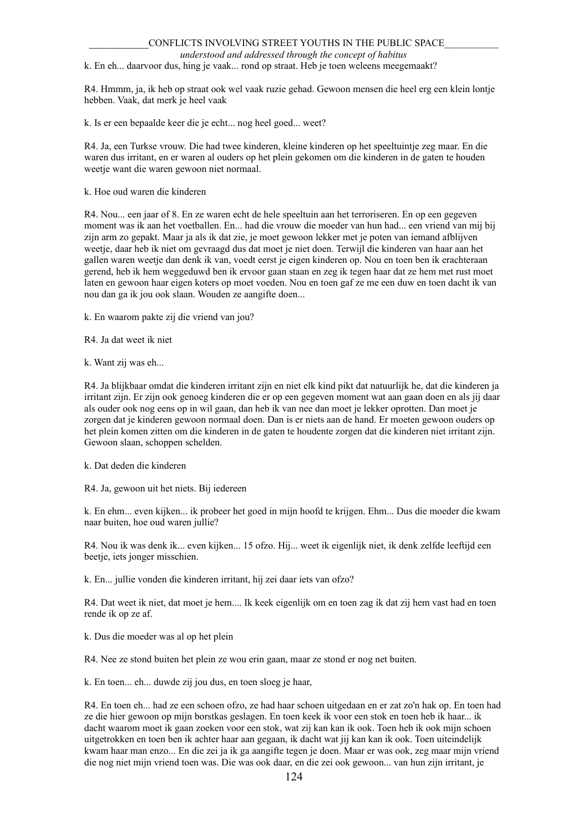*understood and addressed through the concept of habitus*

k. En eh... daarvoor dus, hing je vaak... rond op straat. Heb je toen weleens meegemaakt?

R4. Hmmm, ja, ik heb op straat ook wel vaak ruzie gehad. Gewoon mensen die heel erg een klein lontje hebben. Vaak, dat merk je heel vaak

k. Is er een bepaalde keer die je echt... nog heel goed... weet?

R4. Ja, een Turkse vrouw. Die had twee kinderen, kleine kinderen op het speeltuintje zeg maar. En die waren dus irritant, en er waren al ouders op het plein gekomen om die kinderen in de gaten te houden weetje want die waren gewoon niet normaal.

k. Hoe oud waren die kinderen

R4. Nou... een jaar of 8. En ze waren echt de hele speeltuin aan het terroriseren. En op een gegeven moment was ik aan het voetballen. En... had die vrouw die moeder van hun had... een vriend van mij bij zijn arm zo gepakt. Maar ja als ik dat zie, je moet gewoon lekker met je poten van iemand afblijven weetje, daar heb ik niet om gevraagd dus dat moet je niet doen. Terwijl die kinderen van haar aan het gallen waren weetje dan denk ik van, voedt eerst je eigen kinderen op. Nou en toen ben ik erachteraan gerend, heb ik hem weggeduwd ben ik ervoor gaan staan en zeg ik tegen haar dat ze hem met rust moet laten en gewoon haar eigen koters op moet voeden. Nou en toen gaf ze me een duw en toen dacht ik van nou dan ga ik jou ook slaan. Wouden ze aangifte doen...

k. En waarom pakte zij die vriend van jou?

R4. Ja dat weet ik niet

k. Want zij was eh...

R4. Ja blijkbaar omdat die kinderen irritant zijn en niet elk kind pikt dat natuurlijk he, dat die kinderen ja irritant zijn. Er zijn ook genoeg kinderen die er op een gegeven moment wat aan gaan doen en als jij daar als ouder ook nog eens op in wil gaan, dan heb ik van nee dan moet je lekker oprotten. Dan moet je zorgen dat je kinderen gewoon normaal doen. Dan is er niets aan de hand. Er moeten gewoon ouders op het plein komen zitten om die kinderen in de gaten te houdente zorgen dat die kinderen niet irritant zijn. Gewoon slaan, schoppen schelden.

k. Dat deden die kinderen

R4. Ja, gewoon uit het niets. Bij iedereen

k. En ehm... even kijken... ik probeer het goed in mijn hoofd te krijgen. Ehm... Dus die moeder die kwam naar buiten, hoe oud waren jullie?

R4. Nou ik was denk ik... even kijken... 15 ofzo. Hij... weet ik eigenlijk niet, ik denk zelfde leeftijd een beetje, iets jonger misschien.

k. En... jullie vonden die kinderen irritant, hij zei daar iets van ofzo?

R4. Dat weet ik niet, dat moet je hem.... Ik keek eigenlijk om en toen zag ik dat zij hem vast had en toen rende ik op ze af.

k. Dus die moeder was al op het plein

R4. Nee ze stond buiten het plein ze wou erin gaan, maar ze stond er nog net buiten.

k. En toen... eh... duwde zij jou dus, en toen sloeg je haar,

R4. En toen eh... had ze een schoen ofzo, ze had haar schoen uitgedaan en er zat zo'n hak op. En toen had ze die hier gewoon op mijn borstkas geslagen. En toen keek ik voor een stok en toen heb ik haar... ik dacht waarom moet ik gaan zoeken voor een stok, wat zij kan kan ik ook. Toen heb ik ook mijn schoen uitgetrokken en toen ben ik achter haar aan gegaan, ik dacht wat jij kan kan ik ook. Toen uiteindelijk kwam haar man enzo... En die zei ja ik ga aangifte tegen je doen. Maar er was ook, zeg maar mijn vriend die nog niet mijn vriend toen was. Die was ook daar, en die zei ook gewoon... van hun zijn irritant, je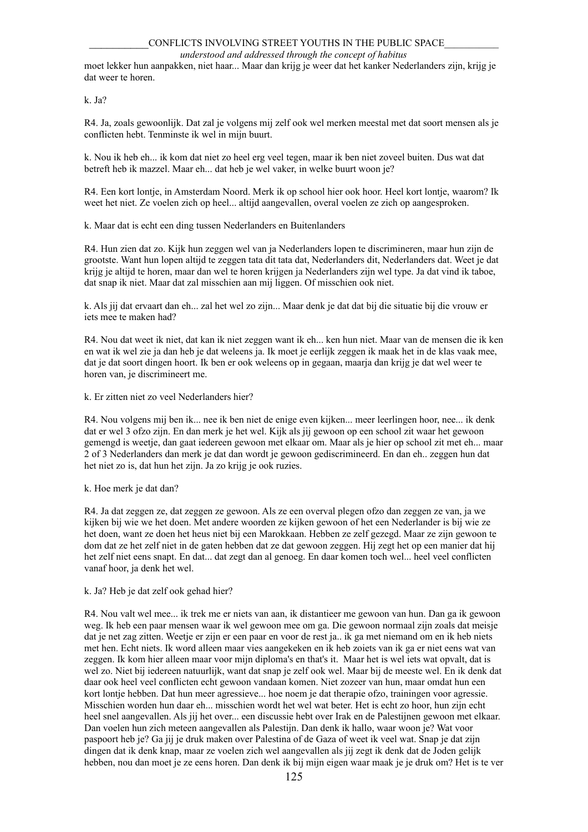*understood and addressed through the concept of habitus*

moet lekker hun aanpakken, niet haar... Maar dan krijg je weer dat het kanker Nederlanders zijn, krijg je dat weer te horen.

k. Ja?

R4. Ja, zoals gewoonlijk. Dat zal je volgens mij zelf ook wel merken meestal met dat soort mensen als je conflicten hebt. Tenminste ik wel in mijn buurt.

k. Nou ik heb eh... ik kom dat niet zo heel erg veel tegen, maar ik ben niet zoveel buiten. Dus wat dat betreft heb ik mazzel. Maar eh... dat heb je wel vaker, in welke buurt woon je?

R4. Een kort lontje, in Amsterdam Noord. Merk ik op school hier ook hoor. Heel kort lontje, waarom? Ik weet het niet. Ze voelen zich op heel... altijd aangevallen, overal voelen ze zich op aangesproken.

k. Maar dat is echt een ding tussen Nederlanders en Buitenlanders

R4. Hun zien dat zo. Kijk hun zeggen wel van ja Nederlanders lopen te discrimineren, maar hun zijn de grootste. Want hun lopen altijd te zeggen tata dit tata dat, Nederlanders dit, Nederlanders dat. Weet je dat krijg je altijd te horen, maar dan wel te horen krijgen ja Nederlanders zijn wel type. Ja dat vind ik taboe, dat snap ik niet. Maar dat zal misschien aan mij liggen. Of misschien ook niet.

k. Als jij dat ervaart dan eh... zal het wel zo zijn... Maar denk je dat dat bij die situatie bij die vrouw er iets mee te maken had?

R4. Nou dat weet ik niet, dat kan ik niet zeggen want ik eh... ken hun niet. Maar van de mensen die ik ken en wat ik wel zie ja dan heb je dat weleens ja. Ik moet je eerlijk zeggen ik maak het in de klas vaak mee, dat je dat soort dingen hoort. Ik ben er ook weleens op in gegaan, maarja dan krijg je dat wel weer te horen van, je discrimineert me.

k. Er zitten niet zo veel Nederlanders hier?

R4. Nou volgens mij ben ik... nee ik ben niet de enige even kijken... meer leerlingen hoor, nee... ik denk dat er wel 3 ofzo zijn. En dan merk je het wel. Kijk als jij gewoon op een school zit waar het gewoon gemengd is weetje, dan gaat iedereen gewoon met elkaar om. Maar als je hier op school zit met eh... maar 2 of 3 Nederlanders dan merk je dat dan wordt je gewoon gediscrimineerd. En dan eh.. zeggen hun dat het niet zo is, dat hun het zijn. Ja zo krijg je ook ruzies.

k. Hoe merk je dat dan?

R4. Ja dat zeggen ze, dat zeggen ze gewoon. Als ze een overval plegen ofzo dan zeggen ze van, ja we kijken bij wie we het doen. Met andere woorden ze kijken gewoon of het een Nederlander is bij wie ze het doen, want ze doen het heus niet bij een Marokkaan. Hebben ze zelf gezegd. Maar ze zijn gewoon te dom dat ze het zelf niet in de gaten hebben dat ze dat gewoon zeggen. Hij zegt het op een manier dat hij het zelf niet eens snapt. En dat... dat zegt dan al genoeg. En daar komen toch wel... heel veel conflicten vanaf hoor, ja denk het wel.

k. Ja? Heb je dat zelf ook gehad hier?

R4. Nou valt wel mee... ik trek me er niets van aan, ik distantieer me gewoon van hun. Dan ga ik gewoon weg. Ik heb een paar mensen waar ik wel gewoon mee om ga. Die gewoon normaal zijn zoals dat meisje dat je net zag zitten. Weetje er zijn er een paar en voor de rest ja.. ik ga met niemand om en ik heb niets met hen. Echt niets. Ik word alleen maar vies aangekeken en ik heb zoiets van ik ga er niet eens wat van zeggen. Ik kom hier alleen maar voor mijn diploma's en that's it. Maar het is wel iets wat opvalt, dat is wel zo. Niet bij iedereen natuurlijk, want dat snap je zelf ook wel. Maar bij de meeste wel. En ik denk dat daar ook heel veel conflicten echt gewoon vandaan komen. Niet zozeer van hun, maar omdat hun een kort lontje hebben. Dat hun meer agressieve... hoe noem je dat therapie ofzo, trainingen voor agressie. Misschien worden hun daar eh... misschien wordt het wel wat beter. Het is echt zo hoor, hun zijn echt heel snel aangevallen. Als jij het over... een discussie hebt over Irak en de Palestijnen gewoon met elkaar. Dan voelen hun zich meteen aangevallen als Palestijn. Dan denk ik hallo, waar woon je? Wat voor paspoort heb je? Ga jij je druk maken over Palestina of de Gaza of weet ik veel wat. Snap je dat zijn dingen dat ik denk knap, maar ze voelen zich wel aangevallen als jij zegt ik denk dat de Joden gelijk hebben, nou dan moet je ze eens horen. Dan denk ik bij mijn eigen waar maak je je druk om? Het is te ver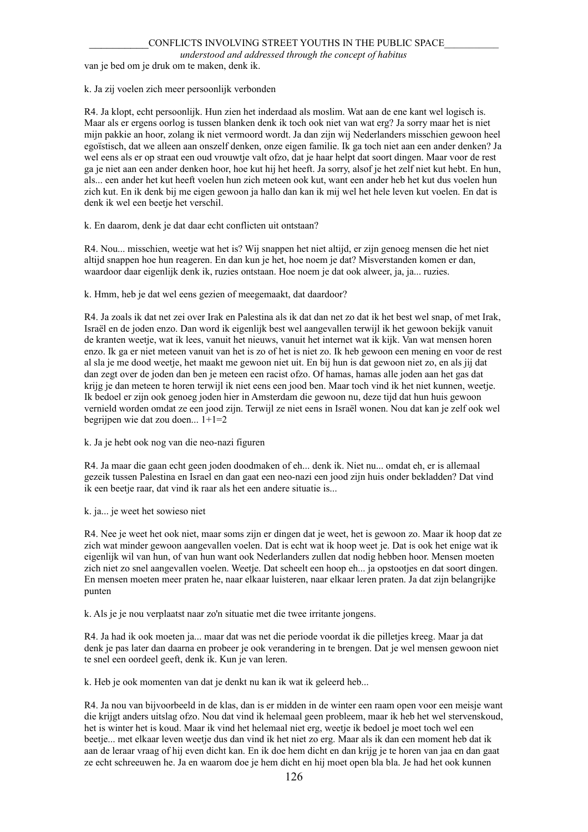*understood and addressed through the concept of habitus*

van je bed om je druk om te maken, denk ik.

#### k. Ja zij voelen zich meer persoonlijk verbonden

R4. Ja klopt, echt persoonlijk. Hun zien het inderdaad als moslim. Wat aan de ene kant wel logisch is. Maar als er ergens oorlog is tussen blanken denk ik toch ook niet van wat erg? Ja sorry maar het is niet mijn pakkie an hoor, zolang ik niet vermoord wordt. Ja dan zijn wij Nederlanders misschien gewoon heel egoïstisch, dat we alleen aan onszelf denken, onze eigen familie. Ik ga toch niet aan een ander denken? Ja wel eens als er op straat een oud vrouwtje valt ofzo, dat je haar helpt dat soort dingen. Maar voor de rest ga je niet aan een ander denken hoor, hoe kut hij het heeft. Ja sorry, alsof je het zelf niet kut hebt. En hun, als... een ander het kut heeft voelen hun zich meteen ook kut, want een ander heb het kut dus voelen hun zich kut. En ik denk bij me eigen gewoon ja hallo dan kan ik mij wel het hele leven kut voelen. En dat is denk ik wel een beetje het verschil.

k. En daarom, denk je dat daar echt conflicten uit ontstaan?

R4. Nou... misschien, weetje wat het is? Wij snappen het niet altijd, er zijn genoeg mensen die het niet altijd snappen hoe hun reageren. En dan kun je het, hoe noem je dat? Misverstanden komen er dan, waardoor daar eigenlijk denk ik, ruzies ontstaan. Hoe noem je dat ook alweer, ja, ja... ruzies.

### k. Hmm, heb je dat wel eens gezien of meegemaakt, dat daardoor?

R4. Ja zoals ik dat net zei over Irak en Palestina als ik dat dan net zo dat ik het best wel snap, of met Irak, Israël en de joden enzo. Dan word ik eigenlijk best wel aangevallen terwijl ik het gewoon bekijk vanuit de kranten weetje, wat ik lees, vanuit het nieuws, vanuit het internet wat ik kijk. Van wat mensen horen enzo. Ik ga er niet meteen vanuit van het is zo of het is niet zo. Ik heb gewoon een mening en voor de rest al sla je me dood weetje, het maakt me gewoon niet uit. En bij hun is dat gewoon niet zo, en als jij dat dan zegt over de joden dan ben je meteen een racist ofzo. Of hamas, hamas alle joden aan het gas dat krijg je dan meteen te horen terwijl ik niet eens een jood ben. Maar toch vind ik het niet kunnen, weetje. Ik bedoel er zijn ook genoeg joden hier in Amsterdam die gewoon nu, deze tijd dat hun huis gewoon vernield worden omdat ze een jood zijn. Terwijl ze niet eens in Israël wonen. Nou dat kan je zelf ook wel begrijpen wie dat zou doen... 1+1=2

#### k. Ja je hebt ook nog van die neo-nazi figuren

R4. Ja maar die gaan echt geen joden doodmaken of eh... denk ik. Niet nu... omdat eh, er is allemaal gezeik tussen Palestina en Israel en dan gaat een neo-nazi een jood zijn huis onder bekladden? Dat vind ik een beetje raar, dat vind ik raar als het een andere situatie is...

#### k. ja... je weet het sowieso niet

R4. Nee je weet het ook niet, maar soms zijn er dingen dat je weet, het is gewoon zo. Maar ik hoop dat ze zich wat minder gewoon aangevallen voelen. Dat is echt wat ik hoop weet je. Dat is ook het enige wat ik eigenlijk wil van hun, of van hun want ook Nederlanders zullen dat nodig hebben hoor. Mensen moeten zich niet zo snel aangevallen voelen. Weetje. Dat scheelt een hoop eh... ja opstootjes en dat soort dingen. En mensen moeten meer praten he, naar elkaar luisteren, naar elkaar leren praten. Ja dat zijn belangrijke punten

k. Als je je nou verplaatst naar zo'n situatie met die twee irritante jongens.

R4. Ja had ik ook moeten ja... maar dat was net die periode voordat ik die pilletjes kreeg. Maar ja dat denk je pas later dan daarna en probeer je ook verandering in te brengen. Dat je wel mensen gewoon niet te snel een oordeel geeft, denk ik. Kun je van leren.

k. Heb je ook momenten van dat je denkt nu kan ik wat ik geleerd heb...

R4. Ja nou van bijvoorbeeld in de klas, dan is er midden in de winter een raam open voor een meisje want die krijgt anders uitslag ofzo. Nou dat vind ik helemaal geen probleem, maar ik heb het wel stervenskoud, het is winter het is koud. Maar ik vind het helemaal niet erg, weetje ik bedoel je moet toch wel een beetje... met elkaar leven weetje dus dan vind ik het niet zo erg. Maar als ik dan een moment heb dat ik aan de leraar vraag of hij even dicht kan. En ik doe hem dicht en dan krijg je te horen van jaa en dan gaat ze echt schreeuwen he. Ja en waarom doe je hem dicht en hij moet open bla bla. Je had het ook kunnen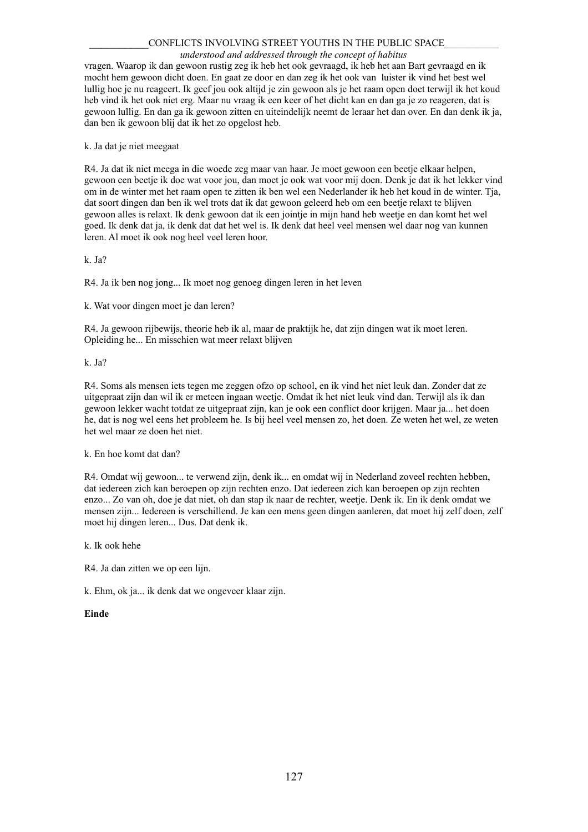#### *understood and addressed through the concept of habitus*

vragen. Waarop ik dan gewoon rustig zeg ik heb het ook gevraagd, ik heb het aan Bart gevraagd en ik mocht hem gewoon dicht doen. En gaat ze door en dan zeg ik het ook van luister ik vind het best wel lullig hoe je nu reageert. Ik geef jou ook altijd je zin gewoon als je het raam open doet terwijl ik het koud heb vind ik het ook niet erg. Maar nu vraag ik een keer of het dicht kan en dan ga je zo reageren, dat is gewoon lullig. En dan ga ik gewoon zitten en uiteindelijk neemt de leraar het dan over. En dan denk ik ja, dan ben ik gewoon blij dat ik het zo opgelost heb.

k. Ja dat je niet meegaat

R4. Ja dat ik niet meega in die woede zeg maar van haar. Je moet gewoon een beetje elkaar helpen, gewoon een beetje ik doe wat voor jou, dan moet je ook wat voor mij doen. Denk je dat ik het lekker vind om in de winter met het raam open te zitten ik ben wel een Nederlander ik heb het koud in de winter. Tja, dat soort dingen dan ben ik wel trots dat ik dat gewoon geleerd heb om een beetje relaxt te blijven gewoon alles is relaxt. Ik denk gewoon dat ik een jointje in mijn hand heb weetje en dan komt het wel goed. Ik denk dat ja, ik denk dat dat het wel is. Ik denk dat heel veel mensen wel daar nog van kunnen leren. Al moet ik ook nog heel veel leren hoor.

k. Ja?

R4. Ja ik ben nog jong... Ik moet nog genoeg dingen leren in het leven

k. Wat voor dingen moet je dan leren?

R4. Ja gewoon rijbewijs, theorie heb ik al, maar de praktijk he, dat zijn dingen wat ik moet leren. Opleiding he... En misschien wat meer relaxt blijven

k. Ja?

R4. Soms als mensen iets tegen me zeggen ofzo op school, en ik vind het niet leuk dan. Zonder dat ze uitgepraat zijn dan wil ik er meteen ingaan weetje. Omdat ik het niet leuk vind dan. Terwijl als ik dan gewoon lekker wacht totdat ze uitgepraat zijn, kan je ook een conflict door krijgen. Maar ja... het doen he, dat is nog wel eens het probleem he. Is bij heel veel mensen zo, het doen. Ze weten het wel, ze weten het wel maar ze doen het niet.

k. En hoe komt dat dan?

R4. Omdat wij gewoon... te verwend zijn, denk ik... en omdat wij in Nederland zoveel rechten hebben, dat iedereen zich kan beroepen op zijn rechten enzo. Dat iedereen zich kan beroepen op zijn rechten enzo... Zo van oh, doe je dat niet, oh dan stap ik naar de rechter, weetje. Denk ik. En ik denk omdat we mensen zijn... Iedereen is verschillend. Je kan een mens geen dingen aanleren, dat moet hij zelf doen, zelf moet hij dingen leren... Dus. Dat denk ik.

k. Ik ook hehe

R4. Ja dan zitten we op een lijn.

k. Ehm, ok ja... ik denk dat we ongeveer klaar zijn.

### **Einde**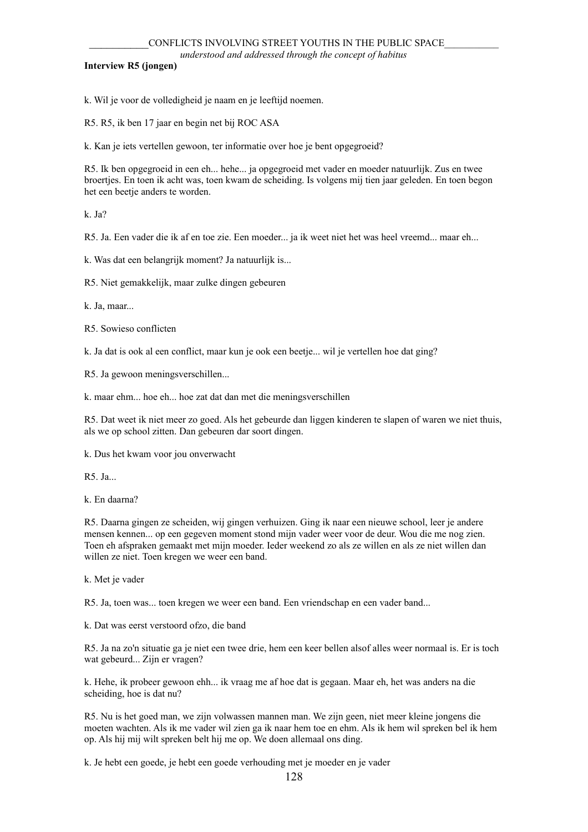## **Interview R5 (jongen)**

k. Wil je voor de volledigheid je naam en je leeftijd noemen.

R5. R5, ik ben 17 jaar en begin net bij ROC ASA

k. Kan je iets vertellen gewoon, ter informatie over hoe je bent opgegroeid?

R5. Ik ben opgegroeid in een eh... hehe... ja opgegroeid met vader en moeder natuurlijk. Zus en twee broertjes. En toen ik acht was, toen kwam de scheiding. Is volgens mij tien jaar geleden. En toen begon het een beetje anders te worden.

k. Ja?

R5. Ja. Een vader die ik af en toe zie. Een moeder... ja ik weet niet het was heel vreemd... maar eh...

k. Was dat een belangrijk moment? Ja natuurlijk is...

R5. Niet gemakkelijk, maar zulke dingen gebeuren

k. Ja, maar...

R5. Sowieso conflicten

k. Ja dat is ook al een conflict, maar kun je ook een beetje... wil je vertellen hoe dat ging?

R5. Ja gewoon meningsverschillen...

k. maar ehm... hoe eh... hoe zat dat dan met die meningsverschillen

R5. Dat weet ik niet meer zo goed. Als het gebeurde dan liggen kinderen te slapen of waren we niet thuis, als we op school zitten. Dan gebeuren dar soort dingen.

k. Dus het kwam voor jou onverwacht

R5. Ja...

k. En daarna?

R5. Daarna gingen ze scheiden, wij gingen verhuizen. Ging ik naar een nieuwe school, leer je andere mensen kennen... op een gegeven moment stond mijn vader weer voor de deur. Wou die me nog zien. Toen eh afspraken gemaakt met mijn moeder. Ieder weekend zo als ze willen en als ze niet willen dan willen ze niet. Toen kregen we weer een band.

k. Met je vader

R5. Ja, toen was... toen kregen we weer een band. Een vriendschap en een vader band...

k. Dat was eerst verstoord ofzo, die band

R5. Ja na zo'n situatie ga je niet een twee drie, hem een keer bellen alsof alles weer normaal is. Er is toch wat gebeurd... Zijn er vragen?

k. Hehe, ik probeer gewoon ehh... ik vraag me af hoe dat is gegaan. Maar eh, het was anders na die scheiding, hoe is dat nu?

R5. Nu is het goed man, we zijn volwassen mannen man. We zijn geen, niet meer kleine jongens die moeten wachten. Als ik me vader wil zien ga ik naar hem toe en ehm. Als ik hem wil spreken bel ik hem op. Als hij mij wilt spreken belt hij me op. We doen allemaal ons ding.

k. Je hebt een goede, je hebt een goede verhouding met je moeder en je vader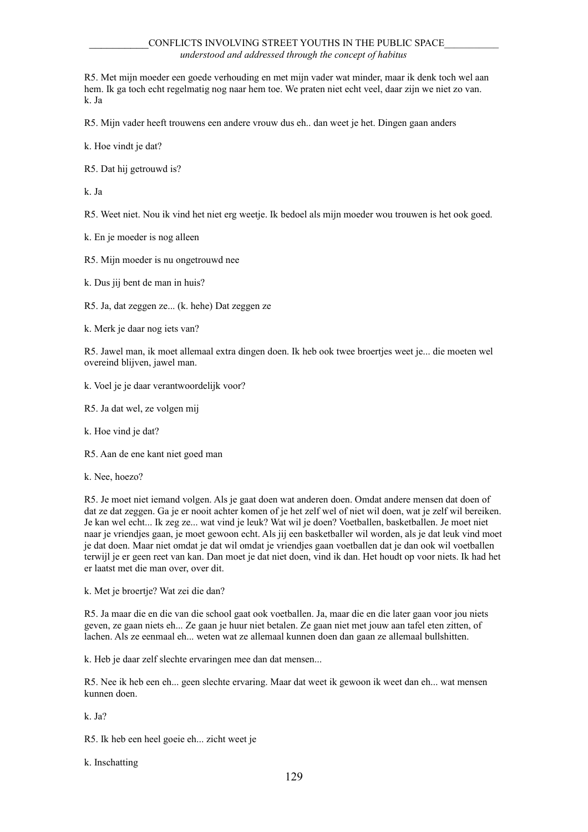R5. Met mijn moeder een goede verhouding en met mijn vader wat minder, maar ik denk toch wel aan hem. Ik ga toch echt regelmatig nog naar hem toe. We praten niet echt veel, daar zijn we niet zo van. k. Ja

R5. Mijn vader heeft trouwens een andere vrouw dus eh.. dan weet je het. Dingen gaan anders

k. Hoe vindt je dat?

R5. Dat hij getrouwd is?

k. Ja

R5. Weet niet. Nou ik vind het niet erg weetje. Ik bedoel als mijn moeder wou trouwen is het ook goed.

k. En je moeder is nog alleen

R5. Mijn moeder is nu ongetrouwd nee

k. Dus jij bent de man in huis?

R5. Ja, dat zeggen ze... (k. hehe) Dat zeggen ze

k. Merk je daar nog iets van?

R5. Jawel man, ik moet allemaal extra dingen doen. Ik heb ook twee broertjes weet je... die moeten wel overeind blijven, jawel man.

k. Voel je je daar verantwoordelijk voor?

R5. Ja dat wel, ze volgen mij

k. Hoe vind je dat?

R5. Aan de ene kant niet goed man

k. Nee, hoezo?

R5. Je moet niet iemand volgen. Als je gaat doen wat anderen doen. Omdat andere mensen dat doen of dat ze dat zeggen. Ga je er nooit achter komen of je het zelf wel of niet wil doen, wat je zelf wil bereiken. Je kan wel echt... Ik zeg ze... wat vind je leuk? Wat wil je doen? Voetballen, basketballen. Je moet niet naar je vriendjes gaan, je moet gewoon echt. Als jij een basketballer wil worden, als je dat leuk vind moet je dat doen. Maar niet omdat je dat wil omdat je vriendjes gaan voetballen dat je dan ook wil voetballen terwijl je er geen reet van kan. Dan moet je dat niet doen, vind ik dan. Het houdt op voor niets. Ik had het er laatst met die man over, over dit.

k. Met je broertje? Wat zei die dan?

R5. Ja maar die en die van die school gaat ook voetballen. Ja, maar die en die later gaan voor jou niets geven, ze gaan niets eh... Ze gaan je huur niet betalen. Ze gaan niet met jouw aan tafel eten zitten, of lachen. Als ze eenmaal eh... weten wat ze allemaal kunnen doen dan gaan ze allemaal bullshitten.

k. Heb je daar zelf slechte ervaringen mee dan dat mensen...

R5. Nee ik heb een eh... geen slechte ervaring. Maar dat weet ik gewoon ik weet dan eh... wat mensen kunnen doen.

k. Ja?

R5. Ik heb een heel goeie eh... zicht weet je

k. Inschatting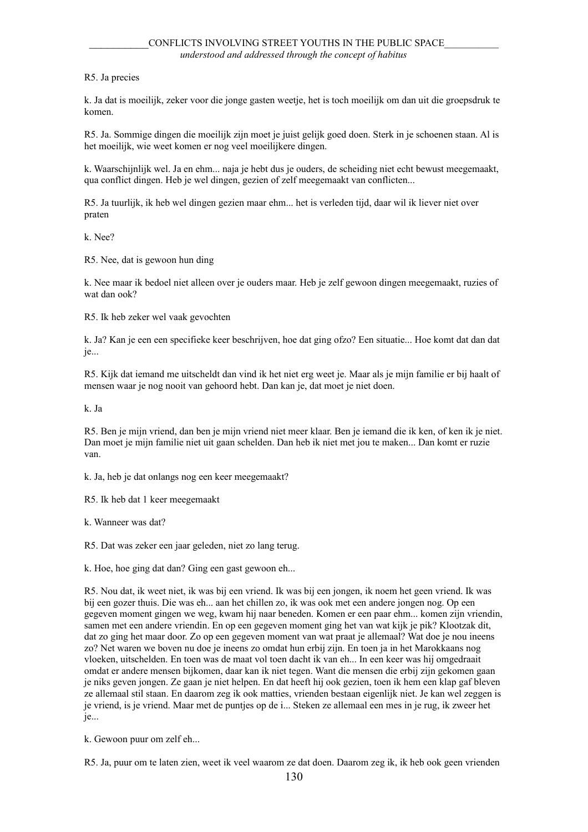# R5. Ja precies

k. Ja dat is moeilijk, zeker voor die jonge gasten weetje, het is toch moeilijk om dan uit die groepsdruk te komen.

R5. Ja. Sommige dingen die moeilijk zijn moet je juist gelijk goed doen. Sterk in je schoenen staan. Al is het moeilijk, wie weet komen er nog veel moeilijkere dingen.

k. Waarschijnlijk wel. Ja en ehm... naja je hebt dus je ouders, de scheiding niet echt bewust meegemaakt, qua conflict dingen. Heb je wel dingen, gezien of zelf meegemaakt van conflicten...

R5. Ja tuurlijk, ik heb wel dingen gezien maar ehm... het is verleden tijd, daar wil ik liever niet over praten

k. Nee?

R5. Nee, dat is gewoon hun ding

k. Nee maar ik bedoel niet alleen over je ouders maar. Heb je zelf gewoon dingen meegemaakt, ruzies of wat dan ook?

R5. Ik heb zeker wel vaak gevochten

k. Ja? Kan je een een specifieke keer beschrijven, hoe dat ging ofzo? Een situatie... Hoe komt dat dan dat je...

R5. Kijk dat iemand me uitscheldt dan vind ik het niet erg weet je. Maar als je mijn familie er bij haalt of mensen waar je nog nooit van gehoord hebt. Dan kan je, dat moet je niet doen.

k. Ja

R5. Ben je mijn vriend, dan ben je mijn vriend niet meer klaar. Ben je iemand die ik ken, of ken ik je niet. Dan moet je mijn familie niet uit gaan schelden. Dan heb ik niet met jou te maken... Dan komt er ruzie van.

k. Ja, heb je dat onlangs nog een keer meegemaakt?

R5. Ik heb dat 1 keer meegemaakt

k. Wanneer was dat?

R5. Dat was zeker een jaar geleden, niet zo lang terug.

k. Hoe, hoe ging dat dan? Ging een gast gewoon eh...

R5. Nou dat, ik weet niet, ik was bij een vriend. Ik was bij een jongen, ik noem het geen vriend. Ik was bij een gozer thuis. Die was eh... aan het chillen zo, ik was ook met een andere jongen nog. Op een gegeven moment gingen we weg, kwam hij naar beneden. Komen er een paar ehm... komen zijn vriendin, samen met een andere vriendin. En op een gegeven moment ging het van wat kijk je pik? Klootzak dit, dat zo ging het maar door. Zo op een gegeven moment van wat praat je allemaal? Wat doe je nou ineens zo? Net waren we boven nu doe je ineens zo omdat hun erbij zijn. En toen ja in het Marokkaans nog vloeken, uitschelden. En toen was de maat vol toen dacht ik van eh... In een keer was hij omgedraait omdat er andere mensen bijkomen, daar kan ik niet tegen. Want die mensen die erbij zijn gekomen gaan je niks geven jongen. Ze gaan je niet helpen. En dat heeft hij ook gezien, toen ik hem een klap gaf bleven ze allemaal stil staan. En daarom zeg ik ook matties, vrienden bestaan eigenlijk niet. Je kan wel zeggen is je vriend, is je vriend. Maar met de puntjes op de i... Steken ze allemaal een mes in je rug, ik zweer het je...

k. Gewoon puur om zelf eh...

R5. Ja, puur om te laten zien, weet ik veel waarom ze dat doen. Daarom zeg ik, ik heb ook geen vrienden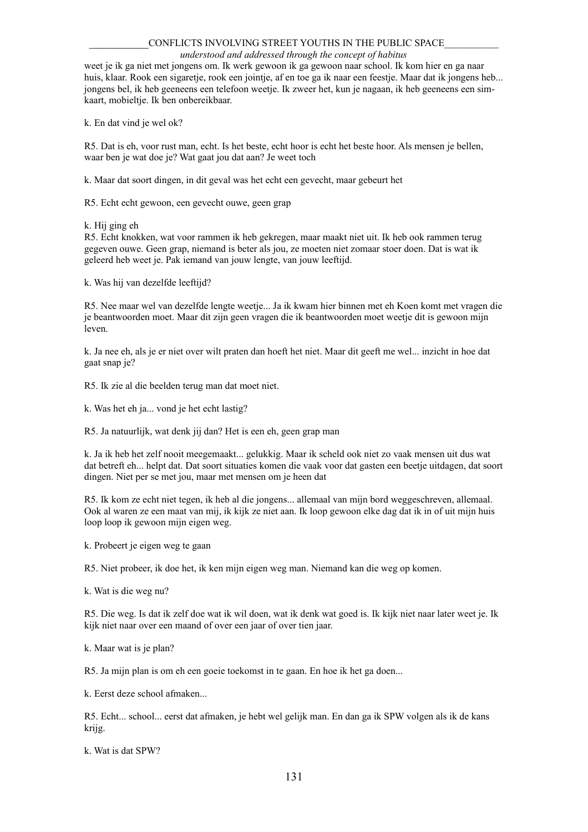#### *understood and addressed through the concept of habitus*

weet je ik ga niet met jongens om. Ik werk gewoon ik ga gewoon naar school. Ik kom hier en ga naar huis, klaar. Rook een sigaretje, rook een jointje, af en toe ga ik naar een feestje. Maar dat ik jongens heb... jongens bel, ik heb geeneens een telefoon weetje. Ik zweer het, kun je nagaan, ik heb geeneens een simkaart, mobieltje. Ik ben onbereikbaar.

k. En dat vind je wel ok?

R5. Dat is eh, voor rust man, echt. Is het beste, echt hoor is echt het beste hoor. Als mensen je bellen, waar ben je wat doe je? Wat gaat jou dat aan? Je weet toch

k. Maar dat soort dingen, in dit geval was het echt een gevecht, maar gebeurt het

R5. Echt echt gewoon, een gevecht ouwe, geen grap

k. Hij ging eh

R5. Echt knokken, wat voor rammen ik heb gekregen, maar maakt niet uit. Ik heb ook rammen terug gegeven ouwe. Geen grap, niemand is beter als jou, ze moeten niet zomaar stoer doen. Dat is wat ik geleerd heb weet je. Pak iemand van jouw lengte, van jouw leeftijd.

k. Was hij van dezelfde leeftijd?

R5. Nee maar wel van dezelfde lengte weetje... Ja ik kwam hier binnen met eh Koen komt met vragen die je beantwoorden moet. Maar dit zijn geen vragen die ik beantwoorden moet weetje dit is gewoon mijn leven.

k. Ja nee eh, als je er niet over wilt praten dan hoeft het niet. Maar dit geeft me wel... inzicht in hoe dat gaat snap je?

R5. Ik zie al die beelden terug man dat moet niet.

k. Was het eh ja... vond je het echt lastig?

R5. Ja natuurlijk, wat denk jij dan? Het is een eh, geen grap man

k. Ja ik heb het zelf nooit meegemaakt... gelukkig. Maar ik scheld ook niet zo vaak mensen uit dus wat dat betreft eh... helpt dat. Dat soort situaties komen die vaak voor dat gasten een beetje uitdagen, dat soort dingen. Niet per se met jou, maar met mensen om je heen dat

R5. Ik kom ze echt niet tegen, ik heb al die jongens... allemaal van mijn bord weggeschreven, allemaal. Ook al waren ze een maat van mij, ik kijk ze niet aan. Ik loop gewoon elke dag dat ik in of uit mijn huis loop loop ik gewoon mijn eigen weg.

k. Probeert je eigen weg te gaan

R5. Niet probeer, ik doe het, ik ken mijn eigen weg man. Niemand kan die weg op komen.

k. Wat is die weg nu?

R5. Die weg. Is dat ik zelf doe wat ik wil doen, wat ik denk wat goed is. Ik kijk niet naar later weet je. Ik kijk niet naar over een maand of over een jaar of over tien jaar.

k. Maar wat is je plan?

R5. Ja mijn plan is om eh een goeie toekomst in te gaan. En hoe ik het ga doen...

k. Eerst deze school afmaken...

R5. Echt... school... eerst dat afmaken, je hebt wel gelijk man. En dan ga ik SPW volgen als ik de kans krijg.

k. Wat is dat SPW?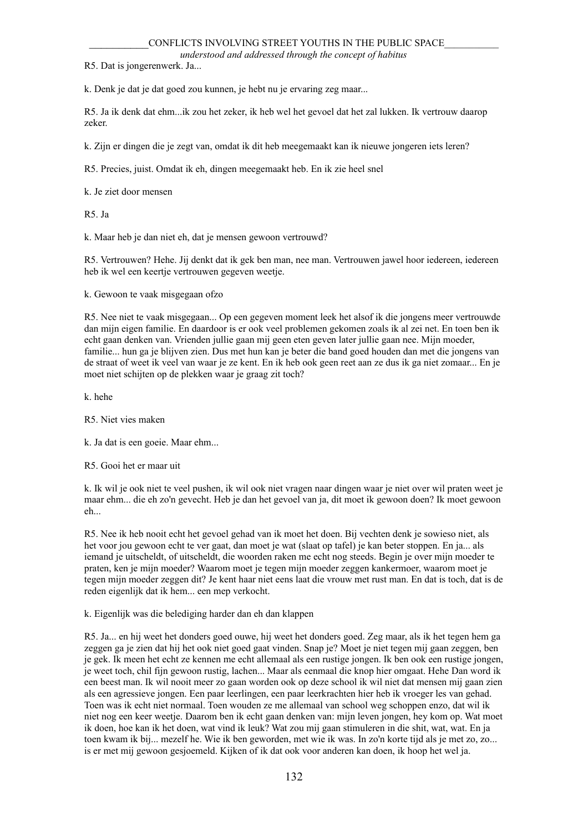*understood and addressed through the concept of habitus*

R5. Dat is jongerenwerk. Ja...

k. Denk je dat je dat goed zou kunnen, je hebt nu je ervaring zeg maar...

R5. Ja ik denk dat ehm...ik zou het zeker, ik heb wel het gevoel dat het zal lukken. Ik vertrouw daarop zeker.

k. Zijn er dingen die je zegt van, omdat ik dit heb meegemaakt kan ik nieuwe jongeren iets leren?

R5. Precies, juist. Omdat ik eh, dingen meegemaakt heb. En ik zie heel snel

k. Je ziet door mensen

R5. Ja

k. Maar heb je dan niet eh, dat je mensen gewoon vertrouwd?

R5. Vertrouwen? Hehe. Jij denkt dat ik gek ben man, nee man. Vertrouwen jawel hoor iedereen, iedereen heb ik wel een keertje vertrouwen gegeven weetje.

k. Gewoon te vaak misgegaan ofzo

R5. Nee niet te vaak misgegaan... Op een gegeven moment leek het alsof ik die jongens meer vertrouwde dan mijn eigen familie. En daardoor is er ook veel problemen gekomen zoals ik al zei net. En toen ben ik echt gaan denken van. Vrienden jullie gaan mij geen eten geven later jullie gaan nee. Mijn moeder, familie... hun ga je blijven zien. Dus met hun kan je beter die band goed houden dan met die jongens van de straat of weet ik veel van waar je ze kent. En ik heb ook geen reet aan ze dus ik ga niet zomaar... En je moet niet schijten op de plekken waar je graag zit toch?

k. hehe

R5. Niet vies maken

k. Ja dat is een goeie. Maar ehm...

R5. Gooi het er maar uit

k. Ik wil je ook niet te veel pushen, ik wil ook niet vragen naar dingen waar je niet over wil praten weet je maar ehm... die eh zo'n gevecht. Heb je dan het gevoel van ja, dit moet ik gewoon doen? Ik moet gewoon eh...

R5. Nee ik heb nooit echt het gevoel gehad van ik moet het doen. Bij vechten denk je sowieso niet, als het voor jou gewoon echt te ver gaat, dan moet je wat (slaat op tafel) je kan beter stoppen. En ja... als iemand je uitscheldt, of uitscheldt, die woorden raken me echt nog steeds. Begin je over mijn moeder te praten, ken je mijn moeder? Waarom moet je tegen mijn moeder zeggen kankermoer, waarom moet je tegen mijn moeder zeggen dit? Je kent haar niet eens laat die vrouw met rust man. En dat is toch, dat is de reden eigenlijk dat ik hem... een mep verkocht.

k. Eigenlijk was die belediging harder dan eh dan klappen

R5. Ja... en hij weet het donders goed ouwe, hij weet het donders goed. Zeg maar, als ik het tegen hem ga zeggen ga je zien dat hij het ook niet goed gaat vinden. Snap je? Moet je niet tegen mij gaan zeggen, ben je gek. Ik meen het echt ze kennen me echt allemaal als een rustige jongen. Ik ben ook een rustige jongen, je weet toch, chil fijn gewoon rustig, lachen... Maar als eenmaal die knop hier omgaat. Hehe Dan word ik een beest man. Ik wil nooit meer zo gaan worden ook op deze school ik wil niet dat mensen mij gaan zien als een agressieve jongen. Een paar leerlingen, een paar leerkrachten hier heb ik vroeger les van gehad. Toen was ik echt niet normaal. Toen wouden ze me allemaal van school weg schoppen enzo, dat wil ik niet nog een keer weetje. Daarom ben ik echt gaan denken van: mijn leven jongen, hey kom op. Wat moet ik doen, hoe kan ik het doen, wat vind ik leuk? Wat zou mij gaan stimuleren in die shit, wat, wat. En ja toen kwam ik bij... mezelf he. Wie ik ben geworden, met wie ik was. In zo'n korte tijd als je met zo, zo... is er met mij gewoon gesjoemeld. Kijken of ik dat ook voor anderen kan doen, ik hoop het wel ja.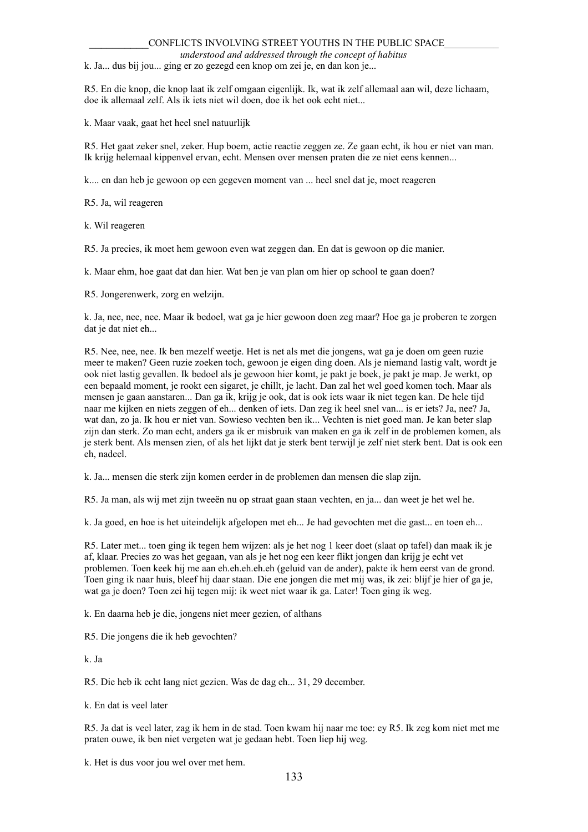*understood and addressed through the concept of habitus*

k. Ja... dus bij jou... ging er zo gezegd een knop om zei je, en dan kon je...

R5. En die knop, die knop laat ik zelf omgaan eigenlijk. Ik, wat ik zelf allemaal aan wil, deze lichaam, doe ik allemaal zelf. Als ik iets niet wil doen, doe ik het ook echt niet...

k. Maar vaak, gaat het heel snel natuurlijk

R5. Het gaat zeker snel, zeker. Hup boem, actie reactie zeggen ze. Ze gaan echt, ik hou er niet van man. Ik krijg helemaal kippenvel ervan, echt. Mensen over mensen praten die ze niet eens kennen...

k.... en dan heb je gewoon op een gegeven moment van ... heel snel dat je, moet reageren

R5. Ja, wil reageren

k. Wil reageren

R5. Ja precies, ik moet hem gewoon even wat zeggen dan. En dat is gewoon op die manier.

k. Maar ehm, hoe gaat dat dan hier. Wat ben je van plan om hier op school te gaan doen?

R5. Jongerenwerk, zorg en welzijn.

k. Ja, nee, nee, nee. Maar ik bedoel, wat ga je hier gewoon doen zeg maar? Hoe ga je proberen te zorgen dat je dat niet eh...

R5. Nee, nee, nee. Ik ben mezelf weetje. Het is net als met die jongens, wat ga je doen om geen ruzie meer te maken? Geen ruzie zoeken toch, gewoon je eigen ding doen. Als je niemand lastig valt, wordt je ook niet lastig gevallen. Ik bedoel als je gewoon hier komt, je pakt je boek, je pakt je map. Je werkt, op een bepaald moment, je rookt een sigaret, je chillt, je lacht. Dan zal het wel goed komen toch. Maar als mensen je gaan aanstaren... Dan ga ik, krijg je ook, dat is ook iets waar ik niet tegen kan. De hele tijd naar me kijken en niets zeggen of eh... denken of iets. Dan zeg ik heel snel van... is er iets? Ja, nee? Ja, wat dan, zo ja. Ik hou er niet van. Sowieso vechten ben ik... Vechten is niet goed man. Je kan beter slap zijn dan sterk. Zo man echt, anders ga ik er misbruik van maken en ga ik zelf in de problemen komen, als je sterk bent. Als mensen zien, of als het lijkt dat je sterk bent terwijl je zelf niet sterk bent. Dat is ook een eh, nadeel.

k. Ja... mensen die sterk zijn komen eerder in de problemen dan mensen die slap zijn.

R5. Ja man, als wij met zijn tweeën nu op straat gaan staan vechten, en ja... dan weet je het wel he.

k. Ja goed, en hoe is het uiteindelijk afgelopen met eh... Je had gevochten met die gast... en toen eh...

R5. Later met... toen ging ik tegen hem wijzen: als je het nog 1 keer doet (slaat op tafel) dan maak ik je af, klaar. Precies zo was het gegaan, van als je het nog een keer flikt jongen dan krijg je echt vet problemen. Toen keek hij me aan eh.eh.eh.eh.eh (geluid van de ander), pakte ik hem eerst van de grond. Toen ging ik naar huis, bleef hij daar staan. Die ene jongen die met mij was, ik zei: blijf je hier of ga je, wat ga je doen? Toen zei hij tegen mij: ik weet niet waar ik ga. Later! Toen ging ik weg.

k. En daarna heb je die, jongens niet meer gezien, of althans

R5. Die jongens die ik heb gevochten?

k. Ja

R5. Die heb ik echt lang niet gezien. Was de dag eh... 31, 29 december.

k. En dat is veel later

R5. Ja dat is veel later, zag ik hem in de stad. Toen kwam hij naar me toe: ey R5. Ik zeg kom niet met me praten ouwe, ik ben niet vergeten wat je gedaan hebt. Toen liep hij weg.

k. Het is dus voor jou wel over met hem.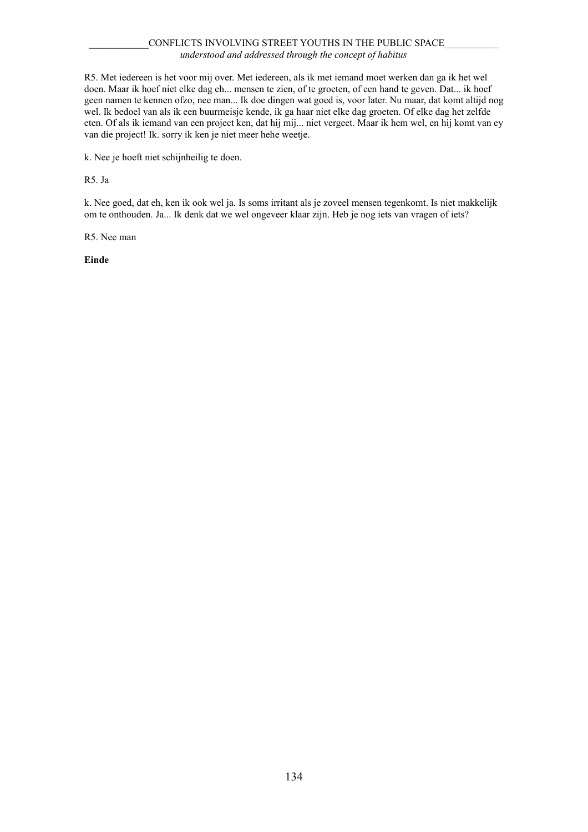# CONFLICTS INVOLVING STREET YOUTHS IN THE PUBLIC SPACE *understood and addressed through the concept of habitus*

R5. Met iedereen is het voor mij over. Met iedereen, als ik met iemand moet werken dan ga ik het wel doen. Maar ik hoef niet elke dag eh... mensen te zien, of te groeten, of een hand te geven. Dat... ik hoef geen namen te kennen ofzo, nee man... Ik doe dingen wat goed is, voor later. Nu maar, dat komt altijd nog wel. Ik bedoel van als ik een buurmeisje kende, ik ga haar niet elke dag groeten. Of elke dag het zelfde eten. Of als ik iemand van een project ken, dat hij mij... niet vergeet. Maar ik hem wel, en hij komt van ey van die project! Ik. sorry ik ken je niet meer hehe weetje.

k. Nee je hoeft niet schijnheilig te doen.

R5. Ja

k. Nee goed, dat eh, ken ik ook wel ja. Is soms irritant als je zoveel mensen tegenkomt. Is niet makkelijk om te onthouden. Ja... Ik denk dat we wel ongeveer klaar zijn. Heb je nog iets van vragen of iets?

R5. Nee man

**Einde**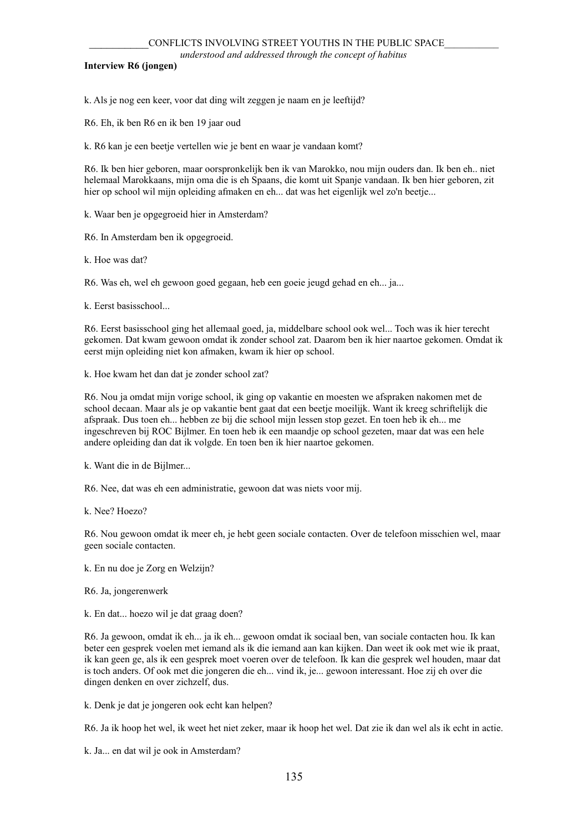*understood and addressed through the concept of habitus*

## **Interview R6 (jongen)**

k. Als je nog een keer, voor dat ding wilt zeggen je naam en je leeftijd?

R6. Eh, ik ben R6 en ik ben 19 jaar oud

k. R6 kan je een beetje vertellen wie je bent en waar je vandaan komt?

R6. Ik ben hier geboren, maar oorspronkelijk ben ik van Marokko, nou mijn ouders dan. Ik ben eh.. niet helemaal Marokkaans, mijn oma die is eh Spaans, die komt uit Spanje vandaan. Ik ben hier geboren, zit hier op school wil mijn opleiding afmaken en eh... dat was het eigenlijk wel zo'n beetje...

k. Waar ben je opgegroeid hier in Amsterdam?

R6. In Amsterdam ben ik opgegroeid.

k. Hoe was dat?

R6. Was eh, wel eh gewoon goed gegaan, heb een goeie jeugd gehad en eh... ja...

k. Eerst basisschool...

R6. Eerst basisschool ging het allemaal goed, ja, middelbare school ook wel... Toch was ik hier terecht gekomen. Dat kwam gewoon omdat ik zonder school zat. Daarom ben ik hier naartoe gekomen. Omdat ik eerst mijn opleiding niet kon afmaken, kwam ik hier op school.

k. Hoe kwam het dan dat je zonder school zat?

R6. Nou ja omdat mijn vorige school, ik ging op vakantie en moesten we afspraken nakomen met de school decaan. Maar als je op vakantie bent gaat dat een beetje moeilijk. Want ik kreeg schriftelijk die afspraak. Dus toen eh... hebben ze bij die school mijn lessen stop gezet. En toen heb ik eh... me ingeschreven bij ROC Bijlmer. En toen heb ik een maandje op school gezeten, maar dat was een hele andere opleiding dan dat ik volgde. En toen ben ik hier naartoe gekomen.

k. Want die in de Bijlmer...

R6. Nee, dat was eh een administratie, gewoon dat was niets voor mij.

k. Nee? Hoezo?

R6. Nou gewoon omdat ik meer eh, je hebt geen sociale contacten. Over de telefoon misschien wel, maar geen sociale contacten.

k. En nu doe je Zorg en Welzijn?

R6. Ja, jongerenwerk

k. En dat... hoezo wil je dat graag doen?

R6. Ja gewoon, omdat ik eh... ja ik eh... gewoon omdat ik sociaal ben, van sociale contacten hou. Ik kan beter een gesprek voelen met iemand als ik die iemand aan kan kijken. Dan weet ik ook met wie ik praat, ik kan geen ge, als ik een gesprek moet voeren over de telefoon. Ik kan die gesprek wel houden, maar dat is toch anders. Of ook met die jongeren die eh... vind ik, je... gewoon interessant. Hoe zij eh over die dingen denken en over zichzelf, dus.

k. Denk je dat je jongeren ook echt kan helpen?

R6. Ja ik hoop het wel, ik weet het niet zeker, maar ik hoop het wel. Dat zie ik dan wel als ik echt in actie.

k. Ja... en dat wil je ook in Amsterdam?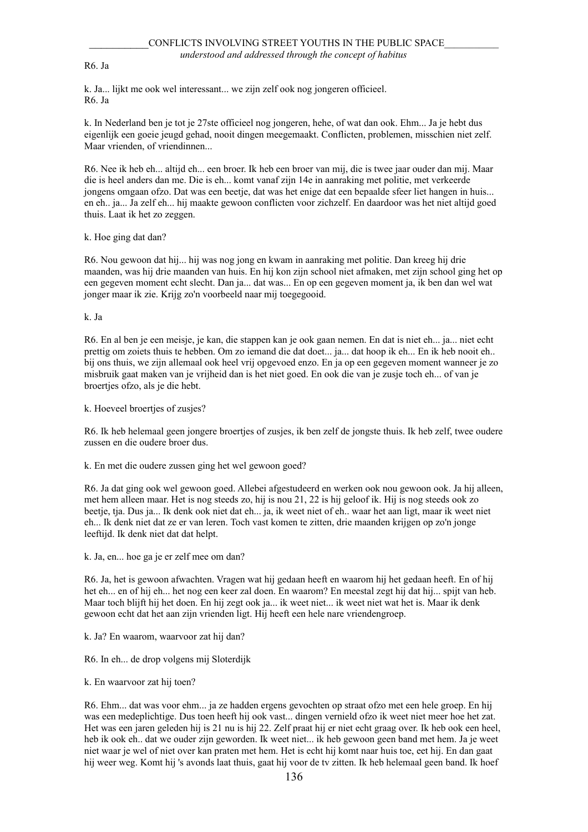R6. Ja

k. Ja... lijkt me ook wel interessant... we zijn zelf ook nog jongeren officieel. R6. Ja

k. In Nederland ben je tot je 27ste officieel nog jongeren, hehe, of wat dan ook. Ehm... Ja je hebt dus eigenlijk een goeie jeugd gehad, nooit dingen meegemaakt. Conflicten, problemen, misschien niet zelf. Maar vrienden, of vriendinnen...

R6. Nee ik heb eh... altijd eh... een broer. Ik heb een broer van mij, die is twee jaar ouder dan mij. Maar die is heel anders dan me. Die is eh... komt vanaf zijn 14e in aanraking met politie, met verkeerde jongens omgaan ofzo. Dat was een beetje, dat was het enige dat een bepaalde sfeer liet hangen in huis... en eh.. ja... Ja zelf eh... hij maakte gewoon conflicten voor zichzelf. En daardoor was het niet altijd goed thuis. Laat ik het zo zeggen.

k. Hoe ging dat dan?

R6. Nou gewoon dat hij... hij was nog jong en kwam in aanraking met politie. Dan kreeg hij drie maanden, was hij drie maanden van huis. En hij kon zijn school niet afmaken, met zijn school ging het op een gegeven moment echt slecht. Dan ja... dat was... En op een gegeven moment ja, ik ben dan wel wat jonger maar ik zie. Krijg zo'n voorbeeld naar mij toegegooid.

k. Ja

R6. En al ben je een meisje, je kan, die stappen kan je ook gaan nemen. En dat is niet eh... ja... niet echt prettig om zoiets thuis te hebben. Om zo iemand die dat doet... ja... dat hoop ik eh... En ik heb nooit eh.. bij ons thuis, we zijn allemaal ook heel vrij opgevoed enzo. En ja op een gegeven moment wanneer je zo misbruik gaat maken van je vrijheid dan is het niet goed. En ook die van je zusje toch eh... of van je broertjes ofzo, als je die hebt.

k. Hoeveel broertjes of zusjes?

R6. Ik heb helemaal geen jongere broertjes of zusjes, ik ben zelf de jongste thuis. Ik heb zelf, twee oudere zussen en die oudere broer dus.

k. En met die oudere zussen ging het wel gewoon goed?

R6. Ja dat ging ook wel gewoon goed. Allebei afgestudeerd en werken ook nou gewoon ook. Ja hij alleen, met hem alleen maar. Het is nog steeds zo, hij is nou 21, 22 is hij geloof ik. Hij is nog steeds ook zo beetje, tja. Dus ja... Ik denk ook niet dat eh... ja, ik weet niet of eh.. waar het aan ligt, maar ik weet niet eh... Ik denk niet dat ze er van leren. Toch vast komen te zitten, drie maanden krijgen op zo'n jonge leeftijd. Ik denk niet dat dat helpt.

k. Ja, en... hoe ga je er zelf mee om dan?

R6. Ja, het is gewoon afwachten. Vragen wat hij gedaan heeft en waarom hij het gedaan heeft. En of hij het eh... en of hij eh... het nog een keer zal doen. En waarom? En meestal zegt hij dat hij... spijt van heb. Maar toch blijft hij het doen. En hij zegt ook ja... ik weet niet... ik weet niet wat het is. Maar ik denk gewoon echt dat het aan zijn vrienden ligt. Hij heeft een hele nare vriendengroep.

k. Ja? En waarom, waarvoor zat hij dan?

R6. In eh... de drop volgens mij Sloterdijk

k. En waarvoor zat hij toen?

R6. Ehm... dat was voor ehm... ja ze hadden ergens gevochten op straat ofzo met een hele groep. En hij was een medeplichtige. Dus toen heeft hij ook vast... dingen vernield ofzo ik weet niet meer hoe het zat. Het was een jaren geleden hij is 21 nu is hij 22. Zelf praat hij er niet echt graag over. Ik heb ook een heel, heb ik ook eh.. dat we ouder zijn geworden. Ik weet niet... ik heb gewoon geen band met hem. Ja je weet niet waar je wel of niet over kan praten met hem. Het is echt hij komt naar huis toe, eet hij. En dan gaat hij weer weg. Komt hij 's avonds laat thuis, gaat hij voor de tv zitten. Ik heb helemaal geen band. Ik hoef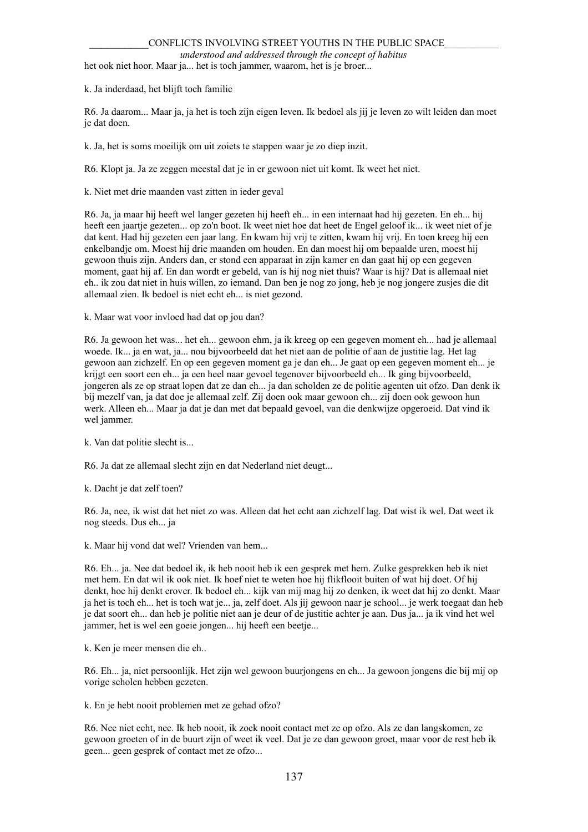#### *understood and addressed through the concept of habitus*

het ook niet hoor. Maar ja... het is toch jammer, waarom, het is je broer...

k. Ja inderdaad, het blijft toch familie

R6. Ja daarom... Maar ja, ja het is toch zijn eigen leven. Ik bedoel als jij je leven zo wilt leiden dan moet je dat doen.

k. Ja, het is soms moeilijk om uit zoiets te stappen waar je zo diep inzit.

R6. Klopt ja. Ja ze zeggen meestal dat je in er gewoon niet uit komt. Ik weet het niet.

k. Niet met drie maanden vast zitten in ieder geval

R6. Ja, ja maar hij heeft wel langer gezeten hij heeft eh... in een internaat had hij gezeten. En eh... hij heeft een jaartje gezeten... op zo'n boot. Ik weet niet hoe dat heet de Engel geloof ik... ik weet niet of je dat kent. Had hij gezeten een jaar lang. En kwam hij vrij te zitten, kwam hij vrij. En toen kreeg hij een enkelbandje om. Moest hij drie maanden om houden. En dan moest hij om bepaalde uren, moest hij gewoon thuis zijn. Anders dan, er stond een apparaat in zijn kamer en dan gaat hij op een gegeven moment, gaat hij af. En dan wordt er gebeld, van is hij nog niet thuis? Waar is hij? Dat is allemaal niet eh.. ik zou dat niet in huis willen, zo iemand. Dan ben je nog zo jong, heb je nog jongere zusjes die dit allemaal zien. Ik bedoel is niet echt eh... is niet gezond.

k. Maar wat voor invloed had dat op jou dan?

R6. Ja gewoon het was... het eh... gewoon ehm, ja ik kreeg op een gegeven moment eh... had je allemaal woede. Ik... ja en wat, ja... nou bijvoorbeeld dat het niet aan de politie of aan de justitie lag. Het lag gewoon aan zichzelf. En op een gegeven moment ga je dan eh... Je gaat op een gegeven moment eh... je krijgt een soort een eh... ja een heel naar gevoel tegenover bijvoorbeeld eh... Ik ging bijvoorbeeld, jongeren als ze op straat lopen dat ze dan eh... ja dan scholden ze de politie agenten uit ofzo. Dan denk ik bij mezelf van, ja dat doe je allemaal zelf. Zij doen ook maar gewoon eh... zij doen ook gewoon hun werk. Alleen eh... Maar ja dat je dan met dat bepaald gevoel, van die denkwijze opgeroeid. Dat vind ik wel jammer.

k. Van dat politie slecht is...

R6. Ja dat ze allemaal slecht zijn en dat Nederland niet deugt...

k. Dacht je dat zelf toen?

R6. Ja, nee, ik wist dat het niet zo was. Alleen dat het echt aan zichzelf lag. Dat wist ik wel. Dat weet ik nog steeds. Dus eh... ja

k. Maar hij vond dat wel? Vrienden van hem...

R6. Eh... ja. Nee dat bedoel ik, ik heb nooit heb ik een gesprek met hem. Zulke gesprekken heb ik niet met hem. En dat wil ik ook niet. Ik hoef niet te weten hoe hij flikflooit buiten of wat hij doet. Of hij denkt, hoe hij denkt erover. Ik bedoel eh... kijk van mij mag hij zo denken, ik weet dat hij zo denkt. Maar ja het is toch eh... het is toch wat je... ja, zelf doet. Als jij gewoon naar je school... je werk toegaat dan heb je dat soort eh... dan heb je politie niet aan je deur of de justitie achter je aan. Dus ja... ja ik vind het wel jammer, het is wel een goeie jongen... hij heeft een beetje...

k. Ken je meer mensen die eh..

R6. Eh... ja, niet persoonlijk. Het zijn wel gewoon buurjongens en eh... Ja gewoon jongens die bij mij op vorige scholen hebben gezeten.

k. En je hebt nooit problemen met ze gehad ofzo?

R6. Nee niet echt, nee. Ik heb nooit, ik zoek nooit contact met ze op ofzo. Als ze dan langskomen, ze gewoon groeten of in de buurt zijn of weet ik veel. Dat je ze dan gewoon groet, maar voor de rest heb ik geen... geen gesprek of contact met ze ofzo...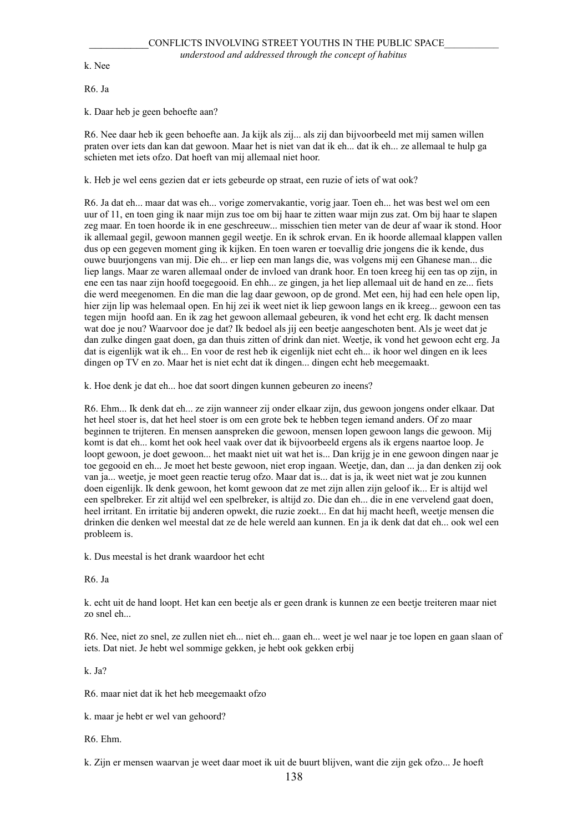k. Nee

R6. Ja

k. Daar heb je geen behoefte aan?

R6. Nee daar heb ik geen behoefte aan. Ja kijk als zij... als zij dan bijvoorbeeld met mij samen willen praten over iets dan kan dat gewoon. Maar het is niet van dat ik eh... dat ik eh... ze allemaal te hulp ga schieten met iets ofzo. Dat hoeft van mij allemaal niet hoor.

k. Heb je wel eens gezien dat er iets gebeurde op straat, een ruzie of iets of wat ook?

R6. Ja dat eh... maar dat was eh... vorige zomervakantie, vorig jaar. Toen eh... het was best wel om een uur of 11, en toen ging ik naar mijn zus toe om bij haar te zitten waar mijn zus zat. Om bij haar te slapen zeg maar. En toen hoorde ik in ene geschreeuw... misschien tien meter van de deur af waar ik stond. Hoor ik allemaal gegil, gewoon mannen gegil weetje. En ik schrok ervan. En ik hoorde allemaal klappen vallen dus op een gegeven moment ging ik kijken. En toen waren er toevallig drie jongens die ik kende, dus ouwe buurjongens van mij. Die eh... er liep een man langs die, was volgens mij een Ghanese man... die liep langs. Maar ze waren allemaal onder de invloed van drank hoor. En toen kreeg hij een tas op zijn, in ene een tas naar zijn hoofd toegegooid. En ehh... ze gingen, ja het liep allemaal uit de hand en ze... fiets die werd meegenomen. En die man die lag daar gewoon, op de grond. Met een, hij had een hele open lip, hier zijn lip was helemaal open. En hij zei ik weet niet ik liep gewoon langs en ik kreeg... gewoon een tas tegen mijn hoofd aan. En ik zag het gewoon allemaal gebeuren, ik vond het echt erg. Ik dacht mensen wat doe je nou? Waarvoor doe je dat? Ik bedoel als jij een beetje aangeschoten bent. Als je weet dat je dan zulke dingen gaat doen, ga dan thuis zitten of drink dan niet. Weetje, ik vond het gewoon echt erg. Ja dat is eigenlijk wat ik eh... En voor de rest heb ik eigenlijk niet echt eh... ik hoor wel dingen en ik lees dingen op TV en zo. Maar het is niet echt dat ik dingen... dingen echt heb meegemaakt.

k. Hoe denk je dat eh... hoe dat soort dingen kunnen gebeuren zo ineens?

R6. Ehm... Ik denk dat eh... ze zijn wanneer zij onder elkaar zijn, dus gewoon jongens onder elkaar. Dat het heel stoer is, dat het heel stoer is om een grote bek te hebben tegen iemand anders. Of zo maar beginnen te trijteren. En mensen aanspreken die gewoon, mensen lopen gewoon langs die gewoon. Mij komt is dat eh... komt het ook heel vaak over dat ik bijvoorbeeld ergens als ik ergens naartoe loop. Je loopt gewoon, je doet gewoon... het maakt niet uit wat het is... Dan krijg je in ene gewoon dingen naar je toe gegooid en eh... Je moet het beste gewoon, niet erop ingaan. Weetje, dan, dan ... ja dan denken zij ook van ja... weetje, je moet geen reactie terug ofzo. Maar dat is... dat is ja, ik weet niet wat je zou kunnen doen eigenlijk. Ik denk gewoon, het komt gewoon dat ze met zijn allen zijn geloof ik... Er is altijd wel een spelbreker. Er zit altijd wel een spelbreker, is altijd zo. Die dan eh... die in ene vervelend gaat doen, heel irritant. En irritatie bij anderen opwekt, die ruzie zoekt... En dat hij macht heeft, weetje mensen die drinken die denken wel meestal dat ze de hele wereld aan kunnen. En ja ik denk dat dat eh... ook wel een probleem is.

k. Dus meestal is het drank waardoor het echt

R6. Ja

k. echt uit de hand loopt. Het kan een beetje als er geen drank is kunnen ze een beetje treiteren maar niet zo snel eh...

R6. Nee, niet zo snel, ze zullen niet eh... niet eh... gaan eh... weet je wel naar je toe lopen en gaan slaan of iets. Dat niet. Je hebt wel sommige gekken, je hebt ook gekken erbij

k. Ja?

R6. maar niet dat ik het heb meegemaakt ofzo

k. maar je hebt er wel van gehoord?

R6. Ehm.

k. Zijn er mensen waarvan je weet daar moet ik uit de buurt blijven, want die zijn gek ofzo... Je hoeft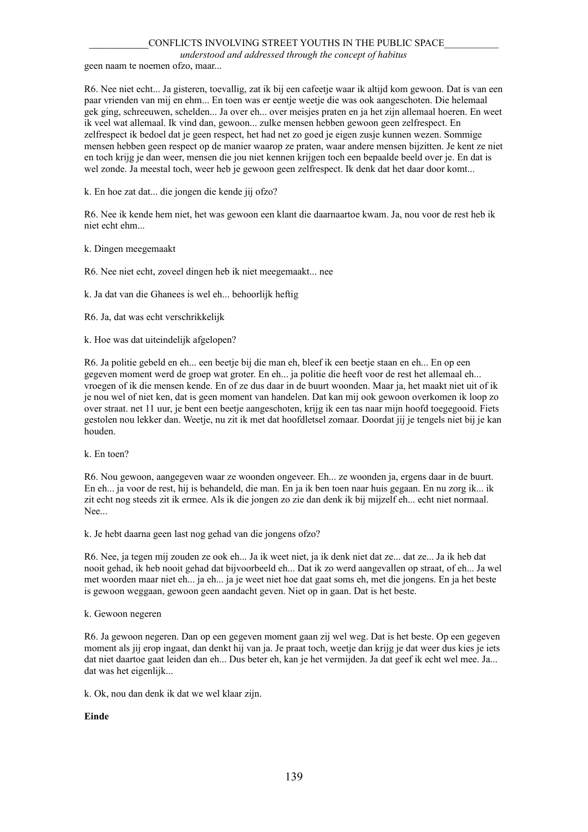*understood and addressed through the concept of habitus*

geen naam te noemen ofzo, maar...

R6. Nee niet echt... Ja gisteren, toevallig, zat ik bij een cafeetje waar ik altijd kom gewoon. Dat is van een paar vrienden van mij en ehm... En toen was er eentje weetje die was ook aangeschoten. Die helemaal gek ging, schreeuwen, schelden... Ja over eh... over meisjes praten en ja het zijn allemaal hoeren. En weet ik veel wat allemaal. Ik vind dan, gewoon... zulke mensen hebben gewoon geen zelfrespect. En zelfrespect ik bedoel dat je geen respect, het had net zo goed je eigen zusje kunnen wezen. Sommige mensen hebben geen respect op de manier waarop ze praten, waar andere mensen bijzitten. Je kent ze niet en toch krijg je dan weer, mensen die jou niet kennen krijgen toch een bepaalde beeld over je. En dat is wel zonde. Ja meestal toch, weer heb je gewoon geen zelfrespect. Ik denk dat het daar door komt...

k. En hoe zat dat... die jongen die kende jij ofzo?

R6. Nee ik kende hem niet, het was gewoon een klant die daarnaartoe kwam. Ja, nou voor de rest heb ik niet echt ehm...

#### k. Dingen meegemaakt

R6. Nee niet echt, zoveel dingen heb ik niet meegemaakt... nee

k. Ja dat van die Ghanees is wel eh... behoorlijk heftig

R6. Ja, dat was echt verschrikkelijk

k. Hoe was dat uiteindelijk afgelopen?

R6. Ja politie gebeld en eh... een beetje bij die man eh, bleef ik een beetje staan en eh... En op een gegeven moment werd de groep wat groter. En eh... ja politie die heeft voor de rest het allemaal eh... vroegen of ik die mensen kende. En of ze dus daar in de buurt woonden. Maar ja, het maakt niet uit of ik je nou wel of niet ken, dat is geen moment van handelen. Dat kan mij ook gewoon overkomen ik loop zo over straat. net 11 uur, je bent een beetje aangeschoten, krijg ik een tas naar mijn hoofd toegegooid. Fiets gestolen nou lekker dan. Weetje, nu zit ik met dat hoofdletsel zomaar. Doordat jij je tengels niet bij je kan houden.

k. En toen?

R6. Nou gewoon, aangegeven waar ze woonden ongeveer. Eh... ze woonden ja, ergens daar in de buurt. En eh... ja voor de rest, hij is behandeld, die man. En ja ik ben toen naar huis gegaan. En nu zorg ik... ik zit echt nog steeds zit ik ermee. Als ik die jongen zo zie dan denk ik bij mijzelf eh... echt niet normaal. Nee.

k. Je hebt daarna geen last nog gehad van die jongens ofzo?

R6. Nee, ja tegen mij zouden ze ook eh... Ja ik weet niet, ja ik denk niet dat ze... dat ze... Ja ik heb dat nooit gehad, ik heb nooit gehad dat bijvoorbeeld eh... Dat ik zo werd aangevallen op straat, of eh... Ja wel met woorden maar niet eh... ja eh... ja je weet niet hoe dat gaat soms eh, met die jongens. En ja het beste is gewoon weggaan, gewoon geen aandacht geven. Niet op in gaan. Dat is het beste.

#### k. Gewoon negeren

R6. Ja gewoon negeren. Dan op een gegeven moment gaan zij wel weg. Dat is het beste. Op een gegeven moment als jij erop ingaat, dan denkt hij van ja. Je praat toch, weetje dan krijg je dat weer dus kies je iets dat niet daartoe gaat leiden dan eh... Dus beter eh, kan je het vermijden. Ja dat geef ik echt wel mee. Ja... dat was het eigenlijk...

k. Ok, nou dan denk ik dat we wel klaar zijn.

### **Einde**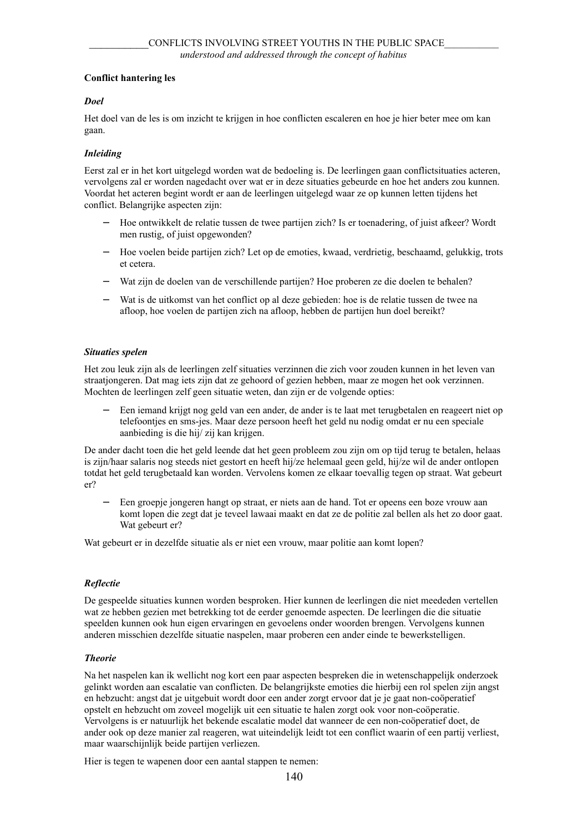# **Conflict hantering les**

# *Doel*

Het doel van de les is om inzicht te krijgen in hoe conflicten escaleren en hoe je hier beter mee om kan gaan.

## *Inleiding*

Eerst zal er in het kort uitgelegd worden wat de bedoeling is. De leerlingen gaan conflictsituaties acteren, vervolgens zal er worden nagedacht over wat er in deze situaties gebeurde en hoe het anders zou kunnen. Voordat het acteren begint wordt er aan de leerlingen uitgelegd waar ze op kunnen letten tijdens het conflict. Belangrijke aspecten zijn:

- − Hoe ontwikkelt de relatie tussen de twee partijen zich? Is er toenadering, of juist afkeer? Wordt men rustig, of juist opgewonden?
- − Hoe voelen beide partijen zich? Let op de emoties, kwaad, verdrietig, beschaamd, gelukkig, trots et cetera.
- Wat zijn de doelen van de verschillende partijen? Hoe proberen ze die doelen te behalen?
- Wat is de uitkomst van het conflict op al deze gebieden: hoe is de relatie tussen de twee na afloop, hoe voelen de partijen zich na afloop, hebben de partijen hun doel bereikt?

### *Situaties spelen*

Het zou leuk zijn als de leerlingen zelf situaties verzinnen die zich voor zouden kunnen in het leven van straatjongeren. Dat mag iets zijn dat ze gehoord of gezien hebben, maar ze mogen het ook verzinnen. Mochten de leerlingen zelf geen situatie weten, dan zijn er de volgende opties:

− Een iemand krijgt nog geld van een ander, de ander is te laat met terugbetalen en reageert niet op telefoontjes en sms-jes. Maar deze persoon heeft het geld nu nodig omdat er nu een speciale aanbieding is die hij/ zij kan krijgen.

De ander dacht toen die het geld leende dat het geen probleem zou zijn om op tijd terug te betalen, helaas is zijn/haar salaris nog steeds niet gestort en heeft hij/ze helemaal geen geld, hij/ze wil de ander ontlopen totdat het geld terugbetaald kan worden. Vervolens komen ze elkaar toevallig tegen op straat. Wat gebeurt er?

− Een groepje jongeren hangt op straat, er niets aan de hand. Tot er opeens een boze vrouw aan komt lopen die zegt dat je teveel lawaai maakt en dat ze de politie zal bellen als het zo door gaat. Wat gebeurt er?

Wat gebeurt er in dezelfde situatie als er niet een vrouw, maar politie aan komt lopen?

### *Reflectie*

De gespeelde situaties kunnen worden besproken. Hier kunnen de leerlingen die niet meededen vertellen wat ze hebben gezien met betrekking tot de eerder genoemde aspecten. De leerlingen die die situatie speelden kunnen ook hun eigen ervaringen en gevoelens onder woorden brengen. Vervolgens kunnen anderen misschien dezelfde situatie naspelen, maar proberen een ander einde te bewerkstelligen.

### *Theorie*

Na het naspelen kan ik wellicht nog kort een paar aspecten bespreken die in wetenschappelijk onderzoek gelinkt worden aan escalatie van conflicten. De belangrijkste emoties die hierbij een rol spelen zijn angst en hebzucht: angst dat je uitgebuit wordt door een ander zorgt ervoor dat je je gaat non-coöperatief opstelt en hebzucht om zoveel mogelijk uit een situatie te halen zorgt ook voor non-coöperatie. Vervolgens is er natuurlijk het bekende escalatie model dat wanneer de een non-coöperatief doet, de ander ook op deze manier zal reageren, wat uiteindelijk leidt tot een conflict waarin of een partij verliest, maar waarschijnlijk beide partijen verliezen.

Hier is tegen te wapenen door een aantal stappen te nemen: